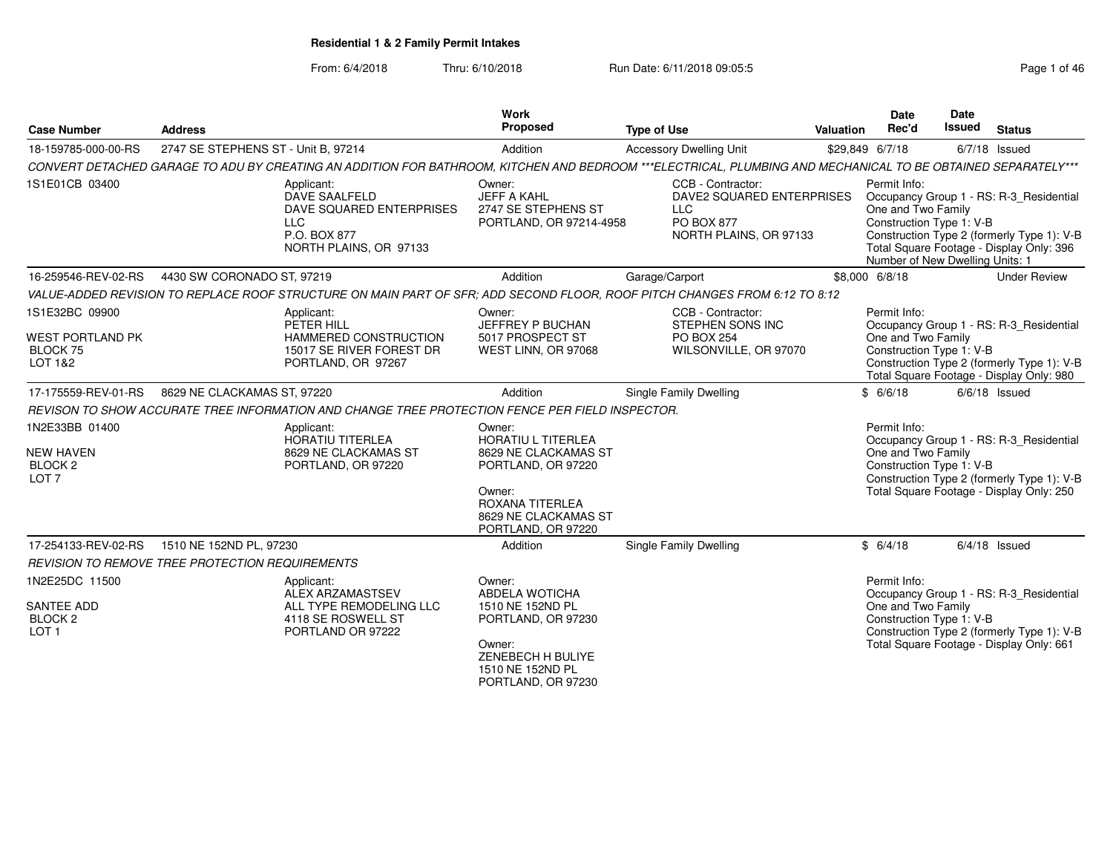| <b>Case Number</b>                                                           | <b>Address</b>                                  |                                                                                                                                                              | <b>Work</b><br>Proposed                                                                                                                                      | <b>Type of Use</b>                                                                                   | Valuation | <b>Date</b><br>Rec'd                                                                              | Date<br>Issued | <b>Status</b>                                                                                                                     |
|------------------------------------------------------------------------------|-------------------------------------------------|--------------------------------------------------------------------------------------------------------------------------------------------------------------|--------------------------------------------------------------------------------------------------------------------------------------------------------------|------------------------------------------------------------------------------------------------------|-----------|---------------------------------------------------------------------------------------------------|----------------|-----------------------------------------------------------------------------------------------------------------------------------|
| 18-159785-000-00-RS                                                          | 2747 SE STEPHENS ST - Unit B, 97214             |                                                                                                                                                              | Addition                                                                                                                                                     | <b>Accessory Dwelling Unit</b>                                                                       |           | \$29,849 6/7/18                                                                                   |                | 6/7/18 Issued                                                                                                                     |
|                                                                              |                                                 | CONVERT DETACHED GARAGE TO ADU BY CREATING AN ADDITION FOR BATHROOM, KITCHEN AND BEDROOM ***ELECTRICAL, PLUMBING AND MECHANICAL TO BE OBTAINED SEPARATELY*** |                                                                                                                                                              |                                                                                                      |           |                                                                                                   |                |                                                                                                                                   |
| 1S1E01CB 03400                                                               |                                                 | Applicant:<br>DAVE SAALFELD<br>DAVE SQUARED ENTERPRISES<br><b>LLC</b><br>P.O. BOX 877<br>NORTH PLAINS, OR 97133                                              | Owner:<br><b>JEFF A KAHL</b><br>2747 SE STEPHENS ST<br>PORTLAND, OR 97214-4958                                                                               | CCB - Contractor:<br>DAVE2 SQUARED ENTERPRISES<br><b>LLC</b><br>PO BOX 877<br>NORTH PLAINS, OR 97133 |           | Permit Info:<br>One and Two Family<br>Construction Type 1: V-B<br>Number of New Dwelling Units: 1 |                | Occupancy Group 1 - RS: R-3_Residential<br>Construction Type 2 (formerly Type 1): V-B<br>Total Square Footage - Display Only: 396 |
| 16-259546-REV-02-RS                                                          | 4430 SW CORONADO ST, 97219                      |                                                                                                                                                              | Addition                                                                                                                                                     | Garage/Carport                                                                                       |           | \$8,000 6/8/18                                                                                    |                | <b>Under Review</b>                                                                                                               |
|                                                                              |                                                 | VALUE-ADDED REVISION TO REPLACE ROOF STRUCTURE ON MAIN PART OF SFR: ADD SECOND FLOOR, ROOF PITCH CHANGES FROM 6:12 TO 8:12                                   |                                                                                                                                                              |                                                                                                      |           |                                                                                                   |                |                                                                                                                                   |
| 1S1E32BC 09900<br>WEST PORTLAND PK<br>BLOCK 75<br>LOT 1&2                    |                                                 | Applicant:<br>PETER HILL<br>HAMMERED CONSTRUCTION<br>15017 SE RIVER FOREST DR<br>PORTLAND, OR 97267                                                          | Owner:<br>JEFFREY P BUCHAN<br>5017 PROSPECT ST<br>WEST LINN, OR 97068                                                                                        | CCB - Contractor:<br><b>STEPHEN SONS INC</b><br><b>PO BOX 254</b><br>WILSONVILLE, OR 97070           |           | Permit Info:<br>One and Two Family<br>Construction Type 1: V-B                                    |                | Occupancy Group 1 - RS: R-3 Residential<br>Construction Type 2 (formerly Type 1): V-B<br>Total Square Footage - Display Only: 980 |
| 17-175559-REV-01-RS                                                          | 8629 NE CLACKAMAS ST, 97220                     |                                                                                                                                                              | Addition                                                                                                                                                     | Single Family Dwelling                                                                               |           | \$6/6/18                                                                                          |                | $6/6/18$ Issued                                                                                                                   |
|                                                                              |                                                 | REVISON TO SHOW ACCURATE TREE INFORMATION AND CHANGE TREE PROTECTION FENCE PER FIELD INSPECTOR.                                                              |                                                                                                                                                              |                                                                                                      |           |                                                                                                   |                |                                                                                                                                   |
| 1N2E33BB 01400<br><b>NEW HAVEN</b><br>BLOCK <sub>2</sub><br>LOT <sub>7</sub> |                                                 | Applicant:<br><b>HORATIU TITERLEA</b><br>8629 NE CLACKAMAS ST<br>PORTLAND, OR 97220                                                                          | Owner:<br><b>HORATIU L TITERLEA</b><br>8629 NE CLACKAMAS ST<br>PORTLAND, OR 97220<br>Owner:<br>ROXANA TITERLEA<br>8629 NE CLACKAMAS ST<br>PORTLAND, OR 97220 |                                                                                                      |           | Permit Info:<br>One and Two Family<br>Construction Type 1: V-B                                    |                | Occupancy Group 1 - RS: R-3_Residential<br>Construction Type 2 (formerly Type 1): V-B<br>Total Square Footage - Display Only: 250 |
| 17-254133-REV-02-RS                                                          | 1510 NE 152ND PL, 97230                         |                                                                                                                                                              | Addition                                                                                                                                                     | Single Family Dwelling                                                                               |           | \$6/4/18                                                                                          |                | $6/4/18$ Issued                                                                                                                   |
|                                                                              | REVISION TO REMOVE TREE PROTECTION REQUIREMENTS |                                                                                                                                                              |                                                                                                                                                              |                                                                                                      |           |                                                                                                   |                |                                                                                                                                   |
| 1N2E25DC 11500<br>SANTEE ADD<br>BLOCK <sub>2</sub><br>LOT <sub>1</sub>       |                                                 | Applicant:<br><b>ALEX ARZAMASTSEV</b><br>ALL TYPE REMODELING LLC<br>4118 SE ROSWELL ST<br>PORTLAND OR 97222                                                  | Owner:<br>ABDELA WOTICHA<br>1510 NE 152ND PL<br>PORTLAND, OR 97230<br>Owner:<br>ZENEBECH H BULIYE<br>1510 NE 152ND PL<br>PORTLAND, OR 97230                  |                                                                                                      |           | Permit Info:<br>One and Two Family<br>Construction Type 1: V-B                                    |                | Occupancy Group 1 - RS: R-3_Residential<br>Construction Type 2 (formerly Type 1): V-B<br>Total Square Footage - Display Only: 661 |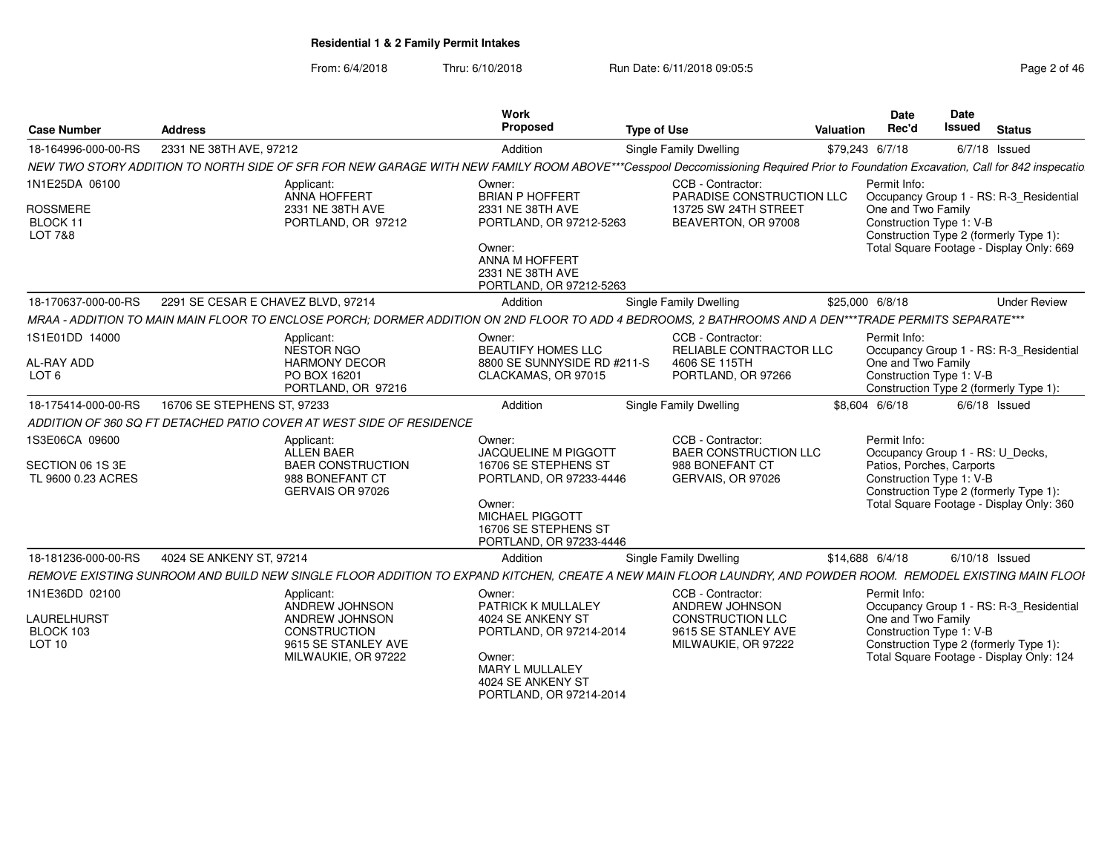| <b>Case Number</b>                                                 | <b>Address</b>                                                                                                                                                                    | Work<br>Proposed                                                                                                                                                                | <b>Type of Use</b>                                                                                           | <b>Date</b><br>Rec'd<br>Valuation  | <b>Date</b><br><b>Issued</b>                                                              | <b>Status</b>                                                                                                                 |
|--------------------------------------------------------------------|-----------------------------------------------------------------------------------------------------------------------------------------------------------------------------------|---------------------------------------------------------------------------------------------------------------------------------------------------------------------------------|--------------------------------------------------------------------------------------------------------------|------------------------------------|-------------------------------------------------------------------------------------------|-------------------------------------------------------------------------------------------------------------------------------|
| 18-164996-000-00-RS                                                | 2331 NE 38TH AVE, 97212                                                                                                                                                           | Addition                                                                                                                                                                        | Single Family Dwelling                                                                                       | \$79,243 6/7/18                    |                                                                                           | $6/7/18$ Issued                                                                                                               |
|                                                                    | NEW TWO STORY ADDITION TO NORTH SIDE OF SFR FOR NEW GARAGE WITH NEW FAMILY ROOM ABOVE***Cesspool Deccomissioning Required Prior to Foundation Excavation, Call for 842 inspecatio |                                                                                                                                                                                 |                                                                                                              |                                    |                                                                                           |                                                                                                                               |
| 1N1E25DA 06100<br>ROSSMERE<br>BLOCK 11<br>LOT 7&8                  | Applicant:<br><b>ANNA HOFFERT</b><br>2331 NE 38TH AVE<br>PORTLAND, OR 97212                                                                                                       | Owner:<br><b>BRIAN P HOFFERT</b><br>2331 NE 38TH AVE<br>PORTLAND, OR 97212-5263<br>Owner:<br>ANNA M HOFFERT<br>2331 NE 38TH AVE<br>PORTLAND, OR 97212-5263                      | CCB - Contractor:<br>PARADISE CONSTRUCTION LLC<br>13725 SW 24TH STREET<br>BEAVERTON, OR 97008                | Permit Info:<br>One and Two Family | Construction Type 1: V-B                                                                  | Occupancy Group 1 - RS: R-3_Residential<br>Construction Type 2 (formerly Type 1):<br>Total Square Footage - Display Only: 669 |
| 18-170637-000-00-RS                                                | 2291 SE CESAR E CHAVEZ BLVD, 97214                                                                                                                                                | Addition                                                                                                                                                                        | Single Family Dwelling                                                                                       | \$25,000 6/8/18                    |                                                                                           | <b>Under Review</b>                                                                                                           |
|                                                                    | MRAA - ADDITION TO MAIN MAIN FLOOR TO ENCLOSE PORCH; DORMER ADDITION ON 2ND FLOOR TO ADD 4 BEDROOMS, 2 BATHROOMS AND A DEN***TRADE PERMITS SEPARATE***                            |                                                                                                                                                                                 |                                                                                                              |                                    |                                                                                           |                                                                                                                               |
| 1S1E01DD 14000<br>AL-RAY ADD<br>LOT <sub>6</sub>                   | Applicant:<br>NESTOR NGO<br><b>HARMONY DECOR</b><br>PO BOX 16201<br>PORTLAND, OR 97216                                                                                            | Owner:<br><b>BEAUTIFY HOMES LLC</b><br>8800 SE SUNNYSIDE RD #211-S<br>CLACKAMAS, OR 97015                                                                                       | CCB - Contractor:<br>RELIABLE CONTRACTOR LLC<br>4606 SE 115TH<br>PORTLAND, OR 97266                          | Permit Info:<br>One and Two Family | Construction Type 1: V-B                                                                  | Occupancy Group 1 - RS: R-3_Residential<br>Construction Type 2 (formerly Type 1):                                             |
| 18-175414-000-00-RS                                                | 16706 SE STEPHENS ST. 97233                                                                                                                                                       | Addition                                                                                                                                                                        | Single Family Dwelling                                                                                       | \$8,604 6/6/18                     |                                                                                           | $6/6/18$ Issued                                                                                                               |
|                                                                    | ADDITION OF 360 SQ FT DETACHED PATIO COVER AT WEST SIDE OF RESIDENCE                                                                                                              |                                                                                                                                                                                 |                                                                                                              |                                    |                                                                                           |                                                                                                                               |
| 1S3E06CA 09600<br>SECTION 06 1S 3E<br>TL 9600 0.23 ACRES           | Applicant:<br><b>ALLEN BAER</b><br><b>BAER CONSTRUCTION</b><br>988 BONEFANT CT<br>GERVAIS OR 97026                                                                                | Owner:<br><b>JACQUELINE M PIGGOTT</b><br>16706 SE STEPHENS ST<br>PORTLAND, OR 97233-4446<br>Owner:<br><b>MICHAEL PIGGOTT</b><br>16706 SE STEPHENS ST<br>PORTLAND, OR 97233-4446 | CCB - Contractor:<br><b>BAER CONSTRUCTION LLC</b><br>988 BONEFANT CT<br>GERVAIS, OR 97026                    | Permit Info:                       | Occupancy Group 1 - RS: U_Decks,<br>Patios, Porches, Carports<br>Construction Type 1: V-B | Construction Type 2 (formerly Type 1):<br>Total Square Footage - Display Only: 360                                            |
| 18-181236-000-00-RS                                                | 4024 SE ANKENY ST, 97214                                                                                                                                                          | Addition                                                                                                                                                                        | Single Family Dwelling                                                                                       | \$14,688 6/4/18                    | $6/10/18$ Issued                                                                          |                                                                                                                               |
|                                                                    | REMOVE EXISTING SUNROOM AND BUILD NEW SINGLE FLOOR ADDITION TO EXPAND KITCHEN. CREATE A NEW MAIN FLOOR LAUNDRY, AND POWDER ROOM. REMODEL EXISTING MAIN FLOOI                      |                                                                                                                                                                                 |                                                                                                              |                                    |                                                                                           |                                                                                                                               |
| 1N1E36DD 02100<br><b>LAURELHURST</b><br>BLOCK 103<br><b>LOT 10</b> | Applicant:<br>ANDREW JOHNSON<br>ANDREW JOHNSON<br><b>CONSTRUCTION</b><br>9615 SE STANLEY AVE<br>MILWAUKIE, OR 97222                                                               | Owner:<br>PATRICK K MULLALEY<br>4024 SE ANKENY ST<br>PORTLAND, OR 97214-2014<br>Owner:<br>MARY L MULLALEY<br>4024 SE ANKENY ST<br>PORTLAND, OR 97214-2014                       | CCB - Contractor:<br>ANDREW JOHNSON<br><b>CONSTRUCTION LLC</b><br>9615 SE STANLEY AVE<br>MILWAUKIE, OR 97222 | Permit Info:<br>One and Two Family | Construction Type 1: V-B                                                                  | Occupancy Group 1 - RS: R-3_Residential<br>Construction Type 2 (formerly Type 1):<br>Total Square Footage - Display Only: 124 |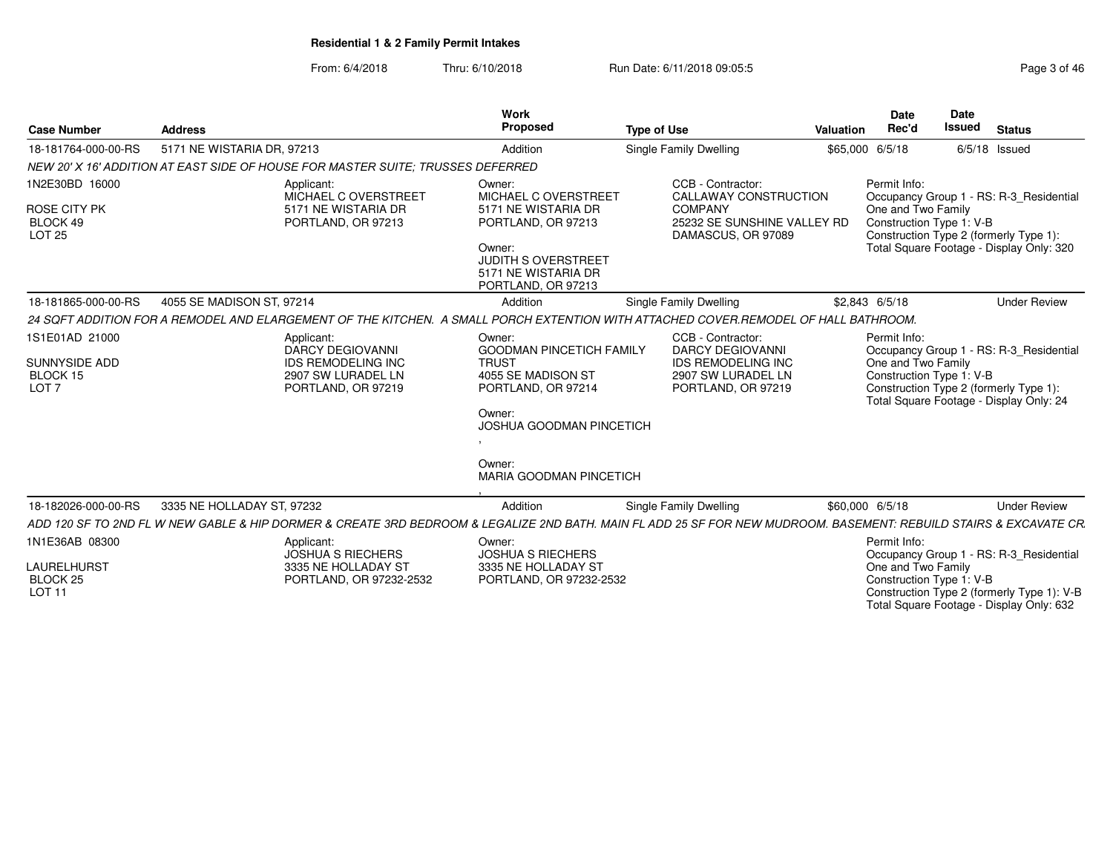| <b>Case Number</b>                                                    | <b>Address</b>                                                                                          | <b>Work</b><br>Proposed                                                                                                                                                          | <b>Type of Use</b>                                                                                                    | Valuation       | <b>Date</b><br>Rec'd                                                                                                                                                                                | Date<br><b>Issued</b> | <b>Status</b> |                     |
|-----------------------------------------------------------------------|---------------------------------------------------------------------------------------------------------|----------------------------------------------------------------------------------------------------------------------------------------------------------------------------------|-----------------------------------------------------------------------------------------------------------------------|-----------------|-----------------------------------------------------------------------------------------------------------------------------------------------------------------------------------------------------|-----------------------|---------------|---------------------|
| 18-181764-000-00-RS                                                   | 5171 NE WISTARIA DR, 97213                                                                              | Addition                                                                                                                                                                         | Single Family Dwelling                                                                                                | \$65,000 6/5/18 |                                                                                                                                                                                                     | $6/5/18$ Issued       |               |                     |
|                                                                       | NEW 20' X 16' ADDITION AT EAST SIDE OF HOUSE FOR MASTER SUITE; TRUSSES DEFERRED                         |                                                                                                                                                                                  |                                                                                                                       |                 |                                                                                                                                                                                                     |                       |               |                     |
| 1N2E30BD 16000<br>ROSE CITY PK<br>BLOCK 49<br><b>LOT 25</b>           | Applicant:<br>MICHAEL C OVERSTREET<br>5171 NE WISTARIA DR<br>PORTLAND, OR 97213                         | Owner:<br>MICHAEL C OVERSTREET<br>5171 NE WISTARIA DR<br>PORTLAND, OR 97213<br>Owner:<br><b>JUDITH S OVERSTREET</b><br>5171 NE WISTARIA DR<br>PORTLAND, OR 97213                 | CCB - Contractor:<br>CALLAWAY CONSTRUCTION<br><b>COMPANY</b><br>25232 SE SUNSHINE VALLEY RD<br>DAMASCUS, OR 97089     |                 | Permit Info:<br>Occupancy Group 1 - RS: R-3 Residential<br>One and Two Family<br>Construction Type 1: V-B<br>Construction Type 2 (formerly Type 1):<br>Total Square Footage - Display Only: 320     |                       |               |                     |
| 18-181865-000-00-RS                                                   | 4055 SE MADISON ST, 97214                                                                               | Addition                                                                                                                                                                         | <b>Single Family Dwelling</b>                                                                                         |                 | \$2.843 6/5/18                                                                                                                                                                                      |                       |               | <b>Under Review</b> |
|                                                                       |                                                                                                         | 24 SQFT ADDITION FOR A REMODEL AND ELARGEMENT OF THE KITCHEN. A SMALL PORCH EXTENTION WITH ATTACHED COVER REMODEL OF HALL BATHROOM.                                              |                                                                                                                       |                 |                                                                                                                                                                                                     |                       |               |                     |
| 1S1E01AD 21000<br>SUNNYSIDE ADD<br>BLOCK 15<br>LOT <sub>7</sub>       | Applicant:<br>DARCY DEGIOVANNI<br><b>IDS REMODELING INC</b><br>2907 SW LURADEL LN<br>PORTLAND, OR 97219 | Owner:<br><b>GOODMAN PINCETICH FAMILY</b><br><b>TRUST</b><br>4055 SE MADISON ST<br>PORTLAND, OR 97214<br>Owner:<br>JOSHUA GOODMAN PINCETICH<br>Owner:<br>MARIA GOODMAN PINCETICH | CCB - Contractor:<br><b>DARCY DEGIOVANNI</b><br><b>IDS REMODELING INC</b><br>2907 SW LURADEL LN<br>PORTLAND, OR 97219 |                 | Permit Info:<br>Occupancy Group 1 - RS: R-3_Residential<br>One and Two Family<br>Construction Type 1: V-B<br>Construction Type 2 (formerly Type 1):<br>Total Square Footage - Display Only: 24      |                       |               |                     |
| 18-182026-000-00-RS                                                   | 3335 NE HOLLADAY ST, 97232                                                                              | Addition                                                                                                                                                                         | <b>Single Family Dwelling</b>                                                                                         | \$60,000 6/5/18 |                                                                                                                                                                                                     |                       |               | <b>Under Review</b> |
|                                                                       |                                                                                                         | ADD 120 SF TO 2ND FL W NEW GABLE & HIP DORMER & CREATE 3RD BEDROOM & LEGALIZE 2ND BATH. MAIN FL ADD 25 SF FOR NEW MUDROOM. BASEMENT: REBUILD STAIRS & EXCAVATE CR.               |                                                                                                                       |                 |                                                                                                                                                                                                     |                       |               |                     |
| 1N1E36AB 08300<br>LAURELHURST<br>BLOCK <sub>25</sub><br><b>LOT 11</b> | Applicant:<br><b>JOSHUA S RIECHERS</b><br>3335 NE HOLLADAY ST                                           | Owner:<br><b>JOSHUA S RIECHERS</b><br>3335 NE HOLLADAY ST<br>PORTLAND, OR 97232-2532<br>PORTLAND, OR 97232-2532                                                                  |                                                                                                                       |                 | Permit Info:<br>Occupancy Group 1 - RS: R-3_Residential<br>One and Two Family<br>Construction Type 1: V-B<br>Construction Type 2 (formerly Type 1): V-B<br>Total Square Footage - Display Only: 632 |                       |               |                     |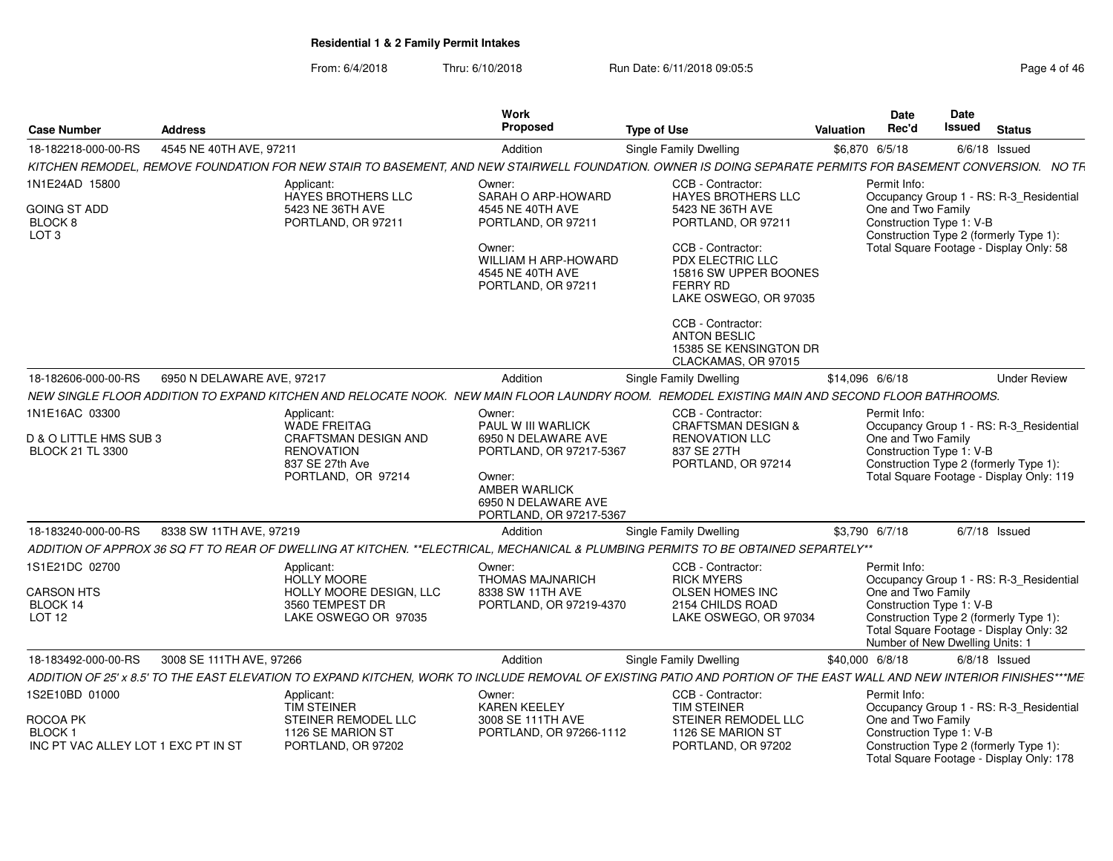| Case Number                                                | <b>Address</b>             |                                                                                           | <b>Work</b><br>Proposed                                                                                                     | <b>Type of Use</b>                                                                                                                                                    | <b>Valuation</b> | Date<br>Rec'd                                                                     | Date<br>Issued | <b>Status</b>                                                                      |
|------------------------------------------------------------|----------------------------|-------------------------------------------------------------------------------------------|-----------------------------------------------------------------------------------------------------------------------------|-----------------------------------------------------------------------------------------------------------------------------------------------------------------------|------------------|-----------------------------------------------------------------------------------|----------------|------------------------------------------------------------------------------------|
| 18-182218-000-00-RS                                        | 4545 NE 40TH AVE, 97211    |                                                                                           | Addition                                                                                                                    | Single Family Dwelling                                                                                                                                                | \$6,870 6/5/18   |                                                                                   |                | $6/6/18$ Issued                                                                    |
|                                                            |                            |                                                                                           |                                                                                                                             | KITCHEN REMODEL, REMOVE FOUNDATION FOR NEW STAIR TO BASEMENT, AND NEW STAIRWELL FOUNDATION. OWNER IS DOING SEPARATE PERMITS FOR BASEMENT CONVERSION. NO TR            |                  |                                                                                   |                |                                                                                    |
| 1N1E24AD 15800                                             |                            | Applicant:<br><b>HAYES BROTHERS LLC</b>                                                   | Owner:<br>SARAH O ARP-HOWARD                                                                                                | CCB - Contractor:<br><b>HAYES BROTHERS LLC</b>                                                                                                                        |                  | Permit Info:                                                                      |                | Occupancy Group 1 - RS: R-3 Residential                                            |
| GOING ST ADD<br>BLOCK 8<br>LOT <sub>3</sub>                |                            | 5423 NE 36TH AVE<br>PORTLAND, OR 97211                                                    | 4545 NE 40TH AVE<br>PORTLAND, OR 97211                                                                                      | 5423 NE 36TH AVE<br>PORTLAND, OR 97211                                                                                                                                |                  | One and Two Family<br>Construction Type 1: V-B                                    |                | Construction Type 2 (formerly Type 1):                                             |
|                                                            |                            |                                                                                           | Owner:<br>WILLIAM H ARP-HOWARD<br>4545 NE 40TH AVE<br>PORTLAND, OR 97211                                                    | CCB - Contractor:<br>PDX ELECTRIC LLC<br>15816 SW UPPER BOONES<br><b>FERRY RD</b><br>LAKE OSWEGO, OR 97035                                                            |                  |                                                                                   |                | Total Square Footage - Display Only: 58                                            |
|                                                            |                            |                                                                                           |                                                                                                                             | CCB - Contractor:<br><b>ANTON BESLIC</b><br>15385 SE KENSINGTON DR<br>CLACKAMAS, OR 97015                                                                             |                  |                                                                                   |                |                                                                                    |
| 18-182606-000-00-RS                                        | 6950 N DELAWARE AVE, 97217 |                                                                                           | Addition                                                                                                                    | Single Family Dwelling                                                                                                                                                | \$14,096 6/6/18  |                                                                                   |                | <b>Under Review</b>                                                                |
|                                                            |                            |                                                                                           |                                                                                                                             | NEW SINGLE FLOOR ADDITION TO EXPAND KITCHEN AND RELOCATE NOOK. NEW MAIN FLOOR LAUNDRY ROOM. REMODEL EXISTING MAIN AND SECOND FLOOR BATHROOMS.                         |                  |                                                                                   |                |                                                                                    |
| 1N1E16AC 03300                                             |                            | Applicant:<br><b>WADE FREITAG</b>                                                         | Owner:<br>PAUL W III WARLICK                                                                                                | CCB - Contractor:<br><b>CRAFTSMAN DESIGN &amp;</b>                                                                                                                    |                  | Permit Info:                                                                      |                | Occupancy Group 1 - RS: R-3_Residential                                            |
| D & O LITTLE HMS SUB 3<br><b>BLOCK 21 TL 3300</b>          |                            | <b>CRAFTSMAN DESIGN AND</b><br><b>RENOVATION</b><br>837 SE 27th Ave<br>PORTLAND, OR 97214 | 6950 N DELAWARE AVE<br>PORTLAND, OR 97217-5367<br>Owner:<br>AMBER WARLICK<br>6950 N DELAWARE AVE<br>PORTLAND, OR 97217-5367 | <b>RENOVATION LLC</b><br>837 SE 27TH<br>PORTLAND, OR 97214                                                                                                            |                  | One and Two Family<br>Construction Type 1: V-B                                    |                | Construction Type 2 (formerly Type 1):<br>Total Square Footage - Display Only: 119 |
| 18-183240-000-00-RS                                        | 8338 SW 11TH AVE, 97219    |                                                                                           | Addition                                                                                                                    | Single Family Dwelling                                                                                                                                                | \$3,790 6/7/18   |                                                                                   |                | $6/7/18$ Issued                                                                    |
|                                                            |                            |                                                                                           |                                                                                                                             | ADDITION OF APPROX 36 SQ FT TO REAR OF DWELLING AT KITCHEN. **ELECTRICAL. MECHANICAL & PLUMBING PERMITS TO BE OBTAINED SEPARTELY**                                    |                  |                                                                                   |                |                                                                                    |
| 1S1E21DC 02700                                             |                            | Applicant:<br><b>HOLLY MOORE</b>                                                          | Owner:<br><b>THOMAS MAJNARICH</b>                                                                                           | CCB - Contractor:<br><b>RICK MYERS</b>                                                                                                                                |                  | Permit Info:                                                                      |                | Occupancy Group 1 - RS: R-3_Residential                                            |
| <b>CARSON HTS</b><br>BLOCK 14<br>LOT <sub>12</sub>         |                            | HOLLY MOORE DESIGN, LLC<br>3560 TEMPEST DR<br>LAKE OSWEGO OR 97035                        | 8338 SW 11TH AVE<br>PORTLAND, OR 97219-4370                                                                                 | <b>OLSEN HOMES INC</b><br>2154 CHILDS ROAD<br>LAKE OSWEGO, OR 97034                                                                                                   |                  | One and Two Family<br>Construction Type 1: V-B<br>Number of New Dwelling Units: 1 |                | Construction Type 2 (formerly Type 1):<br>Total Square Footage - Display Only: 32  |
| 18-183492-000-00-RS                                        | 3008 SE 111TH AVE, 97266   |                                                                                           | Addition                                                                                                                    | Single Family Dwelling                                                                                                                                                | \$40,000 6/8/18  |                                                                                   |                | $6/8/18$ Issued                                                                    |
|                                                            |                            |                                                                                           |                                                                                                                             | ADDITION OF 25' x 8.5' TO THE EAST ELEVATION TO EXPAND KITCHEN, WORK TO INCLUDE REMOVAL OF EXISTING PATIO AND PORTION OF THE EAST WALL AND NEW INTERIOR FINISHES***ME |                  |                                                                                   |                |                                                                                    |
| 1S2E10BD 01000                                             |                            | Applicant:<br><b>TIM STEINER</b>                                                          | Owner:<br><b>KAREN KEELEY</b>                                                                                               | CCB - Contractor:<br><b>TIM STEINER</b>                                                                                                                               |                  | Permit Info:                                                                      |                | Occupancy Group 1 - RS: R-3_Residential                                            |
| ROCOA PK<br>BLOCK 1<br>INC PT VAC ALLEY LOT 1 EXC PT IN ST |                            | STEINER REMODEL LLC<br>1126 SE MARION ST<br>PORTLAND, OR 97202                            | 3008 SE 111TH AVE<br>PORTLAND, OR 97266-1112                                                                                | STEINER REMODEL LLC<br>1126 SE MARION ST<br>PORTLAND, OR 97202                                                                                                        |                  | One and Two Family<br>Construction Type 1: V-B                                    |                | Construction Type 2 (formerly Type 1):<br>Total Square Footage - Display Only: 178 |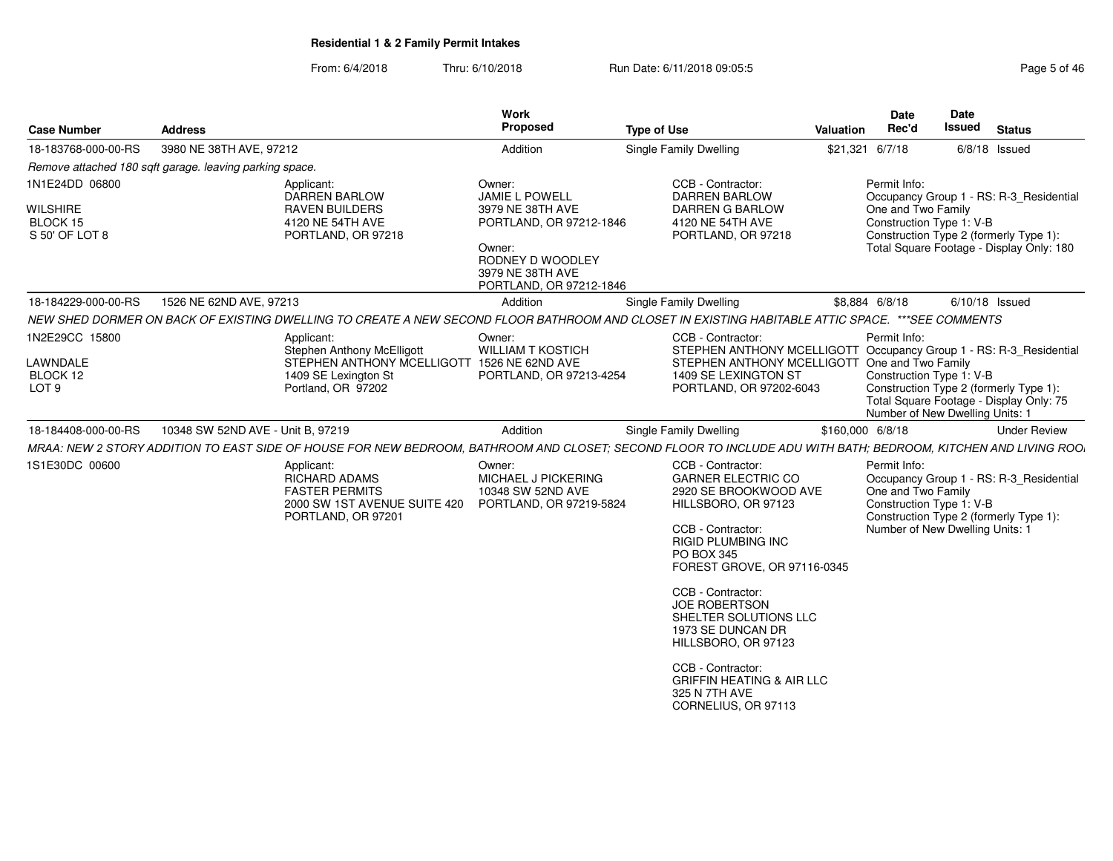| Page 5 of · |  |  |
|-------------|--|--|
|             |  |  |

| <b>Case Number</b>                                              | <b>Address</b>                                          |                                                                                                                                                                | Work<br><b>Proposed</b>                                                                                                                              | <b>Type of Use</b>                                                                                                                                                                                                  | Valuation | Date<br>Rec'd                                                                                     | Date<br><b>Issued</b> | <b>Status</b>                                                                                                                 |
|-----------------------------------------------------------------|---------------------------------------------------------|----------------------------------------------------------------------------------------------------------------------------------------------------------------|------------------------------------------------------------------------------------------------------------------------------------------------------|---------------------------------------------------------------------------------------------------------------------------------------------------------------------------------------------------------------------|-----------|---------------------------------------------------------------------------------------------------|-----------------------|-------------------------------------------------------------------------------------------------------------------------------|
| 18-183768-000-00-RS                                             | 3980 NE 38TH AVE, 97212                                 |                                                                                                                                                                | Addition                                                                                                                                             | Single Family Dwelling                                                                                                                                                                                              |           | \$21,321 6/7/18                                                                                   |                       | $6/8/18$ Issued                                                                                                               |
|                                                                 | Remove attached 180 sqft garage. leaving parking space. |                                                                                                                                                                |                                                                                                                                                      |                                                                                                                                                                                                                     |           |                                                                                                   |                       |                                                                                                                               |
| 1N1E24DD 06800<br><b>WILSHIRE</b><br>BLOCK 15<br>S 50' OF LOT 8 |                                                         | Applicant:<br><b>DARREN BARLOW</b><br><b>RAVEN BUILDERS</b><br>4120 NE 54TH AVE<br>PORTLAND, OR 97218                                                          | Owner:<br>JAMIE L POWELL<br>3979 NE 38TH AVE<br>PORTLAND, OR 97212-1846<br>Owner:<br>RODNEY D WOODLEY<br>3979 NE 38TH AVE<br>PORTLAND, OR 97212-1846 | CCB - Contractor:<br><b>DARREN BARLOW</b><br>DARREN G BARLOW<br>4120 NE 54TH AVE<br>PORTLAND, OR 97218                                                                                                              |           | Permit Info:<br>One and Two Family<br>Construction Type 1: V-B                                    |                       | Occupancy Group 1 - RS: R-3_Residential<br>Construction Type 2 (formerly Type 1):<br>Total Square Footage - Display Only: 180 |
| 18-184229-000-00-RS                                             | 1526 NE 62ND AVE, 97213                                 |                                                                                                                                                                | Addition                                                                                                                                             | Single Family Dwelling                                                                                                                                                                                              |           | \$8,884 6/8/18                                                                                    |                       | $6/10/18$ Issued                                                                                                              |
|                                                                 |                                                         | NEW SHED DORMER ON BACK OF EXISTING DWELLING TO CREATE A NEW SECOND FLOOR BATHROOM AND CLOSET IN EXISTING HABITABLE ATTIC SPACE. ***SEE COMMENTS               |                                                                                                                                                      |                                                                                                                                                                                                                     |           |                                                                                                   |                       |                                                                                                                               |
| 1N2E29CC 15800<br>LAWNDALE<br>BLOCK 12<br>LOT <sub>9</sub>      |                                                         | Applicant:<br><b>Stephen Anthony McElligott</b><br>STEPHEN ANTHONY MCELLIGOTT 1526 NE 62ND AVE<br>1409 SE Lexington St<br>Portland, OR 97202                   | Owner:<br><b>WILLIAM T KOSTICH</b><br>PORTLAND, OR 97213-4254                                                                                        | CCB - Contractor:<br>STEPHEN ANTHONY MCELLIGOTT Occupancy Group 1 - RS: R-3_Residential<br>STEPHEN ANTHONY MCELLIGOTT One and Two Family<br>1409 SE LEXINGTON ST<br>PORTLAND, OR 97202-6043                         |           | Permit Info:<br>Construction Type 1: V-B<br>Number of New Dwelling Units: 1                       |                       | Construction Type 2 (formerly Type 1):<br>Total Square Footage - Display Only: 75                                             |
| 18-184408-000-00-RS                                             | 10348 SW 52ND AVE - Unit B, 97219                       |                                                                                                                                                                | Addition                                                                                                                                             | Single Family Dwelling                                                                                                                                                                                              |           | \$160,000 6/8/18                                                                                  |                       | <b>Under Review</b>                                                                                                           |
|                                                                 |                                                         | MRAA: NEW 2 STORY ADDITION TO EAST SIDE OF HOUSE FOR NEW BEDROOM, BATHROOM AND CLOSET; SECOND FLOOR TO INCLUDE ADU WITH BATH; BEDROOM, KITCHEN AND LIVING ROO. |                                                                                                                                                      |                                                                                                                                                                                                                     |           |                                                                                                   |                       |                                                                                                                               |
| 1S1E30DC 00600                                                  |                                                         | Applicant:<br><b>RICHARD ADAMS</b><br><b>FASTER PERMITS</b><br>2000 SW 1ST AVENUE SUITE 420<br>PORTLAND, OR 97201                                              | Owner:<br>MICHAEL J PICKERING<br>10348 SW 52ND AVE<br>PORTLAND, OR 97219-5824                                                                        | CCB - Contractor:<br><b>GARNER ELECTRIC CO</b><br>2920 SE BROOKWOOD AVE<br>HILLSBORO, OR 97123<br>CCB - Contractor:<br><b>RIGID PLUMBING INC</b><br><b>PO BOX 345</b><br>FOREST GROVE, OR 97116-0345                |           | Permit Info:<br>One and Two Family<br>Construction Type 1: V-B<br>Number of New Dwelling Units: 1 |                       | Occupancy Group 1 - RS: R-3_Residential<br>Construction Type 2 (formerly Type 1):                                             |
|                                                                 |                                                         |                                                                                                                                                                |                                                                                                                                                      | CCB - Contractor:<br><b>JOE ROBERTSON</b><br>SHELTER SOLUTIONS LLC<br>1973 SE DUNCAN DR<br>HILLSBORO, OR 97123<br>CCB - Contractor:<br><b>GRIFFIN HEATING &amp; AIR LLC</b><br>325 N 7TH AVE<br>CORNELIUS, OR 97113 |           |                                                                                                   |                       |                                                                                                                               |
|                                                                 |                                                         |                                                                                                                                                                |                                                                                                                                                      |                                                                                                                                                                                                                     |           |                                                                                                   |                       |                                                                                                                               |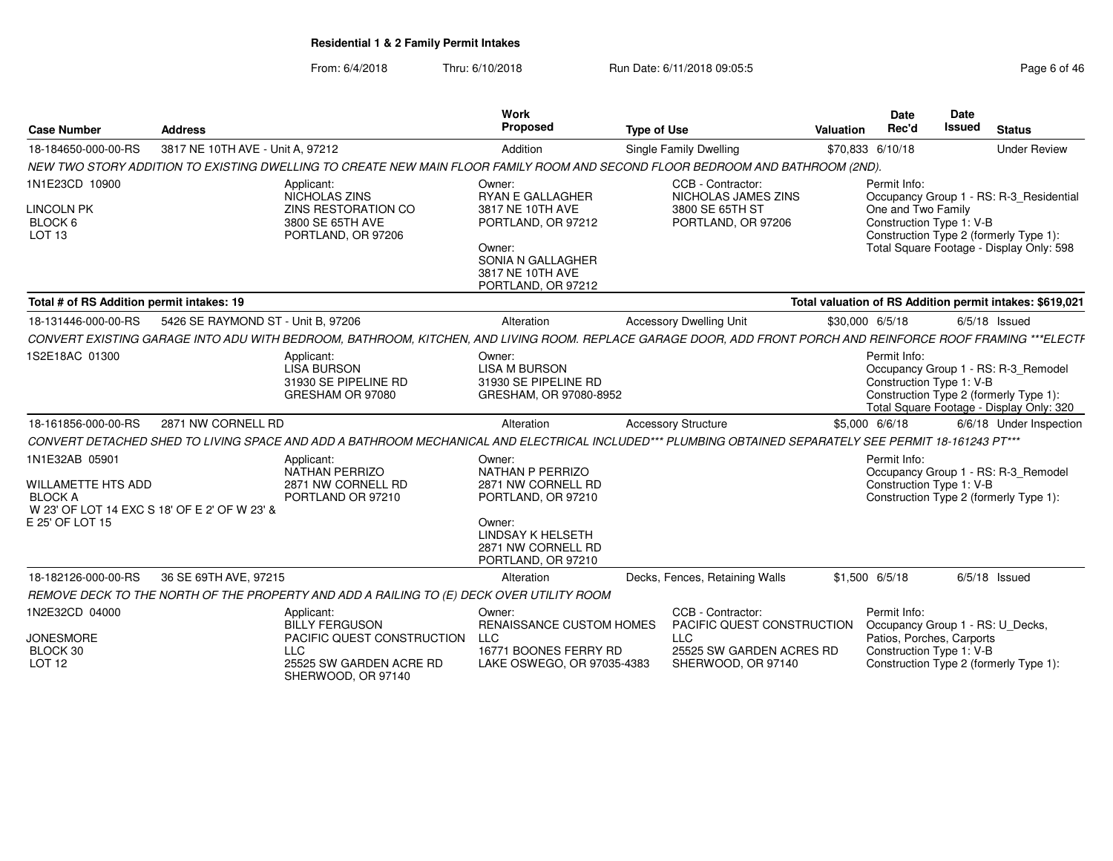| <b>Case Number</b>                                                        | <b>Address</b>                               |                                                                                                                                                              | <b>Work</b><br>Proposed                                                                                                                                  | <b>Type of Use</b>         |                                                                                                                 | Valuation        | Date<br>Rec'd                                                         | Date<br><b>Issued</b> | <b>Status</b>                                                                                                                 |
|---------------------------------------------------------------------------|----------------------------------------------|--------------------------------------------------------------------------------------------------------------------------------------------------------------|----------------------------------------------------------------------------------------------------------------------------------------------------------|----------------------------|-----------------------------------------------------------------------------------------------------------------|------------------|-----------------------------------------------------------------------|-----------------------|-------------------------------------------------------------------------------------------------------------------------------|
| 18-184650-000-00-RS                                                       | 3817 NE 10TH AVE - Unit A. 97212             |                                                                                                                                                              | Addition                                                                                                                                                 |                            | <b>Single Family Dwelling</b>                                                                                   | \$70,833 6/10/18 |                                                                       |                       | <b>Under Review</b>                                                                                                           |
|                                                                           |                                              | NEW TWO STORY ADDITION TO EXISTING DWELLING TO CREATE NEW MAIN FLOOR FAMILY ROOM AND SECOND FLOOR BEDROOM AND BATHROOM (2ND).                                |                                                                                                                                                          |                            |                                                                                                                 |                  |                                                                       |                       |                                                                                                                               |
| 1N1E23CD 10900<br><b>LINCOLN PK</b><br>BLOCK 6<br>LOT <sub>13</sub>       |                                              | Applicant:<br>NICHOLAS ZINS<br>ZINS RESTORATION CO<br>3800 SE 65TH AVE<br>PORTLAND, OR 97206                                                                 | Owner:<br><b>RYAN E GALLAGHER</b><br>3817 NE 10TH AVE<br>PORTLAND, OR 97212<br>Owner:<br>SONIA N GALLAGHER<br>3817 NE 10TH AVE<br>PORTLAND, OR 97212     |                            | CCB - Contractor:<br>NICHOLAS JAMES ZINS<br>3800 SE 65TH ST<br>PORTLAND, OR 97206                               |                  | Permit Info:<br>One and Two Family<br>Construction Type 1: V-B        |                       | Occupancy Group 1 - RS: R-3 Residential<br>Construction Type 2 (formerly Type 1):<br>Total Square Footage - Display Only: 598 |
| Total # of RS Addition permit intakes: 19                                 |                                              |                                                                                                                                                              |                                                                                                                                                          |                            |                                                                                                                 |                  |                                                                       |                       | Total valuation of RS Addition permit intakes: \$619,021                                                                      |
| 18-131446-000-00-RS                                                       | 5426 SE RAYMOND ST - Unit B, 97206           |                                                                                                                                                              | Alteration                                                                                                                                               |                            | <b>Accessory Dwelling Unit</b>                                                                                  | \$30,000 6/5/18  |                                                                       |                       | $6/5/18$ Issued                                                                                                               |
|                                                                           |                                              | CONVERT EXISTING GARAGE INTO ADU WITH BEDROOM, BATHROOM, KITCHEN, AND LIVING ROOM. REPLACE GARAGE DOOR, ADD FRONT PORCH AND REINFORCE ROOF FRAMING ***ELECTF |                                                                                                                                                          |                            |                                                                                                                 |                  |                                                                       |                       |                                                                                                                               |
| 1S2E18AC 01300                                                            |                                              | Applicant:<br><b>LISA BURSON</b><br>31930 SE PIPELINE RD<br>GRESHAM OR 97080                                                                                 | Owner:<br><b>LISA M BURSON</b><br>31930 SE PIPELINE RD<br>GRESHAM, OR 97080-8952                                                                         |                            |                                                                                                                 |                  | Permit Info:<br>Construction Type 1: V-B                              |                       | Occupancy Group 1 - RS: R-3_Remodel<br>Construction Type 2 (formerly Type 1):<br>Total Square Footage - Display Only: 320     |
| 18-161856-000-00-RS                                                       | 2871 NW CORNELL RD                           |                                                                                                                                                              | Alteration                                                                                                                                               | <b>Accessory Structure</b> |                                                                                                                 | \$5,000 6/6/18   |                                                                       |                       | 6/6/18 Under Inspection                                                                                                       |
|                                                                           |                                              | CONVERT DETACHED SHED TO LIVING SPACE AND ADD A BATHROOM MECHANICAL AND ELECTRICAL INCLUDED*** PLUMBING OBTAINED SEPARATELY SEE PERMIT 18-161243 PT***       |                                                                                                                                                          |                            |                                                                                                                 |                  |                                                                       |                       |                                                                                                                               |
| 1N1E32AB 05901<br>WILLAMETTE HTS ADD<br><b>BLOCK A</b><br>E 25' OF LOT 15 | W 23' OF LOT 14 EXC S 18' OF E 2' OF W 23' & | Applicant:<br>NATHAN PERRIZO<br>2871 NW CORNELL RD<br>PORTLAND OR 97210                                                                                      | Owner:<br>NATHAN P PERRIZO<br>2871 NW CORNELL RD<br>PORTLAND, OR 97210<br>Owner:<br><b>LINDSAY K HELSETH</b><br>2871 NW CORNELL RD<br>PORTLAND, OR 97210 |                            |                                                                                                                 |                  | Permit Info:<br>Construction Type 1: V-B                              |                       | Occupancy Group 1 - RS: R-3_Remodel<br>Construction Type 2 (formerly Type 1):                                                 |
| 18-182126-000-00-RS                                                       | 36 SE 69TH AVE, 97215                        |                                                                                                                                                              | Alteration                                                                                                                                               |                            | Decks, Fences, Retaining Walls                                                                                  | \$1,500 6/5/18   |                                                                       |                       | $6/5/18$ Issued                                                                                                               |
|                                                                           |                                              | REMOVE DECK TO THE NORTH OF THE PROPERTY AND ADD A RAILING TO (E) DECK OVER UTILITY ROOM                                                                     |                                                                                                                                                          |                            |                                                                                                                 |                  |                                                                       |                       |                                                                                                                               |
| 1N2E32CD 04000<br><b>JONESMORE</b><br>BLOCK 30<br><b>LOT 12</b>           |                                              | Applicant:<br><b>BILLY FERGUSON</b><br>PACIFIC QUEST CONSTRUCTION LLC<br><b>LLC</b><br>25525 SW GARDEN ACRE RD<br>SHERWOOD, OR 97140                         | Owner:<br><b>RENAISSANCE CUSTOM HOMES</b><br>16771 BOONES FERRY RD<br>LAKE OSWEGO, OR 97035-4383                                                         |                            | CCB - Contractor:<br>PACIFIC QUEST CONSTRUCTION<br><b>LLC</b><br>25525 SW GARDEN ACRES RD<br>SHERWOOD, OR 97140 |                  | Permit Info:<br>Patios, Porches, Carports<br>Construction Type 1: V-B |                       | Occupancy Group 1 - RS: U Decks,<br>Construction Type 2 (formerly Type 1):                                                    |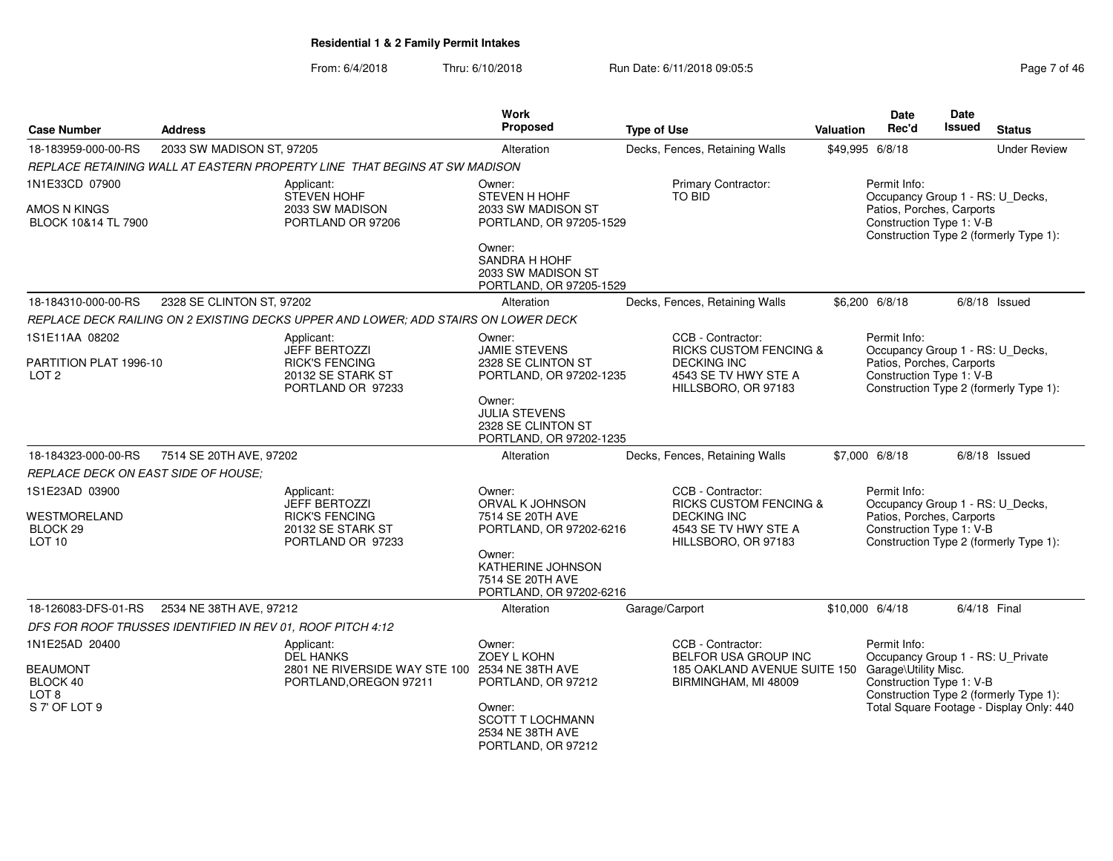| Page 7 of 46 |
|--------------|
|--------------|

| <b>Case Number</b>                              | <b>Address</b>                                             |                                                                                    | Work<br>Proposed                                                                | <b>Type of Use</b>                                                | <b>Valuation</b> | <b>Date</b><br>Rec'd                                  | Date<br><b>Issued</b> | <b>Status</b>                            |
|-------------------------------------------------|------------------------------------------------------------|------------------------------------------------------------------------------------|---------------------------------------------------------------------------------|-------------------------------------------------------------------|------------------|-------------------------------------------------------|-----------------------|------------------------------------------|
| 18-183959-000-00-RS                             | 2033 SW MADISON ST, 97205                                  |                                                                                    | Alteration                                                                      | Decks, Fences, Retaining Walls                                    |                  | \$49,995 6/8/18                                       |                       | <b>Under Review</b>                      |
|                                                 |                                                            | REPLACE RETAINING WALL AT EASTERN PROPERTY LINE THAT BEGINS AT SW MADISON          |                                                                                 |                                                                   |                  |                                                       |                       |                                          |
| 1N1E33CD 07900                                  |                                                            | Applicant:<br><b>STEVEN HOHF</b>                                                   | Owner:<br>STEVEN H HOHF                                                         | Primary Contractor:<br><b>TO BID</b>                              |                  | Permit Info:<br>Occupancy Group 1 - RS: U_Decks,      |                       |                                          |
| AMOS N KINGS<br>BLOCK 10&14 TL 7900             |                                                            | 2033 SW MADISON<br>PORTLAND OR 97206                                               | 2033 SW MADISON ST<br>PORTLAND, OR 97205-1529                                   |                                                                   |                  | Patios, Porches, Carports<br>Construction Type 1: V-B |                       | Construction Type 2 (formerly Type 1):   |
|                                                 |                                                            |                                                                                    | Owner:<br><b>SANDRA H HOHF</b><br>2033 SW MADISON ST<br>PORTLAND, OR 97205-1529 |                                                                   |                  |                                                       |                       |                                          |
| 18-184310-000-00-RS                             | 2328 SE CLINTON ST, 97202                                  |                                                                                    | Alteration                                                                      | Decks, Fences, Retaining Walls                                    |                  | \$6,200 6/8/18                                        |                       | $6/8/18$ Issued                          |
|                                                 |                                                            | REPLACE DECK RAILING ON 2 EXISTING DECKS UPPER AND LOWER; ADD STAIRS ON LOWER DECK |                                                                                 |                                                                   |                  |                                                       |                       |                                          |
| 1S1E11AA 08202                                  |                                                            | Applicant:<br><b>JEFF BERTOZZI</b>                                                 | Owner:<br>JAMIE STEVENS                                                         | CCB - Contractor:<br><b>RICKS CUSTOM FENCING &amp;</b>            |                  | Permit Info:<br>Occupancy Group 1 - RS: U_Decks,      |                       |                                          |
| PARTITION PLAT 1996-10<br>LOT <sub>2</sub>      |                                                            | <b>RICK'S FENCING</b><br>20132 SE STARK ST<br>PORTLAND OR 97233                    | 2328 SE CLINTON ST<br>PORTLAND, OR 97202-1235                                   | <b>DECKING INC</b><br>4543 SE TV HWY STE A<br>HILLSBORO, OR 97183 |                  | Patios, Porches, Carports<br>Construction Type 1: V-B |                       | Construction Type 2 (formerly Type 1):   |
|                                                 |                                                            |                                                                                    | Owner:<br><b>JULIA STEVENS</b><br>2328 SE CLINTON ST<br>PORTLAND, OR 97202-1235 |                                                                   |                  |                                                       |                       |                                          |
| 18-184323-000-00-RS                             | 7514 SE 20TH AVE, 97202                                    |                                                                                    | Alteration                                                                      | Decks, Fences, Retaining Walls                                    |                  | \$7,000 6/8/18                                        |                       | $6/8/18$ Issued                          |
| <b>REPLACE DECK ON EAST SIDE OF HOUSE:</b>      |                                                            |                                                                                    |                                                                                 |                                                                   |                  |                                                       |                       |                                          |
| 1S1E23AD 03900                                  |                                                            | Applicant:<br>JEFF BERTOZZI                                                        | Owner:<br>ORVAL K JOHNSON                                                       | CCB - Contractor:<br><b>RICKS CUSTOM FENCING &amp;</b>            |                  | Permit Info:<br>Occupancy Group 1 - RS: U_Decks,      |                       |                                          |
| WESTMORELAND                                    |                                                            | <b>RICK'S FENCING</b>                                                              | 7514 SE 20TH AVE                                                                | <b>DECKING INC</b>                                                |                  | Patios, Porches, Carports                             |                       |                                          |
| BLOCK <sub>29</sub><br>LOT <sub>10</sub>        |                                                            | 20132 SE STARK ST<br>PORTLAND OR 97233                                             | PORTLAND, OR 97202-6216                                                         | 4543 SE TV HWY STE A<br>HILLSBORO, OR 97183                       |                  | Construction Type 1: V-B                              |                       | Construction Type 2 (formerly Type 1):   |
|                                                 |                                                            |                                                                                    | Owner:<br>KATHERINE JOHNSON<br>7514 SE 20TH AVE<br>PORTLAND, OR 97202-6216      |                                                                   |                  |                                                       |                       |                                          |
| 18-126083-DFS-01-RS                             | 2534 NE 38TH AVE, 97212                                    |                                                                                    | Alteration                                                                      | Garage/Carport                                                    |                  | \$10,000 6/4/18                                       |                       | 6/4/18 Final                             |
|                                                 | DFS FOR ROOF TRUSSES IDENTIFIED IN REV 01, ROOF PITCH 4:12 |                                                                                    |                                                                                 |                                                                   |                  |                                                       |                       |                                          |
| 1N1E25AD 20400                                  |                                                            | Applicant:<br><b>DEL HANKS</b>                                                     | Owner:<br>ZOEY L KOHN                                                           | CCB - Contractor:<br>BELFOR USA GROUP INC                         |                  | Permit Info:<br>Occupancy Group 1 - RS: U_Private     |                       |                                          |
| <b>BEAUMONT</b><br>BLOCK 40<br>LOT <sub>8</sub> |                                                            | 2801 NE RIVERSIDE WAY STE 100 2534 NE 38TH AVE<br>PORTLAND, OREGON 97211           | PORTLAND, OR 97212                                                              | 185 OAKLAND AVENUE SUITE 150<br>BIRMINGHAM, MI 48009              |                  | Garage\Utility Misc.<br>Construction Type 1: V-B      |                       | Construction Type 2 (formerly Type 1):   |
| S 7' OF LOT 9                                   |                                                            |                                                                                    | Owner:<br><b>SCOTT T LOCHMANN</b><br>2534 NE 38TH AVE<br>PORTLAND, OR 97212     |                                                                   |                  |                                                       |                       | Total Square Footage - Display Only: 440 |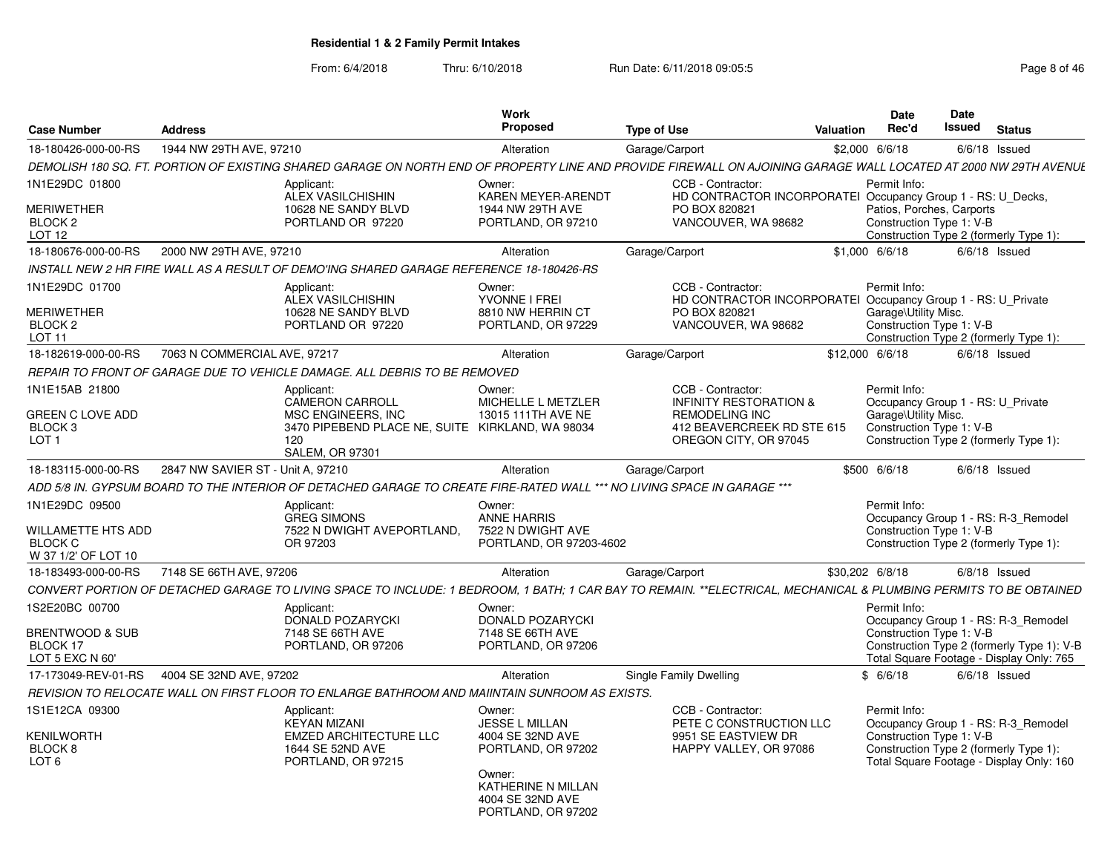| <b>Case Number</b>                                                            | <b>Address</b>                    |                                                                                                                                                                   | <b>Work</b><br><b>Proposed</b>                                               | <b>Type of Use</b>                                                                            | <b>Valuation</b> | <b>Date</b><br>Rec'd                                  | <b>Date</b><br><b>Issued</b> | <b>Status</b>                                                                                                             |
|-------------------------------------------------------------------------------|-----------------------------------|-------------------------------------------------------------------------------------------------------------------------------------------------------------------|------------------------------------------------------------------------------|-----------------------------------------------------------------------------------------------|------------------|-------------------------------------------------------|------------------------------|---------------------------------------------------------------------------------------------------------------------------|
| 18-180426-000-00-RS                                                           | 1944 NW 29TH AVE, 97210           |                                                                                                                                                                   | Alteration                                                                   | Garage/Carport                                                                                |                  | \$2,000 6/6/18                                        |                              | $6/6/18$ Issued                                                                                                           |
|                                                                               |                                   | DEMOLISH 180 SQ. FT. PORTION OF EXISTING SHARED GARAGE ON NORTH END OF PROPERTY LINE AND PROVIDE FIREWALL ON AJOINING GARAGE WALL LOCATED AT 2000 NW 29TH AVENUE  |                                                                              |                                                                                               |                  |                                                       |                              |                                                                                                                           |
| 1N1E29DC 01800                                                                |                                   | Applicant:<br>ALEX VASILCHISHIN                                                                                                                                   | Owner:<br>KAREN MEYER-ARENDT                                                 | CCB - Contractor:<br>HD CONTRACTOR INCORPORATEI Occupancy Group 1 - RS: U Decks,              |                  | Permit Info:                                          |                              |                                                                                                                           |
| MERIWETHER<br>BLOCK <sub>2</sub><br>LOT <sub>12</sub>                         |                                   | 10628 NE SANDY BLVD<br>PORTLAND OR 97220                                                                                                                          | 1944 NW 29TH AVE<br>PORTLAND, OR 97210                                       | PO BOX 820821<br>VANCOUVER, WA 98682                                                          |                  | Patios, Porches, Carports<br>Construction Type 1: V-B |                              | Construction Type 2 (formerly Type 1):                                                                                    |
| 18-180676-000-00-RS                                                           | 2000 NW 29TH AVE, 97210           |                                                                                                                                                                   | Alteration                                                                   | Garage/Carport                                                                                |                  | $$1,000$ 6/6/18                                       |                              | $6/6/18$ Issued                                                                                                           |
|                                                                               |                                   | INSTALL NEW 2 HR FIRE WALL AS A RESULT OF DEMO'ING SHARED GARAGE REFERENCE 18-180426-RS                                                                           |                                                                              |                                                                                               |                  |                                                       |                              |                                                                                                                           |
| 1N1E29DC 01700                                                                |                                   | Applicant:<br><b>ALEX VASILCHISHIN</b>                                                                                                                            | Owner:<br>YVONNE I FREI                                                      | CCB - Contractor:<br>HD CONTRACTOR INCORPORATEI Occupancy Group 1 - RS: U Private             |                  | Permit Info:                                          |                              |                                                                                                                           |
| <b>MERIWETHER</b><br>BLOCK <sub>2</sub><br>LOT 11                             |                                   | 10628 NE SANDY BLVD<br>PORTLAND OR 97220                                                                                                                          | 8810 NW HERRIN CT<br>PORTLAND, OR 97229                                      | PO BOX 820821<br>VANCOUVER, WA 98682                                                          |                  | Garage\Utility Misc.<br>Construction Type 1: V-B      |                              | Construction Type 2 (formerly Type 1):                                                                                    |
| 18-182619-000-00-RS                                                           | 7063 N COMMERCIAL AVE, 97217      |                                                                                                                                                                   | Alteration                                                                   | Garage/Carport                                                                                |                  | \$12,000 6/6/18                                       |                              | $6/6/18$ Issued                                                                                                           |
|                                                                               |                                   | REPAIR TO FRONT OF GARAGE DUE TO VEHICLE DAMAGE. ALL DEBRIS TO BE REMOVED                                                                                         |                                                                              |                                                                                               |                  |                                                       |                              |                                                                                                                           |
| 1N1E15AB 21800                                                                |                                   | Applicant:<br>CAMERON CARROLL                                                                                                                                     | Owner:<br>MICHELLE L METZLER                                                 | CCB - Contractor:<br><b>INFINITY RESTORATION &amp;</b>                                        |                  | Permit Info:<br>Occupancy Group 1 - RS: U_Private     |                              |                                                                                                                           |
| GREEN C LOVE ADD<br>BLOCK <sub>3</sub><br>LOT <sub>1</sub>                    |                                   | <b>MSC ENGINEERS. INC</b><br>3470 PIPEBEND PLACE NE, SUITE KIRKLAND, WA 98034<br>120<br><b>SALEM, OR 97301</b>                                                    | 13015 111TH AVE NE                                                           | <b>REMODELING INC</b><br>412 BEAVERCREEK RD STE 615<br>OREGON CITY, OR 97045                  |                  | Garage\Utility Misc.<br>Construction Type 1: V-B      |                              | Construction Type 2 (formerly Type 1):                                                                                    |
| 18-183115-000-00-RS                                                           | 2847 NW SAVIER ST - Unit A, 97210 |                                                                                                                                                                   | Alteration                                                                   | Garage/Carport                                                                                |                  | \$500 6/6/18                                          |                              | $6/6/18$ Issued                                                                                                           |
|                                                                               |                                   | ADD 5/8 IN. GYPSUM BOARD TO THE INTERIOR OF DETACHED GARAGE TO CREATE FIRE-RATED WALL *** NO LIVING SPACE IN GARAGE ***                                           |                                                                              |                                                                                               |                  |                                                       |                              |                                                                                                                           |
| 1N1E29DC 09500<br>WILLAMETTE HTS ADD<br><b>BLOCK C</b><br>W 37 1/2' OF LOT 10 |                                   | Applicant:<br><b>GREG SIMONS</b><br>7522 N DWIGHT AVEPORTLAND,<br>OR 97203                                                                                        | Owner:<br><b>ANNE HARRIS</b><br>7522 N DWIGHT AVE<br>PORTLAND, OR 97203-4602 |                                                                                               |                  | Permit Info:<br>Construction Type 1: V-B              |                              | Occupancy Group 1 - RS: R-3 Remodel<br>Construction Type 2 (formerly Type 1):                                             |
| 18-183493-000-00-RS                                                           | 7148 SE 66TH AVE, 97206           |                                                                                                                                                                   | Alteration                                                                   | Garage/Carport                                                                                |                  | \$30.202 6/8/18                                       |                              | $6/8/18$ Issued                                                                                                           |
|                                                                               |                                   | CONVERT PORTION OF DETACHED GARAGE TO LIVING SPACE TO INCLUDE: 1 BEDROOM, 1 BATH; 1 CAR BAY TO REMAIN. **ELECTRICAL, MECHANICAL & PLUMBING PERMITS TO BE OBTAINED |                                                                              |                                                                                               |                  |                                                       |                              |                                                                                                                           |
| 1S2E20BC 00700                                                                |                                   | Applicant:<br>DONALD POZARYCKI                                                                                                                                    | Owner:<br>DONALD POZARYCKI                                                   |                                                                                               |                  | Permit Info:                                          |                              | Occupancy Group 1 - RS: R-3 Remodel                                                                                       |
| BRENTWOOD & SUB<br>BLOCK 17<br>LOT 5 EXC N 60'                                |                                   | 7148 SE 66TH AVE<br>PORTLAND, OR 97206                                                                                                                            | 7148 SE 66TH AVE<br>PORTLAND, OR 97206                                       |                                                                                               |                  | Construction Type 1: V-B                              |                              | Construction Type 2 (formerly Type 1): V-B<br>Total Square Footage - Display Only: 765                                    |
| 17-173049-REV-01-RS                                                           | 4004 SE 32ND AVE, 97202           |                                                                                                                                                                   | Alteration                                                                   | Single Family Dwelling                                                                        |                  | \$6/6/18                                              |                              | $6/6/18$ Issued                                                                                                           |
|                                                                               |                                   | REVISION TO RELOCATE WALL ON FIRST FLOOR TO ENLARGE BATHROOM AND MAIINTAIN SUNROOM AS EXISTS.                                                                     |                                                                              |                                                                                               |                  |                                                       |                              |                                                                                                                           |
| 1S1E12CA 09300<br>KENILWORTH<br>BLOCK <sub>8</sub><br>LOT <sub>6</sub>        |                                   | Applicant:<br><b>KEYAN MIZANI</b><br><b>EMZED ARCHITECTURE LLC</b><br>1644 SE 52ND AVE<br>PORTLAND, OR 97215                                                      | Owner:<br><b>JESSE L MILLAN</b><br>4004 SE 32ND AVE<br>PORTLAND, OR 97202    | CCB - Contractor:<br>PETE C CONSTRUCTION LLC<br>9951 SE EASTVIEW DR<br>HAPPY VALLEY, OR 97086 |                  | Permit Info:<br>Construction Type 1: V-B              |                              | Occupancy Group 1 - RS: R-3_Remodel<br>Construction Type 2 (formerly Type 1):<br>Total Square Footage - Display Only: 160 |
|                                                                               |                                   |                                                                                                                                                                   | Owner:<br>KATHERINE N MILLAN<br>4004 SE 32ND AVE<br>PORTLAND, OR 97202       |                                                                                               |                  |                                                       |                              |                                                                                                                           |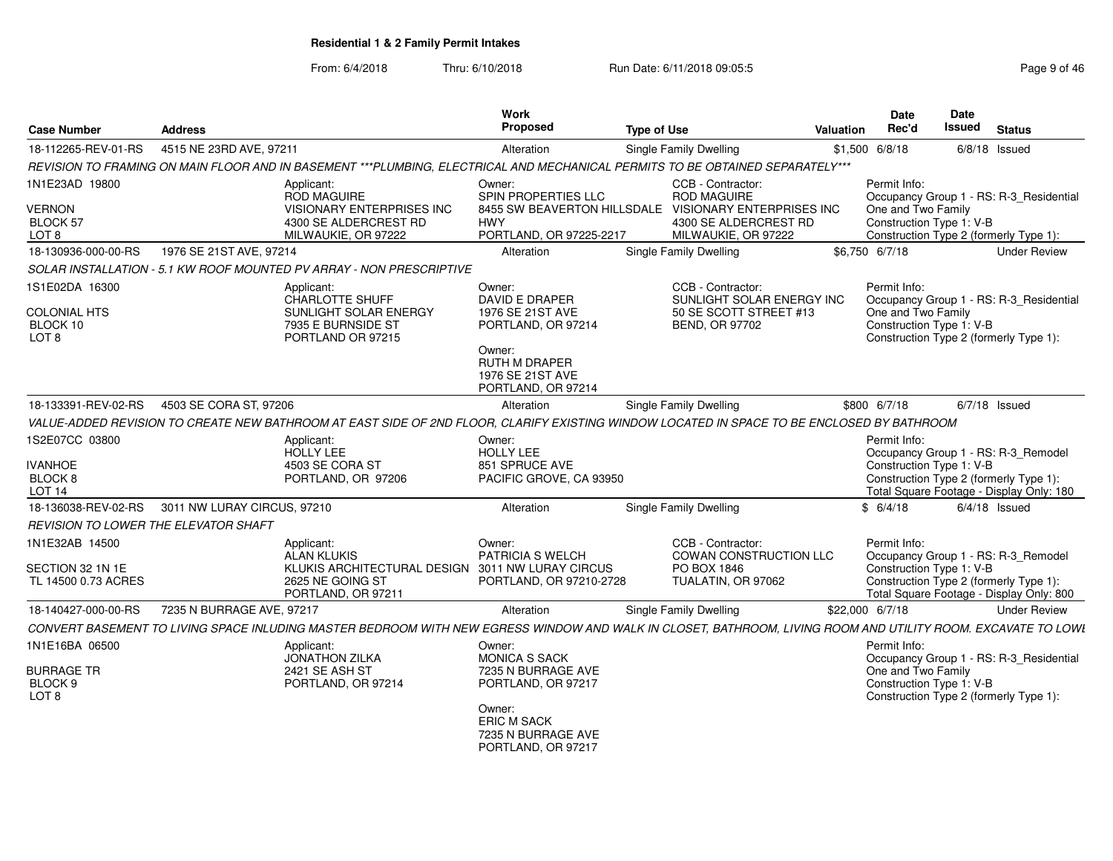| Case Number                                                           | <b>Address</b>                                  |                                                                                                                                                              | <b>Work</b><br>Proposed                                                                                                                 | <b>Type of Use</b>                                                                                                   | Valuation | <b>Date</b><br>Rec'd                                           | Date<br><b>Issued</b> | <b>Status</b>                                                                                                             |
|-----------------------------------------------------------------------|-------------------------------------------------|--------------------------------------------------------------------------------------------------------------------------------------------------------------|-----------------------------------------------------------------------------------------------------------------------------------------|----------------------------------------------------------------------------------------------------------------------|-----------|----------------------------------------------------------------|-----------------------|---------------------------------------------------------------------------------------------------------------------------|
| 18-112265-REV-01-RS                                                   | 4515 NE 23RD AVE, 97211                         |                                                                                                                                                              | Alteration                                                                                                                              | Single Family Dwelling                                                                                               |           | $$1,500$ 6/8/18                                                |                       | 6/8/18 Issued                                                                                                             |
|                                                                       |                                                 | REVISION TO FRAMING ON MAIN FLOOR AND IN BASEMENT ***PLUMBING. ELECTRICAL AND MECHANICAL PERMITS TO BE OBTAINED SEPARATELY***                                |                                                                                                                                         |                                                                                                                      |           |                                                                |                       |                                                                                                                           |
| 1N1E23AD 19800<br><b>VERNON</b><br>BLOCK 57<br>LOT <sub>8</sub>       |                                                 | Applicant:<br><b>ROD MAGUIRE</b><br><b>VISIONARY ENTERPRISES INC</b><br>4300 SE ALDERCREST RD<br>MILWAUKIE, OR 97222                                         | Owner:<br>SPIN PROPERTIES LLC<br>8455 SW BEAVERTON HILLSDALE<br><b>HWY</b><br>PORTLAND, OR 97225-2217                                   | CCB - Contractor:<br><b>ROD MAGUIRE</b><br>VISIONARY ENTERPRISES INC<br>4300 SE ALDERCREST RD<br>MILWAUKIE, OR 97222 |           | Permit Info:<br>One and Two Family<br>Construction Type 1: V-B |                       | Occupancy Group 1 - RS: R-3 Residential<br>Construction Type 2 (formerly Type 1):                                         |
| 18-130936-000-00-RS                                                   | 1976 SE 21ST AVE, 97214                         |                                                                                                                                                              | Alteration                                                                                                                              | Single Family Dwelling                                                                                               |           | \$6,750 6/7/18                                                 |                       | <b>Under Review</b>                                                                                                       |
|                                                                       |                                                 | SOLAR INSTALLATION - 5.1 KW ROOF MOUNTED PV ARRAY - NON PRESCRIPTIVE                                                                                         |                                                                                                                                         |                                                                                                                      |           |                                                                |                       |                                                                                                                           |
| 1S1E02DA 16300<br><b>COLONIAL HTS</b><br>BLOCK 10<br>LOT <sub>8</sub> |                                                 | Applicant:<br>CHARLOTTE SHUFF<br>SUNLIGHT SOLAR ENERGY<br>7935 E BURNSIDE ST<br>PORTLAND OR 97215                                                            | Owner:<br>DAVID E DRAPER<br>1976 SE 21ST AVE<br>PORTLAND, OR 97214<br>Owner:<br>RUTH M DRAPER<br>1976 SE 21ST AVE<br>PORTLAND, OR 97214 | CCB - Contractor:<br>SUNLIGHT SOLAR ENERGY INC<br>50 SE SCOTT STREET #13<br><b>BEND, OR 97702</b>                    |           | Permit Info:<br>One and Two Family<br>Construction Type 1: V-B |                       | Occupancy Group 1 - RS: R-3 Residential<br>Construction Type 2 (formerly Type 1):                                         |
| 18-133391-REV-02-RS                                                   | 4503 SE CORA ST, 97206                          |                                                                                                                                                              | Alteration                                                                                                                              | <b>Single Family Dwelling</b>                                                                                        |           | \$800 6/7/18                                                   |                       | $6/7/18$ Issued                                                                                                           |
|                                                                       |                                                 | VALUE-ADDED REVISION TO CREATE NEW BATHROOM AT EAST SIDE OF 2ND FLOOR, CLARIFY EXISTING WINDOW LOCATED IN SPACE TO BE ENCLOSED BY BATHROOM                   |                                                                                                                                         |                                                                                                                      |           |                                                                |                       |                                                                                                                           |
| IS2E07CC 03800<br><b>IVANHOE</b><br>BLOCK 8<br><b>LOT 14</b>          |                                                 | Applicant:<br><b>HOLLY LEE</b><br>4503 SE CORA ST<br>PORTLAND, OR 97206                                                                                      | Owner:<br><b>HOLLY LEE</b><br>851 SPRUCE AVE<br>PACIFIC GROVE, CA 93950                                                                 |                                                                                                                      |           | Permit Info:<br>Construction Type 1: V-B                       |                       | Occupancy Group 1 - RS: R-3_Remodel<br>Construction Type 2 (formerly Type 1):<br>Total Square Footage - Display Only: 180 |
|                                                                       | 18-136038-REV-02-RS 3011 NW LURAY CIRCUS, 97210 |                                                                                                                                                              | Alteration                                                                                                                              | Single Family Dwelling                                                                                               |           | \$6/4/18                                                       |                       | $6/4/18$ Issued                                                                                                           |
| <b>REVISION TO LOWER THE ELEVATOR SHAFT</b>                           |                                                 |                                                                                                                                                              |                                                                                                                                         |                                                                                                                      |           |                                                                |                       |                                                                                                                           |
| 1N1E32AB 14500<br>SECTION 32 1N 1E<br>TL 14500 0.73 ACRES             |                                                 | Applicant:<br><b>ALAN KLUKIS</b><br>KLUKIS ARCHITECTURAL DESIGN 3011 NW LURAY CIRCUS<br>2625 NE GOING ST<br>PORTLAND, OR 97211                               | Owner:<br>PATRICIA S WELCH<br>PORTLAND, OR 97210-2728                                                                                   | CCB - Contractor:<br><b>COWAN CONSTRUCTION LLC</b><br>PO BOX 1846<br>TUALATIN, OR 97062                              |           | Permit Info:<br>Construction Type 1: V-B                       |                       | Occupancy Group 1 - RS: R-3 Remodel<br>Construction Type 2 (formerly Type 1):<br>Total Square Footage - Display Only: 800 |
| 18-140427-000-00-RS                                                   | 7235 N BURRAGE AVE, 97217                       |                                                                                                                                                              | Alteration                                                                                                                              | Single Family Dwelling                                                                                               |           | \$22,000 6/7/18                                                |                       | <b>Under Review</b>                                                                                                       |
|                                                                       |                                                 | CONVERT BASEMENT TO LIVING SPACE INLUDING MASTER BEDROOM WITH NEW EGRESS WINDOW AND WALK IN CLOSET. BATHROOM, LIVING ROOM AND UTILITY ROOM, EXCAVATE TO LOWI |                                                                                                                                         |                                                                                                                      |           |                                                                |                       |                                                                                                                           |
| 1N1E16BA 06500<br><b>BURRAGE TR</b><br>BLOCK 9<br>LOT <sub>8</sub>    |                                                 | Applicant:<br><b>JONATHON ZILKA</b><br>2421 SE ASH ST<br>PORTLAND, OR 97214                                                                                  | Owner:<br><b>MONICA S SACK</b><br>7235 N BURRAGE AVE<br>PORTLAND, OR 97217<br>Owner:                                                    |                                                                                                                      |           | Permit Info:<br>One and Two Family<br>Construction Type 1: V-B |                       | Occupancy Group 1 - RS: R-3 Residential<br>Construction Type 2 (formerly Type 1):                                         |
|                                                                       |                                                 |                                                                                                                                                              | <b>ERIC M SACK</b><br>7235 N BURRAGE AVE<br>PORTLAND, OR 97217                                                                          |                                                                                                                      |           |                                                                |                       |                                                                                                                           |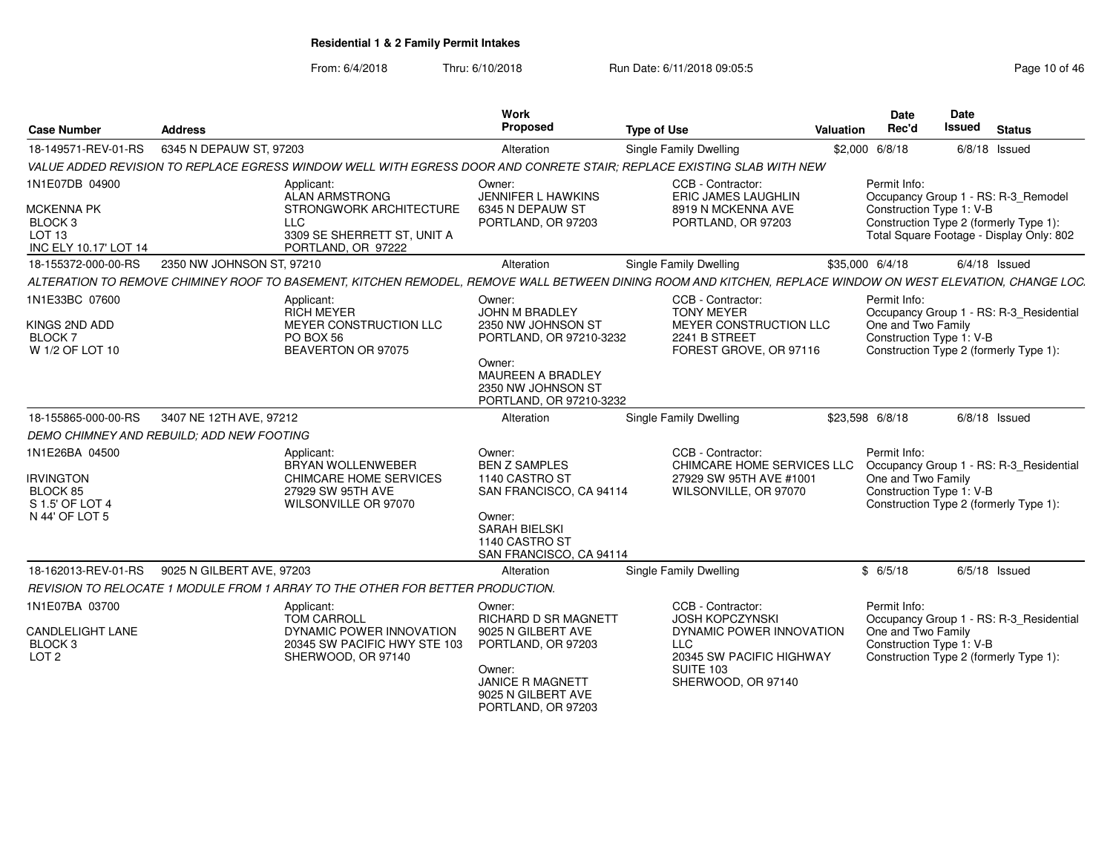| <b>Case Number</b>                                                                                      | <b>Address</b>                                  |                                                                                                                                                             | Work<br><b>Proposed</b>                                                                                                                                          | <b>Type of Use</b>                                                                                          | Valuation       | Date<br>Rec'd                      | <b>Date</b><br><b>Issued</b><br><b>Status</b>                                                                                                         |
|---------------------------------------------------------------------------------------------------------|-------------------------------------------------|-------------------------------------------------------------------------------------------------------------------------------------------------------------|------------------------------------------------------------------------------------------------------------------------------------------------------------------|-------------------------------------------------------------------------------------------------------------|-----------------|------------------------------------|-------------------------------------------------------------------------------------------------------------------------------------------------------|
| 18-149571-REV-01-RS                                                                                     | 6345 N DEPAUW ST, 97203                         |                                                                                                                                                             | Alteration                                                                                                                                                       | Single Family Dwelling                                                                                      |                 | \$2,000 6/8/18                     | $6/8/18$ Issued                                                                                                                                       |
|                                                                                                         |                                                 | VALUE ADDED REVISION TO REPLACE EGRESS WINDOW WELL WITH EGRESS DOOR AND CONRETE STAIR: REPLACE EXISTING SLAB WITH NEW                                       |                                                                                                                                                                  |                                                                                                             |                 |                                    |                                                                                                                                                       |
| 1N1E07DB 04900<br><b>MCKENNA PK</b><br>BLOCK <sub>3</sub><br>LOT <sub>13</sub><br>INC ELY 10.17' LOT 14 |                                                 | Applicant:<br>ALAN ARMSTRONG<br>STRONGWORK ARCHITECTURE<br>LLC.<br>3309 SE SHERRETT ST. UNIT A<br>PORTLAND, OR 97222                                        | Owner:<br>JENNIFER L HAWKINS<br>6345 N DEPAUW ST<br>PORTLAND, OR 97203                                                                                           | CCB - Contractor:<br>ERIC JAMES LAUGHLIN<br>8919 N MCKENNA AVE<br>PORTLAND, OR 97203                        |                 | Permit Info:                       | Occupancy Group 1 - RS: R-3 Remodel<br>Construction Type 1: V-B<br>Construction Type 2 (formerly Type 1):<br>Total Square Footage - Display Only: 802 |
| 18-155372-000-00-RS                                                                                     | 2350 NW JOHNSON ST, 97210                       |                                                                                                                                                             | Alteration                                                                                                                                                       | <b>Single Family Dwelling</b>                                                                               | \$35,000 6/4/18 |                                    | $6/4/18$ Issued                                                                                                                                       |
|                                                                                                         |                                                 | ALTERATION TO REMOVE CHIMINEY ROOF TO BASEMENT, KITCHEN REMODEL, REMOVE WALL BETWEEN DINING ROOM AND KITCHEN, REPLACE WINDOW ON WEST ELEVATION, CHANGE LOC. |                                                                                                                                                                  |                                                                                                             |                 |                                    |                                                                                                                                                       |
| 1N1E33BC 07600<br>KINGS 2ND ADD<br><b>BLOCK7</b><br>W 1/2 OF LOT 10                                     |                                                 | Applicant:<br><b>RICH MEYER</b><br>MEYER CONSTRUCTION LLC<br>PO BOX 56<br>BEAVERTON OR 97075                                                                | Owner:<br><b>JOHN M BRADLEY</b><br>2350 NW JOHNSON ST<br>PORTLAND, OR 97210-3232<br>Owner:<br>MAUREEN A BRADLEY<br>2350 NW JOHNSON ST<br>PORTLAND, OR 97210-3232 | CCB - Contractor:<br><b>TONY MEYER</b><br>MEYER CONSTRUCTION LLC<br>2241 B STREET<br>FOREST GROVE, OR 97116 |                 | Permit Info:<br>One and Two Family | Occupancy Group 1 - RS: R-3_Residential<br>Construction Type 1: V-B<br>Construction Type 2 (formerly Type 1):                                         |
| 18-155865-000-00-RS                                                                                     | 3407 NE 12TH AVE, 97212                         |                                                                                                                                                             | Alteration                                                                                                                                                       | <b>Single Family Dwelling</b>                                                                               | \$23,598 6/8/18 |                                    | $6/8/18$ Issued                                                                                                                                       |
|                                                                                                         | DEMO CHIMNEY AND REBUILD; ADD NEW FOOTING       |                                                                                                                                                             |                                                                                                                                                                  |                                                                                                             |                 |                                    |                                                                                                                                                       |
| 1N1E26BA 04500<br><b>IRVINGTON</b><br>BLOCK 85<br>S 1.5' OF LOT 4<br>N 44' OF LOT 5                     |                                                 | Applicant:<br>BRYAN WOLLENWEBER<br><b>CHIMCARE HOME SERVICES</b><br>27929 SW 95TH AVE<br>WILSONVILLE OR 97070                                               | Owner:<br><b>BEN Z SAMPLES</b><br>1140 CASTRO ST<br>SAN FRANCISCO, CA 94114<br>Owner:<br><b>SARAH BIELSKI</b><br>1140 CASTRO ST<br>SAN FRANCISCO, CA 94114       | CCB - Contractor:<br>CHIMCARE HOME SERVICES LLC<br>27929 SW 95TH AVE #1001<br>WILSONVILLE, OR 97070         |                 | Permit Info:<br>One and Two Family | Occupancy Group 1 - RS: R-3_Residential<br>Construction Type 1: V-B<br>Construction Type 2 (formerly Type 1):                                         |
|                                                                                                         | 18-162013-REV-01-RS   9025 N GILBERT AVE, 97203 |                                                                                                                                                             | Alteration                                                                                                                                                       | <b>Single Family Dwelling</b>                                                                               |                 | \$6/5/18                           | $6/5/18$ Issued                                                                                                                                       |
|                                                                                                         |                                                 | REVISION TO RELOCATE 1 MODULE FROM 1 ARRAY TO THE OTHER FOR BETTER PRODUCTION.                                                                              |                                                                                                                                                                  |                                                                                                             |                 |                                    |                                                                                                                                                       |
| 1N1E07BA 03700<br>CANDLELIGHT LANE<br>BLOCK <sub>3</sub><br>LOT <sub>2</sub>                            |                                                 | Applicant:<br><b>TOM CARROLL</b><br>DYNAMIC POWER INNOVATION<br>20345 SW PACIFIC HWY STE 103<br>SHERWOOD, OR 97140                                          | Owner:<br>RICHARD D SR MAGNETT<br>9025 N GILBERT AVE<br>PORTLAND, OR 97203                                                                                       | CCB - Contractor:<br><b>JOSH KOPCZYNSKI</b><br>DYNAMIC POWER INNOVATION<br>LLC<br>20345 SW PACIFIC HIGHWAY  |                 | Permit Info:<br>One and Two Family | Occupancy Group 1 - RS: R-3_Residential<br>Construction Type 1: V-B<br>Construction Type 2 (formerly Type 1):                                         |
|                                                                                                         |                                                 |                                                                                                                                                             | Owner:<br><b>JANICE R MAGNETT</b><br>9025 N GILBERT AVE<br>PORTLAND, OR 97203                                                                                    | <b>SUITE 103</b><br>SHERWOOD, OR 97140                                                                      |                 |                                    |                                                                                                                                                       |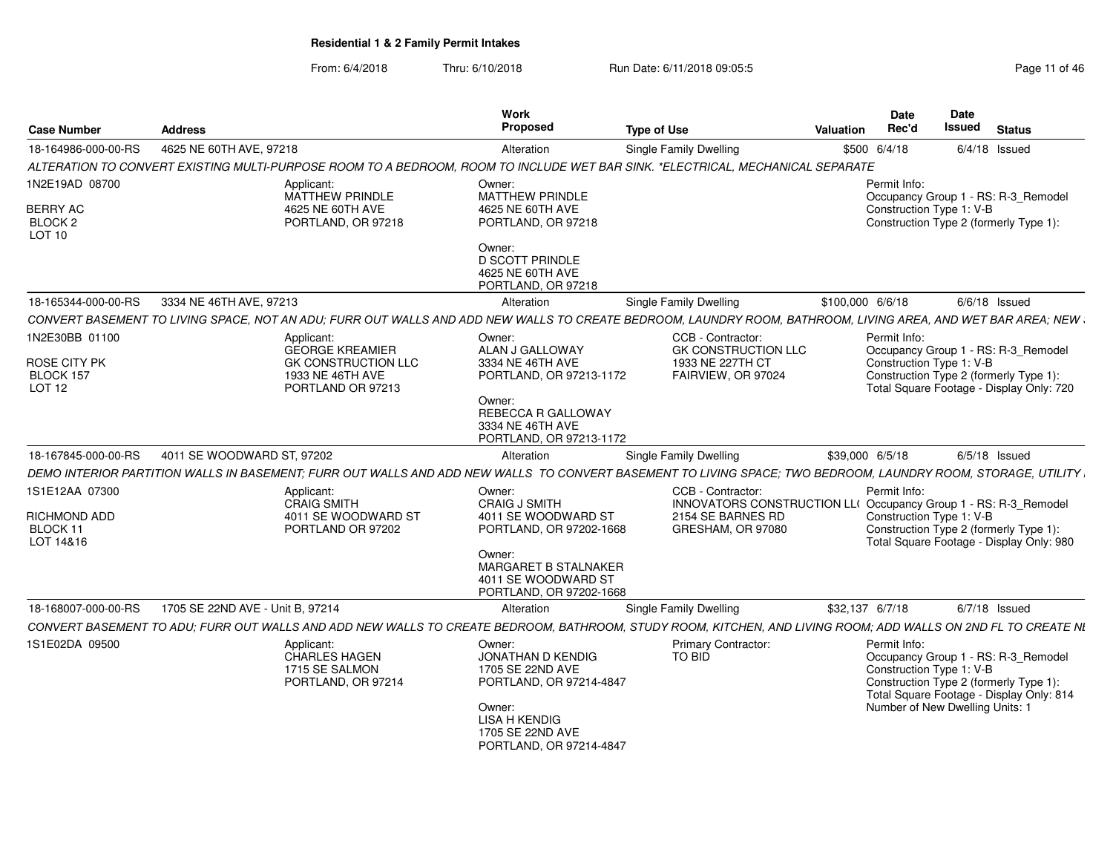| <b>Case Number</b>                                                       | <b>Address</b>                                                                                                                                                | Work<br><b>Proposed</b>                                                                                                                                 | Type of Use                                                                                                                    | Valuation        | <b>Date</b><br>Rec'd | Date<br><b>Issued</b><br><b>Status</b>                                                                                                                                                   |  |
|--------------------------------------------------------------------------|---------------------------------------------------------------------------------------------------------------------------------------------------------------|---------------------------------------------------------------------------------------------------------------------------------------------------------|--------------------------------------------------------------------------------------------------------------------------------|------------------|----------------------|------------------------------------------------------------------------------------------------------------------------------------------------------------------------------------------|--|
| 18-164986-000-00-RS                                                      | 4625 NE 60TH AVE, 97218                                                                                                                                       | Alteration                                                                                                                                              | Single Family Dwelling                                                                                                         |                  | \$500 6/4/18         | $6/4/18$ Issued                                                                                                                                                                          |  |
|                                                                          | ALTERATION TO CONVERT EXISTING MULTI-PURPOSE ROOM TO A BEDROOM, ROOM TO INCLUDE WET BAR SINK. *ELECTRICAL, MECHANICAL SEPARATE                                |                                                                                                                                                         |                                                                                                                                |                  |                      |                                                                                                                                                                                          |  |
| 1N2E19AD 08700<br><b>BERRY AC</b><br>BLOCK <sub>2</sub><br><b>LOT 10</b> | Applicant:<br>MATTHEW PRINDLE<br>4625 NE 60TH AVE<br>PORTLAND, OR 97218                                                                                       | Owner:<br>MATTHEW PRINDLE<br>4625 NE 60TH AVE<br>PORTLAND, OR 97218                                                                                     |                                                                                                                                |                  | Permit Info:         | Occupancy Group 1 - RS: R-3_Remodel<br>Construction Type 1: V-B<br>Construction Type 2 (formerly Type 1):                                                                                |  |
|                                                                          |                                                                                                                                                               | Owner:<br><b>D SCOTT PRINDLE</b><br>4625 NE 60TH AVE<br>PORTLAND, OR 97218                                                                              |                                                                                                                                |                  |                      |                                                                                                                                                                                          |  |
| 18-165344-000-00-RS                                                      | 3334 NE 46TH AVE, 97213                                                                                                                                       | Alteration                                                                                                                                              | Single Family Dwelling                                                                                                         | \$100,000 6/6/18 |                      | $6/6/18$ Issued                                                                                                                                                                          |  |
|                                                                          | CONVERT BASEMENT TO LIVING SPACE, NOT AN ADU; FURR OUT WALLS AND ADD NEW WALLS TO CREATE BEDROOM, LAUNDRY ROOM, BATHROOM, LIVING AREA, AND WET BAR AREA; NEW  |                                                                                                                                                         |                                                                                                                                |                  |                      |                                                                                                                                                                                          |  |
| 1N2E30BB 01100<br>ROSE CITY PK<br>BLOCK 157<br><b>LOT 12</b>             | Applicant:<br><b>GEORGE KREAMIER</b><br><b>GK CONSTRUCTION LLC</b><br>1933 NE 46TH AVE<br>PORTLAND OR 97213                                                   | Owner:<br>ALAN J GALLOWAY<br>3334 NE 46TH AVE<br>PORTLAND, OR 97213-1172<br>Owner:<br>REBECCA R GALLOWAY<br>3334 NE 46TH AVE<br>PORTLAND, OR 97213-1172 | CCB - Contractor:<br><b>GK CONSTRUCTION LLC</b><br>1933 NE 227TH CT<br>FAIRVIEW, OR 97024                                      |                  | Permit Info:         | Occupancy Group 1 - RS: R-3_Remodel<br>Construction Type 1: V-B<br>Construction Type 2 (formerly Type 1):<br>Total Square Footage - Display Only: 720                                    |  |
| 18-167845-000-00-RS                                                      | 4011 SE WOODWARD ST, 97202                                                                                                                                    | Alteration                                                                                                                                              | Single Family Dwelling                                                                                                         | \$39,000 6/5/18  |                      | $6/5/18$ Issued                                                                                                                                                                          |  |
|                                                                          | DEMO INTERIOR PARTITION WALLS IN BASEMENT; FURR OUT WALLS AND ADD NEW WALLS TO CONVERT BASEMENT TO LIVING SPACE; TWO BEDROOM, LAUNDRY ROOM, STORAGE, UTILITY  |                                                                                                                                                         |                                                                                                                                |                  |                      |                                                                                                                                                                                          |  |
| 1S1E12AA 07300<br>RICHMOND ADD<br>BLOCK 11<br>LOT 14&16                  | Applicant:<br><b>CRAIG SMITH</b><br>4011 SE WOODWARD ST<br>PORTLAND OR 97202                                                                                  | Owner:<br><b>CRAIG J SMITH</b><br>4011 SE WOODWARD ST<br>PORTLAND, OR 97202-1668                                                                        | CCB - Contractor:<br>INNOVATORS CONSTRUCTION LL( Occupancy Group 1 - RS: R-3_Remodel<br>2154 SE BARNES RD<br>GRESHAM, OR 97080 |                  | Permit Info:         | Construction Type 1: V-B<br>Construction Type 2 (formerly Type 1):<br>Total Square Footage - Display Only: 980                                                                           |  |
|                                                                          |                                                                                                                                                               | Owner:<br>MARGARET B STALNAKER<br>4011 SE WOODWARD ST<br>PORTLAND, OR 97202-1668                                                                        |                                                                                                                                |                  |                      |                                                                                                                                                                                          |  |
| 18-168007-000-00-RS                                                      | 1705 SE 22ND AVE - Unit B. 97214                                                                                                                              | Alteration                                                                                                                                              | Single Family Dwelling                                                                                                         | \$32.137 6/7/18  |                      | $6/7/18$ Issued                                                                                                                                                                          |  |
|                                                                          | CONVERT BASEMENT TO ADU; FURR OUT WALLS AND ADD NEW WALLS TO CREATE BEDROOM, BATHROOM, STUDY ROOM, KITCHEN, AND LIVING ROOM; ADD WALLS ON 2ND FL TO CREATE NI |                                                                                                                                                         |                                                                                                                                |                  |                      |                                                                                                                                                                                          |  |
| 1S1E02DA 09500                                                           | Applicant:<br><b>CHARLES HAGEN</b><br>1715 SE SALMON<br>PORTLAND, OR 97214                                                                                    | Owner:<br>JONATHAN D KENDIG<br>1705 SE 22ND AVE<br>PORTLAND, OR 97214-4847<br>Owner:<br>LISA H KENDIG                                                   | Primary Contractor:<br>TO BID                                                                                                  |                  | Permit Info:         | Occupancy Group 1 - RS: R-3_Remodel<br>Construction Type 1: V-B<br>Construction Type 2 (formerly Type 1):<br>Total Square Footage - Display Only: 814<br>Number of New Dwelling Units: 1 |  |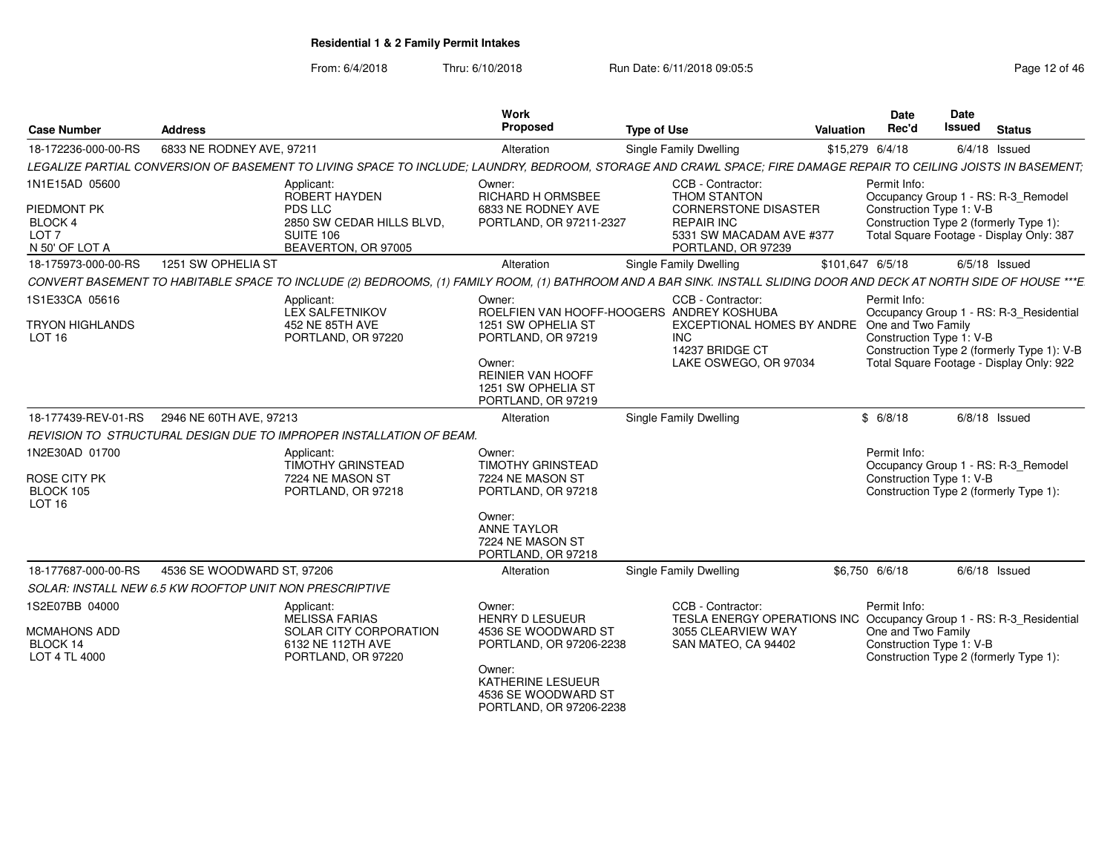| <b>Case Number</b>                                                                    | <b>Address</b>                                          |                                                                                                                                                                      | Work<br>Proposed                                                                    | <b>Type of Use</b>                                                                                                                             | Valuation        | Date<br>Rec'd                      | <b>Date</b><br><b>Issued</b><br><b>Status</b>                                                                                                         |
|---------------------------------------------------------------------------------------|---------------------------------------------------------|----------------------------------------------------------------------------------------------------------------------------------------------------------------------|-------------------------------------------------------------------------------------|------------------------------------------------------------------------------------------------------------------------------------------------|------------------|------------------------------------|-------------------------------------------------------------------------------------------------------------------------------------------------------|
| 18-172236-000-00-RS                                                                   | 6833 NE RODNEY AVE, 97211                               |                                                                                                                                                                      | Alteration                                                                          | Single Family Dwelling                                                                                                                         | \$15,279 6/4/18  |                                    | $6/4/18$ Issued                                                                                                                                       |
|                                                                                       |                                                         | LEGALIZE PARTIAL CONVERSION OF BASEMENT TO LIVING SPACE TO INCLUDE: LAUNDRY, BEDROOM, STORAGE AND CRAWL SPACE: FIRE DAMAGE REPAIR TO CEILING JOISTS IN BASEMENT:     |                                                                                     |                                                                                                                                                |                  |                                    |                                                                                                                                                       |
| 1N1E15AD 05600<br>PIEDMONT PK<br><b>BLOCK 4</b><br>LOT <sub>7</sub><br>N 50' OF LOT A |                                                         | Applicant:<br>ROBERT HAYDEN<br><b>PDS LLC</b><br>2850 SW CEDAR HILLS BLVD,<br>SUITE 106<br>BEAVERTON, OR 97005                                                       | Owner:<br><b>RICHARD H ORMSBEE</b><br>6833 NE RODNEY AVE<br>PORTLAND, OR 97211-2327 | CCB - Contractor:<br><b>THOM STANTON</b><br><b>CORNERSTONE DISASTER</b><br><b>REPAIR INC</b><br>5331 SW MACADAM AVE #377<br>PORTLAND, OR 97239 |                  | Permit Info:                       | Occupancy Group 1 - RS: R-3_Remodel<br>Construction Type 1: V-B<br>Construction Type 2 (formerly Type 1):<br>Total Square Footage - Display Only: 387 |
| 18-175973-000-00-RS                                                                   | 1251 SW OPHELIA ST                                      |                                                                                                                                                                      | Alteration                                                                          | <b>Single Family Dwelling</b>                                                                                                                  | \$101,647 6/5/18 |                                    | $6/5/18$ Issued                                                                                                                                       |
|                                                                                       |                                                         | CONVERT BASEMENT TO HABITABLE SPACE TO INCLUDE (2) BEDROOMS, (1) FAMILY ROOM, (1) BATHROOM AND A BAR SINK. INSTALL SLIDING DOOR AND DECK AT NORTH SIDE OF HOUSE ***E |                                                                                     |                                                                                                                                                |                  |                                    |                                                                                                                                                       |
| 1S1E33CA 05616<br><b>TRYON HIGHLANDS</b><br>LOT <sub>16</sub>                         |                                                         | Applicant:<br><b>LEX SALFETNIKOV</b><br>452 NE 85TH AVE<br>PORTLAND, OR 97220                                                                                        | Owner:<br>1251 SW OPHELIA ST<br>PORTLAND, OR 97219                                  | CCB - Contractor:<br>ROELFIEN VAN HOOFF-HOOGERS ANDREY KOSHUBA<br>EXCEPTIONAL HOMES BY ANDRE<br>INC.<br>14237 BRIDGE CT                        |                  | Permit Info:<br>One and Two Family | Occupancy Group 1 - RS: R-3_Residential<br>Construction Type 1: V-B<br>Construction Type 2 (formerly Type 1): V-B                                     |
|                                                                                       |                                                         |                                                                                                                                                                      | Owner:<br><b>REINIER VAN HOOFF</b><br>1251 SW OPHELIA ST<br>PORTLAND, OR 97219      | LAKE OSWEGO, OR 97034                                                                                                                          |                  |                                    | Total Square Footage - Display Only: 922                                                                                                              |
|                                                                                       | 18-177439-REV-01-RS 2946 NE 60TH AVE, 97213             |                                                                                                                                                                      | Alteration                                                                          | <b>Single Family Dwelling</b>                                                                                                                  |                  | \$6/8/18                           | $6/8/18$ Issued                                                                                                                                       |
|                                                                                       |                                                         | REVISION TO STRUCTURAL DESIGN DUE TO IMPROPER INSTALLATION OF BEAM.                                                                                                  |                                                                                     |                                                                                                                                                |                  |                                    |                                                                                                                                                       |
| 1N2E30AD 01700<br>ROSE CITY PK<br>BLOCK 105<br>LOT <sub>16</sub>                      |                                                         | Applicant:<br><b>TIMOTHY GRINSTEAD</b><br>7224 NE MASON ST<br>PORTLAND, OR 97218                                                                                     | Owner:<br><b>TIMOTHY GRINSTEAD</b><br>7224 NE MASON ST<br>PORTLAND, OR 97218        |                                                                                                                                                |                  | Permit Info:                       | Occupancy Group 1 - RS: R-3_Remodel<br>Construction Type 1: V-B<br>Construction Type 2 (formerly Type 1):                                             |
|                                                                                       |                                                         |                                                                                                                                                                      | Owner:<br><b>ANNE TAYLOR</b><br>7224 NE MASON ST<br>PORTLAND, OR 97218              |                                                                                                                                                |                  |                                    |                                                                                                                                                       |
| 18-177687-000-00-RS                                                                   | 4536 SE WOODWARD ST, 97206                              |                                                                                                                                                                      | Alteration                                                                          | <b>Single Family Dwelling</b>                                                                                                                  | \$6,750 6/6/18   |                                    | $6/6/18$ Issued                                                                                                                                       |
|                                                                                       | SOLAR: INSTALL NEW 6.5 KW ROOFTOP UNIT NON PRESCRIPTIVE |                                                                                                                                                                      |                                                                                     |                                                                                                                                                |                  |                                    |                                                                                                                                                       |
| 1S2E07BB 04000                                                                        |                                                         | Applicant:<br>MELISSA FARIAS                                                                                                                                         | Owner:<br><b>HENRY D LESUEUR</b>                                                    | CCB - Contractor:                                                                                                                              |                  | Permit Info:                       | TESLA ENERGY OPERATIONS INC Occupancy Group 1 - RS: R-3_Residential                                                                                   |
| MCMAHONS ADD<br>BLOCK 14<br>LOT 4 TL 4000                                             |                                                         | SOLAR CITY CORPORATION<br>6132 NE 112TH AVE<br>PORTLAND, OR 97220                                                                                                    | 4536 SE WOODWARD ST<br>PORTLAND, OR 97206-2238<br>Owner:                            | 3055 CLEARVIEW WAY<br>SAN MATEO, CA 94402                                                                                                      |                  | One and Two Family                 | Construction Type 1: V-B<br>Construction Type 2 (formerly Type 1):                                                                                    |
|                                                                                       |                                                         |                                                                                                                                                                      | KATHERINE LESUEUR<br>4536 SE WOODWARD ST<br>PORTLAND, OR 97206-2238                 |                                                                                                                                                |                  |                                    |                                                                                                                                                       |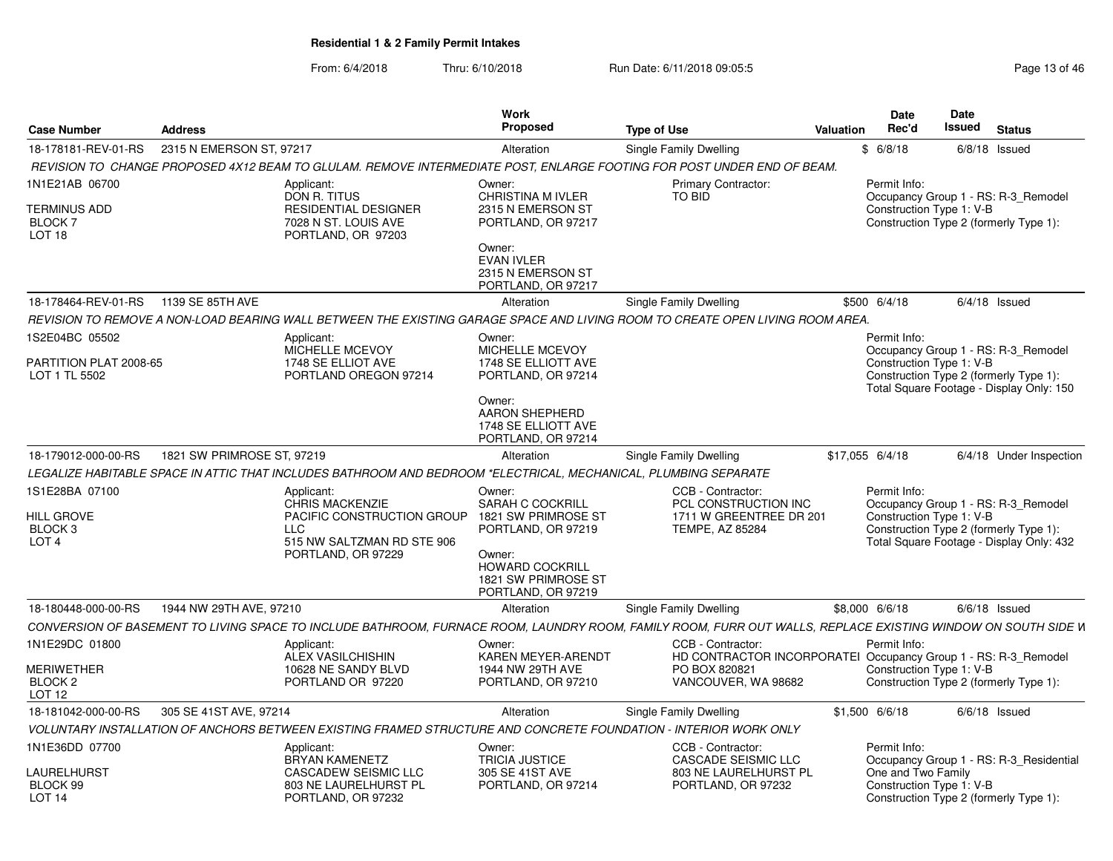| <b>Case Number</b>                                                          | <b>Address</b>                        |                                                                                                                                                              | <b>Work</b><br>Proposed                                                          | <b>Type of Use</b>                          | Valuation | <b>Date</b><br>Rec'd | Date<br>Issued<br><b>Status</b>                                                                           |
|-----------------------------------------------------------------------------|---------------------------------------|--------------------------------------------------------------------------------------------------------------------------------------------------------------|----------------------------------------------------------------------------------|---------------------------------------------|-----------|----------------------|-----------------------------------------------------------------------------------------------------------|
| 18-178181-REV-01-RS                                                         | 2315 N EMERSON ST, 97217              |                                                                                                                                                              | Alteration                                                                       | Single Family Dwelling                      |           | \$6/8/18             | $6/8/18$ Issued                                                                                           |
|                                                                             |                                       | REVISION TO CHANGE PROPOSED 4X12 BEAM TO GLULAM. REMOVE INTERMEDIATE POST, ENLARGE FOOTING FOR POST UNDER END OF BEAM.                                       |                                                                                  |                                             |           |                      |                                                                                                           |
| 1N1E21AB 06700<br><b>TERMINUS ADD</b><br><b>BLOCK7</b><br>LOT <sub>18</sub> |                                       | Applicant:<br>DON R. TITUS<br><b>RESIDENTIAL DESIGNER</b><br>7028 N ST. LOUIS AVE<br>PORTLAND, OR 97203                                                      | Owner:<br>CHRISTINA M IVLER<br>2315 N EMERSON ST<br>PORTLAND, OR 97217<br>Owner: | <b>Primary Contractor:</b><br><b>TO BID</b> |           | Permit Info:         | Occupancy Group 1 - RS: R-3_Remodel<br>Construction Type 1: V-B<br>Construction Type 2 (formerly Type 1): |
|                                                                             |                                       |                                                                                                                                                              | <b>EVAN IVLER</b><br>2315 N EMERSON ST<br>PORTLAND, OR 97217                     |                                             |           |                      |                                                                                                           |
|                                                                             | 18-178464-REV-01-RS  1139 SE 85TH AVE |                                                                                                                                                              | Alteration                                                                       | <b>Single Family Dwelling</b>               |           | \$500 6/4/18         | $6/4/18$ Issued                                                                                           |
|                                                                             |                                       | REVISION TO REMOVE A NON-LOAD BEARING WALL BETWEEN THE EXISTING GARAGE SPACE AND LIVING ROOM TO CREATE OPEN LIVING ROOM AREA.                                |                                                                                  |                                             |           |                      |                                                                                                           |
| 1S2E04BC 05502                                                              |                                       | Applicant:                                                                                                                                                   | Owner:                                                                           |                                             |           | Permit Info:         |                                                                                                           |
|                                                                             |                                       | MICHELLE MCEVOY                                                                                                                                              | MICHELLE MCEVOY                                                                  |                                             |           |                      | Occupancy Group 1 - RS: R-3_Remodel                                                                       |
| PARTITION PLAT 2008-65<br>LOT 1 TL 5502                                     |                                       | 1748 SE ELLIOT AVE<br>PORTLAND OREGON 97214                                                                                                                  | 1748 SE ELLIOTT AVE<br>PORTLAND, OR 97214                                        |                                             |           |                      | Construction Type 1: V-B<br>Construction Type 2 (formerly Type 1):                                        |
|                                                                             |                                       |                                                                                                                                                              |                                                                                  |                                             |           |                      | Total Square Footage - Display Only: 150                                                                  |
|                                                                             |                                       |                                                                                                                                                              | Owner:<br>AARON SHEPHERD<br>1748 SE ELLIOTT AVE<br>PORTLAND, OR 97214            |                                             |           |                      |                                                                                                           |
| 18-179012-000-00-RS                                                         | 1821 SW PRIMROSE ST, 97219            |                                                                                                                                                              | Alteration                                                                       | <b>Single Family Dwelling</b>               |           | $$17,055$ 6/4/18     | 6/4/18 Under Inspection                                                                                   |
|                                                                             |                                       | LEGALIZE HABITABLE SPACE IN ATTIC THAT INCLUDES BATHROOM AND BEDROOM *ELECTRICAL, MECHANICAL, PLUMBING SEPARATE                                              |                                                                                  |                                             |           |                      |                                                                                                           |
|                                                                             |                                       |                                                                                                                                                              |                                                                                  |                                             |           |                      |                                                                                                           |
| 1S1E28BA 07100                                                              |                                       | Applicant:<br>CHRIS MACKENZIE                                                                                                                                | Owner:<br><b>SARAH C COCKRILL</b>                                                | CCB - Contractor:<br>PCL CONSTRUCTION INC   |           | Permit Info:         | Occupancy Group 1 - RS: R-3 Remodel                                                                       |
| <b>HILL GROVE</b>                                                           |                                       | PACIFIC CONSTRUCTION GROUP                                                                                                                                   | 1821 SW PRIMROSE ST                                                              | 1711 W GREENTREE DR 201                     |           |                      | Construction Type 1: V-B                                                                                  |
| BLOCK 3                                                                     |                                       | <b>LLC</b>                                                                                                                                                   | PORTLAND, OR 97219                                                               | <b>TEMPE, AZ 85284</b>                      |           |                      | Construction Type 2 (formerly Type 1):                                                                    |
| LOT <sub>4</sub>                                                            |                                       | 515 NW SALTZMAN RD STE 906<br>PORTLAND, OR 97229                                                                                                             | Owner:<br><b>HOWARD COCKRILL</b><br>1821 SW PRIMROSE ST<br>PORTLAND, OR 97219    |                                             |           |                      | Total Square Footage - Display Only: 432                                                                  |
| 18-180448-000-00-RS                                                         | 1944 NW 29TH AVE, 97210               |                                                                                                                                                              | Alteration                                                                       | <b>Single Family Dwelling</b>               |           | \$8,000 6/6/18       | $6/6/18$ Issued                                                                                           |
|                                                                             |                                       | CONVERSION OF BASEMENT TO LIVING SPACE TO INCLUDE BATHROOM, FURNACE ROOM, LAUNDRY ROOM, FAMILY ROOM, FURR OUT WALLS, REPLACE EXISTING WINDOW ON SOUTH SIDE W |                                                                                  |                                             |           |                      |                                                                                                           |
|                                                                             |                                       |                                                                                                                                                              |                                                                                  |                                             |           |                      |                                                                                                           |
| 1N1E29DC 01800                                                              |                                       | Applicant:<br><b>ALEX VASILCHISHIN</b>                                                                                                                       | Owner:<br>KAREN MEYER-ARENDT                                                     | CCB - Contractor:                           |           | Permit Info          | HD CONTRACTOR INCORPORATEI Occupancy Group 1 - RS: R-3_Remodel                                            |
| <b>MERIWETHER</b>                                                           |                                       | 10628 NE SANDY BLVD                                                                                                                                          | 1944 NW 29TH AVE                                                                 | PO BOX 820821                               |           |                      | Construction Type 1: V-B                                                                                  |
| BLOCK <sub>2</sub>                                                          |                                       | PORTLAND OR 97220                                                                                                                                            | PORTLAND, OR 97210                                                               | VANCOUVER. WA 98682                         |           |                      | Construction Type 2 (formerly Type 1):                                                                    |
| LOT 12                                                                      |                                       |                                                                                                                                                              |                                                                                  |                                             |           |                      |                                                                                                           |
| 18-181042-000-00-RS                                                         | 305 SE 41ST AVE, 97214                |                                                                                                                                                              | Alteration                                                                       | Single Family Dwelling                      |           | $$1,500$ 6/6/18      | $6/6/18$ Issued                                                                                           |
|                                                                             |                                       | VOLUNTARY INSTALLATION OF ANCHORS BETWEEN EXISTING FRAMED STRUCTURE AND CONCRETE FOUNDATION - INTERIOR WORK ONLY                                             |                                                                                  |                                             |           |                      |                                                                                                           |
| 1N1E36DD 07700                                                              |                                       | Applicant:                                                                                                                                                   | Owner:                                                                           | CCB - Contractor:                           |           | Permit Info:         |                                                                                                           |
|                                                                             |                                       | <b>BRYAN KAMENETZ</b>                                                                                                                                        | <b>TRICIA JUSTICE</b>                                                            | CASCADE SEISMIC LLC                         |           |                      | Occupancy Group 1 - RS: R-3 Residential                                                                   |
| <b>LAURELHURST</b><br>BLOCK 99                                              |                                       | CASCADEW SEISMIC LLC<br>803 NE LAURELHURST PL                                                                                                                | 305 SE 41ST AVE<br>PORTLAND, OR 97214                                            | 803 NE LAURELHURST PL<br>PORTLAND, OR 97232 |           |                      | One and Two Family<br>Construction Type 1: V-B                                                            |
| LOT <sub>14</sub>                                                           |                                       | PORTLAND, OR 97232                                                                                                                                           |                                                                                  |                                             |           |                      | Construction Type 2 (formerly Type 1):                                                                    |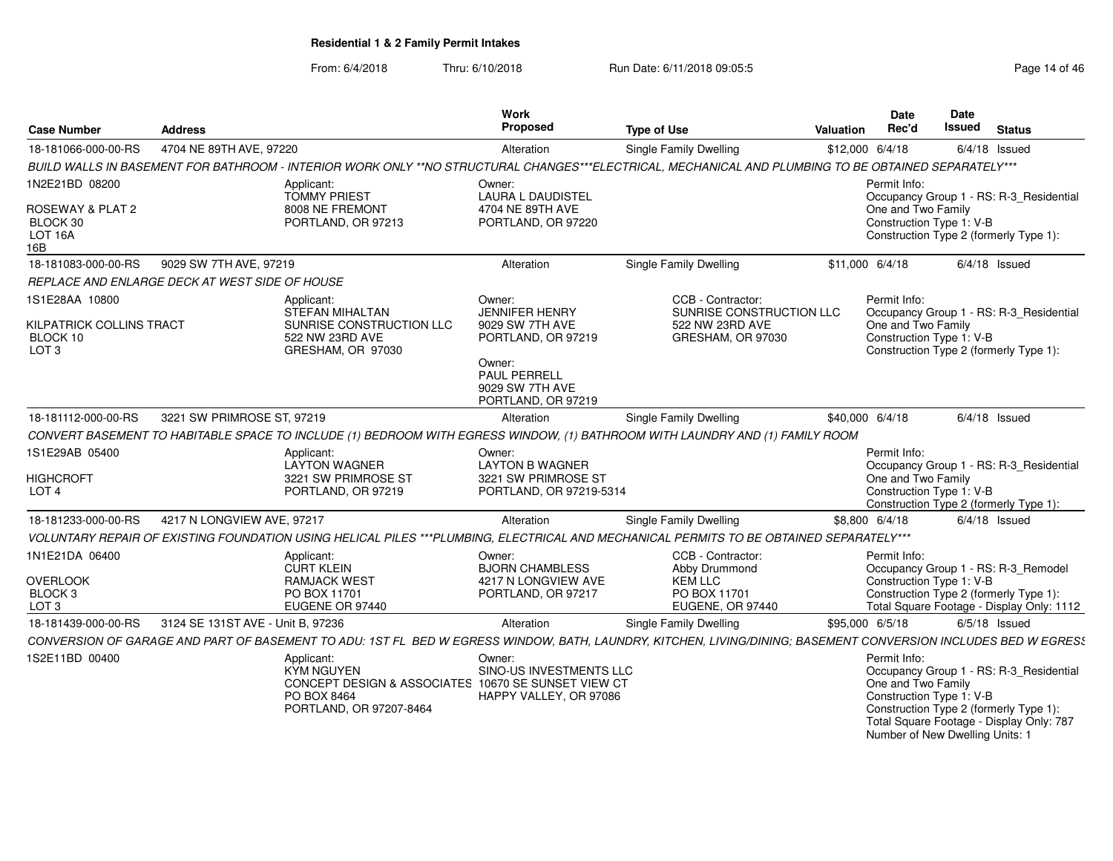| <b>Case Number</b>                                                         | <b>Address</b>                    |                                                                                                                                                                | <b>Work</b><br>Proposed                                                                                                                            | <b>Type of Use</b>                                                                    | Valuation       | Date<br>Rec'd                                                                                     | Date<br>Issued | <b>Status</b>                                                                                                                 |
|----------------------------------------------------------------------------|-----------------------------------|----------------------------------------------------------------------------------------------------------------------------------------------------------------|----------------------------------------------------------------------------------------------------------------------------------------------------|---------------------------------------------------------------------------------------|-----------------|---------------------------------------------------------------------------------------------------|----------------|-------------------------------------------------------------------------------------------------------------------------------|
| 18-181066-000-00-RS                                                        | 4704 NE 89TH AVE, 97220           |                                                                                                                                                                | Alteration                                                                                                                                         | <b>Single Family Dwelling</b>                                                         | \$12,000 6/4/18 |                                                                                                   |                | $6/4/18$ Issued                                                                                                               |
|                                                                            |                                   | BUILD WALLS IN BASEMENT FOR BATHROOM - INTERIOR WORK ONLY **NO STRUCTURAL CHANGES***ELECTRICAL, MECHANICAL AND PLUMBING TO BE OBTAINED SEPARATELY***           |                                                                                                                                                    |                                                                                       |                 |                                                                                                   |                |                                                                                                                               |
| 1N2E21BD 08200<br>ROSEWAY & PLAT 2                                         |                                   | Applicant:<br><b>TOMMY PRIEST</b><br>8008 NE FREMONT                                                                                                           | Owner:<br><b>LAURA L DAUDISTEL</b><br>4704 NE 89TH AVE                                                                                             |                                                                                       |                 | Permit Info:<br>One and Two Family                                                                |                | Occupancy Group 1 - RS: R-3 Residential                                                                                       |
| BLOCK 30<br>LOT 16A<br>16B                                                 |                                   | PORTLAND, OR 97213                                                                                                                                             | PORTLAND, OR 97220                                                                                                                                 |                                                                                       |                 | Construction Type 1: V-B                                                                          |                | Construction Type 2 (formerly Type 1):                                                                                        |
| 18-181083-000-00-RS                                                        | 9029 SW 7TH AVE, 97219            |                                                                                                                                                                | Alteration                                                                                                                                         | Single Family Dwelling                                                                | \$11,000 6/4/18 |                                                                                                   |                | $6/4/18$ Issued                                                                                                               |
| REPLACE AND ENLARGE DECK AT WEST SIDE OF HOUSE                             |                                   |                                                                                                                                                                |                                                                                                                                                    |                                                                                       |                 |                                                                                                   |                |                                                                                                                               |
| 1S1E28AA 10800<br>KILPATRICK COLLINS TRACT<br>BLOCK 10<br>LOT <sub>3</sub> |                                   | Applicant:<br><b>STEFAN MIHALTAN</b><br>SUNRISE CONSTRUCTION LLC<br>522 NW 23RD AVE<br>GRESHAM, OR 97030                                                       | Owner:<br><b>JENNIFER HENRY</b><br>9029 SW 7TH AVE<br>PORTLAND, OR 97219<br>Owner:<br><b>PAUL PERRELL</b><br>9029 SW 7TH AVE<br>PORTLAND, OR 97219 | CCB - Contractor:<br>SUNRISE CONSTRUCTION LLC<br>522 NW 23RD AVE<br>GRESHAM, OR 97030 |                 | Permit Info:<br>One and Two Family<br>Construction Type 1: V-B                                    |                | Occupancy Group 1 - RS: R-3_Residential<br>Construction Type 2 (formerly Type 1):                                             |
| 18-181112-000-00-RS                                                        | 3221 SW PRIMROSE ST, 97219        |                                                                                                                                                                | Alteration                                                                                                                                         | <b>Single Family Dwelling</b>                                                         | \$40,000 6/4/18 |                                                                                                   |                | $6/4/18$ Issued                                                                                                               |
|                                                                            |                                   | CONVERT BASEMENT TO HABITABLE SPACE TO INCLUDE (1) BEDROOM WITH EGRESS WINDOW, (1) BATHROOM WITH LAUNDRY AND (1) FAMILY ROOM                                   |                                                                                                                                                    |                                                                                       |                 |                                                                                                   |                |                                                                                                                               |
| 1S1E29AB 05400                                                             |                                   | Applicant:<br><b>LAYTON WAGNER</b>                                                                                                                             | Owner:<br><b>LAYTON B WAGNER</b>                                                                                                                   |                                                                                       |                 | Permit Info:                                                                                      |                | Occupancy Group 1 - RS: R-3_Residential                                                                                       |
| <b>HIGHCROFT</b><br>LOT <sub>4</sub>                                       |                                   | 3221 SW PRIMROSE ST<br>PORTLAND, OR 97219                                                                                                                      | 3221 SW PRIMROSE ST<br>PORTLAND, OR 97219-5314                                                                                                     |                                                                                       |                 | One and Two Family<br>Construction Type 1: V-B                                                    |                | Construction Type 2 (formerly Type 1):                                                                                        |
| 18-181233-000-00-RS                                                        | 4217 N LONGVIEW AVE, 97217        |                                                                                                                                                                | Alteration                                                                                                                                         | Single Family Dwelling                                                                | \$8,800 6/4/18  |                                                                                                   |                | $6/4/18$ Issued                                                                                                               |
|                                                                            |                                   | VOLUNTARY REPAIR OF EXISTING FOUNDATION USING HELICAL PILES ***PLUMBING, ELECTRICAL AND MECHANICAL PERMITS TO BE OBTAINED SEPARATELY***                        |                                                                                                                                                    |                                                                                       |                 |                                                                                                   |                |                                                                                                                               |
| 1N1E21DA 06400                                                             |                                   | Applicant:<br><b>CURT KLEIN</b>                                                                                                                                | Owner:<br><b>BJORN CHAMBLESS</b>                                                                                                                   | CCB - Contractor:<br>Abby Drummond                                                    |                 | Permit Info:                                                                                      |                | Occupancy Group 1 - RS: R-3 Remodel                                                                                           |
| OVERLOOK                                                                   |                                   | <b>RAMJACK WEST</b>                                                                                                                                            | 4217 N LONGVIEW AVE                                                                                                                                | <b>KEM LLC</b><br>PO BOX 11701                                                        |                 | Construction Type 1: V-B                                                                          |                |                                                                                                                               |
| BLOCK 3<br>LOT <sub>3</sub>                                                |                                   | PO BOX 11701<br>EUGENE OR 97440                                                                                                                                | PORTLAND, OR 97217                                                                                                                                 | EUGENE, OR 97440                                                                      |                 |                                                                                                   |                | Construction Type 2 (formerly Type 1):<br>Total Square Footage - Display Only: 1112                                           |
| 18-181439-000-00-RS                                                        | 3124 SE 131ST AVE - Unit B, 97236 |                                                                                                                                                                | Alteration                                                                                                                                         | Single Family Dwelling                                                                | \$95,000 6/5/18 |                                                                                                   |                | $6/5/18$ Issued                                                                                                               |
|                                                                            |                                   | CONVERSION OF GARAGE AND PART OF BASEMENT TO ADU: 1ST FL BED W EGRESS WINDOW, BATH, LAUNDRY, KITCHEN, LIVING/DINING; BASEMENT CONVERSION INCLUDES BED W EGRES! |                                                                                                                                                    |                                                                                       |                 |                                                                                                   |                |                                                                                                                               |
| 1S2E11BD 00400                                                             |                                   | Applicant:<br>KYM NGUYEN<br>CONCEPT DESIGN & ASSOCIATES 10670 SE SUNSET VIEW CT<br>PO BOX 8464<br>PORTLAND, OR 97207-8464                                      | Owner:<br>SINO-US INVESTMENTS LLC<br>HAPPY VALLEY, OR 97086                                                                                        |                                                                                       |                 | Permit Info:<br>One and Two Family<br>Construction Type 1: V-B<br>Number of New Dwelling Units: 1 |                | Occupancy Group 1 - RS: R-3_Residential<br>Construction Type 2 (formerly Type 1):<br>Total Square Footage - Display Only: 787 |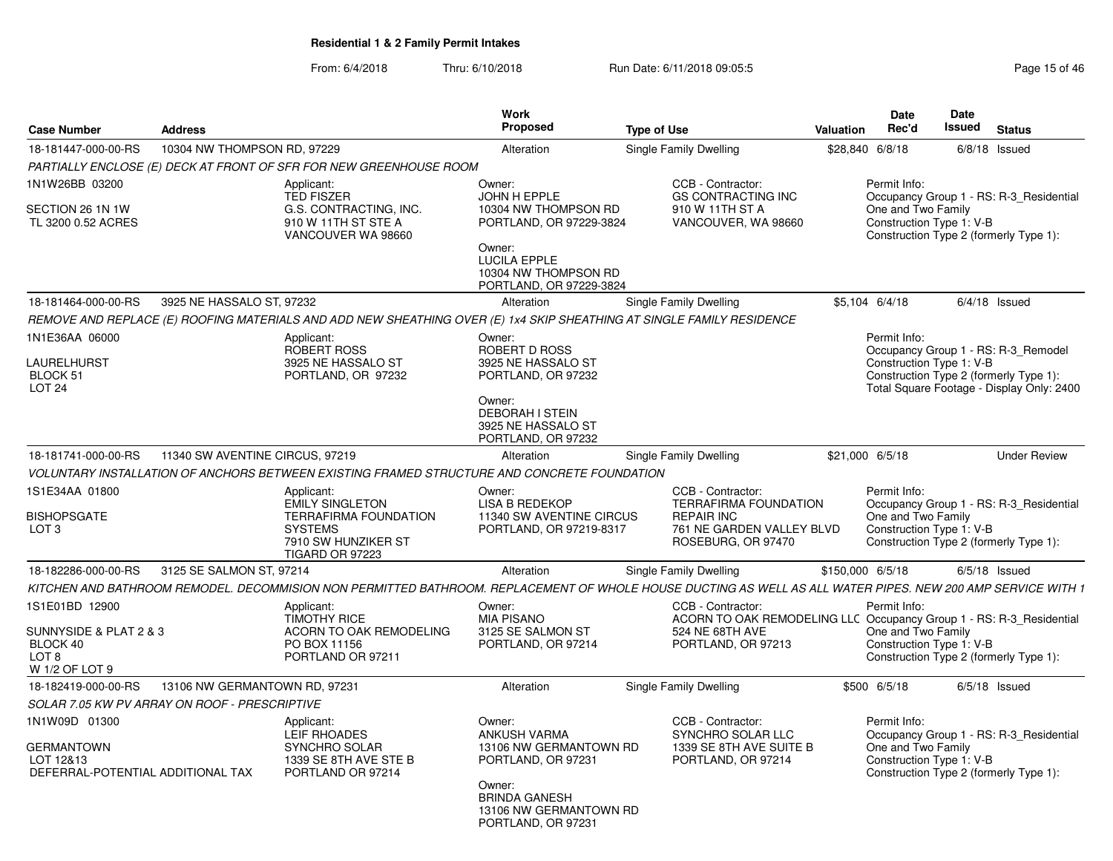| <b>Case Number</b>                                                                   | <b>Address</b>                                |                                                                                                                                                             | Work<br><b>Proposed</b>                                                                 | <b>Type of Use</b>                                                                       | Valuation        | <b>Date</b><br>Rec'd                                           | Date<br><b>Issued</b> | <b>Status</b>                                                                                                              |
|--------------------------------------------------------------------------------------|-----------------------------------------------|-------------------------------------------------------------------------------------------------------------------------------------------------------------|-----------------------------------------------------------------------------------------|------------------------------------------------------------------------------------------|------------------|----------------------------------------------------------------|-----------------------|----------------------------------------------------------------------------------------------------------------------------|
| 18-181447-000-00-RS                                                                  | 10304 NW THOMPSON RD, 97229                   |                                                                                                                                                             | Alteration                                                                              | Single Family Dwelling                                                                   | \$28,840 6/8/18  |                                                                |                       | $6/8/18$ Issued                                                                                                            |
|                                                                                      |                                               | PARTIALLY ENCLOSE (E) DECK AT FRONT OF SFR FOR NEW GREENHOUSE ROOM                                                                                          |                                                                                         |                                                                                          |                  |                                                                |                       |                                                                                                                            |
| 1N1W26BB 03200<br>SECTION 26 1N 1W<br>TL 3200 0.52 ACRES                             |                                               | Applicant:<br><b>TED FISZER</b><br>G.S. CONTRACTING, INC.<br>910 W 11TH ST STE A                                                                            | Owner:<br>JOHN H EPPLE<br>10304 NW THOMPSON RD<br>PORTLAND, OR 97229-3824               | CCB - Contractor:<br><b>GS CONTRACTING INC</b><br>910 W 11TH ST A<br>VANCOUVER, WA 98660 |                  | Permit Info:<br>One and Two Family<br>Construction Type 1: V-B |                       | Occupancy Group 1 - RS: R-3 Residential                                                                                    |
|                                                                                      |                                               | VANCOUVER WA 98660                                                                                                                                          | Owner:<br><b>LUCILA EPPLE</b><br>10304 NW THOMPSON RD<br>PORTLAND, OR 97229-3824        |                                                                                          |                  |                                                                |                       | Construction Type 2 (formerly Type 1):                                                                                     |
| 18-181464-000-00-RS                                                                  | 3925 NE HASSALO ST, 97232                     |                                                                                                                                                             | Alteration                                                                              | Single Family Dwelling                                                                   | \$5,104 6/4/18   |                                                                |                       | $6/4/18$ Issued                                                                                                            |
|                                                                                      |                                               | REMOVE AND REPLACE (E) ROOFING MATERIALS AND ADD NEW SHEATHING OVER (E) 1x4 SKIP SHEATHING AT SINGLE FAMILY RESIDENCE                                       |                                                                                         |                                                                                          |                  |                                                                |                       |                                                                                                                            |
| 1N1E36AA 06000                                                                       |                                               | Applicant:                                                                                                                                                  | Owner:                                                                                  |                                                                                          |                  | Permit Info:                                                   |                       |                                                                                                                            |
| LAURELHURST<br>BLOCK 51<br>LOT <sub>24</sub>                                         |                                               | ROBERT ROSS<br>3925 NE HASSALO ST<br>PORTLAND, OR 97232                                                                                                     | <b>ROBERT D ROSS</b><br>3925 NE HASSALO ST<br>PORTLAND, OR 97232                        |                                                                                          |                  | Construction Type 1: V-B                                       |                       | Occupancy Group 1 - RS: R-3_Remodel<br>Construction Type 2 (formerly Type 1):<br>Total Square Footage - Display Only: 2400 |
|                                                                                      |                                               |                                                                                                                                                             | Owner:<br><b>DEBORAH I STEIN</b><br>3925 NE HASSALO ST<br>PORTLAND, OR 97232            |                                                                                          |                  |                                                                |                       |                                                                                                                            |
| 18-181741-000-00-RS                                                                  | 11340 SW AVENTINE CIRCUS, 97219               |                                                                                                                                                             | Alteration                                                                              | Single Family Dwelling                                                                   | \$21,000 6/5/18  |                                                                |                       | <b>Under Review</b>                                                                                                        |
|                                                                                      |                                               | VOLUNTARY INSTALLATION OF ANCHORS BETWEEN EXISTING FRAMED STRUCTURE AND CONCRETE FOUNDATION                                                                 |                                                                                         |                                                                                          |                  |                                                                |                       |                                                                                                                            |
| 1S1E34AA 01800                                                                       |                                               | Applicant:<br><b>EMILY SINGLETON</b>                                                                                                                        | Owner:<br><b>LISA B REDEKOP</b>                                                         | CCB - Contractor:<br><b>TERRAFIRMA FOUNDATION</b>                                        |                  | Permit Info:                                                   |                       | Occupancy Group 1 - RS: R-3 Residential                                                                                    |
| <b>BISHOPSGATE</b><br>LOT <sub>3</sub>                                               |                                               | <b>TERRAFIRMA FOUNDATION</b><br><b>SYSTEMS</b><br>7910 SW HUNZIKER ST<br>TIGARD OR 97223                                                                    | 11340 SW AVENTINE CIRCUS<br>PORTLAND, OR 97219-8317                                     | <b>REPAIR INC</b><br>761 NE GARDEN VALLEY BLVD<br>ROSEBURG, OR 97470                     |                  | One and Two Family<br>Construction Type 1: V-B                 |                       | Construction Type 2 (formerly Type 1):                                                                                     |
| 18-182286-000-00-RS                                                                  | 3125 SE SALMON ST, 97214                      |                                                                                                                                                             | Alteration                                                                              | Single Family Dwelling                                                                   | \$150,000 6/5/18 |                                                                |                       | $6/5/18$ Issued                                                                                                            |
|                                                                                      |                                               | KITCHEN AND BATHROOM REMODEL. DECOMMISION NON PERMITTED BATHROOM. REPLACEMENT OF WHOLE HOUSE DUCTING AS WELL AS ALL WATER PIPES. NEW 200 AMP SERVICE WITH 1 |                                                                                         |                                                                                          |                  |                                                                |                       |                                                                                                                            |
| 1S1E01BD 12900                                                                       |                                               | Applicant:<br><b>TIMOTHY RICE</b>                                                                                                                           | Owner:<br><b>MIA PISANO</b>                                                             | CCB - Contractor:<br>ACORN TO OAK REMODELING LLC Occupancy Group 1 - RS: R-3 Residential |                  | Permit Info:                                                   |                       |                                                                                                                            |
| SUNNYSIDE & PLAT 2 & 3<br>BLOCK 40<br>LOT 8<br>W 1/2 OF LOT 9                        |                                               | ACORN TO OAK REMODELING<br>PO BOX 11156<br>PORTLAND OR 97211                                                                                                | 3125 SE SALMON ST<br>PORTLAND, OR 97214                                                 | 524 NE 68TH AVE<br>PORTLAND, OR 97213                                                    |                  | One and Two Family<br>Construction Type 1: V-B                 |                       | Construction Type 2 (formerly Type 1):                                                                                     |
| 18-182419-000-00-RS                                                                  | 13106 NW GERMANTOWN RD, 97231                 |                                                                                                                                                             | Alteration                                                                              | Single Family Dwelling                                                                   |                  | \$500 6/5/18                                                   |                       | $6/5/18$ Issued                                                                                                            |
|                                                                                      | SOLAR 7.05 KW PV ARRAY ON ROOF - PRESCRIPTIVE |                                                                                                                                                             |                                                                                         |                                                                                          |                  |                                                                |                       |                                                                                                                            |
| 1N1W09D 01300<br><b>GERMANTOWN</b><br>LOT 12&13<br>DEFERRAL-POTENTIAL ADDITIONAL TAX |                                               | Applicant:<br>LEIF RHOADES<br>SYNCHRO SOLAR<br>1339 SE 8TH AVE STE B<br>PORTLAND OR 97214                                                                   | Owner:<br><b>ANKUSH VARMA</b><br>13106 NW GERMANTOWN RD<br>PORTLAND, OR 97231<br>Owner: | CCB - Contractor:<br>SYNCHRO SOLAR LLC<br>1339 SE 8TH AVE SUITE B<br>PORTLAND, OR 97214  |                  | Permit Info:<br>One and Two Family<br>Construction Type 1: V-B |                       | Occupancy Group 1 - RS: R-3 Residential<br>Construction Type 2 (formerly Type 1):                                          |
|                                                                                      |                                               |                                                                                                                                                             | <b>BRINDA GANESH</b><br>13106 NW GERMANTOWN RD<br>PORTLAND, OR 97231                    |                                                                                          |                  |                                                                |                       |                                                                                                                            |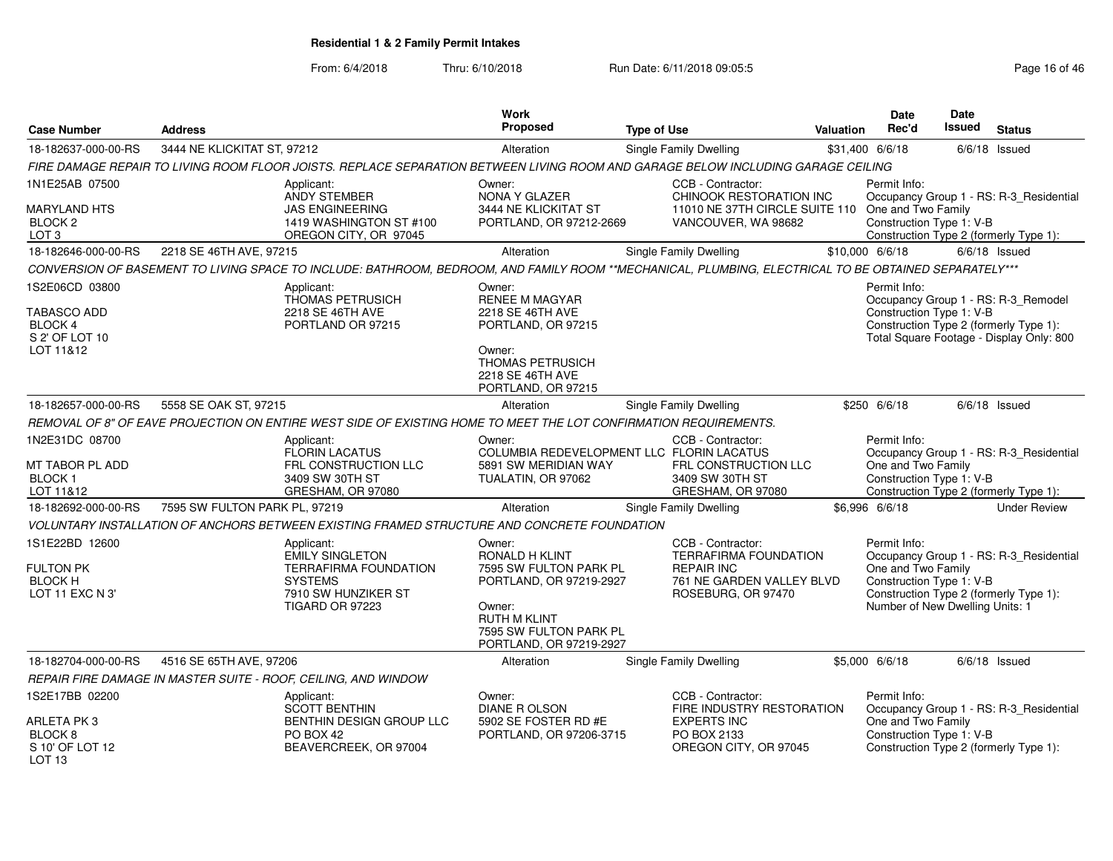| <b>Case Number</b>                                                                         | <b>Address</b>                |                                                                                                                                                       | Work<br><b>Proposed</b>                                                                                                                                             | <b>Type of Use</b> |                                                                                                                           | <b>Valuation</b> | <b>Date</b><br>Rec'd                                                                              | Date<br><b>Issued</b> | <b>Status</b>                                                                                                             |
|--------------------------------------------------------------------------------------------|-------------------------------|-------------------------------------------------------------------------------------------------------------------------------------------------------|---------------------------------------------------------------------------------------------------------------------------------------------------------------------|--------------------|---------------------------------------------------------------------------------------------------------------------------|------------------|---------------------------------------------------------------------------------------------------|-----------------------|---------------------------------------------------------------------------------------------------------------------------|
| 18-182637-000-00-RS                                                                        | 3444 NE KLICKITAT ST, 97212   |                                                                                                                                                       | Alteration                                                                                                                                                          |                    | Single Family Dwelling                                                                                                    |                  | \$31,400 6/6/18                                                                                   |                       | $6/6/18$ Issued                                                                                                           |
|                                                                                            |                               | FIRE DAMAGE REPAIR TO LIVING ROOM FLOOR JOISTS. REPLACE SEPARATION BETWEEN LIVING ROOM AND GARAGE BELOW INCLUDING GARAGE CEILING                      |                                                                                                                                                                     |                    |                                                                                                                           |                  |                                                                                                   |                       |                                                                                                                           |
| 1N1E25AB 07500<br><b>MARYLAND HTS</b><br>BLOCK 2<br>LOT <sub>3</sub>                       |                               | Applicant:<br>ANDY STEMBER<br><b>JAS ENGINEERING</b><br>1419 WASHINGTON ST #100<br>OREGON CITY, OR 97045                                              | Owner:<br>NONA Y GLAZER<br>3444 NE KLICKITAT ST<br>PORTLAND, OR 97212-2669                                                                                          |                    | CCB - Contractor:<br>CHINOOK RESTORATION INC<br>11010 NE 37TH CIRCLE SUITE 110 One and Two Family<br>VANCOUVER, WA 98682  |                  | Permit Info:<br>Construction Type 1: V-B                                                          |                       | Occupancy Group 1 - RS: R-3_Residential<br>Construction Type 2 (formerly Type 1):                                         |
| 18-182646-000-00-RS                                                                        | 2218 SE 46TH AVE, 97215       |                                                                                                                                                       | Alteration                                                                                                                                                          |                    | Single Family Dwelling                                                                                                    |                  | \$10,000 6/6/18                                                                                   |                       | $6/6/18$ Issued                                                                                                           |
|                                                                                            |                               | CONVERSION OF BASEMENT TO LIVING SPACE TO INCLUDE: BATHROOM, BEDROOM, AND FAMILY ROOM **MECHANICAL, PLUMBING, ELECTRICAL TO BE OBTAINED SEPARATELY*** |                                                                                                                                                                     |                    |                                                                                                                           |                  |                                                                                                   |                       |                                                                                                                           |
| 1S2E06CD 03800<br><b>TABASCO ADD</b><br>BLOCK 4<br>S 2' OF LOT 10<br>LOT 11&12             |                               | Applicant:<br>THOMAS PETRUSICH<br>2218 SE 46TH AVE<br>PORTLAND OR 97215                                                                               | Owner:<br><b>RENEE M MAGYAR</b><br>2218 SE 46TH AVE<br>PORTLAND, OR 97215<br>Owner:<br>THOMAS PETRUSICH<br>2218 SE 46TH AVE<br>PORTLAND, OR 97215                   |                    |                                                                                                                           |                  | Permit Info:<br>Construction Type 1: V-B                                                          |                       | Occupancy Group 1 - RS: R-3_Remodel<br>Construction Type 2 (formerly Type 1):<br>Total Square Footage - Display Only: 800 |
| 18-182657-000-00-RS                                                                        | 5558 SE OAK ST, 97215         |                                                                                                                                                       | Alteration                                                                                                                                                          |                    | Single Family Dwelling                                                                                                    |                  | \$250 6/6/18                                                                                      |                       | $6/6/18$ Issued                                                                                                           |
|                                                                                            |                               | REMOVAL OF 8" OF EAVE PROJECTION ON ENTIRE WEST SIDE OF EXISTING HOME TO MEET THE LOT CONFIRMATION REQUIREMENTS.                                      |                                                                                                                                                                     |                    |                                                                                                                           |                  |                                                                                                   |                       |                                                                                                                           |
| 1N2E31DC 08700<br>MT TABOR PL ADD<br>BLOCK <sub>1</sub><br>LOT 11&12                       |                               | Applicant:<br>FLORIN LACATUS<br>FRL CONSTRUCTION LLC<br>3409 SW 30TH ST<br>GRESHAM, OR 97080                                                          | Owner:<br>COLUMBIA REDEVELOPMENT LLC FLORIN LACATUS<br>5891 SW MERIDIAN WAY<br>TUALATIN, OR 97062                                                                   |                    | CCB - Contractor:<br>FRL CONSTRUCTION LLC<br>3409 SW 30TH ST<br>GRESHAM, OR 97080                                         |                  | Permit Info:<br>One and Two Family<br>Construction Type 1: V-B                                    |                       | Occupancy Group 1 - RS: R-3_Residential<br>Construction Type 2 (formerly Type 1):                                         |
| 18-182692-000-00-RS                                                                        | 7595 SW FULTON PARK PL, 97219 |                                                                                                                                                       | Alteration                                                                                                                                                          |                    | <b>Single Family Dwelling</b>                                                                                             |                  | \$6,996 6/6/18                                                                                    |                       | <b>Under Review</b>                                                                                                       |
|                                                                                            |                               | VOLUNTARY INSTALLATION OF ANCHORS BETWEEN EXISTING FRAMED STRUCTURE AND CONCRETE FOUNDATION                                                           |                                                                                                                                                                     |                    |                                                                                                                           |                  |                                                                                                   |                       |                                                                                                                           |
| 1S1E22BD 12600<br><b>FULTON PK</b><br><b>BLOCK H</b><br>LOT 11 EXC N 3'                    |                               | Applicant:<br><b>EMILY SINGLETON</b><br><b>TERRAFIRMA FOUNDATION</b><br><b>SYSTEMS</b><br>7910 SW HUNZIKER ST<br><b>TIGARD OR 97223</b>               | Owner:<br>RONALD H KLINT<br>7595 SW FULTON PARK PL<br>PORTLAND, OR 97219-2927<br>Owner:<br><b>RUTH M KLINT</b><br>7595 SW FULTON PARK PL<br>PORTLAND, OR 97219-2927 |                    | CCB - Contractor:<br><b>TERRAFIRMA FOUNDATION</b><br><b>REPAIR INC</b><br>761 NE GARDEN VALLEY BLVD<br>ROSEBURG, OR 97470 |                  | Permit Info:<br>One and Two Family<br>Construction Type 1: V-B<br>Number of New Dwelling Units: 1 |                       | Occupancy Group 1 - RS: R-3_Residential<br>Construction Type 2 (formerly Type 1):                                         |
| 18-182704-000-00-RS                                                                        | 4516 SE 65TH AVE, 97206       |                                                                                                                                                       | Alteration                                                                                                                                                          |                    | <b>Single Family Dwelling</b>                                                                                             |                  | \$5,000 6/6/18                                                                                    |                       | $6/6/18$ Issued                                                                                                           |
|                                                                                            |                               | REPAIR FIRE DAMAGE IN MASTER SUITE - ROOF, CEILING, AND WINDOW                                                                                        |                                                                                                                                                                     |                    |                                                                                                                           |                  |                                                                                                   |                       |                                                                                                                           |
| 1S2E17BB 02200<br>ARLETA PK3<br>BLOCK <sub>8</sub><br>S 10' OF LOT 12<br>LOT <sub>13</sub> |                               | Applicant:<br><b>SCOTT BENTHIN</b><br>BENTHIN DESIGN GROUP LLC<br>PO BOX 42<br>BEAVERCREEK, OR 97004                                                  | Owner:<br><b>DIANE R OLSON</b><br>5902 SE FOSTER RD #E<br>PORTLAND, OR 97206-3715                                                                                   |                    | CCB - Contractor:<br>FIRE INDUSTRY RESTORATION<br><b>EXPERTS INC</b><br>PO BOX 2133<br>OREGON CITY, OR 97045              |                  | Permit Info:<br>One and Two Family<br>Construction Type 1: V-B                                    |                       | Occupancy Group 1 - RS: R-3_Residential<br>Construction Type 2 (formerly Type 1):                                         |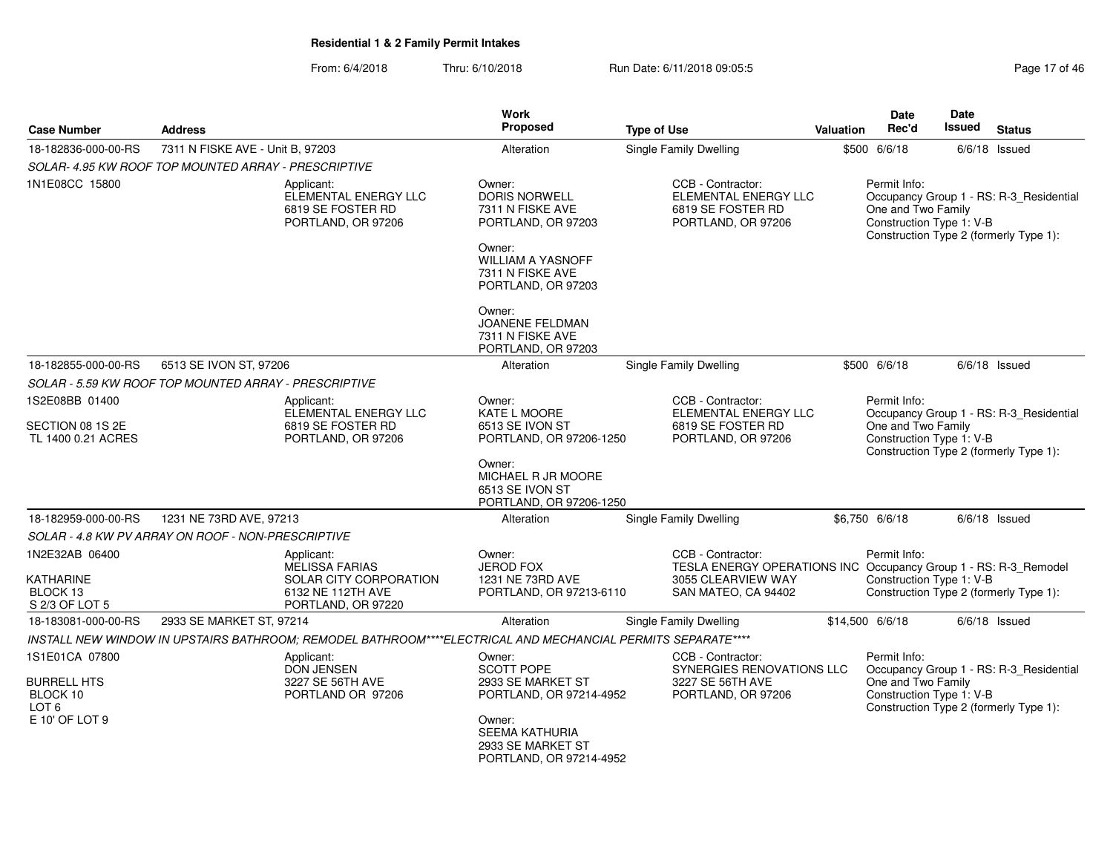| <b>Case Number</b>                                                                     | <b>Address</b>                                                           |                                                                                                             | <b>Work</b><br><b>Proposed</b>                                                                                                                    | <b>Type of Use</b>                                                                                                                | Valuation | Date<br>Rec'd                                                                                                                                       | <b>Date</b><br>Issued | <b>Status</b>                                                                     |
|----------------------------------------------------------------------------------------|--------------------------------------------------------------------------|-------------------------------------------------------------------------------------------------------------|---------------------------------------------------------------------------------------------------------------------------------------------------|-----------------------------------------------------------------------------------------------------------------------------------|-----------|-----------------------------------------------------------------------------------------------------------------------------------------------------|-----------------------|-----------------------------------------------------------------------------------|
| 18-182836-000-00-RS                                                                    | 7311 N FISKE AVE - Unit B, 97203                                         |                                                                                                             | Alteration                                                                                                                                        | <b>Single Family Dwelling</b>                                                                                                     |           | \$500 6/6/18                                                                                                                                        |                       | $6/6/18$ Issued                                                                   |
|                                                                                        | SOLAR- 4.95 KW ROOF TOP MOUNTED ARRAY - PRESCRIPTIVE                     |                                                                                                             |                                                                                                                                                   |                                                                                                                                   |           |                                                                                                                                                     |                       |                                                                                   |
| 1N1E08CC 15800                                                                         |                                                                          | Applicant:<br>ELEMENTAL ENERGY LLC<br>6819 SE FOSTER RD<br>PORTLAND, OR 97206                               | Owner:<br>DORIS NORWELL<br>7311 N FISKE AVE<br>PORTLAND, OR 97203<br>Owner:<br><b>WILLIAM A YASNOFF</b><br>7311 N FISKE AVE<br>PORTLAND, OR 97203 | CCB - Contractor:<br>ELEMENTAL ENERGY LLC<br>6819 SE FOSTER RD<br>PORTLAND, OR 97206                                              |           | Permit Info:<br>One and Two Family<br>Construction Type 1: V-B                                                                                      |                       | Occupancy Group 1 - RS: R-3 Residential<br>Construction Type 2 (formerly Type 1): |
|                                                                                        |                                                                          |                                                                                                             | Owner:<br><b>JOANENE FELDMAN</b><br>7311 N FISKE AVE<br>PORTLAND, OR 97203                                                                        |                                                                                                                                   |           |                                                                                                                                                     |                       |                                                                                   |
| 18-182855-000-00-RS                                                                    | 6513 SE IVON ST, 97206                                                   |                                                                                                             | Alteration                                                                                                                                        | Single Family Dwelling                                                                                                            |           | \$500 6/6/18                                                                                                                                        |                       | $6/6/18$ Issued                                                                   |
|                                                                                        | SOLAR - 5.59 KW ROOF TOP MOUNTED ARRAY - PRESCRIPTIVE                    |                                                                                                             |                                                                                                                                                   |                                                                                                                                   |           |                                                                                                                                                     |                       |                                                                                   |
| 1S2E08BB 01400                                                                         |                                                                          | Applicant:<br>ELEMENTAL ENERGY LLC                                                                          | Owner:<br><b>KATE L MOORE</b>                                                                                                                     | CCB - Contractor:<br>ELEMENTAL ENERGY LLC                                                                                         |           | Permit Info:                                                                                                                                        |                       | Occupancy Group 1 - RS: R-3_Residential                                           |
| SECTION 08 1S 2E<br>TL 1400 0.21 ACRES                                                 |                                                                          | 6819 SE FOSTER RD<br>PORTLAND, OR 97206                                                                     | 6513 SE IVON ST<br>PORTLAND, OR 97206-1250<br>Owner:                                                                                              | 6819 SE FOSTER RD<br>PORTLAND, OR 97206                                                                                           |           | One and Two Family<br>Construction Type 1: V-B                                                                                                      |                       | Construction Type 2 (formerly Type 1):                                            |
|                                                                                        |                                                                          |                                                                                                             | MICHAEL R JR MOORE<br>6513 SE IVON ST<br>PORTLAND, OR 97206-1250                                                                                  |                                                                                                                                   |           |                                                                                                                                                     |                       |                                                                                   |
| 18-182959-000-00-RS                                                                    | 1231 NE 73RD AVE, 97213                                                  |                                                                                                             | Alteration                                                                                                                                        | <b>Single Family Dwelling</b>                                                                                                     |           | \$6,750 6/6/18                                                                                                                                      |                       | $6/6/18$ Issued                                                                   |
|                                                                                        | SOLAR - 4.8 KW PV ARRAY ON ROOF - NON-PRESCRIPTIVE                       |                                                                                                             |                                                                                                                                                   |                                                                                                                                   |           |                                                                                                                                                     |                       |                                                                                   |
| 1N2E32AB 06400<br>KATHARINE<br>BLOCK 13<br>S 2/3 OF LOT 5                              |                                                                          | Applicant:<br>MELISSA FARIAS<br>SOLAR CITY CORPORATION<br>6132 NE 112TH AVE<br>PORTLAND, OR 97220           | Owner:<br><b>JEROD FOX</b><br>1231 NE 73RD AVE<br>PORTLAND, OR 97213-6110                                                                         | CCB - Contractor:<br>TESLA ENERGY OPERATIONS INC Occupancy Group 1 - RS: R-3_Remodel<br>3055 CLEARVIEW WAY<br>SAN MATEO, CA 94402 |           | Permit Info:<br>Construction Type 1: V-B                                                                                                            |                       | Construction Type 2 (formerly Type 1):                                            |
| 18-183081-000-00-RS                                                                    | 2933 SE MARKET ST. 97214                                                 |                                                                                                             | Alteration                                                                                                                                        | Single Family Dwelling                                                                                                            |           | \$14,500 6/6/18                                                                                                                                     |                       | $6/6/18$ Issued                                                                   |
|                                                                                        |                                                                          | INSTALL NEW WINDOW IN UPSTAIRS BATHROOM; REMODEL BATHROOM****ELECTRICAL AND MECHANCIAL PERMITS SEPARATE**** |                                                                                                                                                   |                                                                                                                                   |           |                                                                                                                                                     |                       |                                                                                   |
| 1S1E01CA 07800<br><b>BURRELL HTS</b><br>BLOCK 10<br>LOT <sub>6</sub><br>E 10' OF LOT 9 | Applicant:<br><b>DON JENSEN</b><br>3227 SE 56TH AVE<br>PORTLAND OR 97206 |                                                                                                             | Owner:<br><b>SCOTT POPE</b><br>2933 SE MARKET ST<br>PORTLAND, OR 97214-4952<br>Owner:                                                             | CCB - Contractor:<br>SYNERGIES RENOVATIONS LLC<br>3227 SE 56TH AVE<br>PORTLAND, OR 97206                                          |           | Permit Info:<br>Occupancy Group 1 - RS: R-3_Residential<br>One and Two Family<br>Construction Type 1: V-B<br>Construction Type 2 (formerly Type 1): |                       |                                                                                   |
|                                                                                        |                                                                          |                                                                                                             | <b>SEEMA KATHURIA</b><br>2933 SE MARKET ST<br>PORTLAND, OR 97214-4952                                                                             |                                                                                                                                   |           |                                                                                                                                                     |                       |                                                                                   |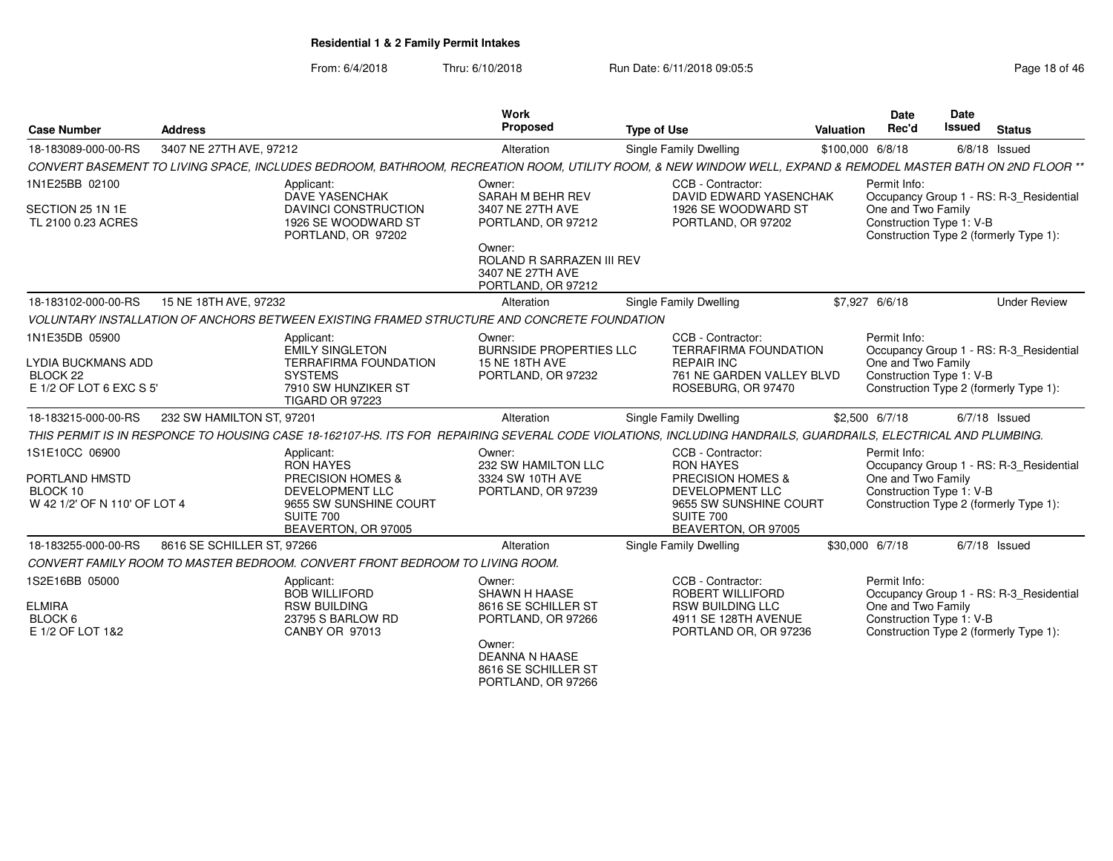| <b>Address</b>                                |                | Work<br><b>Proposed</b>                                                                                                                                                                                                                                                                                                                                                                                                                                                                                                                                             | <b>Type of Use</b>                                                                        | <b>Valuation</b>                                                                                                                                                                | <b>Date</b><br>Rec'd                                                                                                                                                                                                            | <b>Date</b><br><b>Issued</b><br><b>Status</b>                                                                                                                                                                                                                                                                                                                                                                                                                                                                                                                                                                                                                                    |
|-----------------------------------------------|----------------|---------------------------------------------------------------------------------------------------------------------------------------------------------------------------------------------------------------------------------------------------------------------------------------------------------------------------------------------------------------------------------------------------------------------------------------------------------------------------------------------------------------------------------------------------------------------|-------------------------------------------------------------------------------------------|---------------------------------------------------------------------------------------------------------------------------------------------------------------------------------|---------------------------------------------------------------------------------------------------------------------------------------------------------------------------------------------------------------------------------|----------------------------------------------------------------------------------------------------------------------------------------------------------------------------------------------------------------------------------------------------------------------------------------------------------------------------------------------------------------------------------------------------------------------------------------------------------------------------------------------------------------------------------------------------------------------------------------------------------------------------------------------------------------------------------|
|                                               |                | Alteration                                                                                                                                                                                                                                                                                                                                                                                                                                                                                                                                                          | <b>Single Family Dwelling</b>                                                             |                                                                                                                                                                                 |                                                                                                                                                                                                                                 | $6/8/18$ Issued                                                                                                                                                                                                                                                                                                                                                                                                                                                                                                                                                                                                                                                                  |
|                                               |                |                                                                                                                                                                                                                                                                                                                                                                                                                                                                                                                                                                     |                                                                                           |                                                                                                                                                                                 |                                                                                                                                                                                                                                 |                                                                                                                                                                                                                                                                                                                                                                                                                                                                                                                                                                                                                                                                                  |
|                                               |                | Owner:<br>SARAH M BEHR REV                                                                                                                                                                                                                                                                                                                                                                                                                                                                                                                                          | CCB - Contractor:                                                                         |                                                                                                                                                                                 |                                                                                                                                                                                                                                 | Occupancy Group 1 - RS: R-3_Residential                                                                                                                                                                                                                                                                                                                                                                                                                                                                                                                                                                                                                                          |
|                                               |                | 3407 NE 27TH AVE<br>PORTLAND, OR 97212                                                                                                                                                                                                                                                                                                                                                                                                                                                                                                                              |                                                                                           |                                                                                                                                                                                 |                                                                                                                                                                                                                                 | Construction Type 2 (formerly Type 1):                                                                                                                                                                                                                                                                                                                                                                                                                                                                                                                                                                                                                                           |
|                                               |                | 3407 NE 27TH AVE<br>PORTLAND, OR 97212                                                                                                                                                                                                                                                                                                                                                                                                                                                                                                                              |                                                                                           |                                                                                                                                                                                 |                                                                                                                                                                                                                                 |                                                                                                                                                                                                                                                                                                                                                                                                                                                                                                                                                                                                                                                                                  |
| 15 NE 18TH AVE, 97232                         |                | Alteration                                                                                                                                                                                                                                                                                                                                                                                                                                                                                                                                                          | Single Family Dwelling                                                                    |                                                                                                                                                                                 |                                                                                                                                                                                                                                 | <b>Under Review</b>                                                                                                                                                                                                                                                                                                                                                                                                                                                                                                                                                                                                                                                              |
|                                               |                |                                                                                                                                                                                                                                                                                                                                                                                                                                                                                                                                                                     |                                                                                           |                                                                                                                                                                                 |                                                                                                                                                                                                                                 |                                                                                                                                                                                                                                                                                                                                                                                                                                                                                                                                                                                                                                                                                  |
| LYDIA BUCKMANS ADD<br>E 1/2 OF LOT 6 EXC S 5' |                | Owner:<br><b>15 NE 18TH AVE</b><br>PORTLAND, OR 97232                                                                                                                                                                                                                                                                                                                                                                                                                                                                                                               | CCB - Contractor:<br><b>REPAIR INC</b>                                                    |                                                                                                                                                                                 |                                                                                                                                                                                                                                 | Occupancy Group 1 - RS: R-3_Residential<br>Construction Type 2 (formerly Type 1):                                                                                                                                                                                                                                                                                                                                                                                                                                                                                                                                                                                                |
|                                               |                | Alteration                                                                                                                                                                                                                                                                                                                                                                                                                                                                                                                                                          | <b>Single Family Dwelling</b>                                                             |                                                                                                                                                                                 |                                                                                                                                                                                                                                 | $6/7/18$ Issued                                                                                                                                                                                                                                                                                                                                                                                                                                                                                                                                                                                                                                                                  |
|                                               |                |                                                                                                                                                                                                                                                                                                                                                                                                                                                                                                                                                                     |                                                                                           |                                                                                                                                                                                 |                                                                                                                                                                                                                                 |                                                                                                                                                                                                                                                                                                                                                                                                                                                                                                                                                                                                                                                                                  |
| W 42 1/2' OF N 110' OF LOT 4                  |                | Owner:<br>232 SW HAMILTON LLC<br>3324 SW 10TH AVE<br>PORTLAND, OR 97239                                                                                                                                                                                                                                                                                                                                                                                                                                                                                             | CCB - Contractor:<br><b>RON HAYES</b><br><b>DEVELOPMENT LLC</b><br>SUITE 700              |                                                                                                                                                                                 |                                                                                                                                                                                                                                 | Occupancy Group 1 - RS: R-3_Residential<br>Construction Type 2 (formerly Type 1):                                                                                                                                                                                                                                                                                                                                                                                                                                                                                                                                                                                                |
|                                               |                | Alteration                                                                                                                                                                                                                                                                                                                                                                                                                                                                                                                                                          | Single Family Dwelling                                                                    |                                                                                                                                                                                 |                                                                                                                                                                                                                                 | $6/7/18$ Issued                                                                                                                                                                                                                                                                                                                                                                                                                                                                                                                                                                                                                                                                  |
|                                               |                |                                                                                                                                                                                                                                                                                                                                                                                                                                                                                                                                                                     |                                                                                           |                                                                                                                                                                                 |                                                                                                                                                                                                                                 |                                                                                                                                                                                                                                                                                                                                                                                                                                                                                                                                                                                                                                                                                  |
|                                               | CANBY OR 97013 | Owner:<br><b>SHAWN H HAASE</b><br>8616 SE SCHILLER ST<br>PORTLAND, OR 97266                                                                                                                                                                                                                                                                                                                                                                                                                                                                                         | CCB - Contractor:<br>ROBERT WILLIFORD<br><b>RSW BUILDING LLC</b><br>PORTLAND OR, OR 97236 |                                                                                                                                                                                 |                                                                                                                                                                                                                                 | Occupancy Group 1 - RS: R-3_Residential<br>Construction Type 2 (formerly Type 1):                                                                                                                                                                                                                                                                                                                                                                                                                                                                                                                                                                                                |
|                                               |                | 3407 NE 27TH AVE, 97212<br>Applicant:<br><b>DAVE YASENCHAK</b><br>DAVINCI CONSTRUCTION<br>1926 SE WOODWARD ST<br>PORTLAND, OR 97202<br>Applicant:<br><b>EMILY SINGLETON</b><br><b>TERRAFIRMA FOUNDATION</b><br><b>SYSTEMS</b><br>7910 SW HUNZIKER ST<br><b>TIGARD OR 97223</b><br>232 SW HAMILTON ST, 97201<br>Applicant:<br><b>RON HAYES</b><br>PRECISION HOMES &<br>DEVELOPMENT LLC<br>9655 SW SUNSHINE COURT<br>SUITE 700<br>BEAVERTON, OR 97005<br>8616 SE SCHILLER ST, 97266<br>Applicant:<br><b>BOB WILLIFORD</b><br><b>RSW BUILDING</b><br>23795 S BARLOW RD | Owner:<br>CONVERT FAMILY ROOM TO MASTER BEDROOM. CONVERT FRONT BEDROOM TO LIVING ROOM.    | ROLAND R SARRAZEN III REV<br>VOLUNTARY INSTALLATION OF ANCHORS BETWEEN EXISTING FRAMED STRUCTURE AND CONCRETE FOUNDATION<br><b>BURNSIDE PROPERTIES LLC</b><br>PRECISION HOMES & | DAVID EDWARD YASENCHAK<br>1926 SE WOODWARD ST<br>PORTLAND, OR 97202<br><b>TERRAFIRMA FOUNDATION</b><br>761 NE GARDEN VALLEY BLVD<br>ROSEBURG, OR 97470<br>9655 SW SUNSHINE COURT<br>BEAVERTON, OR 97005<br>4911 SE 128TH AVENUE | \$100,000 6/8/18<br>CONVERT BASEMENT TO LIVING SPACE. INCLUDES BEDROOM. BATHROOM. RECREATION ROOM. UTILITY ROOM. & NEW WINDOW WELL. EXPAND & REMODEL MASTER BATH ON 2ND FLOOR **<br>Permit Info:<br>One and Two Family<br>Construction Type 1: V-B<br>\$7,927 6/6/18<br>Permit Info:<br>One and Two Family<br>Construction Type 1: V-B<br>\$2,500 6/7/18<br>THIS PERMIT IS IN RESPONCE TO HOUSING CASE 18-162107-HS. ITS FOR REPAIRING SEVERAL CODE VIOLATIONS, INCLUDING HANDRAILS, GUARDRAILS, ELECTRICAL AND PLUMBING.<br>Permit Info:<br>One and Two Family<br>Construction Type 1: V-B<br>\$30,000 6/7/18<br>Permit Info:<br>One and Two Family<br>Construction Type 1: V-B |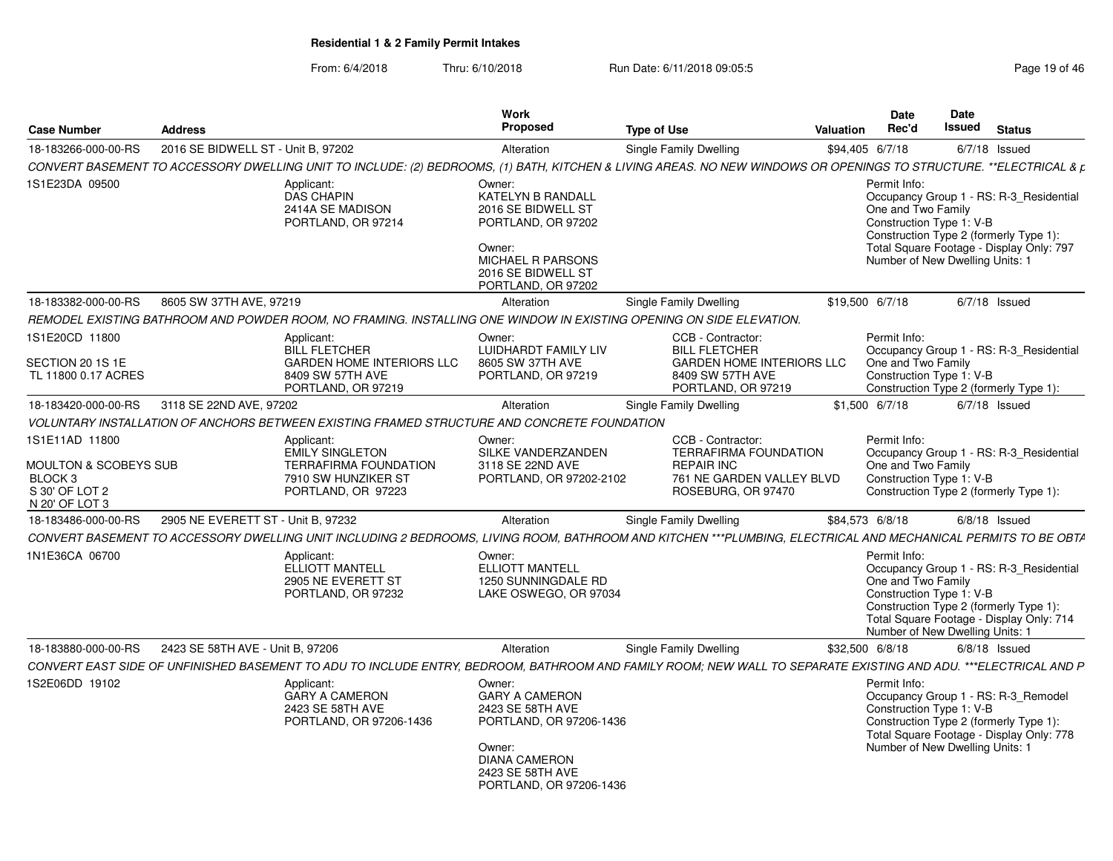| <b>Case Number</b>                                                                     | <b>Address</b>                     |                                                                                                                                                                   | <b>Work</b><br><b>Proposed</b>                                                                                                                                  | <b>Type of Use</b> |                                                                                                                           | <b>Valuation</b> | <b>Date</b><br>Rec'd                                                                              | Date<br>Issued | <b>Status</b>                                                                                                                 |
|----------------------------------------------------------------------------------------|------------------------------------|-------------------------------------------------------------------------------------------------------------------------------------------------------------------|-----------------------------------------------------------------------------------------------------------------------------------------------------------------|--------------------|---------------------------------------------------------------------------------------------------------------------------|------------------|---------------------------------------------------------------------------------------------------|----------------|-------------------------------------------------------------------------------------------------------------------------------|
| 18-183266-000-00-RS                                                                    | 2016 SE BIDWELL ST - Unit B, 97202 |                                                                                                                                                                   | Alteration                                                                                                                                                      |                    | Single Family Dwelling                                                                                                    |                  | \$94,405 6/7/18                                                                                   |                | $6/7/18$ Issued                                                                                                               |
|                                                                                        |                                    | CONVERT BASEMENT TO ACCESSORY DWELLING UNIT TO INCLUDE: (2) BEDROOMS, (1) BATH, KITCHEN & LIVING AREAS. NO NEW WINDOWS OR OPENINGS TO STRUCTURE. **ELECTRICAL & p |                                                                                                                                                                 |                    |                                                                                                                           |                  |                                                                                                   |                |                                                                                                                               |
| 1S1E23DA 09500                                                                         |                                    | Applicant:<br><b>DAS CHAPIN</b><br>2414A SE MADISON<br>PORTLAND, OR 97214                                                                                         | Owner:<br>KATELYN B RANDALL<br>2016 SE BIDWELL ST<br>PORTLAND, OR 97202<br>Owner:<br><b>MICHAEL R PARSONS</b><br>2016 SE BIDWELL ST<br>PORTLAND, OR 97202       |                    |                                                                                                                           |                  | Permit Info:<br>One and Two Family<br>Construction Type 1: V-B<br>Number of New Dwelling Units: 1 |                | Occupancy Group 1 - RS: R-3_Residential<br>Construction Type 2 (formerly Type 1):<br>Total Square Footage - Display Only: 797 |
| 18-183382-000-00-RS                                                                    | 8605 SW 37TH AVE, 97219            |                                                                                                                                                                   | Alteration                                                                                                                                                      |                    | Single Family Dwelling                                                                                                    |                  | \$19,500 6/7/18                                                                                   |                | $6/7/18$ Issued                                                                                                               |
|                                                                                        |                                    | REMODEL EXISTING BATHROOM AND POWDER ROOM, NO FRAMING. INSTALLING ONE WINDOW IN EXISTING OPENING ON SIDE ELEVATION.                                               |                                                                                                                                                                 |                    |                                                                                                                           |                  |                                                                                                   |                |                                                                                                                               |
| 1S1E20CD 11800<br>SECTION 20 1S 1E<br>TL 11800 0.17 ACRES                              |                                    | Applicant:<br><b>BILL FLETCHER</b><br><b>GARDEN HOME INTERIORS LLC</b><br>8409 SW 57TH AVE<br>PORTLAND, OR 97219                                                  | Owner:<br>LUIDHARDT FAMILY LIV<br>8605 SW 37TH AVE<br>PORTLAND, OR 97219                                                                                        |                    | CCB - Contractor:<br><b>BILL FLETCHER</b><br><b>GARDEN HOME INTERIORS LLC</b><br>8409 SW 57TH AVE<br>PORTLAND, OR 97219   |                  | Permit Info:<br>One and Two Family<br>Construction Type 1: V-B                                    |                | Occupancy Group 1 - RS: R-3 Residential<br>Construction Type 2 (formerly Type 1):                                             |
| 18-183420-000-00-RS                                                                    | 3118 SE 22ND AVE, 97202            |                                                                                                                                                                   | Alteration                                                                                                                                                      |                    | Single Family Dwelling                                                                                                    |                  | $$1,500$ 6/7/18                                                                                   |                | $6/7/18$ Issued                                                                                                               |
|                                                                                        |                                    | VOLUNTARY INSTALLATION OF ANCHORS BETWEEN EXISTING FRAMED STRUCTURE AND CONCRETE FOUNDATION                                                                       |                                                                                                                                                                 |                    |                                                                                                                           |                  |                                                                                                   |                |                                                                                                                               |
| 1S1E11AD 11800<br>MOULTON & SCOBEYS SUB<br>BLOCK 3<br>S 30' OF LOT 2<br>N 20' OF LOT 3 |                                    | Applicant:<br><b>EMILY SINGLETON</b><br><b>TERRAFIRMA FOUNDATION</b><br>7910 SW HUNZIKER ST<br>PORTLAND, OR 97223                                                 | Owner:<br>SILKE VANDERZANDEN<br>3118 SE 22ND AVE<br>PORTLAND, OR 97202-2102                                                                                     |                    | CCB - Contractor:<br><b>TERRAFIRMA FOUNDATION</b><br><b>REPAIR INC</b><br>761 NE GARDEN VALLEY BLVD<br>ROSEBURG, OR 97470 |                  | Permit Info:<br>One and Two Family<br>Construction Type 1: V-B                                    |                | Occupancy Group 1 - RS: R-3_Residential<br>Construction Type 2 (formerly Type 1):                                             |
| 18-183486-000-00-RS                                                                    | 2905 NE EVERETT ST - Unit B, 97232 | CONVERT BASEMENT TO ACCESSORY DWELLING UNIT INCLUDING 2 BEDROOMS, LIVING ROOM, BATHROOM AND KITCHEN ***PLUMBING, ELECTRICAL AND MECHANICAL PERMITS TO BE OBTA     | Alteration                                                                                                                                                      |                    | <b>Single Family Dwelling</b>                                                                                             |                  | \$84,573 6/8/18                                                                                   |                | $6/8/18$ Issued                                                                                                               |
| 1N1E36CA 06700                                                                         |                                    | Applicant:<br><b>ELLIOTT MANTELL</b><br>2905 NE EVERETT ST<br>PORTLAND, OR 97232                                                                                  | Owner:<br><b>ELLIOTT MANTELL</b><br>1250 SUNNINGDALE RD<br>LAKE OSWEGO, OR 97034                                                                                |                    |                                                                                                                           |                  | Permit Info:<br>One and Two Family<br>Construction Type 1: V-B<br>Number of New Dwelling Units: 1 |                | Occupancy Group 1 - RS: R-3 Residential<br>Construction Type 2 (formerly Type 1):<br>Total Square Footage - Display Only: 714 |
| 18-183880-000-00-RS                                                                    | 2423 SE 58TH AVE - Unit B, 97206   |                                                                                                                                                                   | Alteration                                                                                                                                                      |                    | <b>Single Family Dwelling</b>                                                                                             |                  | \$32,500 6/8/18                                                                                   |                | $6/8/18$ Issued                                                                                                               |
|                                                                                        |                                    | CONVERT EAST SIDE OF UNFINISHED BASEMENT TO ADU TO INCLUDE ENTRY, BEDROOM, BATHROOM AND FAMILY ROOM; NEW WALL TO SEPARATE EXISTING AND ADU. ***ELECTRICAL AND P   |                                                                                                                                                                 |                    |                                                                                                                           |                  |                                                                                                   |                |                                                                                                                               |
| 1S2E06DD 19102                                                                         |                                    | Applicant:<br><b>GARY A CAMERON</b><br>2423 SE 58TH AVE<br>PORTLAND, OR 97206-1436                                                                                | Owner:<br><b>GARY A CAMERON</b><br>2423 SE 58TH AVE<br>PORTLAND, OR 97206-1436<br>Owner:<br><b>DIANA CAMERON</b><br>2423 SE 58TH AVE<br>PORTLAND, OR 97206-1436 |                    |                                                                                                                           |                  | Permit Info:<br>Construction Type 1: V-B<br>Number of New Dwelling Units: 1                       |                | Occupancy Group 1 - RS: R-3_Remodel<br>Construction Type 2 (formerly Type 1):<br>Total Square Footage - Display Only: 778     |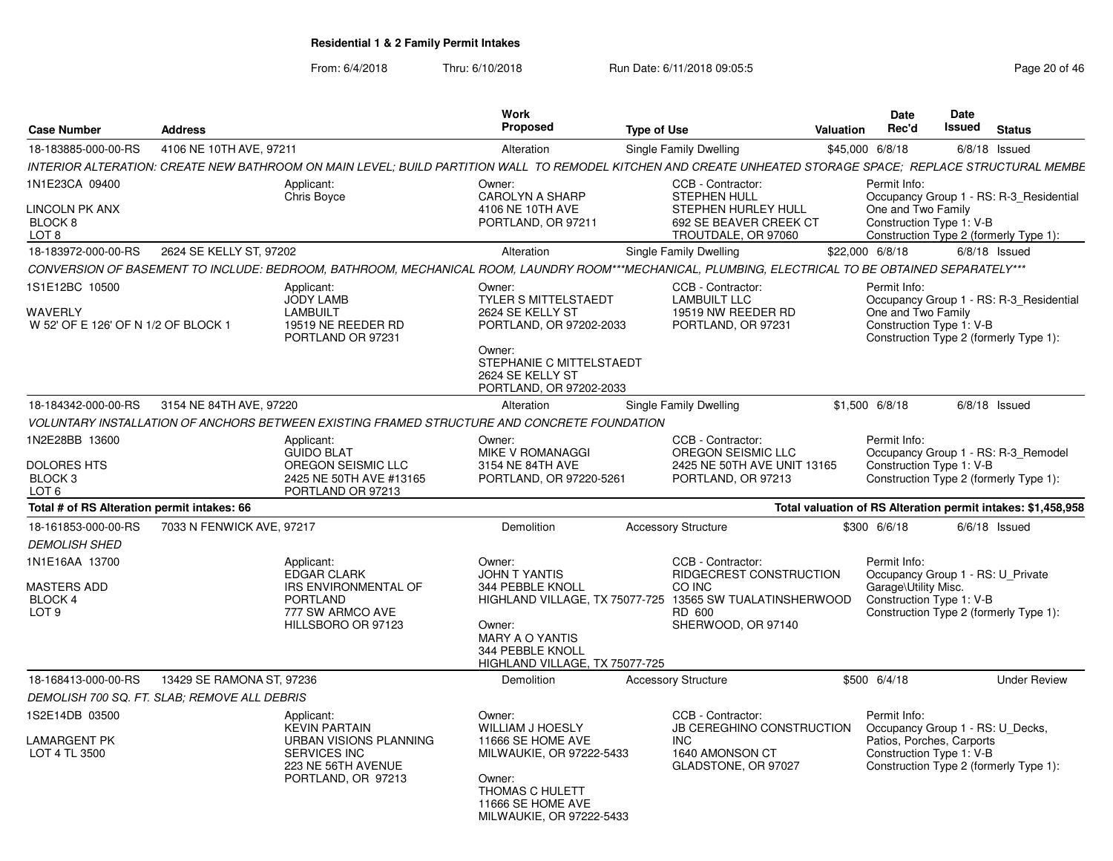|                                              |                           |                                                                                             | Work                                         |                                                                                                                                                             | <b>Date</b>                                                  |                           | <b>Date</b>                            |                                         |
|----------------------------------------------|---------------------------|---------------------------------------------------------------------------------------------|----------------------------------------------|-------------------------------------------------------------------------------------------------------------------------------------------------------------|--------------------------------------------------------------|---------------------------|----------------------------------------|-----------------------------------------|
| <b>Case Number</b>                           | <b>Address</b>            |                                                                                             | <b>Proposed</b>                              | <b>Type of Use</b>                                                                                                                                          | Rec'd<br>Valuation                                           |                           | Issued<br><b>Status</b>                |                                         |
| 18-183885-000-00-RS                          | 4106 NE 10TH AVE, 97211   |                                                                                             | Alteration                                   | Single Family Dwelling                                                                                                                                      | \$45,000 6/8/18                                              |                           | $6/8/18$ Issued                        |                                         |
|                                              |                           |                                                                                             |                                              | INTERIOR ALTERATION: CREATE NEW BATHROOM ON MAIN LEVEL; BUILD PARTITION WALL TO REMODEL KITCHEN AND CREATE UNHEATED STORAGE SPACE; REPLACE STRUCTURAL MEMBE |                                                              |                           |                                        |                                         |
| 1N1E23CA 09400                               |                           | Applicant:<br>Chris Boyce                                                                   | Owner:<br><b>CAROLYN A SHARP</b>             | CCB - Contractor:<br>STEPHEN HULL                                                                                                                           | Permit Info:                                                 |                           |                                        | Occupancy Group 1 - RS: R-3_Residential |
| LINCOLN PK ANX                               |                           |                                                                                             | 4106 NE 10TH AVE                             | STEPHEN HURLEY HULL                                                                                                                                         |                                                              | One and Two Family        |                                        |                                         |
| BLOCK 8                                      |                           |                                                                                             | PORTLAND, OR 97211                           | 692 SE BEAVER CREEK CT                                                                                                                                      |                                                              | Construction Type 1: V-B  |                                        |                                         |
| LOT 8                                        |                           |                                                                                             |                                              | TROUTDALE, OR 97060                                                                                                                                         |                                                              |                           | Construction Type 2 (formerly Type 1): |                                         |
| 18-183972-000-00-RS                          | 2624 SE KELLY ST, 97202   |                                                                                             | Alteration                                   | Single Family Dwelling                                                                                                                                      | \$22,000 6/8/18                                              |                           | $6/8/18$ Issued                        |                                         |
|                                              |                           |                                                                                             |                                              | CONVERSION OF BASEMENT TO INCLUDE: BEDROOM, BATHROOM, MECHANICAL ROOM, LAUNDRY ROOM***MECHANICAL, PLUMBING, ELECTRICAL TO BE OBTAINED SEPARATELY***         |                                                              |                           |                                        |                                         |
| 1S1E12BC 10500                               |                           | Applicant:<br><b>JODY LAMB</b>                                                              | Owner:<br><b>TYLER S MITTELSTAEDT</b>        | CCB - Contractor:<br><b>LAMBUILT LLC</b>                                                                                                                    | Permit Info:                                                 |                           |                                        | Occupancy Group 1 - RS: R-3 Residential |
| WAVERLY                                      |                           | LAMBUILT                                                                                    | 2624 SE KELLY ST                             | 19519 NW REEDER RD                                                                                                                                          |                                                              | One and Two Family        |                                        |                                         |
| W 52' OF E 126' OF N 1/2 OF BLOCK            |                           | 19519 NE REEDER RD                                                                          | PORTLAND, OR 97202-2033                      | PORTLAND, OR 97231                                                                                                                                          |                                                              | Construction Type 1: V-B  |                                        |                                         |
|                                              |                           | PORTLAND OR 97231                                                                           | Owner:                                       |                                                                                                                                                             |                                                              |                           | Construction Type 2 (formerly Type 1): |                                         |
|                                              |                           |                                                                                             | STEPHANIE C MITTELSTAEDT                     |                                                                                                                                                             |                                                              |                           |                                        |                                         |
|                                              |                           |                                                                                             | 2624 SE KELLY ST                             |                                                                                                                                                             |                                                              |                           |                                        |                                         |
| 18-184342-000-00-RS 3154 NE 84TH AVE, 97220  |                           |                                                                                             | PORTLAND, OR 97202-2033<br>Alteration        | Single Family Dwelling                                                                                                                                      | \$1,500 6/8/18                                               |                           | $6/8/18$ Issued                        |                                         |
|                                              |                           | VOLUNTARY INSTALLATION OF ANCHORS BETWEEN EXISTING FRAMED STRUCTURE AND CONCRETE FOUNDATION |                                              |                                                                                                                                                             |                                                              |                           |                                        |                                         |
| 1N2E28BB 13600                               |                           |                                                                                             | Owner:                                       | CCB - Contractor:                                                                                                                                           | Permit Info:                                                 |                           |                                        |                                         |
|                                              |                           | Applicant:<br><b>GUIDO BLAT</b>                                                             | MIKE V ROMANAGGI                             | OREGON SEISMIC LLC                                                                                                                                          |                                                              |                           | Occupancy Group 1 - RS: R-3_Remodel    |                                         |
| <b>DOLORES HTS</b>                           |                           | OREGON SEISMIC LLC                                                                          | 3154 NE 84TH AVE                             | 2425 NE 50TH AVE UNIT 13165                                                                                                                                 |                                                              | Construction Type 1: V-B  |                                        |                                         |
| <b>BLOCK3</b>                                |                           | 2425 NE 50TH AVE #13165                                                                     | PORTLAND, OR 97220-5261                      | PORTLAND, OR 97213                                                                                                                                          |                                                              |                           | Construction Type 2 (formerly Type 1): |                                         |
| LOT <sub>6</sub>                             |                           | PORTLAND OR 97213                                                                           |                                              |                                                                                                                                                             |                                                              |                           |                                        |                                         |
| Total # of RS Alteration permit intakes: 66  |                           |                                                                                             |                                              |                                                                                                                                                             | Total valuation of RS Alteration permit intakes: \$1,458,958 |                           |                                        |                                         |
| 18-161853-000-00-RS                          | 7033 N FENWICK AVE, 97217 |                                                                                             | Demolition                                   | <b>Accessory Structure</b>                                                                                                                                  | \$300 6/6/18                                                 |                           | $6/6/18$ Issued                        |                                         |
| <b>DEMOLISH SHED</b>                         |                           |                                                                                             |                                              |                                                                                                                                                             |                                                              |                           |                                        |                                         |
| 1N1E16AA 13700                               |                           | Applicant:<br><b>EDGAR CLARK</b>                                                            | Owner:<br><b>JOHN T YANTIS</b>               | CCB - Contractor:<br>RIDGECREST CONSTRUCTION                                                                                                                | Permit Info:                                                 |                           |                                        |                                         |
| MASTERS ADD                                  |                           | <b>IRS ENVIRONMENTAL OF</b>                                                                 | 344 PEBBLE KNOLL                             | CO INC                                                                                                                                                      |                                                              | Garage\Utility Misc.      | Occupancy Group 1 - RS: U_Private      |                                         |
| BLOCK 4                                      |                           | <b>PORTLAND</b>                                                                             |                                              | HIGHLAND VILLAGE, TX 75077-725 13565 SW TUALATINSHERWOOD                                                                                                    |                                                              | Construction Type 1: V-B  |                                        |                                         |
| LOT <sub>9</sub>                             |                           | 777 SW ARMCO AVE                                                                            |                                              | RD 600                                                                                                                                                      |                                                              |                           | Construction Type 2 (formerly Type 1): |                                         |
|                                              |                           | HILLSBORO OR 97123                                                                          | Owner:<br><b>MARY A O YANTIS</b>             | SHERWOOD, OR 97140                                                                                                                                          |                                                              |                           |                                        |                                         |
|                                              |                           |                                                                                             | 344 PEBBLE KNOLL                             |                                                                                                                                                             |                                                              |                           |                                        |                                         |
|                                              |                           |                                                                                             | HIGHLAND VILLAGE, TX 75077-725               |                                                                                                                                                             |                                                              |                           |                                        |                                         |
| 18-168413-000-00-RS                          | 13429 SE RAMONA ST, 97236 |                                                                                             | Demolition                                   | <b>Accessory Structure</b>                                                                                                                                  | \$500 6/4/18                                                 |                           |                                        | <b>Under Review</b>                     |
| DEMOLISH 700 SQ. FT. SLAB: REMOVE ALL DEBRIS |                           |                                                                                             |                                              |                                                                                                                                                             |                                                              |                           |                                        |                                         |
| 1S2E14DB 03500                               |                           | Applicant:<br><b>KEVIN PARTAIN</b>                                                          | Owner:                                       | CCB - Contractor:                                                                                                                                           | Permit Info:                                                 |                           |                                        |                                         |
| LAMARGENT PK                                 |                           | URBAN VISIONS PLANNING                                                                      | <b>WILLIAM J HOESLY</b><br>11666 SE HOME AVE | JB CEREGHINO CONSTRUCTION<br>INC.                                                                                                                           |                                                              | Patios, Porches, Carports | Occupancy Group 1 - RS: U_Decks,       |                                         |
| LOT 4 TL 3500                                |                           | <b>SERVICES INC</b>                                                                         | MILWAUKIE, OR 97222-5433                     | 1640 AMONSON CT                                                                                                                                             |                                                              | Construction Type 1: V-B  |                                        |                                         |
|                                              |                           | 223 NE 56TH AVENUE                                                                          |                                              | GLADSTONE, OR 97027                                                                                                                                         |                                                              |                           | Construction Type 2 (formerly Type 1): |                                         |
|                                              |                           | PORTLAND, OR 97213                                                                          | Owner:<br>THOMAS C HULETT                    |                                                                                                                                                             |                                                              |                           |                                        |                                         |
|                                              |                           |                                                                                             | 11666 SE HOME AVE                            |                                                                                                                                                             |                                                              |                           |                                        |                                         |
|                                              |                           |                                                                                             | MILWAUKIE, OR 97222-5433                     |                                                                                                                                                             |                                                              |                           |                                        |                                         |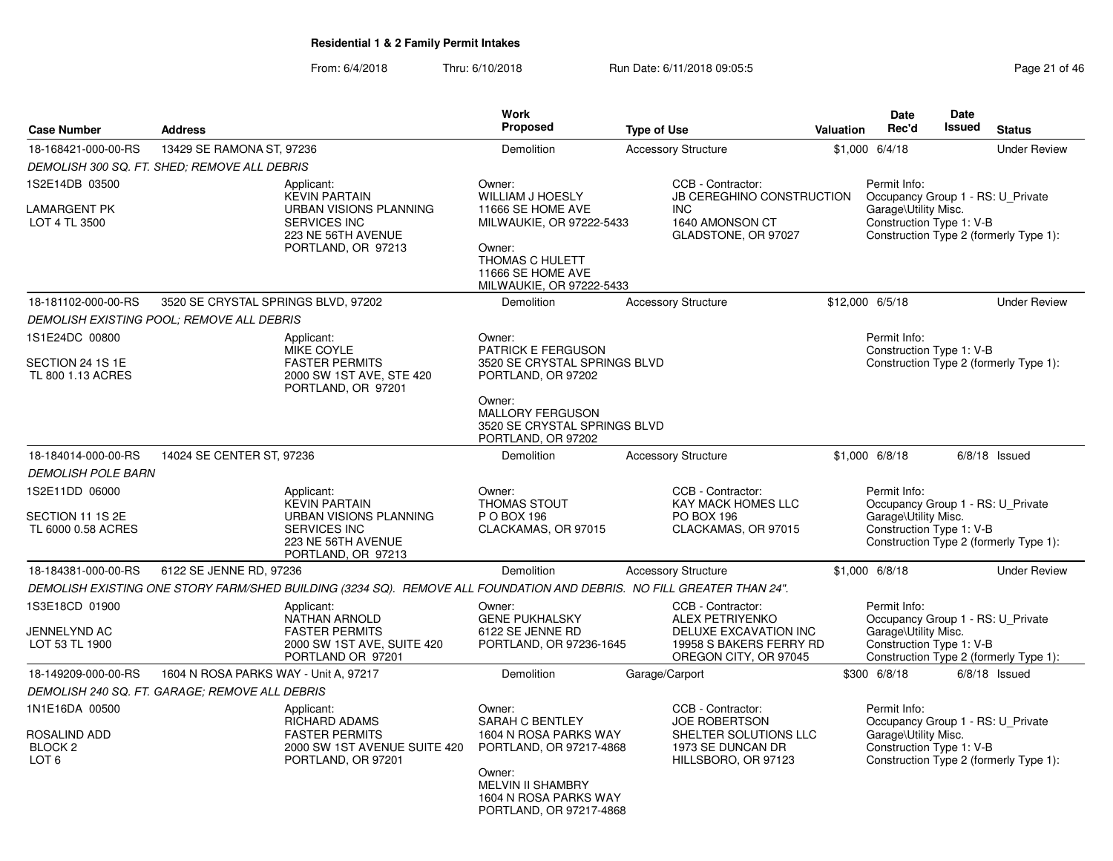| <b>Case Number</b>                                                       | <b>Address</b>                                 |                                                                                                                                        | <b>Work</b><br>Proposed                                                                                                                                          | <b>Type of Use</b> |                                                                                                                          | <b>Valuation</b> | <b>Date</b><br>Rec'd                                                                                  | <b>Date</b><br><b>Issued</b> | <b>Status</b>                          |
|--------------------------------------------------------------------------|------------------------------------------------|----------------------------------------------------------------------------------------------------------------------------------------|------------------------------------------------------------------------------------------------------------------------------------------------------------------|--------------------|--------------------------------------------------------------------------------------------------------------------------|------------------|-------------------------------------------------------------------------------------------------------|------------------------------|----------------------------------------|
| 18-168421-000-00-RS                                                      | 13429 SE RAMONA ST, 97236                      |                                                                                                                                        | Demolition                                                                                                                                                       |                    | <b>Accessory Structure</b>                                                                                               |                  | \$1,000 6/4/18                                                                                        |                              | <b>Under Review</b>                    |
|                                                                          | DEMOLISH 300 SQ. FT. SHED; REMOVE ALL DEBRIS   |                                                                                                                                        |                                                                                                                                                                  |                    |                                                                                                                          |                  |                                                                                                       |                              |                                        |
| 1S2E14DB 03500<br><b>LAMARGENT PK</b><br>LOT 4 TL 3500                   |                                                | Applicant:<br><b>KEVIN PARTAIN</b><br><b>URBAN VISIONS PLANNING</b><br><b>SERVICES INC</b><br>223 NE 56TH AVENUE<br>PORTLAND, OR 97213 | Owner:<br>WILLIAM J HOESLY<br>11666 SE HOME AVE<br>MILWAUKIE, OR 97222-5433<br>Owner:<br>THOMAS C HULETT<br>11666 SE HOME AVE                                    |                    | CCB - Contractor:<br><b>JB CEREGHINO CONSTRUCTION</b><br><b>INC</b><br>1640 AMONSON CT<br>GLADSTONE, OR 97027            |                  | Permit Info:<br>Occupancy Group 1 - RS: U_Private<br>Garage\Utility Misc.<br>Construction Type 1: V-B |                              | Construction Type 2 (formerly Type 1): |
| 18-181102-000-00-RS                                                      | 3520 SE CRYSTAL SPRINGS BLVD, 97202            |                                                                                                                                        | MILWAUKIE, OR 97222-5433<br><b>Demolition</b>                                                                                                                    |                    | <b>Accessory Structure</b>                                                                                               |                  | \$12,000 6/5/18                                                                                       |                              | <b>Under Review</b>                    |
|                                                                          | DEMOLISH EXISTING POOL; REMOVE ALL DEBRIS      |                                                                                                                                        |                                                                                                                                                                  |                    |                                                                                                                          |                  |                                                                                                       |                              |                                        |
| 1S1E24DC 00800                                                           |                                                | Applicant:                                                                                                                             | Owner:                                                                                                                                                           |                    |                                                                                                                          |                  | Permit Info:                                                                                          |                              |                                        |
| SECTION 24 1S 1E<br>TL 800 1.13 ACRES                                    |                                                | <b>MIKE COYLE</b><br><b>FASTER PERMITS</b><br>2000 SW 1ST AVE, STE 420<br>PORTLAND, OR 97201                                           | <b>PATRICK E FERGUSON</b><br>3520 SE CRYSTAL SPRINGS BLVD<br>PORTLAND, OR 97202                                                                                  |                    |                                                                                                                          |                  | Construction Type 1: V-B                                                                              |                              | Construction Type 2 (formerly Type 1): |
|                                                                          |                                                |                                                                                                                                        | Owner:<br><b>MALLORY FERGUSON</b><br>3520 SE CRYSTAL SPRINGS BLVD<br>PORTLAND, OR 97202                                                                          |                    |                                                                                                                          |                  |                                                                                                       |                              |                                        |
| 18-184014-000-00-RS                                                      | 14024 SE CENTER ST, 97236                      |                                                                                                                                        | <b>Demolition</b>                                                                                                                                                |                    | <b>Accessory Structure</b>                                                                                               |                  | $$1,000$ 6/8/18                                                                                       |                              | $6/8/18$ Issued                        |
| <b>DEMOLISH POLE BARN</b>                                                |                                                |                                                                                                                                        |                                                                                                                                                                  |                    |                                                                                                                          |                  |                                                                                                       |                              |                                        |
| 1S2E11DD 06000<br>SECTION 11 1S 2E<br>TL 6000 0.58 ACRES                 |                                                | Applicant:<br><b>KEVIN PARTAIN</b><br>URBAN VISIONS PLANNING<br><b>SERVICES INC</b><br>223 NE 56TH AVENUE<br>PORTLAND, OR 97213        | Owner:<br><b>THOMAS STOUT</b><br>P O BOX 196<br>CLACKAMAS, OR 97015                                                                                              |                    | CCB - Contractor:<br><b>KAY MACK HOMES LLC</b><br><b>PO BOX 196</b><br>CLACKAMAS, OR 97015                               |                  | Permit Info:<br>Occupancy Group 1 - RS: U_Private<br>Garage\Utility Misc.<br>Construction Type 1: V-B |                              | Construction Type 2 (formerly Type 1): |
| 18-184381-000-00-RS                                                      | 6122 SE JENNE RD, 97236                        |                                                                                                                                        | Demolition                                                                                                                                                       |                    | <b>Accessory Structure</b>                                                                                               |                  | \$1,000 6/8/18                                                                                        |                              | <b>Under Review</b>                    |
|                                                                          |                                                | DEMOLISH EXISTING ONE STORY FARM/SHED BUILDING (3234 SQ). REMOVE ALL FOUNDATION AND DEBRIS. NO FILL GREATER THAN 24".                  |                                                                                                                                                                  |                    |                                                                                                                          |                  |                                                                                                       |                              |                                        |
| 1S3E18CD 01900<br>JENNELYND AC<br>LOT 53 TL 1900                         |                                                | Applicant:<br><b>NATHAN ARNOLD</b><br><b>FASTER PERMITS</b><br>2000 SW 1ST AVE, SUITE 420<br>PORTLAND OR 97201                         | Owner:<br><b>GENE PUKHALSKY</b><br>6122 SE JENNE RD<br>PORTLAND, OR 97236-1645                                                                                   |                    | CCB - Contractor:<br><b>ALEX PETRIYENKO</b><br>DELUXE EXCAVATION INC<br>19958 S BAKERS FERRY RD<br>OREGON CITY, OR 97045 |                  | Permit Info:<br>Occupancy Group 1 - RS: U_Private<br>Garage\Utility Misc.<br>Construction Type 1: V-B |                              | Construction Type 2 (formerly Type 1): |
| 18-149209-000-00-RS                                                      | 1604 N ROSA PARKS WAY - Unit A, 97217          |                                                                                                                                        | <b>Demolition</b>                                                                                                                                                | Garage/Carport     |                                                                                                                          |                  | \$300 6/8/18                                                                                          |                              | $6/8/18$ Issued                        |
|                                                                          | DEMOLISH 240 SQ. FT. GARAGE; REMOVE ALL DEBRIS |                                                                                                                                        |                                                                                                                                                                  |                    |                                                                                                                          |                  |                                                                                                       |                              |                                        |
| 1N1E16DA 00500<br>ROSALIND ADD<br>BLOCK <sub>2</sub><br>LOT <sub>6</sub> |                                                | Applicant:<br><b>RICHARD ADAMS</b><br><b>FASTER PERMITS</b><br>2000 SW 1ST AVENUE SUITE 420<br>PORTLAND, OR 97201                      | Owner:<br>SARAH C BENTLEY<br>1604 N ROSA PARKS WAY<br>PORTLAND, OR 97217-4868<br>Owner:<br>MELVIN II SHAMBRY<br>1604 N ROSA PARKS WAY<br>PORTLAND, OR 97217-4868 |                    | CCB - Contractor:<br><b>JOE ROBERTSON</b><br>SHELTER SOLUTIONS LLC<br>1973 SE DUNCAN DR<br>HILLSBORO, OR 97123           |                  | Permit Info:<br>Occupancy Group 1 - RS: U_Private<br>Garage\Utility Misc.<br>Construction Type 1: V-B |                              | Construction Type 2 (formerly Type 1): |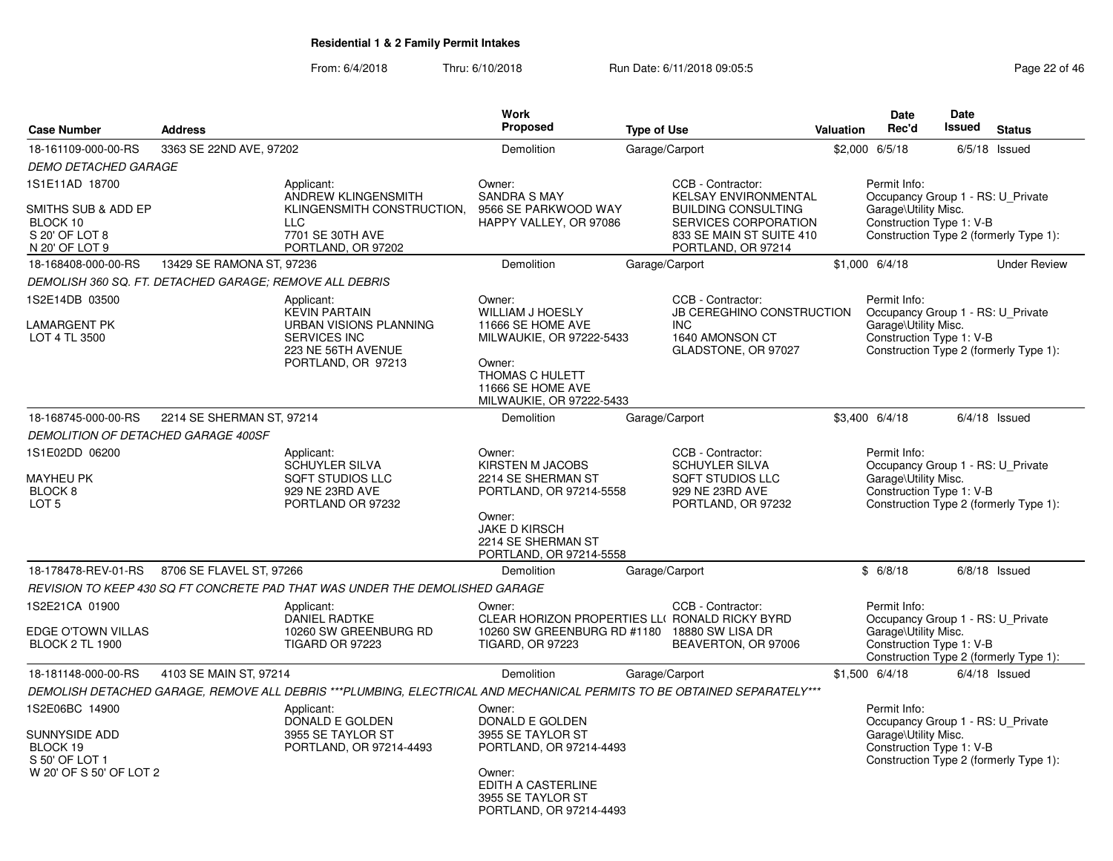| <b>Case Number</b>                                                           | <b>Address</b>            |                                                                                                                         | <b>Work</b><br>Proposed                                                                                                     | <b>Type of Use</b> |                                                                                                                | <b>Valuation</b> | <b>Date</b><br>Rec'd                                                                                  | Date<br><b>Issued</b> | <b>Status</b>                          |
|------------------------------------------------------------------------------|---------------------------|-------------------------------------------------------------------------------------------------------------------------|-----------------------------------------------------------------------------------------------------------------------------|--------------------|----------------------------------------------------------------------------------------------------------------|------------------|-------------------------------------------------------------------------------------------------------|-----------------------|----------------------------------------|
| 18-161109-000-00-RS                                                          | 3363 SE 22ND AVE, 97202   |                                                                                                                         | Demolition                                                                                                                  | Garage/Carport     |                                                                                                                |                  | \$2,000 6/5/18                                                                                        |                       | $6/5/18$ Issued                        |
| <b>DEMO DETACHED GARAGE</b>                                                  |                           |                                                                                                                         |                                                                                                                             |                    |                                                                                                                |                  |                                                                                                       |                       |                                        |
| 1S1E11AD 18700                                                               |                           | Applicant:<br><b>ANDREW KLINGENSMITH</b>                                                                                | Owner:<br><b>SANDRA S MAY</b>                                                                                               |                    | CCB - Contractor:<br><b>KELSAY ENVIRONMENTAL</b>                                                               |                  | Permit Info:<br>Occupancy Group 1 - RS: U_Private                                                     |                       |                                        |
| SMITHS SUB & ADD EP<br>BLOCK 10<br>S 20' OF LOT 8<br>N 20' OF LOT 9          |                           | KLINGENSMITH CONSTRUCTION,<br><b>LLC</b><br>7701 SE 30TH AVE<br>PORTLAND, OR 97202                                      | 9566 SE PARKWOOD WAY<br>HAPPY VALLEY, OR 97086                                                                              |                    | <b>BUILDING CONSULTING</b><br>SERVICES CORPORATION<br>833 SE MAIN ST SUITE 410<br>PORTLAND, OR 97214           |                  | Garage\Utility Misc.<br>Construction Type 1: V-B                                                      |                       | Construction Type 2 (formerly Type 1): |
| 18-168408-000-00-RS                                                          | 13429 SE RAMONA ST, 97236 |                                                                                                                         | Demolition                                                                                                                  | Garage/Carport     |                                                                                                                |                  | $$1,000$ 6/4/18                                                                                       |                       | <b>Under Review</b>                    |
| DEMOLISH 360 SQ. FT. DETACHED GARAGE; REMOVE ALL DEBRIS                      |                           |                                                                                                                         |                                                                                                                             |                    |                                                                                                                |                  |                                                                                                       |                       |                                        |
| 1S2E14DB 03500                                                               |                           | Applicant:<br><b>KEVIN PARTAIN</b>                                                                                      | Owner:<br><b>WILLIAM J HOESLY</b>                                                                                           |                    | CCB - Contractor:<br><b>JB CEREGHINO CONSTRUCTION</b>                                                          |                  | Permit Info:<br>Occupancy Group 1 - RS: U Private                                                     |                       |                                        |
| <b>LAMARGENT PK</b><br>LOT 4 TL 3500                                         |                           | URBAN VISIONS PLANNING<br><b>SERVICES INC</b><br>223 NE 56TH AVENUE<br>PORTLAND, OR 97213                               | 11666 SE HOME AVE<br>MILWAUKIE, OR 97222-5433<br>Owner:<br>THOMAS C HULETT<br>11666 SE HOME AVE<br>MILWAUKIE, OR 97222-5433 |                    | <b>INC</b><br>1640 AMONSON CT<br>GLADSTONE, OR 97027                                                           |                  | Garage\Utility Misc.<br>Construction Type 1: V-B                                                      |                       | Construction Type 2 (formerly Type 1): |
| 18-168745-000-00-RS                                                          | 2214 SE SHERMAN ST, 97214 |                                                                                                                         | Demolition                                                                                                                  | Garage/Carport     |                                                                                                                |                  | \$3,400 6/4/18                                                                                        |                       | $6/4/18$ Issued                        |
| <b>DEMOLITION OF DETACHED GARAGE 400SF</b>                                   |                           |                                                                                                                         |                                                                                                                             |                    |                                                                                                                |                  |                                                                                                       |                       |                                        |
| 1S1E02DD 06200<br><b>MAYHEU PK</b><br>BLOCK <sub>8</sub><br>LOT <sub>5</sub> |                           | Applicant:<br>SCHUYLER SILVA<br><b>SQFT STUDIOS LLC</b><br>929 NE 23RD AVE<br>PORTLAND OR 97232                         | Owner:<br>KIRSTEN M JACOBS<br>2214 SE SHERMAN ST<br>PORTLAND, OR 97214-5558                                                 |                    | CCB - Contractor:<br><b>SCHUYLER SILVA</b><br><b>SQFT STUDIOS LLC</b><br>929 NE 23RD AVE<br>PORTLAND, OR 97232 |                  | Permit Info:<br>Occupancy Group 1 - RS: U_Private<br>Garage\Utility Misc.<br>Construction Type 1: V-B |                       | Construction Type 2 (formerly Type 1): |
|                                                                              |                           |                                                                                                                         | Owner:<br><b>JAKE D KIRSCH</b><br>2214 SE SHERMAN ST<br>PORTLAND, OR 97214-5558                                             |                    |                                                                                                                |                  |                                                                                                       |                       |                                        |
| 18-178478-REV-01-RS  8706 SE FLAVEL ST, 97266                                |                           |                                                                                                                         | Demolition                                                                                                                  | Garage/Carport     |                                                                                                                |                  | \$6/8/18                                                                                              |                       | $6/8/18$ Issued                        |
|                                                                              |                           | REVISION TO KEEP 430 SQ FT CONCRETE PAD THAT WAS UNDER THE DEMOLISHED GARAGE                                            |                                                                                                                             |                    |                                                                                                                |                  |                                                                                                       |                       |                                        |
| 1S2E21CA 01900<br>EDGE O'TOWN VILLAS                                         |                           | Applicant:<br><b>DANIEL RADTKE</b><br>10260 SW GREENBURG RD                                                             | Owner:<br>CLEAR HORIZON PROPERTIES LLI RONALD RICKY BYRD<br>10260 SW GREENBURG RD #1180 18880 SW LISA DR                    |                    | CCB - Contractor:                                                                                              |                  | Permit Info:<br>Occupancy Group 1 - RS: U_Private<br>Garage\Utility Misc.                             |                       |                                        |
| <b>BLOCK 2 TL 1900</b>                                                       |                           | <b>TIGARD OR 97223</b>                                                                                                  | <b>TIGARD, OR 97223</b>                                                                                                     |                    | BEAVERTON, OR 97006                                                                                            |                  | Construction Type 1: V-B                                                                              |                       | Construction Type 2 (formerly Type 1): |
| 18-181148-000-00-RS                                                          | 4103 SE MAIN ST, 97214    |                                                                                                                         | Demolition                                                                                                                  | Garage/Carport     |                                                                                                                |                  | $$1,500$ 6/4/18                                                                                       |                       | $6/4/18$ Issued                        |
|                                                                              |                           | DEMOLISH DETACHED GARAGE, REMOVE ALL DEBRIS ***PLUMBING, ELECTRICAL AND MECHANICAL PERMITS TO BE OBTAINED SEPARATELY*** |                                                                                                                             |                    |                                                                                                                |                  |                                                                                                       |                       |                                        |
| 1S2E06BC 14900<br><b>SUNNYSIDE ADD</b><br>BLOCK 19<br>S 50' OF LOT 1         |                           | Applicant:<br>DONALD E GOLDEN<br>3955 SE TAYLOR ST<br>PORTLAND, OR 97214-4493                                           | Owner:<br>DONALD E GOLDEN<br>3955 SE TAYLOR ST<br>PORTLAND, OR 97214-4493                                                   |                    |                                                                                                                |                  | Permit Info:<br>Occupancy Group 1 - RS: U_Private<br>Garage\Utility Misc.<br>Construction Type 1: V-B |                       | Construction Type 2 (formerly Type 1): |
| W 20' OF S 50' OF LOT 2                                                      |                           |                                                                                                                         | Owner:<br>EDITH A CASTERLINE<br>3955 SE TAYLOR ST<br>PORTLAND, OR 97214-4493                                                |                    |                                                                                                                |                  |                                                                                                       |                       |                                        |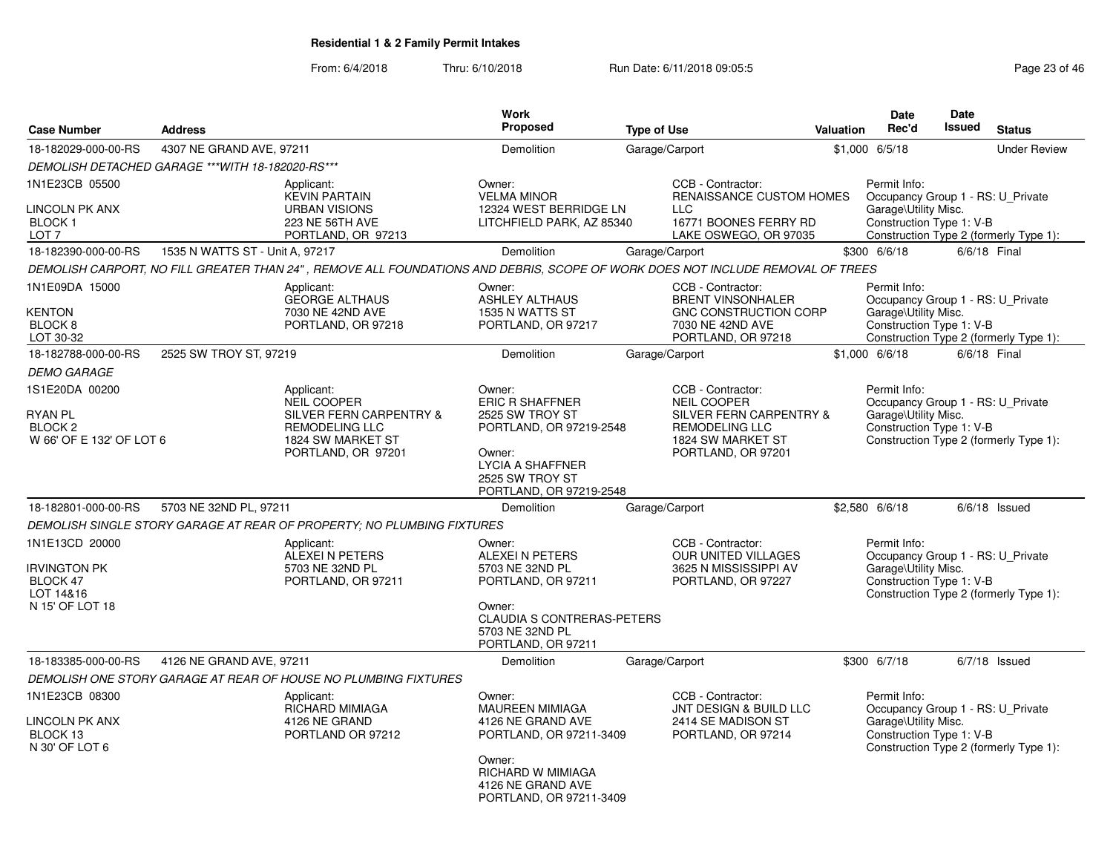| <b>Case Number</b>                                                                                                                                                      | <b>Address</b>                                   |                                                                                                                                                                                                                                                                              | <b>Work</b><br><b>Proposed</b>                                                                                                                                                                                                                        | <b>Type of Use</b>                                                                                                                                                                                                                                                    | <b>Valuation</b> | <b>Date</b><br>Rec'd                                                                                                                                                                                                             | <b>Date</b><br><b>Issued</b> | <b>Status</b>                                                                                       |
|-------------------------------------------------------------------------------------------------------------------------------------------------------------------------|--------------------------------------------------|------------------------------------------------------------------------------------------------------------------------------------------------------------------------------------------------------------------------------------------------------------------------------|-------------------------------------------------------------------------------------------------------------------------------------------------------------------------------------------------------------------------------------------------------|-----------------------------------------------------------------------------------------------------------------------------------------------------------------------------------------------------------------------------------------------------------------------|------------------|----------------------------------------------------------------------------------------------------------------------------------------------------------------------------------------------------------------------------------|------------------------------|-----------------------------------------------------------------------------------------------------|
| 18-182029-000-00-RS                                                                                                                                                     | 4307 NE GRAND AVE, 97211                         |                                                                                                                                                                                                                                                                              | Demolition                                                                                                                                                                                                                                            | Garage/Carport                                                                                                                                                                                                                                                        |                  | \$1,000 6/5/18                                                                                                                                                                                                                   |                              | <b>Under Review</b>                                                                                 |
|                                                                                                                                                                         | DEMOLISH DETACHED GARAGE ***WITH 18-182020-RS*** |                                                                                                                                                                                                                                                                              |                                                                                                                                                                                                                                                       |                                                                                                                                                                                                                                                                       |                  |                                                                                                                                                                                                                                  |                              |                                                                                                     |
| 1N1E23CB 05500<br><b>LINCOLN PK ANX</b><br>BLOCK <sub>1</sub><br>LOT <sub>7</sub>                                                                                       |                                                  | Applicant:<br><b>KEVIN PARTAIN</b><br><b>URBAN VISIONS</b><br>223 NE 56TH AVE<br>PORTLAND, OR 97213                                                                                                                                                                          | Owner:<br><b>VELMA MINOR</b><br>12324 WEST BERRIDGE LN<br>LITCHFIELD PARK, AZ 85340                                                                                                                                                                   | CCB - Contractor:<br><b>RENAISSANCE CUSTOM HOMES</b><br><b>LLC</b><br>16771 BOONES FERRY RD<br>LAKE OSWEGO, OR 97035                                                                                                                                                  |                  | Permit Info:<br>Occupancy Group 1 - RS: U_Private<br>Garage\Utility Misc.<br>Construction Type 1: V-B                                                                                                                            |                              | Construction Type 2 (formerly Type 1):                                                              |
| 18-182390-000-00-RS                                                                                                                                                     | 1535 N WATTS ST - Unit A, 97217                  |                                                                                                                                                                                                                                                                              | Demolition                                                                                                                                                                                                                                            | Garage/Carport                                                                                                                                                                                                                                                        |                  | \$300 6/6/18                                                                                                                                                                                                                     | 6/6/18 Final                 |                                                                                                     |
|                                                                                                                                                                         |                                                  | DEMOLISH CARPORT, NO FILL GREATER THAN 24", REMOVE ALL FOUNDATIONS AND DEBRIS, SCOPE OF WORK DOES NOT INCLUDE REMOVAL OF TREES                                                                                                                                               |                                                                                                                                                                                                                                                       |                                                                                                                                                                                                                                                                       |                  |                                                                                                                                                                                                                                  |                              |                                                                                                     |
| 1N1E09DA 15000<br><b>KENTON</b><br>BLOCK <sub>8</sub><br>LOT 30-32                                                                                                      |                                                  | Applicant:<br><b>GEORGE ALTHAUS</b><br>7030 NE 42ND AVE<br>PORTLAND, OR 97218                                                                                                                                                                                                | Owner:<br><b>ASHLEY ALTHAUS</b><br>1535 N WATTS ST<br>PORTLAND, OR 97217                                                                                                                                                                              | CCB - Contractor:<br><b>BRENT VINSONHALER</b><br><b>GNC CONSTRUCTION CORP</b><br>7030 NE 42ND AVE<br>PORTLAND, OR 97218                                                                                                                                               |                  | Permit Info:<br>Occupancy Group 1 - RS: U Private<br>Garage\Utility Misc.<br>Construction Type 1: V-B                                                                                                                            |                              | Construction Type 2 (formerly Type 1):                                                              |
| 18-182788-000-00-RS                                                                                                                                                     | 2525 SW TROY ST, 97219                           |                                                                                                                                                                                                                                                                              | Demolition                                                                                                                                                                                                                                            | Garage/Carport                                                                                                                                                                                                                                                        |                  | $$1,000$ 6/6/18                                                                                                                                                                                                                  |                              | 6/6/18 Final                                                                                        |
| <b>DEMO GARAGE</b>                                                                                                                                                      |                                                  |                                                                                                                                                                                                                                                                              |                                                                                                                                                                                                                                                       |                                                                                                                                                                                                                                                                       |                  |                                                                                                                                                                                                                                  |                              |                                                                                                     |
| 1S1E20DA 00200<br><b>RYAN PL</b><br><b>BLOCK 2</b><br>W 66' OF E 132' OF LOT 6<br>18-182801-000-00-RS<br>1N1E13CD 20000<br><b>IRVINGTON PK</b><br>BLOCK 47<br>LOT 14&16 | 5703 NE 32ND PL, 97211                           | Applicant:<br>NEIL COOPER<br>SILVER FERN CARPENTRY &<br><b>REMODELING LLC</b><br>1824 SW MARKET ST<br>PORTLAND, OR 97201<br>DEMOLISH SINGLE STORY GARAGE AT REAR OF PROPERTY; NO PLUMBING FIXTURES<br>Applicant:<br>ALEXEI N PETERS<br>5703 NE 32ND PL<br>PORTLAND, OR 97211 | Owner:<br><b>ERIC R SHAFFNER</b><br>2525 SW TROY ST<br>PORTLAND, OR 97219-2548<br>Owner:<br><b>LYCIA A SHAFFNER</b><br>2525 SW TROY ST<br>PORTLAND, OR 97219-2548<br>Demolition<br>Owner:<br>ALEXEI N PETERS<br>5703 NE 32ND PL<br>PORTLAND, OR 97211 | CCB - Contractor:<br><b>NEIL COOPER</b><br><b>SILVER FERN CARPENTRY &amp;</b><br><b>REMODELING LLC</b><br>1824 SW MARKET ST<br>PORTLAND, OR 97201<br>Garage/Carport<br>CCB - Contractor:<br><b>OUR UNITED VILLAGES</b><br>3625 N MISSISSIPPI AV<br>PORTLAND, OR 97227 |                  | Permit Info:<br>Occupancy Group 1 - RS: U_Private<br>Garage\Utility Misc.<br>Construction Type 1: V-B<br>\$2,580 6/6/18<br>Permit Info:<br>Occupancy Group 1 - RS: U_Private<br>Garage\Utility Misc.<br>Construction Type 1: V-B |                              | Construction Type 2 (formerly Type 1):<br>$6/6/18$ Issued<br>Construction Type 2 (formerly Type 1): |
| N 15' OF LOT 18                                                                                                                                                         |                                                  |                                                                                                                                                                                                                                                                              | Owner:<br><b>CLAUDIA S CONTRERAS-PETERS</b><br>5703 NE 32ND PL<br>PORTLAND, OR 97211                                                                                                                                                                  |                                                                                                                                                                                                                                                                       |                  |                                                                                                                                                                                                                                  |                              |                                                                                                     |
| 18-183385-000-00-RS                                                                                                                                                     | 4126 NE GRAND AVE, 97211                         |                                                                                                                                                                                                                                                                              | Demolition                                                                                                                                                                                                                                            | Garage/Carport                                                                                                                                                                                                                                                        |                  | \$300 6/7/18                                                                                                                                                                                                                     |                              | $6/7/18$ Issued                                                                                     |
|                                                                                                                                                                         |                                                  | DEMOLISH ONE STORY GARAGE AT REAR OF HOUSE NO PLUMBING FIXTURES                                                                                                                                                                                                              |                                                                                                                                                                                                                                                       |                                                                                                                                                                                                                                                                       |                  |                                                                                                                                                                                                                                  |                              |                                                                                                     |
| 1N1E23CB 08300<br><b>LINCOLN PK ANX</b><br>BLOCK 13<br>N 30' OF LOT 6                                                                                                   |                                                  | Applicant:<br><b>RICHARD MIMIAGA</b><br>4126 NE GRAND<br>PORTLAND OR 97212                                                                                                                                                                                                   | Owner:<br><b>MAUREEN MIMIAGA</b><br>4126 NE GRAND AVE<br>PORTLAND, OR 97211-3409<br>Owner:<br><b>RICHARD W MIMIAGA</b><br>4126 NE GRAND AVE<br>PORTLAND, OR 97211-3409                                                                                | CCB - Contractor:<br><b>JNT DESIGN &amp; BUILD LLC</b><br>2414 SE MADISON ST<br>PORTLAND, OR 97214                                                                                                                                                                    |                  | Permit Info:<br>Occupancy Group 1 - RS: U_Private<br>Garage\Utility Misc.<br>Construction Type 1: V-B                                                                                                                            |                              | Construction Type 2 (formerly Type 1):                                                              |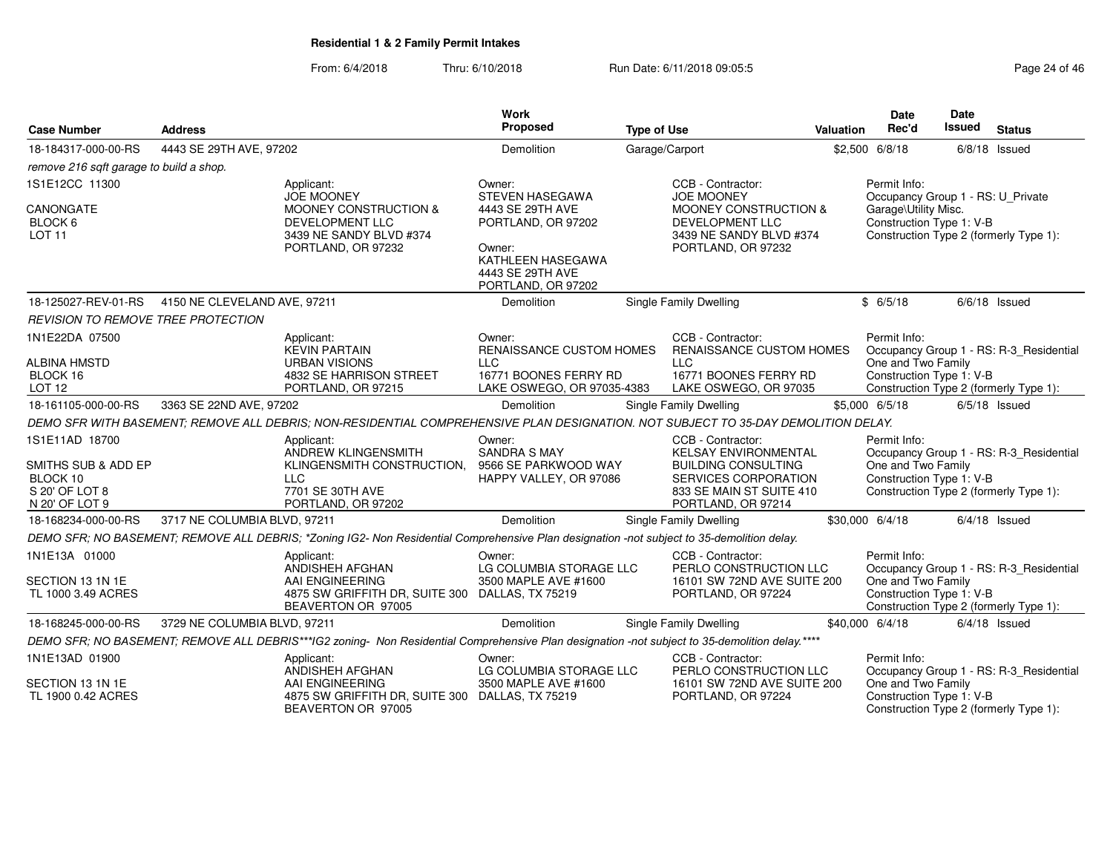| <b>Case Number</b>                      | <b>Address</b>               |                                                                                                                                                | <b>Work</b><br>Proposed                                               | <b>Type of Use</b> |                                                                                | Valuation | <b>Date</b><br>Rec'd                                                                       | Date<br><b>Issued</b> | <b>Status</b>                           |
|-----------------------------------------|------------------------------|------------------------------------------------------------------------------------------------------------------------------------------------|-----------------------------------------------------------------------|--------------------|--------------------------------------------------------------------------------|-----------|--------------------------------------------------------------------------------------------|-----------------------|-----------------------------------------|
| 18-184317-000-00-RS                     | 4443 SE 29TH AVE, 97202      |                                                                                                                                                | Demolition                                                            | Garage/Carport     |                                                                                |           | \$2,500 6/8/18                                                                             |                       | $6/8/18$ Issued                         |
| remove 216 sqft garage to build a shop. |                              |                                                                                                                                                |                                                                       |                    |                                                                                |           |                                                                                            |                       |                                         |
| 1S1E12CC 11300                          |                              | Applicant:<br><b>JOE MOONEY</b>                                                                                                                | Owner:<br><b>STEVEN HASEGAWA</b>                                      |                    | CCB - Contractor:<br><b>JOE MOONEY</b>                                         |           | Permit Info:<br>Occupancy Group 1 - RS: U_Private                                          |                       |                                         |
| CANONGATE<br>BLOCK 6<br><b>LOT 11</b>   |                              | MOONEY CONSTRUCTION &<br>DEVELOPMENT LLC<br>3439 NE SANDY BLVD #374                                                                            | 4443 SE 29TH AVE<br>PORTLAND, OR 97202                                |                    | <b>MOONEY CONSTRUCTION &amp;</b><br>DEVELOPMENT LLC<br>3439 NE SANDY BLVD #374 |           | Garage\Utility Misc.<br>Construction Type 1: V-B<br>Construction Type 2 (formerly Type 1): |                       |                                         |
|                                         |                              | PORTLAND, OR 97232                                                                                                                             | Owner:<br>KATHLEEN HASEGAWA<br>4443 SE 29TH AVE<br>PORTLAND, OR 97202 |                    | PORTLAND, OR 97232                                                             |           |                                                                                            |                       |                                         |
| 18-125027-REV-01-RS                     | 4150 NE CLEVELAND AVE, 97211 |                                                                                                                                                | Demolition                                                            |                    | <b>Single Family Dwelling</b>                                                  |           | \$6/5/18                                                                                   |                       | $6/6/18$ Issued                         |
| REVISION TO REMOVE TREE PROTECTION      |                              |                                                                                                                                                |                                                                       |                    |                                                                                |           |                                                                                            |                       |                                         |
| 1N1E22DA 07500                          |                              | Applicant:<br><b>KEVIN PARTAIN</b>                                                                                                             | Owner:<br>RENAISSANCE CUSTOM HOMES                                    |                    | CCB - Contractor:<br>RENAISSANCE CUSTOM HOMES                                  |           | Permit Info:                                                                               |                       | Occupancy Group 1 - RS: R-3_Residential |
| <b>ALBINA HMSTD</b><br>BLOCK 16         |                              | <b>URBAN VISIONS</b><br>4832 SE HARRISON STREET                                                                                                | <b>LLC</b><br>16771 BOONES FERRY RD                                   |                    | <b>LLC</b><br>16771 BOONES FERRY RD                                            |           | One and Two Family<br>Construction Type 1: V-B                                             |                       |                                         |
| LOT <sub>12</sub>                       |                              | PORTLAND, OR 97215                                                                                                                             | LAKE OSWEGO, OR 97035-4383                                            |                    | LAKE OSWEGO, OR 97035                                                          |           | Construction Type 2 (formerly Type 1):                                                     |                       |                                         |
| 18-161105-000-00-RS                     | 3363 SE 22ND AVE, 97202      |                                                                                                                                                | Demolition                                                            |                    | Single Family Dwelling                                                         |           | \$5,000 6/5/18                                                                             |                       | $6/5/18$ Issued                         |
|                                         |                              | DEMO SFR WITH BASEMENT: REMOVE ALL DEBRIS: NON-RESIDENTIAL COMPREHENSIVE PLAN DESIGNATION. NOT SUBJECT TO 35-DAY DEMOLITION DELAY.             |                                                                       |                    |                                                                                |           |                                                                                            |                       |                                         |
| 1S1E11AD 18700                          |                              | Applicant:<br>ANDREW KLINGENSMITH                                                                                                              | Owner:<br><b>SANDRA S MAY</b>                                         |                    | CCB - Contractor:<br><b>KELSAY ENVIRONMENTAL</b>                               |           | Permit Info:                                                                               |                       | Occupancy Group 1 - RS: R-3_Residential |
| SMITHS SUB & ADD EP                     |                              | KLINGENSMITH CONSTRUCTION.                                                                                                                     | 9566 SE PARKWOOD WAY                                                  |                    | <b>BUILDING CONSULTING</b>                                                     |           | One and Two Family                                                                         |                       |                                         |
| BLOCK 10<br>S 20' OF LOT 8              |                              | <b>LLC</b><br>7701 SE 30TH AVE                                                                                                                 | HAPPY VALLEY, OR 97086                                                |                    | SERVICES CORPORATION<br>833 SE MAIN ST SUITE 410                               |           | Construction Type 1: V-B<br>Construction Type 2 (formerly Type 1):                         |                       |                                         |
| N 20' OF LOT 9                          |                              | PORTLAND, OR 97202                                                                                                                             |                                                                       |                    | PORTLAND, OR 97214                                                             |           |                                                                                            |                       |                                         |
| 18-168234-000-00-RS                     | 3717 NE COLUMBIA BLVD, 97211 |                                                                                                                                                | Demolition                                                            |                    | Single Family Dwelling                                                         |           | \$30,000 6/4/18                                                                            |                       | $6/4/18$ Issued                         |
|                                         |                              | DEMO SFR; NO BASEMENT; REMOVE ALL DEBRIS; *Zoning IG2- Non Residential Comprehensive Plan designation -not subject to 35-demolition delay.     |                                                                       |                    |                                                                                |           |                                                                                            |                       |                                         |
| 1N1E13A 01000                           |                              | Applicant:<br>ANDISHEH AFGHAN                                                                                                                  | Owner:<br>LG COLUMBIA STORAGE LLC                                     |                    | CCB - Contractor:<br>PERLO CONSTRUCTION LLC                                    |           | Permit Info:                                                                               |                       | Occupancy Group 1 - RS: R-3_Residential |
| SECTION 13 1N 1E                        |                              | AAI ENGINEERING                                                                                                                                | 3500 MAPLE AVE #1600                                                  |                    | 16101 SW 72ND AVE SUITE 200                                                    |           | One and Two Family                                                                         |                       |                                         |
| TL 1000 3.49 ACRES                      |                              | 4875 SW GRIFFITH DR, SUITE 300 DALLAS, TX 75219<br>BEAVERTON OR 97005                                                                          |                                                                       |                    | PORTLAND, OR 97224                                                             |           | Construction Type 1: V-B                                                                   |                       | Construction Type 2 (formerly Type 1):  |
| 18-168245-000-00-RS                     | 3729 NE COLUMBIA BLVD, 97211 |                                                                                                                                                | Demolition                                                            |                    | Single Family Dwelling                                                         |           | \$40,000 6/4/18                                                                            |                       | $6/4/18$ Issued                         |
|                                         |                              | DEMO SFR; NO BASEMENT; REMOVE ALL DEBRIS***IG2 zoning- Non Residential Comprehensive Plan designation -not subject to 35-demolition delay.**** |                                                                       |                    |                                                                                |           |                                                                                            |                       |                                         |
| 1N1E13AD 01900                          |                              | Applicant:<br>ANDISHEH AFGHAN                                                                                                                  | Owner:<br>LG COLUMBIA STORAGE LLC                                     |                    | CCB - Contractor:<br>PERLO CONSTRUCTION LLC                                    |           | Permit Info:                                                                               |                       | Occupancy Group 1 - RS: R-3_Residential |
| SECTION 13 1N 1E<br>TL 1900 0.42 ACRES  |                              | AAI ENGINEERING<br>4875 SW GRIFFITH DR, SUITE 300 DALLAS, TX 75219<br>BEAVERTON OR 97005                                                       | 3500 MAPLE AVE #1600                                                  |                    | 16101 SW 72ND AVE SUITE 200<br>PORTLAND, OR 97224                              |           | One and Two Family<br>Construction Type 1: V-B<br>Construction Type 2 (formerly Type 1):   |                       |                                         |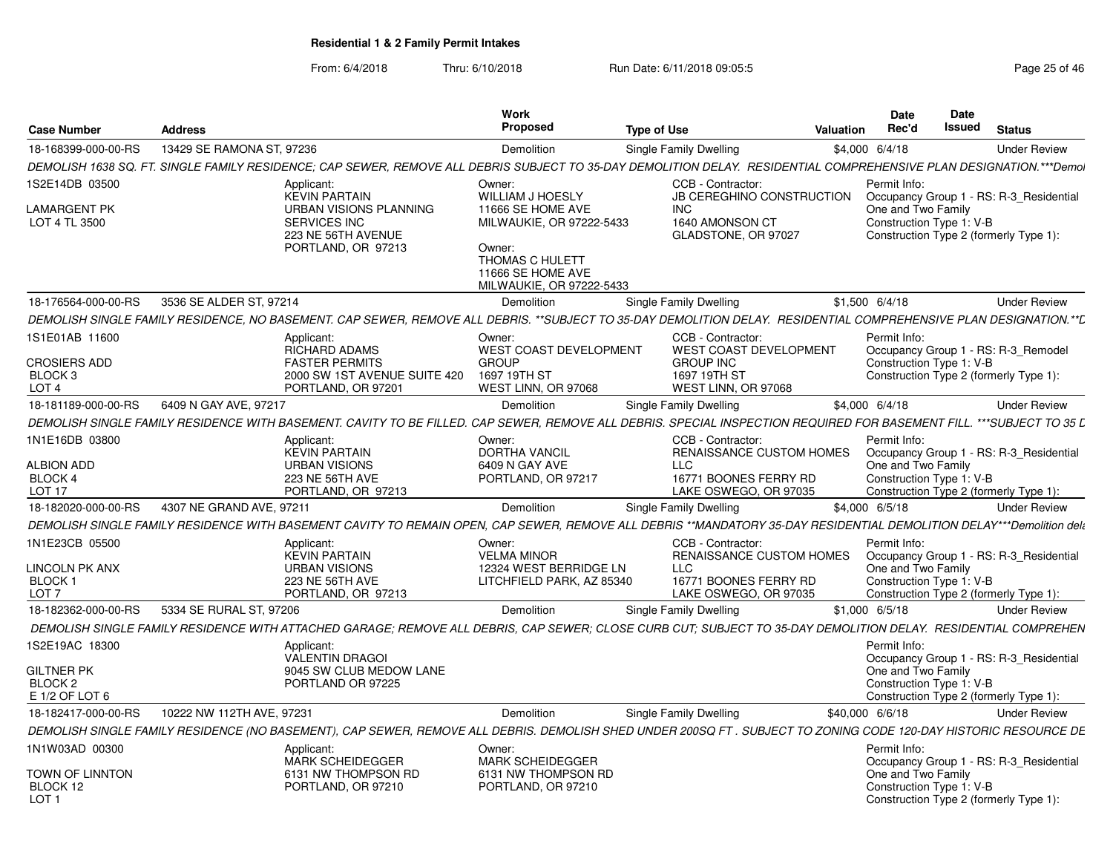| <b>Case Number</b>                                            | <b>Address</b>            |                                                                                                                                                                      | Work<br>Proposed                                                                                                            | <b>Type of Use</b>               |                                                       | Valuation | <b>Date</b><br>Rec'd                           | Date<br>Issued | <b>Status</b>                                                                     |
|---------------------------------------------------------------|---------------------------|----------------------------------------------------------------------------------------------------------------------------------------------------------------------|-----------------------------------------------------------------------------------------------------------------------------|----------------------------------|-------------------------------------------------------|-----------|------------------------------------------------|----------------|-----------------------------------------------------------------------------------|
| 18-168399-000-00-RS                                           | 13429 SE RAMONA ST, 97236 |                                                                                                                                                                      | Demolition                                                                                                                  | Single Family Dwelling           |                                                       |           | \$4,000 6/4/18                                 |                | <b>Under Review</b>                                                               |
|                                                               |                           | DEMOLISH 1638 SQ. FT. SINGLE FAMILY RESIDENCE; CAP SEWER, REMOVE ALL DEBRIS SUBJECT TO 35-DAY DEMOLITION DELAY. RESIDENTIAL COMPREHENSIVE PLAN DESIGNATION.***Demol  |                                                                                                                             |                                  |                                                       |           |                                                |                |                                                                                   |
| 1S2E14DB 03500                                                |                           | Applicant:<br><b>KEVIN PARTAIN</b>                                                                                                                                   | Owner:<br><b>WILLIAM J HOESLY</b>                                                                                           |                                  | CCB - Contractor:<br><b>JB CEREGHINO CONSTRUCTION</b> |           | Permit Info:                                   |                | Occupancy Group 1 - RS: R-3_Residential                                           |
| <b>LAMARGENT PK</b><br>LOT 4 TL 3500                          |                           | URBAN VISIONS PLANNING<br><b>SERVICES INC</b><br>223 NE 56TH AVENUE<br>PORTLAND, OR 97213                                                                            | 11666 SE HOME AVE<br>MILWAUKIE, OR 97222-5433<br>Owner:<br>THOMAS C HULETT<br>11666 SE HOME AVE<br>MILWAUKIE, OR 97222-5433 | <b>INC</b>                       | 1640 AMONSON CT<br>GLADSTONE, OR 97027                |           | One and Two Family<br>Construction Type 1: V-B |                | Construction Type 2 (formerly Type 1):                                            |
| 18-176564-000-00-RS                                           | 3536 SE ALDER ST, 97214   |                                                                                                                                                                      | Demolition                                                                                                                  | Single Family Dwelling           |                                                       |           | $$1,500$ 6/4/18                                |                | <b>Under Review</b>                                                               |
|                                                               |                           | DEMOLISH SINGLE FAMILY RESIDENCE, NO BASEMENT. CAP SEWER, REMOVE ALL DEBRIS. **SUBJECT TO 35-DAY DEMOLITION DELAY. RESIDENTIAL COMPREHENSIVE PLAN DESIGNATION.**L    |                                                                                                                             |                                  |                                                       |           |                                                |                |                                                                                   |
| 1S1E01AB 11600                                                |                           | Applicant:<br><b>RICHARD ADAMS</b>                                                                                                                                   | Owner:<br>WEST COAST DEVELOPMENT                                                                                            |                                  | CCB - Contractor:<br>WEST COAST DEVELOPMENT           |           | Permit Info:                                   |                | Occupancy Group 1 - RS: R-3_Remodel                                               |
| <b>CROSIERS ADD</b><br>BLOCK <sub>3</sub><br>LOT <sub>4</sub> |                           | <b>FASTER PERMITS</b><br>2000 SW 1ST AVENUE SUITE 420<br>PORTLAND, OR 97201                                                                                          | <b>GROUP</b><br>1697 19TH ST<br>WEST LINN, OR 97068                                                                         | <b>GROUP INC</b><br>1697 19TH ST | WEST LINN, OR 97068                                   |           | Construction Type 1: V-B                       |                | Construction Type 2 (formerly Type 1):                                            |
| 18-181189-000-00-RS                                           | 6409 N GAY AVE, 97217     |                                                                                                                                                                      | Demolition                                                                                                                  | Single Family Dwelling           |                                                       |           | \$4,000 6/4/18                                 |                | <b>Under Review</b>                                                               |
|                                                               |                           | DEMOLISH SINGLE FAMILY RESIDENCE WITH BASEMENT. CAVITY TO BE FILLED. CAP SEWER. REMOVE ALL DEBRIS. SPECIAL INSPECTION REQUIRED FOR BASEMENT FILL. ***SUBJECT TO 35 L |                                                                                                                             |                                  |                                                       |           |                                                |                |                                                                                   |
| 1N1E16DB 03800                                                |                           | Applicant:<br><b>KEVIN PARTAIN</b>                                                                                                                                   | Owner:<br><b>DORTHA VANCIL</b>                                                                                              |                                  | CCB - Contractor:<br>RENAISSANCE CUSTOM HOMES         |           | Permit Info:                                   |                | Occupancy Group 1 - RS: R-3_Residential                                           |
| <b>ALBION ADD</b><br><b>BLOCK 4</b>                           |                           | <b>URBAN VISIONS</b><br>223 NE 56TH AVE                                                                                                                              | 6409 N GAY AVE<br>PORTLAND, OR 97217                                                                                        | LLC                              | 16771 BOONES FERRY RD                                 |           | One and Two Family<br>Construction Type 1: V-B |                |                                                                                   |
| LOT <sub>17</sub>                                             |                           | PORTLAND, OR 97213                                                                                                                                                   |                                                                                                                             |                                  | LAKE OSWEGO, OR 97035                                 |           |                                                |                | Construction Type 2 (formerly Type 1):                                            |
| 18-182020-000-00-RS                                           | 4307 NE GRAND AVE, 97211  |                                                                                                                                                                      | Demolition                                                                                                                  | Single Family Dwelling           |                                                       |           | \$4,000 6/5/18                                 |                | <b>Under Review</b>                                                               |
|                                                               |                           | DEMOLISH SINGLE FAMILY RESIDENCE WITH BASEMENT CAVITY TO REMAIN OPEN, CAP SEWER, REMOVE ALL DEBRIS **MANDATORY 35-DAY RESIDENTIAL DEMOLITION DELAY***Demolition deli |                                                                                                                             |                                  |                                                       |           |                                                |                |                                                                                   |
| 1N1E23CB 05500<br>LINCOLN PK ANX                              |                           | Applicant:<br><b>KEVIN PARTAIN</b><br><b>URBAN VISIONS</b>                                                                                                           | Owner:<br><b>VELMA MINOR</b><br>12324 WEST BERRIDGE LN                                                                      | <b>LLC</b>                       | CCB - Contractor:<br><b>RENAISSANCE CUSTOM HOMES</b>  |           | Permit Info:<br>One and Two Family             |                | Occupancy Group 1 - RS: R-3_Residential                                           |
| BLOCK <sub>1</sub><br>LOT <sub>7</sub>                        |                           | 223 NE 56TH AVE<br>PORTLAND, OR 97213                                                                                                                                | LITCHFIELD PARK, AZ 85340                                                                                                   |                                  | 16771 BOONES FERRY RD<br>LAKE OSWEGO, OR 97035        |           | Construction Type 1: V-B                       |                | Construction Type 2 (formerly Type 1):                                            |
| 18-182362-000-00-RS                                           | 5334 SE RURAL ST, 97206   |                                                                                                                                                                      | Demolition                                                                                                                  | Single Family Dwelling           |                                                       |           | $$1,000$ 6/5/18                                |                | <b>Under Review</b>                                                               |
|                                                               |                           | DEMOLISH SINGLE FAMILY RESIDENCE WITH ATTACHED GARAGE; REMOVE ALL DEBRIS, CAP SEWER; CLOSE CURB CUT; SUBJECT TO 35-DAY DEMOLITION DELAY. RESIDENTIAL COMPREHEN       |                                                                                                                             |                                  |                                                       |           |                                                |                |                                                                                   |
| 1S2E19AC 18300                                                |                           | Applicant:<br>VALENTIN DRAGOI                                                                                                                                        |                                                                                                                             |                                  |                                                       |           | Permit Info:                                   |                |                                                                                   |
| <b>GILTNER PK</b><br>BLOCK <sub>2</sub><br>E 1/2 OF LOT 6     |                           | 9045 SW CLUB MEDOW LANE<br>PORTLAND OR 97225                                                                                                                         |                                                                                                                             |                                  |                                                       |           | One and Two Family<br>Construction Type 1: V-B |                | Occupancy Group 1 - RS: R-3 Residential<br>Construction Type 2 (formerly Type 1): |
| 18-182417-000-00-RS                                           | 10222 NW 112TH AVE, 97231 |                                                                                                                                                                      | Demolition                                                                                                                  | Single Family Dwelling           |                                                       |           | \$40,000 6/6/18                                |                | <b>Under Review</b>                                                               |
|                                                               |                           | DEMOLISH SINGLE FAMILY RESIDENCE (NO BASEMENT), CAP SEWER, REMOVE ALL DEBRIS. DEMOLISH SHED UNDER 200SQ FT. SUBJECT TO ZONING CODE 120-DAY HISTORIC RESOURCE DE      |                                                                                                                             |                                  |                                                       |           |                                                |                |                                                                                   |
| 1N1W03AD 00300                                                |                           | Applicant:                                                                                                                                                           | Owner:                                                                                                                      |                                  |                                                       |           | Permit Info:                                   |                |                                                                                   |
| <b>TOWN OF LINNTON</b><br>BLOCK 12<br>LOT <sub>1</sub>        |                           | <b>MARK SCHEIDEGGER</b><br>6131 NW THOMPSON RD<br>PORTLAND, OR 97210                                                                                                 | <b>MARK SCHEIDEGGER</b><br>6131 NW THOMPSON RD<br>PORTLAND, OR 97210                                                        |                                  |                                                       |           | One and Two Family<br>Construction Type 1: V-B |                | Occupancy Group 1 - RS: R-3 Residential<br>Construction Type 2 (formerly Type 1): |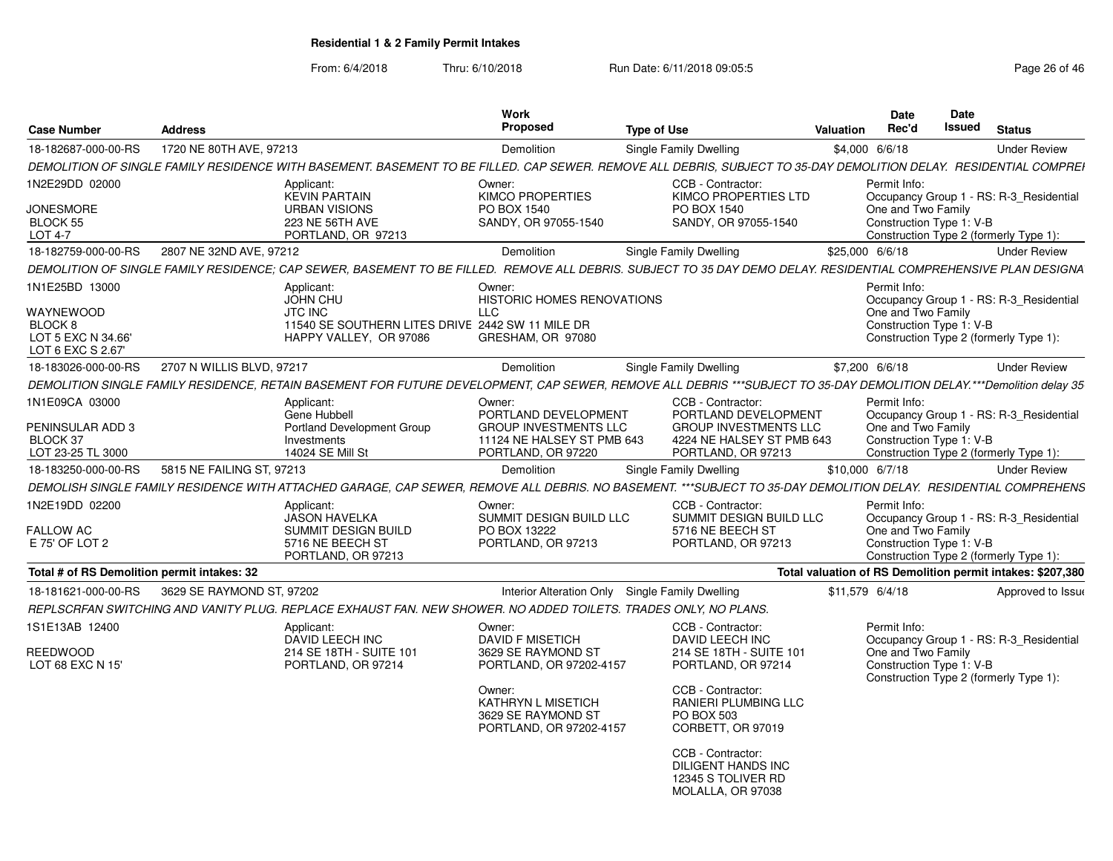|                                                |                                                                                                                |                                                               | Work                                                                                 |                                                                                                                                                                       |                                                            | Date               | Date                     |                                         |  |
|------------------------------------------------|----------------------------------------------------------------------------------------------------------------|---------------------------------------------------------------|--------------------------------------------------------------------------------------|-----------------------------------------------------------------------------------------------------------------------------------------------------------------------|------------------------------------------------------------|--------------------|--------------------------|-----------------------------------------|--|
| <b>Case Number</b>                             | <b>Address</b>                                                                                                 |                                                               | Proposed                                                                             | <b>Type of Use</b>                                                                                                                                                    | <b>Valuation</b>                                           | Rec'd              | Issued                   | <b>Status</b>                           |  |
| 18-182687-000-00-RS                            | 1720 NE 80TH AVE, 97213                                                                                        |                                                               | Demolition                                                                           | <b>Single Family Dwelling</b>                                                                                                                                         | \$4,000 6/6/18                                             |                    |                          | <b>Under Review</b>                     |  |
|                                                |                                                                                                                |                                                               |                                                                                      | DEMOLITION OF SINGLE FAMILY RESIDENCE WITH BASEMENT. BASEMENT TO BE FILLED. CAP SEWER. REMOVE ALL DEBRIS, SUBJECT TO 35-DAY DEMOLITION DELAY. RESIDENTIAL COMPREI     |                                                            |                    |                          |                                         |  |
| 1N2E29DD 02000                                 | Applicant:                                                                                                     | <b>KEVIN PARTAIN</b>                                          | Owner:<br><b>KIMCO PROPERTIES</b>                                                    | CCB - Contractor:<br>KIMCO PROPERTIES LTD                                                                                                                             |                                                            | Permit Info:       |                          | Occupancy Group 1 - RS: R-3_Residential |  |
| <b>JONESMORE</b><br><b>BLOCK 55</b><br>LOT 4-7 |                                                                                                                | <b>URBAN VISIONS</b><br>223 NE 56TH AVE<br>PORTLAND, OR 97213 | PO BOX 1540<br>SANDY, OR 97055-1540                                                  | PO BOX 1540<br>SANDY, OR 97055-1540                                                                                                                                   |                                                            | One and Two Family | Construction Type 1: V-B |                                         |  |
|                                                | 2807 NE 32ND AVE, 97212                                                                                        |                                                               |                                                                                      |                                                                                                                                                                       |                                                            |                    |                          | Construction Type 2 (formerly Type 1):  |  |
| 18-182759-000-00-RS                            |                                                                                                                |                                                               | Demolition                                                                           | Single Family Dwelling                                                                                                                                                | \$25,000 6/6/18                                            |                    |                          | <b>Under Review</b>                     |  |
|                                                |                                                                                                                |                                                               |                                                                                      | DEMOLITION OF SINGLE FAMILY RESIDENCE: CAP SEWER, BASEMENT TO BE FILLED. REMOVE ALL DEBRIS, SUBJECT TO 35 DAY DEMO DELAY, RESIDENTIAL COMPREHENSIVE PLAN DESIGNA      |                                                            |                    |                          |                                         |  |
| 1N1E25BD 13000                                 | Applicant:<br><b>JOHN CHU</b>                                                                                  |                                                               | Owner:<br><b>HISTORIC HOMES RENOVATIONS</b>                                          |                                                                                                                                                                       |                                                            | Permit Info:       |                          | Occupancy Group 1 - RS: R-3 Residential |  |
| WAYNEWOOD<br>BLOCK <sub>8</sub>                | <b>JTC INC</b>                                                                                                 | 11540 SE SOUTHERN LITES DRIVE 2442 SW 11 MILE DR              | <b>LLC</b>                                                                           |                                                                                                                                                                       |                                                            | One and Two Family | Construction Type 1: V-B |                                         |  |
| LOT 5 EXC N 34.66'<br>LOT 6 EXC S 2.67         |                                                                                                                | HAPPY VALLEY. OR 97086                                        | GRESHAM, OR 97080                                                                    |                                                                                                                                                                       |                                                            |                    |                          | Construction Type 2 (formerly Type 1):  |  |
| 18-183026-000-00-RS                            | 2707 N WILLIS BLVD, 97217                                                                                      |                                                               | Demolition                                                                           | Single Family Dwelling                                                                                                                                                | \$7,200 6/6/18                                             |                    |                          | <b>Under Review</b>                     |  |
|                                                |                                                                                                                |                                                               |                                                                                      | DEMOLITION SINGLE FAMILY RESIDENCE, RETAIN BASEMENT FOR FUTURE DEVELOPMENT, CAP SEWER, REMOVE ALL DEBRIS ***SUBJECT TO 35-DAY DEMOLITION DELAY.***Demolition delay 35 |                                                            |                    |                          |                                         |  |
| 1N1E09CA 03000                                 | Applicant:<br>Gene Hubbell                                                                                     |                                                               | Owner:<br>PORTLAND DEVELOPMENT                                                       | CCB - Contractor:<br>PORTLAND DEVELOPMENT                                                                                                                             |                                                            | Permit Info:       |                          | Occupancy Group 1 - RS: R-3 Residential |  |
| PENINSULAR ADD 3                               |                                                                                                                | <b>Portland Development Group</b>                             | <b>GROUP INVESTMENTS LLC</b>                                                         | <b>GROUP INVESTMENTS LLC</b>                                                                                                                                          |                                                            | One and Two Family |                          |                                         |  |
| BLOCK 37                                       | Investments                                                                                                    |                                                               | 11124 NE HALSEY ST PMB 643                                                           | 4224 NE HALSEY ST PMB 643                                                                                                                                             |                                                            |                    | Construction Type 1: V-B |                                         |  |
| LOT 23-25 TL 3000                              |                                                                                                                | 14024 SE Mill St                                              | PORTLAND, OR 97220                                                                   | PORTLAND, OR 97213                                                                                                                                                    |                                                            |                    |                          | Construction Type 2 (formerly Type 1):  |  |
| 18-183250-000-00-RS                            | 5815 NE FAILING ST. 97213                                                                                      |                                                               | Demolition                                                                           | Single Family Dwelling                                                                                                                                                | \$10,000 6/7/18                                            |                    |                          | <b>Under Review</b>                     |  |
|                                                |                                                                                                                |                                                               |                                                                                      | DEMOLISH SINGLE FAMILY RESIDENCE WITH ATTACHED GARAGE. CAP SEWER. REMOVE ALL DEBRIS. NO BASEMENT. ***SUBJECT TO 35-DAY DEMOLITION DELAY.  RESIDENTIAL COMPREHENS      |                                                            |                    |                          |                                         |  |
| 1N2E19DD 02200                                 | Applicant:                                                                                                     | <b>JASON HAVELKA</b>                                          | Owner:<br>SUMMIT DESIGN BUILD LLC                                                    | CCB - Contractor:<br>SUMMIT DESIGN BUILD LLC                                                                                                                          |                                                            | Permit Info:       |                          | Occupancy Group 1 - RS: R-3 Residential |  |
| FALLOW AC<br>E 75' OF LOT 2                    |                                                                                                                | <b>SUMMIT DESIGN BUILD</b><br>5716 NE BEECH ST                | PO BOX 13222<br>PORTLAND, OR 97213                                                   | 5716 NE BEECH ST<br>PORTLAND, OR 97213                                                                                                                                |                                                            | One and Two Family | Construction Type 1: V-B |                                         |  |
|                                                |                                                                                                                | PORTLAND, OR 97213                                            |                                                                                      |                                                                                                                                                                       |                                                            |                    |                          | Construction Type 2 (formerly Type 1):  |  |
| Total # of RS Demolition permit intakes: 32    |                                                                                                                |                                                               |                                                                                      |                                                                                                                                                                       | Total valuation of RS Demolition permit intakes: \$207,380 |                    |                          |                                         |  |
| 18-181621-000-00-RS                            | 3629 SE RAYMOND ST, 97202                                                                                      |                                                               | Interior Alteration Only Single Family Dwelling                                      |                                                                                                                                                                       | \$11,579 6/4/18                                            |                    |                          | Approved to Issue                       |  |
|                                                | REPLSCRFAN SWITCHING AND VANITY PLUG. REPLACE EXHAUST FAN. NEW SHOWER, NO ADDED TOILETS. TRADES ONLY, NO PLANS |                                                               |                                                                                      |                                                                                                                                                                       |                                                            |                    |                          |                                         |  |
| 1S1E13AB 12400                                 | Applicant:                                                                                                     |                                                               | Owner:                                                                               | CCB - Contractor:                                                                                                                                                     |                                                            | Permit Info:       |                          |                                         |  |
|                                                |                                                                                                                | DAVID LEECH INC                                               | <b>DAVID F MISETICH</b>                                                              | DAVID LEECH INC                                                                                                                                                       |                                                            |                    |                          | Occupancy Group 1 - RS: R-3_Residential |  |
| <b>REEDWOOD</b><br>LOT 68 EXC N 15'            |                                                                                                                | 214 SE 18TH - SUITE 101<br>PORTLAND, OR 97214                 | 3629 SE RAYMOND ST<br>PORTLAND, OR 97202-4157                                        | 214 SE 18TH - SUITE 101<br>PORTLAND, OR 97214                                                                                                                         |                                                            | One and Two Family | Construction Type 1: V-B |                                         |  |
|                                                |                                                                                                                |                                                               | Owner:<br><b>KATHRYN L MISETICH</b><br>3629 SE RAYMOND ST<br>PORTLAND, OR 97202-4157 | CCB - Contractor:<br>RANIERI PLUMBING LLC<br>PO BOX 503<br>CORBETT, OR 97019                                                                                          |                                                            |                    |                          | Construction Type 2 (formerly Type 1):  |  |
|                                                |                                                                                                                |                                                               |                                                                                      | CCB - Contractor:<br><b>DILIGENT HANDS INC</b><br>12345 S TOLIVER RD<br>MOLALLA, OR 97038                                                                             |                                                            |                    |                          |                                         |  |
|                                                |                                                                                                                |                                                               |                                                                                      |                                                                                                                                                                       |                                                            |                    |                          |                                         |  |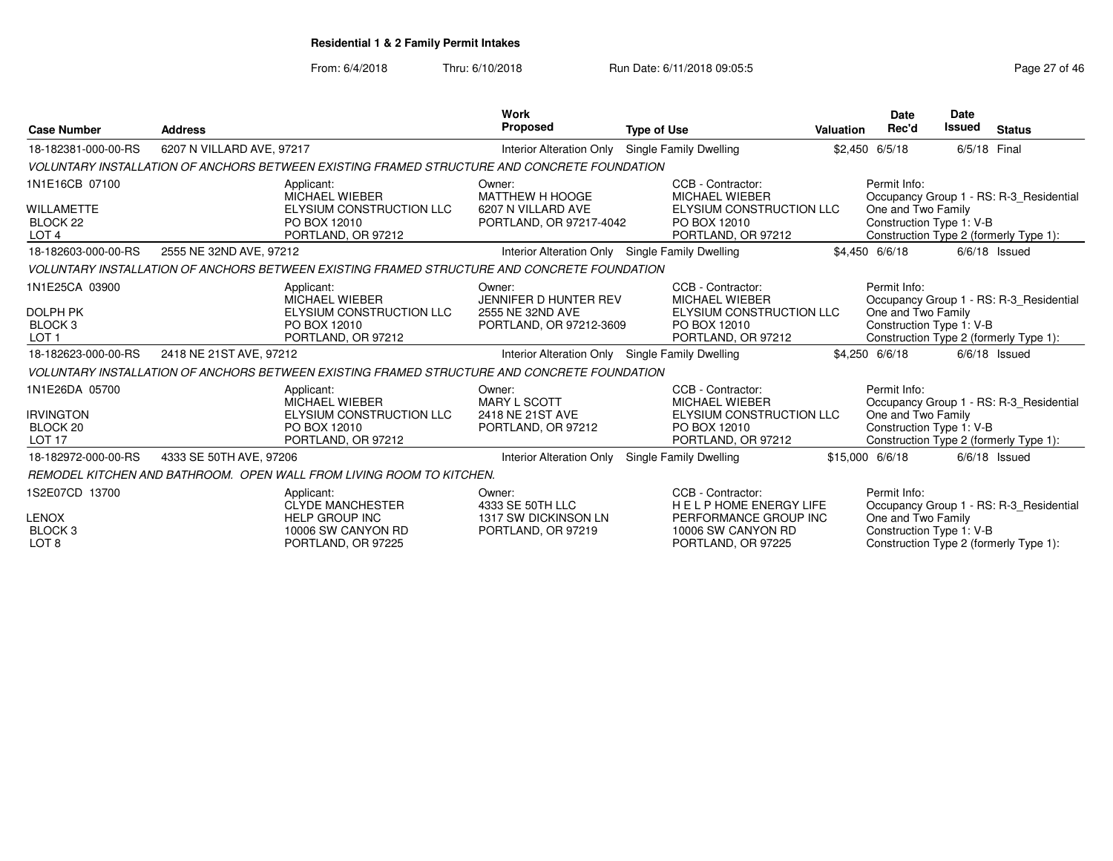|                                                                                |                           |                                                                                                            | <b>Work</b>                                                                    |                                                                                                                       |                  | Date                                                           | <b>Date</b>   |                                                                                   |
|--------------------------------------------------------------------------------|---------------------------|------------------------------------------------------------------------------------------------------------|--------------------------------------------------------------------------------|-----------------------------------------------------------------------------------------------------------------------|------------------|----------------------------------------------------------------|---------------|-----------------------------------------------------------------------------------|
| <b>Case Number</b>                                                             | <b>Address</b>            |                                                                                                            | <b>Proposed</b>                                                                | <b>Type of Use</b>                                                                                                    | <b>Valuation</b> | Rec'd                                                          | <b>Issued</b> | <b>Status</b>                                                                     |
| 18-182381-000-00-RS                                                            | 6207 N VILLARD AVE, 97217 |                                                                                                            | <b>Interior Alteration Only</b>                                                | <b>Single Family Dwelling</b>                                                                                         |                  | \$2,450 6/5/18                                                 | 6/5/18 Final  |                                                                                   |
|                                                                                |                           | VOLUNTARY INSTALLATION OF ANCHORS BETWEEN EXISTING FRAMED STRUCTURE AND CONCRETE FOUNDATION                |                                                                                |                                                                                                                       |                  |                                                                |               |                                                                                   |
| 1N1E16CB 07100<br><b>WILLAMETTE</b><br>BLOCK <sub>22</sub><br>LOT <sub>4</sub> |                           | Applicant:<br>MICHAEL WIEBER<br>ELYSIUM CONSTRUCTION LLC<br>PO BOX 12010<br>PORTLAND, OR 97212             | Owner:<br>MATTHEW H HOOGE<br>6207 N VILLARD AVE<br>PORTLAND, OR 97217-4042     | CCB - Contractor:<br><b>MICHAEL WIEBER</b><br>ELYSIUM CONSTRUCTION LLC<br>PO BOX 12010<br>PORTLAND, OR 97212          |                  | Permit Info:<br>One and Two Family<br>Construction Type 1: V-B |               | Occupancy Group 1 - RS: R-3 Residential<br>Construction Type 2 (formerly Type 1): |
| 18-182603-000-00-RS                                                            | 2555 NE 32ND AVE, 97212   |                                                                                                            | Interior Alteration Only Single Family Dwelling                                |                                                                                                                       |                  | \$4,450 6/6/18                                                 |               | $6/6/18$ Issued                                                                   |
|                                                                                |                           | VOLUNTARY INSTALLATION OF ANCHORS BETWEEN EXISTING FRAMED STRUCTURE AND CONCRETE FOUNDATION                |                                                                                |                                                                                                                       |                  |                                                                |               |                                                                                   |
| 1N1E25CA 03900<br><b>DOLPH PK</b><br>BLOCK <sub>3</sub><br>LOT <sub>1</sub>    |                           | Applicant:<br><b>MICHAEL WIEBER</b><br>ELYSIUM CONSTRUCTION LLC<br>PO BOX 12010<br>PORTLAND, OR 97212      | Owner:<br>JENNIFER D HUNTER REV<br>2555 NE 32ND AVE<br>PORTLAND, OR 97212-3609 | CCB - Contractor:<br><b>MICHAEL WIEBER</b><br>ELYSIUM CONSTRUCTION LLC<br>PO BOX 12010<br>PORTLAND, OR 97212          |                  | Permit Info:<br>One and Two Family<br>Construction Type 1: V-B |               | Occupancy Group 1 - RS: R-3 Residential<br>Construction Type 2 (formerly Type 1): |
| 18-182623-000-00-RS                                                            | 2418 NE 21ST AVE, 97212   |                                                                                                            | Interior Alteration Only Single Family Dwelling                                |                                                                                                                       |                  | \$4,250 6/6/18                                                 |               | $6/6/18$ Issued                                                                   |
|                                                                                |                           | VOLUNTARY INSTALLATION OF ANCHORS BETWEEN EXISTING FRAMED STRUCTURE AND CONCRETE FOUNDATION                |                                                                                |                                                                                                                       |                  |                                                                |               |                                                                                   |
| 1N1E26DA 05700<br><b>IRVINGTON</b><br>BLOCK <sub>20</sub><br><b>LOT 17</b>     |                           | Applicant:<br>MICHAEL WIEBER<br>ELYSIUM CONSTRUCTION LLC<br>PO BOX 12010<br>PORTLAND, OR 97212             | Owner:<br>MARY L SCOTT<br>2418 NE 21ST AVE<br>PORTLAND, OR 97212               | CCB - Contractor:<br><b>MICHAEL WIEBER</b><br>ELYSIUM CONSTRUCTION LLC<br>PO BOX 12010<br>PORTLAND, OR 97212          |                  | Permit Info:<br>One and Two Family<br>Construction Type 1: V-B |               | Occupancy Group 1 - RS: R-3 Residential<br>Construction Type 2 (formerly Type 1): |
| 18-182972-000-00-RS                                                            | 4333 SE 50TH AVE, 97206   |                                                                                                            | <b>Interior Alteration Only</b>                                                | Single Family Dwelling                                                                                                |                  | \$15,000 6/6/18                                                |               | $6/6/18$ Issued                                                                   |
|                                                                                |                           | REMODEL KITCHEN AND BATHROOM. OPEN WALL FROM LIVING ROOM TO KITCHEN.                                       |                                                                                |                                                                                                                       |                  |                                                                |               |                                                                                   |
| 1S2E07CD 13700<br><b>LENOX</b><br><b>BLOCK3</b><br>LOT <sub>8</sub>            |                           | Applicant:<br><b>CLYDE MANCHESTER</b><br><b>HELP GROUP INC</b><br>10006 SW CANYON RD<br>PORTLAND, OR 97225 | Owner:<br>4333 SE 50TH LLC<br>1317 SW DICKINSON LN<br>PORTLAND, OR 97219       | CCB - Contractor:<br><b>HELPHOME ENERGY LIFE</b><br>PERFORMANCE GROUP INC<br>10006 SW CANYON RD<br>PORTLAND, OR 97225 |                  | Permit Info:<br>One and Two Family<br>Construction Type 1: V-B |               | Occupancy Group 1 - RS: R-3 Residential<br>Construction Type 2 (formerly Type 1): |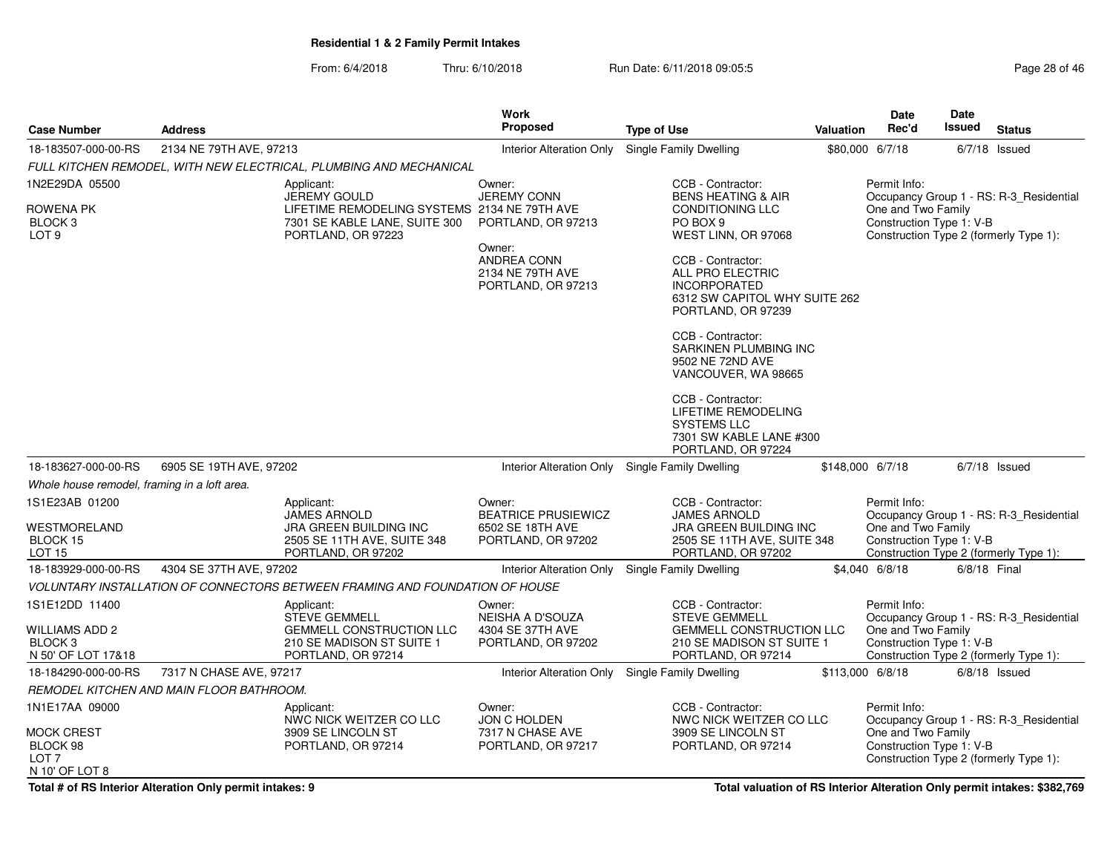From: 6/4/2018Thru: 6/10/2018 **Run Date: 6/11/2018 09:05:5** Page 28 of 46

| <b>Case Number</b>                                                                    | <b>Address</b>                           |                                                                                                                                          | <b>Work</b><br><b>Proposed</b>                                                 | <b>Type of Use</b>                                                                                                      | Valuation | Date<br>Rec'd                                                                                            | Date<br><b>Issued</b> | <b>Status</b>                                                                     |
|---------------------------------------------------------------------------------------|------------------------------------------|------------------------------------------------------------------------------------------------------------------------------------------|--------------------------------------------------------------------------------|-------------------------------------------------------------------------------------------------------------------------|-----------|----------------------------------------------------------------------------------------------------------|-----------------------|-----------------------------------------------------------------------------------|
| 18-183507-000-00-RS                                                                   | 2134 NE 79TH AVE, 97213                  |                                                                                                                                          | <b>Interior Alteration Only</b>                                                | Single Family Dwelling                                                                                                  |           | \$80,000 6/7/18                                                                                          |                       | $6/7/18$ Issued                                                                   |
|                                                                                       |                                          | FULL KITCHEN REMODEL, WITH NEW ELECTRICAL, PLUMBING AND MECHANICAL                                                                       |                                                                                |                                                                                                                         |           |                                                                                                          |                       |                                                                                   |
| 1N2E29DA 05500<br>ROWENA PK<br>BLOCK <sub>3</sub><br>LOT <sub>9</sub>                 |                                          | Applicant:<br><b>JEREMY GOULD</b><br>LIFETIME REMODELING SYSTEMS 2134 NE 79TH AVE<br>7301 SE KABLE LANE, SUITE 300<br>PORTLAND, OR 97223 | Owner:<br><b>JEREMY CONN</b><br>PORTLAND, OR 97213<br>Owner:                   | CCB - Contractor:<br><b>BENS HEATING &amp; AIR</b><br>CONDITIONING LLC<br>PO BOX 9<br>WEST LINN, OR 97068               |           | Permit Info:<br>One and Two Family<br>Construction Type 1: V-B<br>Construction Type 2 (formerly Type 1): |                       | Occupancy Group 1 - RS: R-3_Residential                                           |
|                                                                                       |                                          |                                                                                                                                          | ANDREA CONN<br>2134 NE 79TH AVE<br>PORTLAND, OR 97213                          | CCB - Contractor:<br>ALL PRO ELECTRIC<br><b>INCORPORATED</b><br>6312 SW CAPITOL WHY SUITE 262<br>PORTLAND, OR 97239     |           |                                                                                                          |                       |                                                                                   |
|                                                                                       |                                          |                                                                                                                                          |                                                                                | CCB - Contractor:<br>SARKINEN PLUMBING INC<br>9502 NE 72ND AVE<br>VANCOUVER, WA 98665                                   |           |                                                                                                          |                       |                                                                                   |
|                                                                                       |                                          |                                                                                                                                          |                                                                                | CCB - Contractor:<br>LIFETIME REMODELING<br><b>SYSTEMS LLC</b><br>7301 SW KABLE LANE #300<br>PORTLAND, OR 97224         |           |                                                                                                          |                       |                                                                                   |
| 18-183627-000-00-RS                                                                   | 6905 SE 19TH AVE, 97202                  |                                                                                                                                          | <b>Interior Alteration Only</b>                                                | <b>Single Family Dwelling</b>                                                                                           |           | \$148,000 6/7/18                                                                                         |                       | $6/7/18$ Issued                                                                   |
| Whole house remodel, framing in a loft area.                                          |                                          |                                                                                                                                          |                                                                                |                                                                                                                         |           |                                                                                                          |                       |                                                                                   |
| 1S1E23AB 01200<br>WESTMORELAND<br>BLOCK 15<br>LOT 15                                  |                                          | Applicant:<br><b>JAMES ARNOLD</b><br>JRA GREEN BUILDING INC<br>2505 SE 11TH AVE, SUITE 348<br>PORTLAND, OR 97202                         | Owner:<br><b>BEATRICE PRUSIEWICZ</b><br>6502 SE 18TH AVE<br>PORTLAND, OR 97202 | CCB - Contractor:<br><b>JAMES ARNOLD</b><br>JRA GREEN BUILDING INC<br>2505 SE 11TH AVE, SUITE 348<br>PORTLAND, OR 97202 |           | Permit Info:<br>One and Two Family<br>Construction Type 1: V-B                                           |                       | Occupancy Group 1 - RS: R-3_Residential<br>Construction Type 2 (formerly Type 1): |
| 18-183929-000-00-RS                                                                   | 4304 SE 37TH AVE, 97202                  |                                                                                                                                          | Interior Alteration Only                                                       | Single Family Dwelling                                                                                                  |           | \$4,040 6/8/18                                                                                           | 6/8/18 Final          |                                                                                   |
|                                                                                       |                                          | VOLUNTARY INSTALLATION OF CONNECTORS BETWEEN FRAMING AND FOUNDATION OF HOUSE                                                             |                                                                                |                                                                                                                         |           |                                                                                                          |                       |                                                                                   |
| 1S1E12DD 11400<br>WILLIAMS ADD 2<br>BLOCK <sub>3</sub>                                |                                          | Applicant:<br><b>STEVE GEMMELL</b><br><b>GEMMELL CONSTRUCTION LLC</b><br>210 SE MADISON ST SUITE 1                                       | Owner:<br>NEISHA A D'SOUZA<br>4304 SE 37TH AVE<br>PORTLAND, OR 97202           | CCB - Contractor:<br><b>STEVE GEMMELL</b><br><b>GEMMELL CONSTRUCTION LLC</b><br>210 SE MADISON ST SUITE 1               |           | Permit Info:<br>One and Two Family<br>Construction Type 1: V-B                                           |                       | Occupancy Group 1 - RS: R-3_Residential                                           |
| N 50' OF LOT 17&18                                                                    |                                          | PORTLAND, OR 97214                                                                                                                       |                                                                                | PORTLAND, OR 97214                                                                                                      |           | Construction Type 2 (formerly Type 1):                                                                   |                       |                                                                                   |
| 18-184290-000-00-RS                                                                   | 7317 N CHASE AVE, 97217                  |                                                                                                                                          | <b>Interior Alteration Only</b>                                                | <b>Single Family Dwelling</b>                                                                                           |           | \$113,000 6/8/18                                                                                         |                       | $6/8/18$ Issued                                                                   |
|                                                                                       | REMODEL KITCHEN AND MAIN FLOOR BATHROOM. |                                                                                                                                          |                                                                                |                                                                                                                         |           |                                                                                                          |                       |                                                                                   |
| 1N1E17AA 09000<br><b>MOCK CREST</b><br>BLOCK 98<br>LOT <sub>7</sub><br>N 10' OF LOT 8 |                                          | Applicant:<br>NWC NICK WEITZER CO LLC<br>3909 SE LINCOLN ST<br>PORTLAND, OR 97214                                                        | Owner:<br><b>JON C HOLDEN</b><br>7317 N CHASE AVE<br>PORTLAND, OR 97217        | CCB - Contractor:<br>NWC NICK WEITZER CO LLC<br>3909 SE LINCOLN ST<br>PORTLAND, OR 97214                                |           | Permit Info:<br>One and Two Family<br>Construction Type 1: V-B<br>Construction Type 2 (formerly Type 1): |                       | Occupancy Group 1 - RS: R-3_Residential                                           |

**Total # of RS Interior Alteration Only permit intakes: 9**

**Total valuation of RS Interior Alteration Only permit intakes: \$382,769**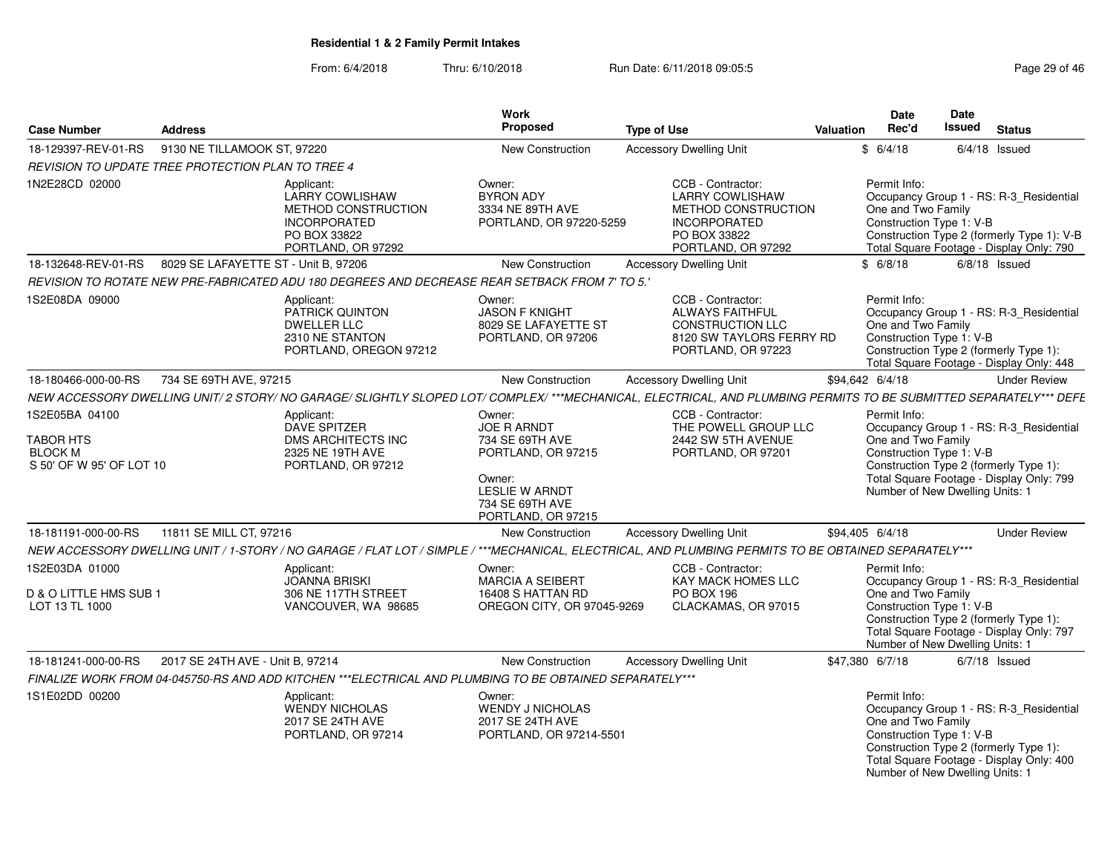| <b>Case Number</b>                                                               | <b>Address</b>                                                                                                                                                   | Work<br>Proposed                                                                                      |                                                                            | <b>Type of Use</b>                                                                                                              | Valuation | Date<br>Rec'd                                                                                     | Date<br>Issued | <b>Status</b>                                                                                                                     |
|----------------------------------------------------------------------------------|------------------------------------------------------------------------------------------------------------------------------------------------------------------|-------------------------------------------------------------------------------------------------------|----------------------------------------------------------------------------|---------------------------------------------------------------------------------------------------------------------------------|-----------|---------------------------------------------------------------------------------------------------|----------------|-----------------------------------------------------------------------------------------------------------------------------------|
| 18-129397-REV-01-RS                                                              | 9130 NE TILLAMOOK ST, 97220                                                                                                                                      |                                                                                                       | <b>New Construction</b>                                                    | <b>Accessory Dwelling Unit</b>                                                                                                  |           | \$6/4/18                                                                                          |                | $6/4/18$ Issued                                                                                                                   |
|                                                                                  | REVISION TO UPDATE TREE PROTECTION PLAN TO TREE 4                                                                                                                |                                                                                                       |                                                                            |                                                                                                                                 |           |                                                                                                   |                |                                                                                                                                   |
| 1N2E28CD 02000                                                                   | Applicant:<br><b>LARRY COWLISHAW</b><br><b>INCORPORATED</b><br>PO BOX 33822<br>PORTLAND, OR 97292                                                                | Owner:<br><b>BYRON ADY</b><br>METHOD CONSTRUCTION<br>3334 NE 89TH AVE                                 | PORTLAND, OR 97220-5259                                                    | CCB - Contractor:<br><b>LARRY COWLISHAW</b><br>METHOD CONSTRUCTION<br><b>INCORPORATED</b><br>PO BOX 33822<br>PORTLAND, OR 97292 |           | Permit Info:<br>One and Two Family<br>Construction Type 1: V-B                                    |                | Occupancy Group 1 - RS: R-3 Residential<br>Construction Type 2 (formerly Type 1): V-B<br>Total Square Footage - Display Only: 790 |
| 18-132648-REV-01-RS                                                              | 8029 SE LAFAYETTE ST - Unit B, 97206                                                                                                                             |                                                                                                       | <b>New Construction</b>                                                    | <b>Accessory Dwelling Unit</b>                                                                                                  |           | \$6/8/18                                                                                          |                | $6/8/18$ Issued                                                                                                                   |
|                                                                                  | '.5 REVISION TO ROTATE NEW PRE-FABRICATED ADU 180 DEGREES AND DECREASE REAR SETBACK FROM 7' TO 5.                                                                |                                                                                                       |                                                                            |                                                                                                                                 |           |                                                                                                   |                |                                                                                                                                   |
| 1S2E08DA 09000                                                                   | Applicant:<br>PATRICK QUINTON<br><b>DWELLER LLC</b><br>2310 NE STANTON                                                                                           | Owner:<br><b>JASON F KNIGHT</b><br>PORTLAND, OREGON 97212                                             | 8029 SE LAFAYETTE ST<br>PORTLAND, OR 97206                                 | CCB - Contractor:<br><b>ALWAYS FAITHFUL</b><br><b>CONSTRUCTION LLC</b><br>8120 SW TAYLORS FERRY RD<br>PORTLAND, OR 97223        |           | Permit Info:<br>One and Two Family<br>Construction Type 1: V-B                                    |                | Occupancy Group 1 - RS: R-3_Residential<br>Construction Type 2 (formerly Type 1):<br>Total Square Footage - Display Only: 448     |
| 18-180466-000-00-RS                                                              | 734 SE 69TH AVE, 97215                                                                                                                                           |                                                                                                       | <b>New Construction</b>                                                    | <b>Accessory Dwelling Unit</b>                                                                                                  |           | \$94.642 6/4/18                                                                                   |                | <b>Under Review</b>                                                                                                               |
|                                                                                  | NEW ACCESSORY DWELLING UNIT/2 STORY/ NO GARAGE/ SLIGHTLY SLOPED LOT/ COMPLEX/ ***MECHANICAL, ELECTRICAL, AND PLUMBING PERMITS TO BE SUBMITTED SEPARATELY*** DEFE |                                                                                                       |                                                                            |                                                                                                                                 |           |                                                                                                   |                |                                                                                                                                   |
| 1S2E05BA 04100<br><b>TABOR HTS</b><br><b>BLOCK M</b><br>S 50' OF W 95' OF LOT 10 | Applicant:<br><b>DAVE SPITZER</b><br>DMS ARCHITECTS INC<br>2325 NE 19TH AVE<br>PORTLAND, OR 97212                                                                | Owner:<br><b>JOE R ARNDT</b><br>734 SE 69TH AVE<br>Owner:<br><b>LESLIE W ARNDT</b><br>734 SE 69TH AVE | PORTLAND, OR 97215<br>PORTLAND, OR 97215                                   | CCB - Contractor:<br>THE POWELL GROUP LLC<br>2442 SW 5TH AVENUE<br>PORTLAND, OR 97201                                           |           | Permit Info:<br>One and Two Family<br>Construction Type 1: V-B<br>Number of New Dwelling Units: 1 |                | Occupancy Group 1 - RS: R-3_Residential<br>Construction Type 2 (formerly Type 1):<br>Total Square Footage - Display Only: 799     |
| 18-181191-000-00-RS                                                              | 11811 SE MILL CT, 97216                                                                                                                                          |                                                                                                       | <b>New Construction</b>                                                    | <b>Accessory Dwelling Unit</b>                                                                                                  |           | \$94,405 6/4/18                                                                                   |                | <b>Under Review</b>                                                                                                               |
|                                                                                  | NEW ACCESSORY DWELLING UNIT / 1-STORY / NO GARAGE / FLAT LOT / SIMPLE / ***MECHANICAL, ELECTRICAL, AND PLUMBING PERMITS TO BE OBTAINED SEPARATELY***             |                                                                                                       |                                                                            |                                                                                                                                 |           |                                                                                                   |                |                                                                                                                                   |
| 1S2E03DA 01000<br>D & O LITTLE HMS SUB 1<br>LOT 13 TL 1000                       | Applicant:<br><b>JOANNA BRISKI</b><br>306 NE 117TH STREET<br>VANCOUVER, WA 98685                                                                                 | Owner:                                                                                                | <b>MARCIA A SEIBERT</b><br>16408 S HATTAN RD<br>OREGON CITY, OR 97045-9269 | CCB - Contractor:<br><b>KAY MACK HOMES LLC</b><br>PO BOX 196<br>CLACKAMAS, OR 97015                                             |           | Permit Info:<br>One and Two Family<br>Construction Type 1: V-B<br>Number of New Dwelling Units: 1 |                | Occupancy Group 1 - RS: R-3 Residential<br>Construction Type 2 (formerly Type 1):<br>Total Square Footage - Display Only: 797     |
| 18-181241-000-00-RS                                                              | 2017 SE 24TH AVE - Unit B, 97214                                                                                                                                 |                                                                                                       | New Construction                                                           | <b>Accessory Dwelling Unit</b>                                                                                                  |           | \$47,380 6/7/18                                                                                   |                | $6/7/18$ Issued                                                                                                                   |
|                                                                                  | FINALIZE WORK FROM 04-045750-RS AND ADD KITCHEN ***ELECTRICAL AND PLUMBING TO BE OBTAINED SEPARATELY***                                                          |                                                                                                       |                                                                            |                                                                                                                                 |           |                                                                                                   |                |                                                                                                                                   |
| 1S1E02DD 00200                                                                   | Applicant:<br><b>WENDY NICHOLAS</b><br>2017 SE 24TH AVE<br>PORTLAND, OR 97214                                                                                    | Owner:<br>2017 SE 24TH AVE                                                                            | <b>WENDY J NICHOLAS</b><br>PORTLAND, OR 97214-5501                         |                                                                                                                                 |           | Permit Info:<br>One and Two Family<br>Construction Type 1: V-B<br>Number of New Dwelling Units: 1 |                | Occupancy Group 1 - RS: R-3_Residential<br>Construction Type 2 (formerly Type 1):<br>Total Square Footage - Display Only: 400     |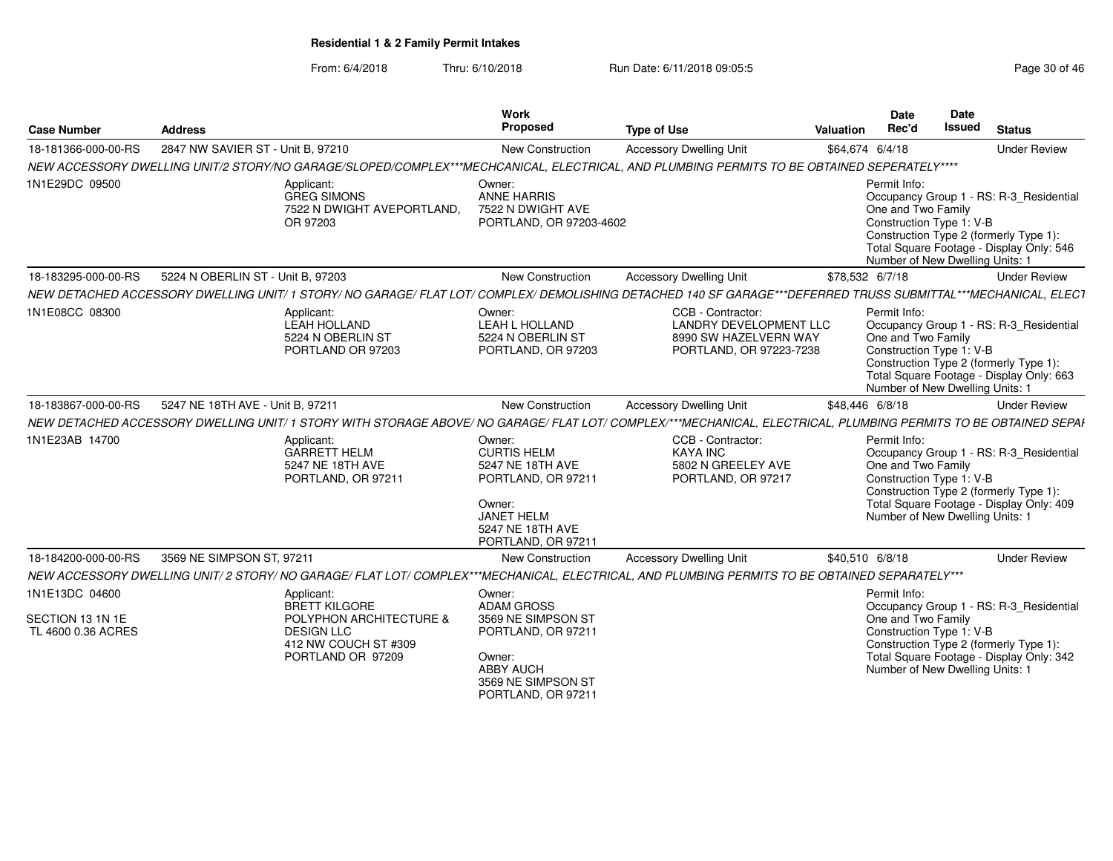| <b>Case Number</b>                                       | <b>Address</b>                    |                                                                                                                                                                 | Work<br>Proposed                                                                                                                                  | <b>Type of Use</b>                                                                                     | <b>Valuation</b> | Date<br>Rec'd                                                                                     | Date<br><b>Issued</b> | <b>Status</b>                                                                                                                 |
|----------------------------------------------------------|-----------------------------------|-----------------------------------------------------------------------------------------------------------------------------------------------------------------|---------------------------------------------------------------------------------------------------------------------------------------------------|--------------------------------------------------------------------------------------------------------|------------------|---------------------------------------------------------------------------------------------------|-----------------------|-------------------------------------------------------------------------------------------------------------------------------|
| 18-181366-000-00-RS                                      | 2847 NW SAVIER ST - Unit B. 97210 |                                                                                                                                                                 | New Construction                                                                                                                                  | <b>Accessory Dwelling Unit</b>                                                                         |                  | \$64,674 6/4/18                                                                                   |                       | <b>Under Review</b>                                                                                                           |
|                                                          |                                   | NEW ACCESSORY DWELLING UNIT/2 STORY/NO GARAGE/SLOPED/COMPLEX***MECHCANICAL, ELECTRICAL, AND PLUMBING PERMITS TO BE OBTAINED SEPERATELY****                      |                                                                                                                                                   |                                                                                                        |                  |                                                                                                   |                       |                                                                                                                               |
| 1N1E29DC 09500                                           |                                   | Applicant:<br><b>GREG SIMONS</b><br>7522 N DWIGHT AVEPORTLAND,<br>OR 97203                                                                                      | Owner:<br><b>ANNE HARRIS</b><br>7522 N DWIGHT AVE<br>PORTLAND, OR 97203-4602                                                                      |                                                                                                        |                  | Permit Info:<br>One and Two Family<br>Construction Type 1: V-B<br>Number of New Dwelling Units: 1 |                       | Occupancy Group 1 - RS: R-3 Residential<br>Construction Type 2 (formerly Type 1):<br>Total Square Footage - Display Only: 546 |
| 18-183295-000-00-RS                                      | 5224 N OBERLIN ST - Unit B, 97203 |                                                                                                                                                                 | New Construction                                                                                                                                  | <b>Accessory Dwelling Unit</b>                                                                         |                  | \$78,532 6/7/18                                                                                   |                       | <b>Under Review</b>                                                                                                           |
|                                                          |                                   | NEW DETACHED ACCESSORY DWELLING UNIT/ 1 STORY/ NO GARAGE/ FLAT LOT/ COMPLEX/ DEMOLISHING DETACHED 140 SF GARAGE***DEFERRED TRUSS SUBMITTAL***MECHANICAL, ELECT  |                                                                                                                                                   |                                                                                                        |                  |                                                                                                   |                       |                                                                                                                               |
| 1N1E08CC 08300                                           |                                   | Applicant:<br>LEAH HOLLAND<br>5224 N OBERLIN ST<br>PORTLAND OR 97203                                                                                            | Owner:<br>LEAH L HOLLAND<br>5224 N OBERLIN ST<br>PORTLAND, OR 97203                                                                               | CCB - Contractor:<br><b>LANDRY DEVELOPMENT LLC</b><br>8990 SW HAZELVERN WAY<br>PORTLAND, OR 97223-7238 |                  | Permit Info:<br>One and Two Family<br>Construction Type 1: V-B<br>Number of New Dwelling Units: 1 |                       | Occupancy Group 1 - RS: R-3 Residential<br>Construction Type 2 (formerly Type 1):<br>Total Square Footage - Display Only: 663 |
| 18-183867-000-00-RS                                      | 5247 NE 18TH AVE - Unit B, 97211  |                                                                                                                                                                 | <b>New Construction</b>                                                                                                                           | <b>Accessory Dwelling Unit</b>                                                                         |                  | \$48,446 6/8/18                                                                                   |                       | <b>Under Review</b>                                                                                                           |
|                                                          |                                   | NEW DETACHED ACCESSORY DWELLING UNIT/ 1 STORY WITH STORAGE ABOVE/ NO GARAGE/ FLAT LOT/ COMPLEX/***MECHANICAL, ELECTRICAL, PLUMBING PERMITS TO BE OBTAINED SEPAI |                                                                                                                                                   |                                                                                                        |                  |                                                                                                   |                       |                                                                                                                               |
| 1N1E23AB 14700                                           |                                   | Applicant:<br><b>GARRETT HELM</b><br>5247 NE 18TH AVE<br>PORTLAND, OR 97211                                                                                     | Owner:<br><b>CURTIS HELM</b><br>5247 NE 18TH AVE<br>PORTLAND, OR 97211<br>Owner:<br><b>JANET HELM</b><br>5247 NE 18TH AVE<br>PORTLAND, OR 97211   | CCB - Contractor:<br><b>KAYA INC</b><br>5802 N GREELEY AVE<br>PORTLAND, OR 97217                       |                  | Permit Info:<br>One and Two Family<br>Construction Type 1: V-B<br>Number of New Dwelling Units: 1 |                       | Occupancy Group 1 - RS: R-3 Residential<br>Construction Type 2 (formerly Type 1):<br>Total Square Footage - Display Only: 409 |
| 18-184200-000-00-RS                                      | 3569 NE SIMPSON ST. 97211         |                                                                                                                                                                 | <b>New Construction</b>                                                                                                                           | <b>Accessory Dwelling Unit</b>                                                                         |                  | \$40.510 6/8/18                                                                                   |                       | <b>Under Review</b>                                                                                                           |
|                                                          |                                   | NEW ACCESSORY DWELLING UNIT/2 STORY/ NO GARAGE/ FLAT LOT/ COMPLEX***MECHANICAL, ELECTRICAL, AND PLUMBING PERMITS TO BE OBTAINED SEPARATELY***                   |                                                                                                                                                   |                                                                                                        |                  |                                                                                                   |                       |                                                                                                                               |
| 1N1E13DC 04600<br>SECTION 13 1N 1E<br>TL 4600 0.36 ACRES |                                   | Applicant:<br>BRETT KILGORE<br>POLYPHON ARCHITECTURE &<br><b>DESIGN LLC</b><br>412 NW COUCH ST #309<br>PORTLAND OR 97209                                        | Owner:<br><b>ADAM GROSS</b><br>3569 NE SIMPSON ST<br>PORTLAND, OR 97211<br>Owner:<br><b>ABBY AUCH</b><br>3569 NE SIMPSON ST<br>PORTLAND, OR 97211 |                                                                                                        |                  | Permit Info:<br>One and Two Family<br>Construction Type 1: V-B<br>Number of New Dwelling Units: 1 |                       | Occupancy Group 1 - RS: R-3_Residential<br>Construction Type 2 (formerly Type 1):<br>Total Square Footage - Display Only: 342 |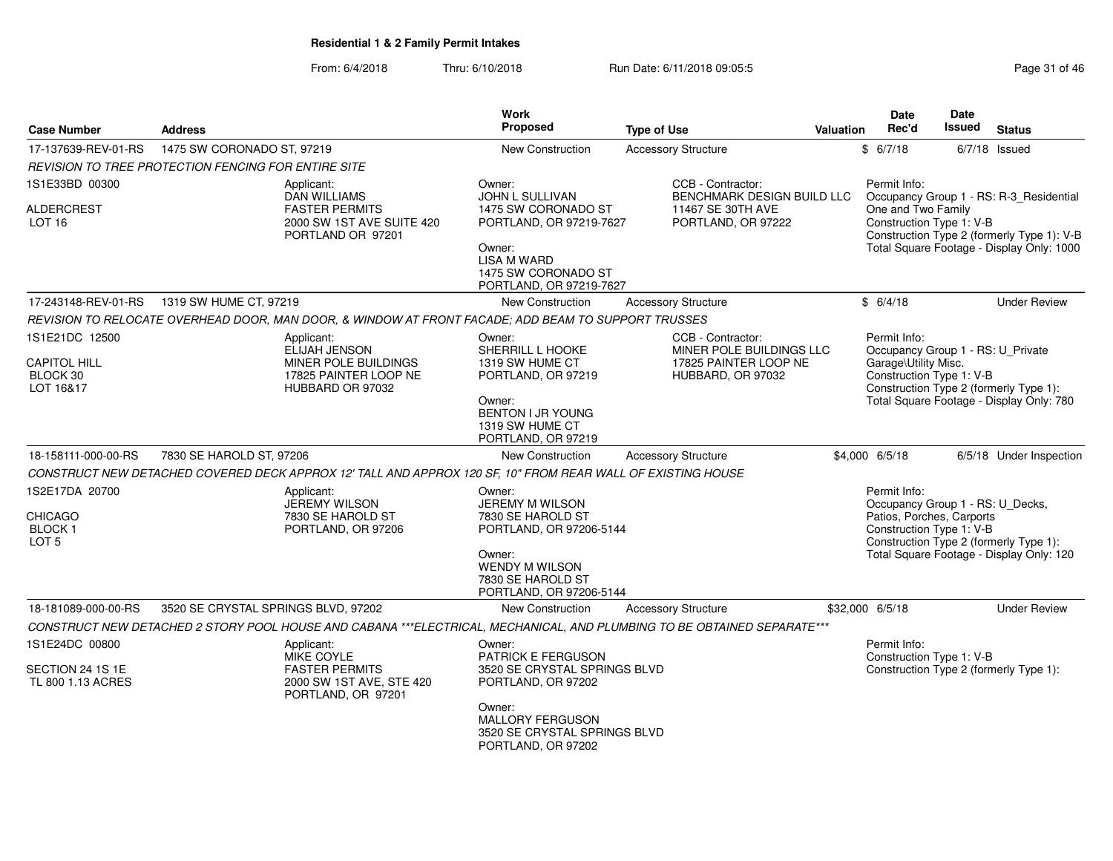| <b>Case Number</b>                                                    | <b>Address</b>                      |                                                                                                                         | <b>Work</b><br>Proposed                                                                                                                               | <b>Type of Use</b>                                                                          | <b>Valuation</b> | Date<br>Rec'd                                                                                             | <b>Date</b><br>Issued | <b>Status</b>                                                                           |
|-----------------------------------------------------------------------|-------------------------------------|-------------------------------------------------------------------------------------------------------------------------|-------------------------------------------------------------------------------------------------------------------------------------------------------|---------------------------------------------------------------------------------------------|------------------|-----------------------------------------------------------------------------------------------------------|-----------------------|-----------------------------------------------------------------------------------------|
| 17-137639-REV-01-RS                                                   | 1475 SW CORONADO ST, 97219          |                                                                                                                         | New Construction                                                                                                                                      | <b>Accessory Structure</b>                                                                  |                  | \$6/7/18                                                                                                  |                       | $6/7/18$ Issued                                                                         |
| <i>REVISION TO TREE PROTECTION FENCING FOR ENTIRE SITE</i>            |                                     |                                                                                                                         |                                                                                                                                                       |                                                                                             |                  |                                                                                                           |                       |                                                                                         |
| 1S1E33BD 00300                                                        |                                     | Applicant:<br><b>DAN WILLIAMS</b>                                                                                       | Owner:<br><b>JOHN L SULLIVAN</b>                                                                                                                      | CCB - Contractor:<br>BENCHMARK DESIGN BUILD LLC                                             |                  | Permit Info:                                                                                              |                       | Occupancy Group 1 - RS: R-3_Residential                                                 |
| <b>ALDERCREST</b><br>LOT <sub>16</sub>                                |                                     | <b>FASTER PERMITS</b><br>2000 SW 1ST AVE SUITE 420<br>PORTLAND OR 97201                                                 | 1475 SW CORONADO ST<br>PORTLAND, OR 97219-7627<br>Owner:<br><b>LISA M WARD</b><br>1475 SW CORONADO ST<br>PORTLAND, OR 97219-7627                      | 11467 SE 30TH AVE<br>PORTLAND, OR 97222                                                     |                  | One and Two Family<br>Construction Type 1: V-B                                                            |                       | Construction Type 2 (formerly Type 1): V-B<br>Total Square Footage - Display Only: 1000 |
| 17-243148-REV-01-RS                                                   | 1319 SW HUME CT, 97219              |                                                                                                                         | <b>New Construction</b>                                                                                                                               | <b>Accessory Structure</b>                                                                  |                  | \$6/4/18                                                                                                  |                       | <b>Under Review</b>                                                                     |
|                                                                       |                                     | REVISION TO RELOCATE OVERHEAD DOOR, MAN DOOR, & WINDOW AT FRONT FACADE; ADD BEAM TO SUPPORT TRUSSES                     |                                                                                                                                                       |                                                                                             |                  |                                                                                                           |                       |                                                                                         |
| 1S1E21DC 12500<br><b>CAPITOL HILL</b><br>BLOCK 30<br>LOT 16&17        |                                     | Applicant:<br>ELIJAH JENSON<br>MINER POLE BUILDINGS<br>17825 PAINTER LOOP NE<br>HUBBARD OR 97032                        | Owner:<br>SHERRILL L HOOKE<br>1319 SW HUME CT<br>PORTLAND, OR 97219<br>Owner:<br>BENTON I JR YOUNG<br>1319 SW HUME CT<br>PORTLAND, OR 97219           | CCB - Contractor:<br>MINER POLE BUILDINGS LLC<br>17825 PAINTER LOOP NE<br>HUBBARD, OR 97032 |                  | Permit Info:<br>Occupancy Group 1 - RS: U_Private<br>Garage\Utility Misc.<br>Construction Type 1: V-B     |                       | Construction Type 2 (formerly Type 1):<br>Total Square Footage - Display Only: 780      |
| 18-158111-000-00-RS                                                   | 7830 SE HAROLD ST, 97206            |                                                                                                                         | New Construction                                                                                                                                      | <b>Accessory Structure</b>                                                                  |                  | \$4,000 6/5/18                                                                                            |                       | 6/5/18 Under Inspection                                                                 |
|                                                                       |                                     | CONSTRUCT NEW DETACHED COVERED DECK APPROX 12' TALL AND APPROX 120 SF. 10" FROM REAR WALL OF EXISTING HOUSE             |                                                                                                                                                       |                                                                                             |                  |                                                                                                           |                       |                                                                                         |
| 1S2E17DA 20700<br><b>CHICAGO</b><br><b>BLOCK1</b><br>LOT <sub>5</sub> |                                     | Applicant:<br>JEREMY WILSON<br>7830 SE HAROLD ST<br>PORTLAND, OR 97206                                                  | Owner:<br>JEREMY M WILSON<br>7830 SE HAROLD ST<br>PORTLAND, OR 97206-5144<br>Owner:<br>WENDY M WILSON<br>7830 SE HAROLD ST<br>PORTLAND, OR 97206-5144 |                                                                                             |                  | Permit Info:<br>Occupancy Group 1 - RS: U_Decks,<br>Patios, Porches, Carports<br>Construction Type 1: V-B |                       | Construction Type 2 (formerly Type 1):<br>Total Square Footage - Display Only: 120      |
| 18-181089-000-00-RS                                                   | 3520 SE CRYSTAL SPRINGS BLVD, 97202 |                                                                                                                         | <b>New Construction</b>                                                                                                                               | <b>Accessory Structure</b>                                                                  |                  | \$32,000 6/5/18                                                                                           |                       | <b>Under Review</b>                                                                     |
|                                                                       |                                     | CONSTRUCT NEW DETACHED 2 STORY POOL HOUSE AND CABANA ***ELECTRICAL, MECHANICAL, AND PLUMBING TO BE OBTAINED SEPARATE*** |                                                                                                                                                       |                                                                                             |                  |                                                                                                           |                       |                                                                                         |
| 1S1E24DC 00800                                                        |                                     | Applicant:<br>MIKE COYLE                                                                                                | Owner:<br><b>PATRICK E FERGUSON</b>                                                                                                                   |                                                                                             |                  | Permit Info:<br>Construction Type 1: V-B                                                                  |                       |                                                                                         |
| SECTION 24 1S 1E<br>TL 800 1.13 ACRES                                 |                                     | <b>FASTER PERMITS</b><br>2000 SW 1ST AVE, STE 420<br>PORTLAND, OR 97201                                                 | 3520 SE CRYSTAL SPRINGS BLVD<br>PORTLAND, OR 97202<br>Owner:<br><b>MALLORY FERGUSON</b><br>3520 SE CRYSTAL SPRINGS BLVD<br>PORTLAND, OR 97202         |                                                                                             |                  |                                                                                                           |                       | Construction Type 2 (formerly Type 1):                                                  |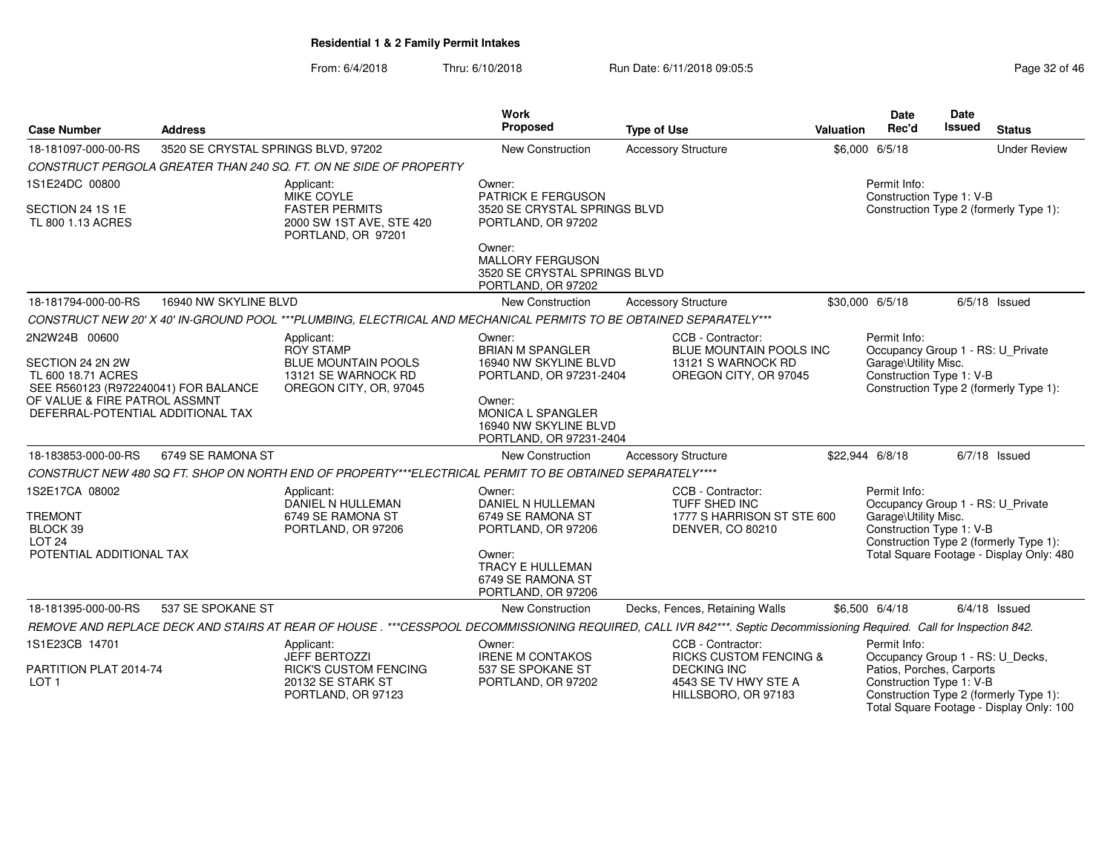| <b>Case Number</b>                                                             | <b>Address</b>                      |                                                                                                                    | Work<br>Proposed                                                                        | <b>Type of Use</b>                                                                                                                                                     | Valuation | Date<br>Rec'd                                                                              | Date<br><b>Issued</b> | <b>Status</b>                                                                      |
|--------------------------------------------------------------------------------|-------------------------------------|--------------------------------------------------------------------------------------------------------------------|-----------------------------------------------------------------------------------------|------------------------------------------------------------------------------------------------------------------------------------------------------------------------|-----------|--------------------------------------------------------------------------------------------|-----------------------|------------------------------------------------------------------------------------|
| 18-181097-000-00-RS                                                            | 3520 SE CRYSTAL SPRINGS BLVD, 97202 |                                                                                                                    | New Construction                                                                        | <b>Accessory Structure</b>                                                                                                                                             |           | \$6,000 6/5/18                                                                             |                       | <b>Under Review</b>                                                                |
|                                                                                |                                     | CONSTRUCT PERGOLA GREATER THAN 240 SQ. FT. ON NE SIDE OF PROPERTY                                                  |                                                                                         |                                                                                                                                                                        |           |                                                                                            |                       |                                                                                    |
| 1S1E24DC 00800                                                                 |                                     | Applicant:<br>MIKE COYLE                                                                                           | Owner:<br>PATRICK E FERGUSON                                                            |                                                                                                                                                                        |           | Permit Info:<br>Construction Type 1: V-B                                                   |                       |                                                                                    |
| SECTION 24 1S 1E<br>TL 800 1.13 ACRES                                          |                                     | <b>FASTER PERMITS</b><br>2000 SW 1ST AVE, STE 420<br>PORTLAND, OR 97201                                            | 3520 SE CRYSTAL SPRINGS BLVD<br>PORTLAND, OR 97202                                      |                                                                                                                                                                        |           |                                                                                            |                       | Construction Type 2 (formerly Type 1):                                             |
|                                                                                |                                     |                                                                                                                    | Owner:<br><b>MALLORY FERGUSON</b><br>3520 SE CRYSTAL SPRINGS BLVD<br>PORTLAND, OR 97202 |                                                                                                                                                                        |           |                                                                                            |                       |                                                                                    |
| 18-181794-000-00-RS                                                            | 16940 NW SKYLINE BLVD               |                                                                                                                    | <b>New Construction</b>                                                                 | <b>Accessory Structure</b>                                                                                                                                             |           | \$30,000 6/5/18                                                                            |                       | $6/5/18$ Issued                                                                    |
|                                                                                |                                     | CONSTRUCT NEW 20' X 40' IN-GROUND POOL ***PLUMBING, ELECTRICAL AND MECHANICAL PERMITS TO BE OBTAINED SEPARATELY*** |                                                                                         |                                                                                                                                                                        |           |                                                                                            |                       |                                                                                    |
| 2N2W24B 00600                                                                  |                                     | Applicant:<br><b>ROY STAMP</b>                                                                                     | Owner:<br><b>BRIAN M SPANGLER</b>                                                       | CCB - Contractor:<br>BLUE MOUNTAIN POOLS INC                                                                                                                           |           | Permit Info:<br>Occupancy Group 1 - RS: U_Private                                          |                       |                                                                                    |
| SECTION 24 2N 2W<br>TL 600 18.71 ACRES<br>SEE R560123 (R972240041) FOR BALANCE |                                     | <b>BLUE MOUNTAIN POOLS</b><br>13121 SE WARNOCK RD<br>OREGON CITY, OR, 97045                                        | 16940 NW SKYLINE BLVD<br>PORTLAND, OR 97231-2404                                        | 13121 S WARNOCK RD<br>OREGON CITY, OR 97045                                                                                                                            |           | Garage\Utility Misc.<br>Construction Type 1: V-B<br>Construction Type 2 (formerly Type 1): |                       |                                                                                    |
| OF VALUE & FIRE PATROL ASSMNT<br>DEFERRAL-POTENTIAL ADDITIONAL TAX             |                                     |                                                                                                                    | Owner:<br><b>MONICA L SPANGLER</b><br>16940 NW SKYLINE BLVD<br>PORTLAND, OR 97231-2404  |                                                                                                                                                                        |           |                                                                                            |                       |                                                                                    |
| 18-183853-000-00-RS                                                            | 6749 SE RAMONA ST                   |                                                                                                                    | <b>New Construction</b>                                                                 | <b>Accessory Structure</b>                                                                                                                                             |           | \$22,944 6/8/18                                                                            |                       | $6/7/18$ Issued                                                                    |
|                                                                                |                                     | CONSTRUCT NEW 480 SQ FT. SHOP ON NORTH END OF PROPERTY***ELECTRICAL PERMIT TO BE OBTAINED SEPARATELY****           |                                                                                         |                                                                                                                                                                        |           |                                                                                            |                       |                                                                                    |
| 1S2E17CA 08002                                                                 |                                     | Applicant:<br>DANIEL N HULLEMAN                                                                                    | Owner:<br>DANIEL N HULLEMAN                                                             | CCB - Contractor:<br>TUFF SHED INC                                                                                                                                     |           | Permit Info:<br>Occupancy Group 1 - RS: U_Private                                          |                       |                                                                                    |
| <b>TREMONT</b><br>BLOCK 39<br>LOT <sub>24</sub>                                |                                     | 6749 SE RAMONA ST<br>PORTLAND, OR 97206                                                                            | 6749 SE RAMONA ST<br>PORTLAND, OR 97206                                                 | 1777 S HARRISON ST STE 600<br><b>DENVER, CO 80210</b>                                                                                                                  |           | Garage\Utility Misc.<br>Construction Type 1: V-B                                           |                       | Construction Type 2 (formerly Type 1):                                             |
| POTENTIAL ADDITIONAL TAX                                                       |                                     |                                                                                                                    | Owner:<br>TRACY E HULLEMAN<br>6749 SE RAMONA ST<br>PORTLAND, OR 97206                   |                                                                                                                                                                        |           |                                                                                            |                       | Total Square Footage - Display Only: 480                                           |
| 18-181395-000-00-RS                                                            | 537 SE SPOKANE ST                   |                                                                                                                    | <b>New Construction</b>                                                                 | Decks, Fences, Retaining Walls                                                                                                                                         |           | \$6,500 6/4/18                                                                             |                       | $6/4/18$ Issued                                                                    |
|                                                                                |                                     |                                                                                                                    |                                                                                         | REMOVE AND REPLACE DECK AND STAIRS AT REAR OF HOUSE . ***CESSPOOL DECOMMISSIONING REQUIRED, CALL IVR 842***. Septic Decommissioning Required. Call for Inspection 842. |           |                                                                                            |                       |                                                                                    |
| 1S1E23CB 14701                                                                 |                                     | Applicant:                                                                                                         | Owner:                                                                                  | CCB - Contractor:                                                                                                                                                      |           | Permit Info:                                                                               |                       |                                                                                    |
| PARTITION PLAT 2014-74<br>LOT <sub>1</sub>                                     |                                     | <b>JEFF BERTOZZI</b><br><b>RICK'S CUSTOM FENCING</b><br>20132 SE STARK ST<br>PORTLAND, OR 97123                    | <b>IRENE M CONTAKOS</b><br>537 SE SPOKANE ST<br>PORTLAND, OR 97202                      | <b>RICKS CUSTOM FENCING &amp;</b><br><b>DECKING INC</b><br>4543 SE TV HWY STE A<br>HILLSBORO, OR 97183                                                                 |           | Occupancy Group 1 - RS: U_Decks,<br>Patios, Porches, Carports<br>Construction Type 1: V-B  |                       | Construction Type 2 (formerly Type 1):<br>Total Square Footage - Display Only: 100 |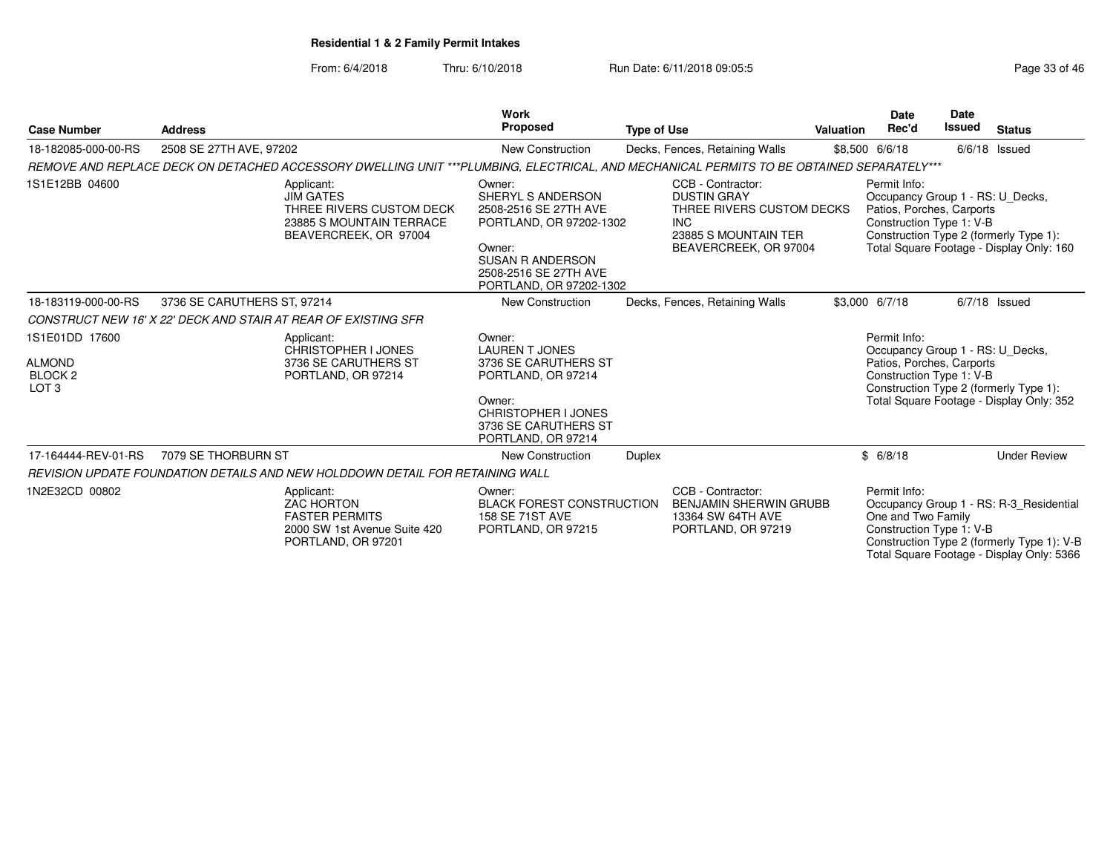| Page 33 of 46 |  |  |  |  |
|---------------|--|--|--|--|
|---------------|--|--|--|--|

| <b>Case Number</b>                                                        | <b>Address</b>              |                                                                                                                                          | <b>Work</b><br><b>Proposed</b>                                                                                                                                           | <b>Type of Use</b> |                                                                                                                                     | <b>Valuation</b> | Date<br>Rec'd                                                                                             | Date<br>Issued | <b>Status</b>                                                                                                                      |
|---------------------------------------------------------------------------|-----------------------------|------------------------------------------------------------------------------------------------------------------------------------------|--------------------------------------------------------------------------------------------------------------------------------------------------------------------------|--------------------|-------------------------------------------------------------------------------------------------------------------------------------|------------------|-----------------------------------------------------------------------------------------------------------|----------------|------------------------------------------------------------------------------------------------------------------------------------|
| 18-182085-000-00-RS                                                       | 2508 SE 27TH AVE, 97202     |                                                                                                                                          | New Construction                                                                                                                                                         |                    | Decks, Fences, Retaining Walls                                                                                                      |                  | \$8,500 6/6/18                                                                                            |                | 6/6/18 Issued                                                                                                                      |
|                                                                           |                             | REMOVE AND REPLACE DECK ON DETACHED ACCESSORY DWELLING UNIT ***PLUMBING, ELECTRICAL, AND MECHANICAL PERMITS TO BE OBTAINED SEPARATELY*** |                                                                                                                                                                          |                    |                                                                                                                                     |                  |                                                                                                           |                |                                                                                                                                    |
| 1S1E12BB 04600                                                            |                             | Applicant:<br><b>JIM GATES</b><br>THREE RIVERS CUSTOM DECK<br>23885 S MOUNTAIN TERRACE<br>BEAVERCREEK, OR 97004                          | Owner:<br>SHERYL S ANDERSON<br>2508-2516 SE 27TH AVE<br>PORTLAND, OR 97202-1302<br>Owner:<br><b>SUSAN R ANDERSON</b><br>2508-2516 SE 27TH AVE<br>PORTLAND, OR 97202-1302 |                    | CCB - Contractor:<br><b>DUSTIN GRAY</b><br>THREE RIVERS CUSTOM DECKS<br><b>INC</b><br>23885 S MOUNTAIN TER<br>BEAVERCREEK, OR 97004 |                  | Permit Info:<br>Occupancy Group 1 - RS: U_Decks,<br>Patios, Porches, Carports<br>Construction Type 1: V-B |                | Construction Type 2 (formerly Type 1):<br>Total Square Footage - Display Only: 160                                                 |
| 18-183119-000-00-RS                                                       | 3736 SE CARUTHERS ST, 97214 |                                                                                                                                          | New Construction                                                                                                                                                         |                    | Decks, Fences, Retaining Walls                                                                                                      |                  | \$3,000 6/7/18                                                                                            |                | $6/7/18$ Issued                                                                                                                    |
|                                                                           |                             | CONSTRUCT NEW 16' X 22' DECK AND STAIR AT REAR OF EXISTING SFR                                                                           |                                                                                                                                                                          |                    |                                                                                                                                     |                  |                                                                                                           |                |                                                                                                                                    |
| 1S1E01DD 17600<br><b>ALMOND</b><br>BLOCK <sub>2</sub><br>LOT <sub>3</sub> |                             | Applicant:<br>CHRISTOPHER I JONES<br>3736 SE CARUTHERS ST<br>PORTLAND, OR 97214                                                          | Owner:<br><b>LAUREN T JONES</b><br>3736 SE CARUTHERS ST<br>PORTLAND, OR 97214<br>Owner:<br><b>CHRISTOPHER I JONES</b><br>3736 SE CARUTHERS ST                            |                    |                                                                                                                                     |                  | Permit Info:<br>Occupancy Group 1 - RS: U_Decks,<br>Patios, Porches, Carports<br>Construction Type 1: V-B |                | Construction Type 2 (formerly Type 1):<br>Total Square Footage - Display Only: 352                                                 |
|                                                                           |                             |                                                                                                                                          | PORTLAND, OR 97214                                                                                                                                                       |                    |                                                                                                                                     |                  |                                                                                                           |                |                                                                                                                                    |
| 17-164444-REV-01-RS                                                       | 7079 SE THORBURN ST         |                                                                                                                                          | New Construction                                                                                                                                                         | <b>Duplex</b>      |                                                                                                                                     |                  | \$6/8/18                                                                                                  |                | <b>Under Review</b>                                                                                                                |
|                                                                           |                             | REVISION UPDATE FOUNDATION DETAILS AND NEW HOLDDOWN DETAIL FOR RETAINING WALL                                                            |                                                                                                                                                                          |                    |                                                                                                                                     |                  |                                                                                                           |                |                                                                                                                                    |
| 1N2E32CD 00802                                                            |                             | Applicant:<br><b>ZAC HORTON</b><br><b>FASTER PERMITS</b><br>2000 SW 1st Avenue Suite 420<br>PORTLAND, OR 97201                           | Owner:<br><b>BLACK FOREST CONSTRUCTION</b><br>158 SE 71ST AVE<br>PORTLAND, OR 97215                                                                                      |                    | CCB - Contractor:<br><b>BENJAMIN SHERWIN GRUBB</b><br>13364 SW 64TH AVE<br>PORTLAND, OR 97219                                       |                  | Permit Info:<br>One and Two Family<br>Construction Type 1: V-B                                            |                | Occupancy Group 1 - RS: R-3 Residential<br>Construction Type 2 (formerly Type 1): V-B<br>Total Square Footage - Display Only: 5366 |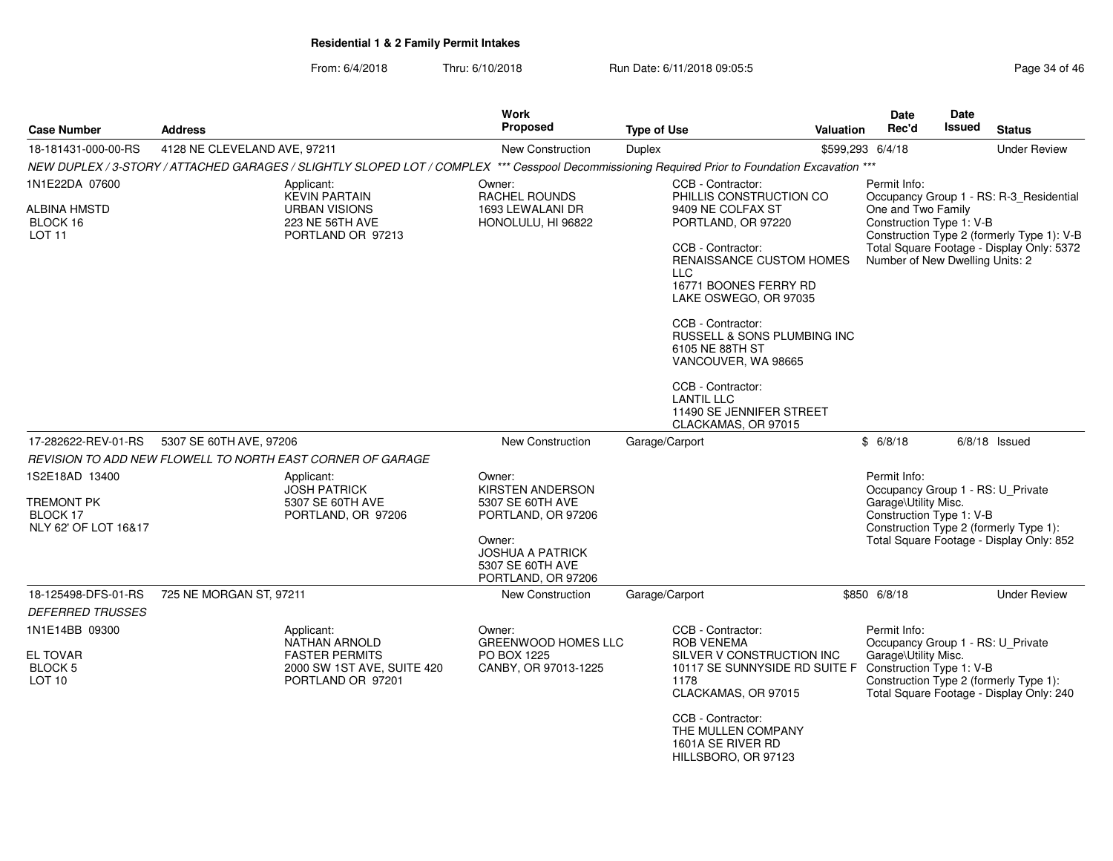From: 6/4/2018Thru: 6/10/2018 **Run Date: 6/11/2018 09:05:5** Page 34 of 46

| <b>Case Number</b>                                                      | <b>Address</b>               |                                                                                                                                                  | Work<br><b>Proposed</b>                                                     | <b>Type of Use</b> |                                                                                                                                                              | <b>Valuation</b> | <b>Date</b><br>Rec'd                                                                                  | <b>Date</b><br>Issued                      | <b>Status</b>                                                                      |
|-------------------------------------------------------------------------|------------------------------|--------------------------------------------------------------------------------------------------------------------------------------------------|-----------------------------------------------------------------------------|--------------------|--------------------------------------------------------------------------------------------------------------------------------------------------------------|------------------|-------------------------------------------------------------------------------------------------------|--------------------------------------------|------------------------------------------------------------------------------------|
| 18-181431-000-00-RS                                                     | 4128 NE CLEVELAND AVE, 97211 |                                                                                                                                                  | New Construction                                                            | <b>Duplex</b>      |                                                                                                                                                              |                  | \$599,293 6/4/18                                                                                      |                                            | <b>Under Review</b>                                                                |
|                                                                         |                              | NEW DUPLEX / 3-STORY / ATTACHED GARAGES / SLIGHTLY SLOPED LOT / COMPLEX *** Cesspool Decommissioning Required Prior to Foundation Excavation *** |                                                                             |                    |                                                                                                                                                              |                  |                                                                                                       |                                            |                                                                                    |
| 1N1E22DA 07600                                                          |                              | Applicant:<br><b>KEVIN PARTAIN</b>                                                                                                               | Owner:<br>RACHEL ROUNDS                                                     |                    | CCB - Contractor:<br>PHILLIS CONSTRUCTION CO                                                                                                                 |                  | Permit Info:                                                                                          |                                            | Occupancy Group 1 - RS: R-3_Residential                                            |
| ALBINA HMSTD<br>BLOCK 16<br>LOT <sub>11</sub>                           |                              | <b>URBAN VISIONS</b><br>223 NE 56TH AVE<br>PORTLAND OR 97213                                                                                     | 1693 LEWALANI DR<br>HONOLULU, HI 96822                                      |                    | 9409 NE COLFAX ST<br>PORTLAND, OR 97220                                                                                                                      |                  | One and Two Family<br>Construction Type 1: V-B                                                        | Construction Type 2 (formerly Type 1): V-B |                                                                                    |
|                                                                         |                              |                                                                                                                                                  |                                                                             |                    | CCB - Contractor:<br>RENAISSANCE CUSTOM HOMES<br><b>LLC</b><br>16771 BOONES FERRY RD<br>LAKE OSWEGO, OR 97035                                                |                  |                                                                                                       | Number of New Dwelling Units: 2            | Total Square Footage - Display Only: 5372                                          |
|                                                                         |                              |                                                                                                                                                  |                                                                             |                    | CCB - Contractor:<br>RUSSELL & SONS PLUMBING INC<br>6105 NE 88TH ST<br>VANCOUVER, WA 98665                                                                   |                  |                                                                                                       |                                            |                                                                                    |
|                                                                         |                              |                                                                                                                                                  |                                                                             |                    | CCB - Contractor:<br><b>LANTIL LLC</b><br>11490 SE JENNIFER STREET<br>CLACKAMAS, OR 97015                                                                    |                  |                                                                                                       |                                            |                                                                                    |
| 17-282622-REV-01-RS                                                     | 5307 SE 60TH AVE, 97206      |                                                                                                                                                  | New Construction                                                            |                    | Garage/Carport                                                                                                                                               |                  | \$6/8/18                                                                                              |                                            | $6/8/18$ Issued                                                                    |
|                                                                         |                              | REVISION TO ADD NEW FLOWELL TO NORTH EAST CORNER OF GARAGE                                                                                       |                                                                             |                    |                                                                                                                                                              |                  |                                                                                                       |                                            |                                                                                    |
| 1S2E18AD 13400<br><b>TREMONT PK</b><br>BLOCK 17<br>NLY 62' OF LOT 16&17 |                              | Applicant:<br><b>JOSH PATRICK</b><br>5307 SE 60TH AVE<br>PORTLAND, OR 97206                                                                      | Owner:<br>KIRSTEN ANDERSON<br>5307 SE 60TH AVE<br>PORTLAND, OR 97206        |                    |                                                                                                                                                              |                  | Permit Info:<br>Occupancy Group 1 - RS: U_Private<br>Garage\Utility Misc.<br>Construction Type 1: V-B |                                            | Construction Type 2 (formerly Type 1):                                             |
|                                                                         |                              |                                                                                                                                                  | Owner:<br><b>JOSHUA A PATRICK</b><br>5307 SE 60TH AVE<br>PORTLAND, OR 97206 |                    |                                                                                                                                                              |                  |                                                                                                       |                                            | Total Square Footage - Display Only: 852                                           |
| 18-125498-DFS-01-RS                                                     | 725 NE MORGAN ST, 97211      |                                                                                                                                                  | New Construction                                                            |                    | Garage/Carport                                                                                                                                               |                  | \$850 6/8/18                                                                                          |                                            | <b>Under Review</b>                                                                |
| <b>DEFERRED TRUSSES</b>                                                 |                              |                                                                                                                                                  |                                                                             |                    |                                                                                                                                                              |                  |                                                                                                       |                                            |                                                                                    |
| 1N1E14BB 09300<br>EL TOVAR<br><b>BLOCK 5</b><br>LOT <sub>10</sub>       |                              | Applicant:<br><b>NATHAN ARNOLD</b><br><b>FASTER PERMITS</b><br>2000 SW 1ST AVE, SUITE 420<br>PORTLAND OR 97201                                   | Owner:<br><b>GREENWOOD HOMES LLC</b><br>PO BOX 1225<br>CANBY, OR 97013-1225 |                    | CCB - Contractor:<br><b>ROB VENEMA</b><br>SILVER V CONSTRUCTION INC<br>10117 SE SUNNYSIDE RD SUITE F Construction Type 1: V-B<br>1178<br>CLACKAMAS, OR 97015 |                  | Permit Info:<br>Occupancy Group 1 - RS: U_Private<br>Garage\Utility Misc.                             |                                            | Construction Type 2 (formerly Type 1):<br>Total Square Footage - Display Only: 240 |
|                                                                         |                              |                                                                                                                                                  |                                                                             |                    | CCB - Contractor:<br>THE MULLEN COMPANY<br>1601A SE RIVER RD                                                                                                 |                  |                                                                                                       |                                            |                                                                                    |

HILLSBORO, OR 97123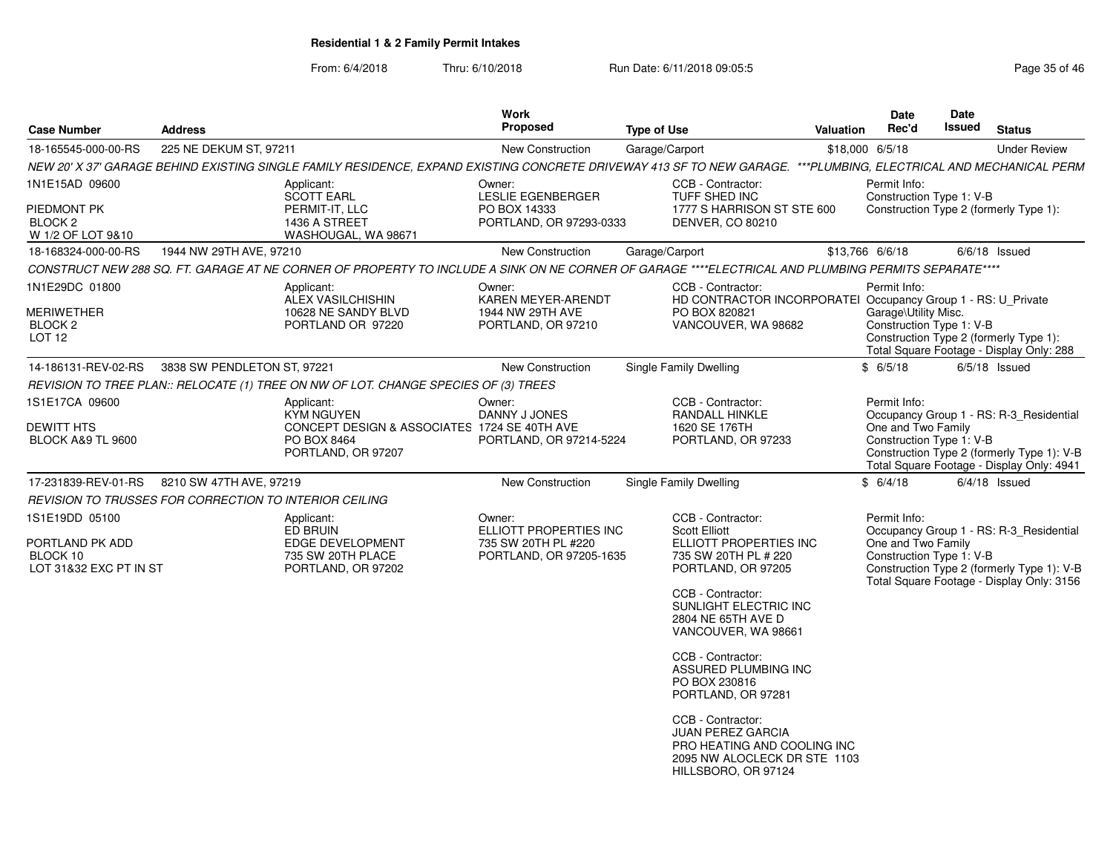| <b>Case Number</b>                                                      | <b>Address</b>              |                                                                                                                                                                   | Work<br><b>Proposed</b>                                                | <b>Type of Use</b> |                                                                                                                                     | Valuation | Date<br>Rec'd                                                    | <b>Date</b><br><b>Issued</b> | <b>Status</b>                                                                                                                      |
|-------------------------------------------------------------------------|-----------------------------|-------------------------------------------------------------------------------------------------------------------------------------------------------------------|------------------------------------------------------------------------|--------------------|-------------------------------------------------------------------------------------------------------------------------------------|-----------|------------------------------------------------------------------|------------------------------|------------------------------------------------------------------------------------------------------------------------------------|
| 18-165545-000-00-RS                                                     | 225 NE DEKUM ST, 97211      |                                                                                                                                                                   | New Construction                                                       | Garage/Carport     |                                                                                                                                     |           | \$18,000 6/5/18                                                  |                              | <b>Under Review</b>                                                                                                                |
|                                                                         |                             | NEW 20' X 37' GARAGE BEHIND EXISTING SINGLE FAMILY RESIDENCE, EXPAND EXISTING CONCRETE DRIVEWAY 413 SF TO NEW GARAGE. ***PLUMBING, ELECTRICAL AND MECHANICAL PERM |                                                                        |                    |                                                                                                                                     |           |                                                                  |                              |                                                                                                                                    |
| 1N1E15AD 09600                                                          |                             | Applicant:<br><b>SCOTT EARL</b>                                                                                                                                   | Owner:<br><b>LESLIE EGENBERGER</b>                                     |                    | CCB - Contractor:<br>TUFF SHED INC                                                                                                  |           | Permit Info:<br>Construction Type 1: V-B                         |                              |                                                                                                                                    |
| PIEDMONT PK<br>BLOCK <sub>2</sub><br>W 1/2 OF LOT 9&10                  |                             | PERMIT-IT, LLC<br>1436 A STREET<br>WASHOUGAL, WA 98671                                                                                                            | PO BOX 14333<br>PORTLAND, OR 97293-0333                                |                    | 1777 S HARRISON ST STE 600<br>DENVER, CO 80210                                                                                      |           |                                                                  |                              | Construction Type 2 (formerly Type 1):                                                                                             |
| 18-168324-000-00-RS                                                     | 1944 NW 29TH AVE, 97210     |                                                                                                                                                                   | New Construction                                                       | Garage/Carport     |                                                                                                                                     |           | \$13,766 6/6/18                                                  |                              | $6/6/18$ Issued                                                                                                                    |
|                                                                         |                             | CONSTRUCT NEW 288 SQ. FT. GARAGE AT NE CORNER OF PROPERTY TO INCLUDE A SINK ON NE CORNER OF GARAGE ****ELECTRICAL AND PLUMBING PERMITS SEPARATE****               |                                                                        |                    |                                                                                                                                     |           |                                                                  |                              |                                                                                                                                    |
| 1N1E29DC 01800<br>MERIWETHER<br>BLOCK <sub>2</sub><br>LOT <sub>12</sub> |                             | Applicant:<br><b>ALEX VASILCHISHIN</b><br>10628 NE SANDY BLVD<br>PORTLAND OR 97220                                                                                | Owner:<br>KAREN MEYER-ARENDT<br>1944 NW 29TH AVE<br>PORTLAND, OR 97210 |                    | CCB - Contractor:<br>HD CONTRACTOR INCORPORATEI Occupancy Group 1 - RS: U_Private<br>PO BOX 820821<br>VANCOUVER, WA 98682           |           | Permit Info:<br>Garage\Utility Misc.<br>Construction Type 1: V-B |                              | Construction Type 2 (formerly Type 1):                                                                                             |
|                                                                         |                             |                                                                                                                                                                   |                                                                        |                    |                                                                                                                                     |           |                                                                  |                              | Total Square Footage - Display Only: 288                                                                                           |
| 14-186131-REV-02-RS                                                     | 3838 SW PENDLETON ST, 97221 |                                                                                                                                                                   | New Construction                                                       |                    | <b>Single Family Dwelling</b>                                                                                                       |           | \$6/5/18                                                         |                              | $6/5/18$ Issued                                                                                                                    |
| 1S1E17CA 09600                                                          |                             | REVISION TO TREE PLAN:: RELOCATE (1) TREE ON NW OF LOT. CHANGE SPECIES OF (3) TREES                                                                               |                                                                        |                    |                                                                                                                                     |           | Permit Info:                                                     |                              |                                                                                                                                    |
| <b>DEWITT HTS</b><br><b>BLOCK A&amp;9 TL 9600</b>                       |                             | Applicant:<br><b>KYM NGUYEN</b><br>CONCEPT DESIGN & ASSOCIATES 1724 SE 40TH AVE<br>PO BOX 8464<br>PORTLAND, OR 97207                                              | Owner:<br>DANNY J JONES<br>PORTLAND, OR 97214-5224                     |                    | CCB - Contractor:<br>RANDALL HINKLE<br>1620 SE 176TH<br>PORTLAND, OR 97233                                                          |           | One and Two Family<br>Construction Type 1: V-B                   |                              | Occupancy Group 1 - RS: R-3_Residential<br>Construction Type 2 (formerly Type 1): V-B<br>Total Square Footage - Display Only: 4941 |
| 17-231839-REV-01-RS                                                     | 8210 SW 47TH AVE, 97219     |                                                                                                                                                                   | New Construction                                                       |                    | Single Family Dwelling                                                                                                              |           | \$6/4/18                                                         |                              | $6/4/18$ Issued                                                                                                                    |
| REVISION TO TRUSSES FOR CORRECTION TO INTERIOR CEILING                  |                             |                                                                                                                                                                   |                                                                        |                    |                                                                                                                                     |           |                                                                  |                              |                                                                                                                                    |
| 1S1E19DD 05100                                                          |                             | Applicant:<br>ED BRUIN                                                                                                                                            | Owner:<br>ELLIOTT PROPERTIES INC                                       |                    | CCB - Contractor:<br><b>Scott Elliott</b>                                                                                           |           | Permit Info:                                                     |                              | Occupancy Group 1 - RS: R-3_Residential                                                                                            |
| PORTLAND PK ADD<br>BLOCK 10<br>LOT 31&32 EXC PT IN ST                   |                             | EDGE DEVELOPMENT<br>735 SW 20TH PLACE<br>PORTLAND, OR 97202                                                                                                       | 735 SW 20TH PL #220<br>PORTLAND, OR 97205-1635                         |                    | ELLIOTT PROPERTIES INC<br>735 SW 20TH PL # 220<br>PORTLAND, OR 97205                                                                |           | One and Two Family<br>Construction Type 1: V-B                   |                              | Construction Type 2 (formerly Type 1): V-B<br>Total Square Footage - Display Only: 3156                                            |
|                                                                         |                             |                                                                                                                                                                   |                                                                        |                    | CCB - Contractor:<br>SUNLIGHT ELECTRIC INC<br>2804 NE 65TH AVE D<br>VANCOUVER, WA 98661                                             |           |                                                                  |                              |                                                                                                                                    |
|                                                                         |                             |                                                                                                                                                                   |                                                                        |                    | CCB - Contractor:<br>ASSURED PLUMBING INC<br>PO BOX 230816<br>PORTLAND, OR 97281                                                    |           |                                                                  |                              |                                                                                                                                    |
|                                                                         |                             |                                                                                                                                                                   |                                                                        |                    | CCB - Contractor:<br><b>JUAN PEREZ GARCIA</b><br>PRO HEATING AND COOLING INC<br>2095 NW ALOCLECK DR STE 1103<br>HILLSBORO, OR 97124 |           |                                                                  |                              |                                                                                                                                    |
|                                                                         |                             |                                                                                                                                                                   |                                                                        |                    |                                                                                                                                     |           |                                                                  |                              |                                                                                                                                    |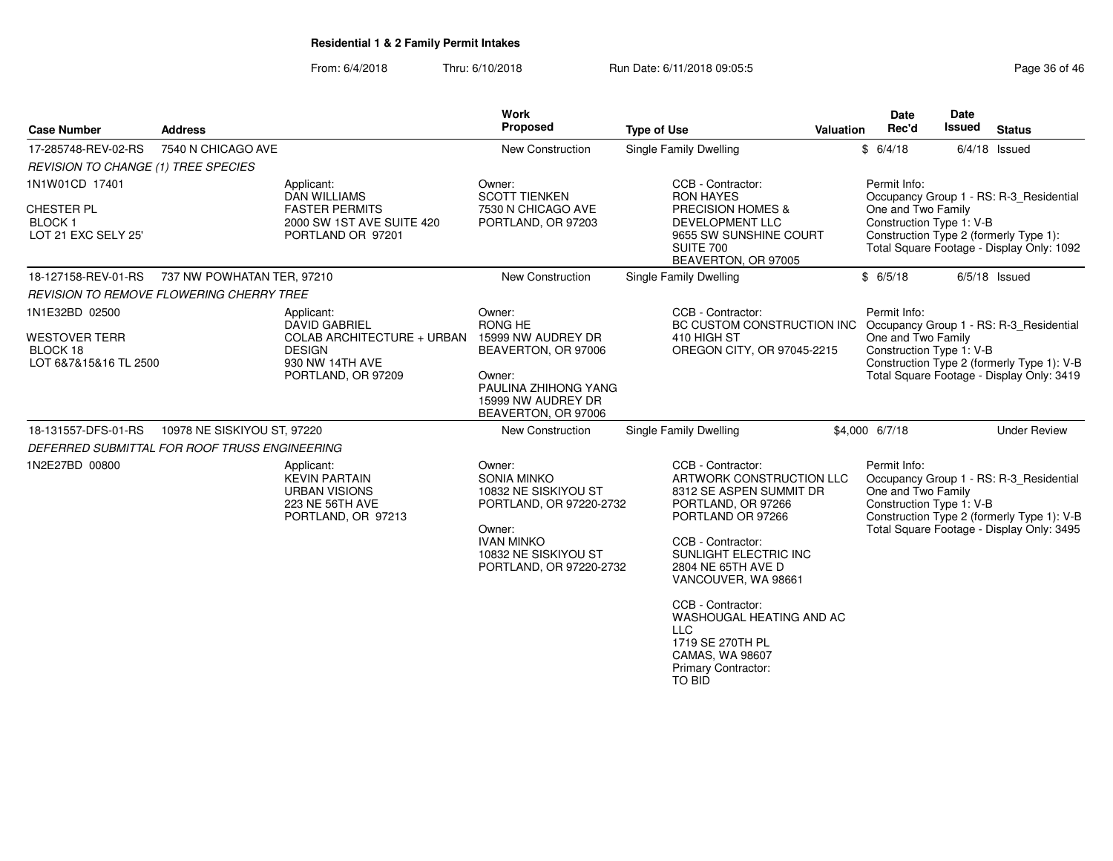#### From: 6/4/2018Thru: 6/10/2018 **Run Date: 6/11/2018 09:05:5** Page 36 of 46 of 46 of 46 of 46 of 46 of 46 of 46 of 46 of 46 of 46

| Page 36 of 46 |  |  |
|---------------|--|--|
|---------------|--|--|

| <b>Case Number</b>                                                          | <b>Address</b>              |                                                                                                                            | <b>Work</b><br>Proposed                                                                                                                                           | <b>Type of Use</b>                                                                                                                                                                                             | <b>Valuation</b> | <b>Date</b><br>Rec'd                                           | Date<br><b>Issued</b> | <b>Status</b>                                                                                                                      |
|-----------------------------------------------------------------------------|-----------------------------|----------------------------------------------------------------------------------------------------------------------------|-------------------------------------------------------------------------------------------------------------------------------------------------------------------|----------------------------------------------------------------------------------------------------------------------------------------------------------------------------------------------------------------|------------------|----------------------------------------------------------------|-----------------------|------------------------------------------------------------------------------------------------------------------------------------|
| 17-285748-REV-02-RS                                                         | 7540 N CHICAGO AVE          |                                                                                                                            | New Construction                                                                                                                                                  | Single Family Dwelling                                                                                                                                                                                         |                  | \$6/4/18                                                       |                       | $6/4/18$ Issued                                                                                                                    |
| REVISION TO CHANGE (1) TREE SPECIES                                         |                             |                                                                                                                            |                                                                                                                                                                   |                                                                                                                                                                                                                |                  |                                                                |                       |                                                                                                                                    |
| 1N1W01CD 17401<br>CHESTER PL<br><b>BLOCK1</b><br>LOT 21 EXC SELY 25'        |                             | Applicant:<br><b>DAN WILLIAMS</b><br><b>FASTER PERMITS</b><br>2000 SW 1ST AVE SUITE 420<br>PORTLAND OR 97201               | Owner:<br><b>SCOTT TIENKEN</b><br>7530 N CHICAGO AVE<br>PORTLAND, OR 97203                                                                                        | CCB - Contractor:<br><b>RON HAYES</b><br>PRECISION HOMES &<br>DEVELOPMENT LLC<br>9655 SW SUNSHINE COURT<br>SUITE 700<br>BEAVERTON, OR 97005                                                                    |                  | Permit Info:<br>One and Two Family<br>Construction Type 1: V-B |                       | Occupancy Group 1 - RS: R-3_Residential<br>Construction Type 2 (formerly Type 1):<br>Total Square Footage - Display Only: 1092     |
| 18-127158-REV-01-RS                                                         | 737 NW POWHATAN TER, 97210  |                                                                                                                            | <b>New Construction</b>                                                                                                                                           | Single Family Dwelling                                                                                                                                                                                         |                  | \$6/5/18                                                       |                       | $6/5/18$ Issued                                                                                                                    |
| <b>REVISION TO REMOVE FLOWERING CHERRY TREE</b>                             |                             |                                                                                                                            |                                                                                                                                                                   |                                                                                                                                                                                                                |                  |                                                                |                       |                                                                                                                                    |
| 1N1E32BD 02500<br><b>WESTOVER TERR</b><br>BLOCK 18<br>LOT 6&7&15&16 TL 2500 |                             | Applicant:<br><b>DAVID GABRIEL</b><br>COLAB ARCHITECTURE + URBAN<br><b>DESIGN</b><br>930 NW 14TH AVE<br>PORTLAND, OR 97209 | Owner:<br>RONG HE<br>15999 NW AUDREY DR<br>BEAVERTON, OR 97006<br>Owner:<br>PAULINA ZHIHONG YANG<br>15999 NW AUDREY DR<br>BEAVERTON, OR 97006                     | CCB - Contractor:<br>BC CUSTOM CONSTRUCTION INC<br>410 HIGH ST<br>OREGON CITY, OR 97045-2215                                                                                                                   |                  | Permit Info:<br>One and Two Family<br>Construction Type 1: V-B |                       | Occupancy Group 1 - RS: R-3_Residential<br>Construction Type 2 (formerly Type 1): V-B<br>Total Square Footage - Display Only: 3419 |
| 18-131557-DFS-01-RS                                                         | 10978 NE SISKIYOU ST, 97220 |                                                                                                                            | New Construction                                                                                                                                                  | Single Family Dwelling                                                                                                                                                                                         |                  | \$4,000 6/7/18                                                 |                       | <b>Under Review</b>                                                                                                                |
| DEFERRED SUBMITTAL FOR ROOF TRUSS ENGINEERING                               |                             |                                                                                                                            |                                                                                                                                                                   |                                                                                                                                                                                                                |                  |                                                                |                       |                                                                                                                                    |
| 1N2E27BD 00800                                                              |                             | Applicant:<br><b>KEVIN PARTAIN</b><br><b>URBAN VISIONS</b><br>223 NE 56TH AVE<br>PORTLAND, OR 97213                        | Owner:<br><b>SONIA MINKO</b><br>10832 NE SISKIYOU ST<br>PORTLAND, OR 97220-2732<br>Owner:<br><b>IVAN MINKO</b><br>10832 NE SISKIYOU ST<br>PORTLAND, OR 97220-2732 | CCB - Contractor:<br>ARTWORK CONSTRUCTION LLC<br>8312 SE ASPEN SUMMIT DR<br>PORTLAND, OR 97266<br>PORTLAND OR 97266<br>CCB - Contractor:<br>SUNLIGHT ELECTRIC INC<br>2804 NE 65TH AVE D<br>VANCOUVER, WA 98661 |                  | Permit Info:<br>One and Two Family<br>Construction Type 1: V-B |                       | Occupancy Group 1 - RS: R-3_Residential<br>Construction Type 2 (formerly Type 1): V-B<br>Total Square Footage - Display Only: 3495 |
|                                                                             |                             |                                                                                                                            |                                                                                                                                                                   | CCB - Contractor:<br>WASHOUGAL HEATING AND AC<br><b>LLC</b><br>1719 SE 270TH PL<br>CAMAS, WA 98607<br><b>Primary Contractor:</b><br>TO BID                                                                     |                  |                                                                |                       |                                                                                                                                    |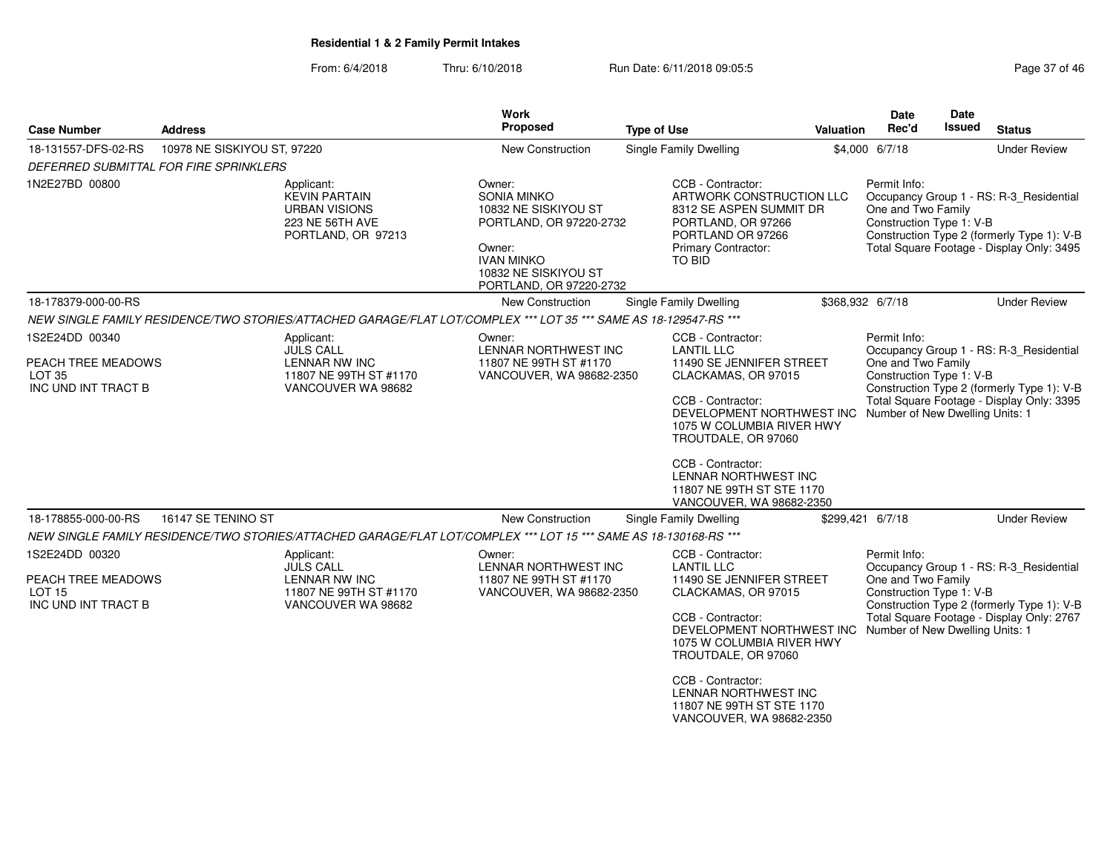| <b>Case Number</b>                                                                                              | <b>Address</b>                         |                                                                                                     | Work<br>Proposed                                                                                                                                                  | <b>Type of Use</b>                                                                                                                                   | <b>Valuation</b> | <b>Date</b><br>Rec'd                                                                                      | <b>Date</b><br>Issued                                                                                                                                | <b>Status</b>                                                                                                                      |
|-----------------------------------------------------------------------------------------------------------------|----------------------------------------|-----------------------------------------------------------------------------------------------------|-------------------------------------------------------------------------------------------------------------------------------------------------------------------|------------------------------------------------------------------------------------------------------------------------------------------------------|------------------|-----------------------------------------------------------------------------------------------------------|------------------------------------------------------------------------------------------------------------------------------------------------------|------------------------------------------------------------------------------------------------------------------------------------|
| 18-131557-DFS-02-RS                                                                                             | 10978 NE SISKIYOU ST, 97220            |                                                                                                     | New Construction                                                                                                                                                  | <b>Single Family Dwelling</b>                                                                                                                        |                  | \$4,000 6/7/18                                                                                            |                                                                                                                                                      | <b>Under Review</b>                                                                                                                |
|                                                                                                                 | DEFERRED SUBMITTAL FOR FIRE SPRINKLERS |                                                                                                     |                                                                                                                                                                   |                                                                                                                                                      |                  |                                                                                                           |                                                                                                                                                      |                                                                                                                                    |
| 1N2E27BD 00800                                                                                                  |                                        | Applicant:<br><b>KEVIN PARTAIN</b><br><b>URBAN VISIONS</b><br>223 NE 56TH AVE<br>PORTLAND, OR 97213 | Owner:<br><b>SONIA MINKO</b><br>10832 NE SISKIYOU ST<br>PORTLAND, OR 97220-2732<br>Owner:<br><b>IVAN MINKO</b><br>10832 NE SISKIYOU ST<br>PORTLAND, OR 97220-2732 | CCB - Contractor:<br>ARTWORK CONSTRUCTION LLC<br>8312 SE ASPEN SUMMIT DR<br>PORTLAND, OR 97266<br>PORTLAND OR 97266<br>Primary Contractor:<br>TO BID |                  | Permit Info:<br>One and Two Family<br>Construction Type 1: V-B                                            |                                                                                                                                                      | Occupancy Group 1 - RS: R-3_Residential<br>Construction Type 2 (formerly Type 1): V-B<br>Total Square Footage - Display Only: 3495 |
| 18-178379-000-00-RS                                                                                             |                                        |                                                                                                     | New Construction                                                                                                                                                  | Single Family Dwelling                                                                                                                               |                  | \$368,932 6/7/18                                                                                          |                                                                                                                                                      | <b>Under Review</b>                                                                                                                |
|                                                                                                                 |                                        |                                                                                                     | NEW SINGLE FAMILY RESIDENCE/TWO STORIES/ATTACHED GARAGE/FLAT LOT/COMPLEX *** LOT 35 *** SAME AS 18-129547-RS ***                                                  |                                                                                                                                                      |                  |                                                                                                           |                                                                                                                                                      |                                                                                                                                    |
| 1S2E24DD 00340<br>PEACH TREE MEADOWS<br>LOT <sub>35</sub>                                                       |                                        | Applicant:<br><b>JULS CALL</b><br><b>LENNAR NW INC</b><br>11807 NE 99TH ST #1170                    | Owner:<br><b>LENNAR NORTHWEST INC</b><br>11807 NE 99TH ST #1170<br>VANCOUVER, WA 98682-2350                                                                       | CCB - Contractor:<br><b>LANTIL LLC</b><br>11490 SE JENNIFER STREET<br>CLACKAMAS, OR 97015                                                            |                  | Permit Info:<br>Occupancy Group 1 - RS: R-3 Residential<br>One and Two Family<br>Construction Type 1: V-B |                                                                                                                                                      |                                                                                                                                    |
| INC UND INT TRACT B                                                                                             |                                        | VANCOUVER WA 98682                                                                                  |                                                                                                                                                                   | CCB - Contractor:<br>1075 W COLUMBIA RIVER HWY<br>TROUTDALE, OR 97060                                                                                |                  |                                                                                                           | Construction Type 2 (formerly Type 1): V-B<br>Total Square Footage - Display Only: 3395<br>DEVELOPMENT NORTHWEST INC Number of New Dwelling Units: 1 |                                                                                                                                    |
|                                                                                                                 |                                        |                                                                                                     |                                                                                                                                                                   | CCB - Contractor:<br>LENNAR NORTHWEST INC<br>11807 NE 99TH ST STE 1170<br>VANCOUVER, WA 98682-2350                                                   |                  |                                                                                                           |                                                                                                                                                      |                                                                                                                                    |
| 18-178855-000-00-RS                                                                                             | 16147 SE TENINO ST                     |                                                                                                     | <b>New Construction</b>                                                                                                                                           | Single Family Dwelling                                                                                                                               |                  | \$299,421 6/7/18                                                                                          |                                                                                                                                                      | <b>Under Review</b>                                                                                                                |
|                                                                                                                 |                                        |                                                                                                     | NEW SINGLE FAMILY RESIDENCE/TWO STORIES/ATTACHED GARAGE/FLAT LOT/COMPLEX *** LOT 15 *** SAME AS 18-130168-RS ***                                                  |                                                                                                                                                      |                  |                                                                                                           |                                                                                                                                                      |                                                                                                                                    |
| 1S2E24DD 00320<br>Applicant:<br><b>JULS CALL</b><br>PEACH TREE MEADOWS<br><b>LENNAR NW INC</b><br><b>LOT 15</b> |                                        | 11807 NE 99TH ST #1170                                                                              | Owner:<br>LENNAR NORTHWEST INC<br>11807 NE 99TH ST #1170<br>VANCOUVER, WA 98682-2350                                                                              | CCB - Contractor:<br><b>LANTIL LLC</b><br>11490 SE JENNIFER STREET<br>CLACKAMAS, OR 97015                                                            |                  | Permit Info:<br>Occupancy Group 1 - RS: R-3_Residential<br>One and Two Family<br>Construction Type 1: V-B |                                                                                                                                                      |                                                                                                                                    |
| INC UND INT TRACT B                                                                                             | VANCOUVER WA 98682                     |                                                                                                     |                                                                                                                                                                   | CCB - Contractor:<br>DEVELOPMENT NORTHWEST INC Number of New Dwelling Units: 1<br>1075 W COLUMBIA RIVER HWY<br>TROUTDALE, OR 97060                   |                  |                                                                                                           |                                                                                                                                                      | Construction Type 2 (formerly Type 1): V-B<br>Total Square Footage - Display Only: 2767                                            |
|                                                                                                                 |                                        |                                                                                                     |                                                                                                                                                                   | CCB - Contractor:<br>LENNAR NORTHWEST INC<br>11807 NE 99TH ST STE 1170<br>VANCOUVER, WA 98682-2350                                                   |                  |                                                                                                           |                                                                                                                                                      |                                                                                                                                    |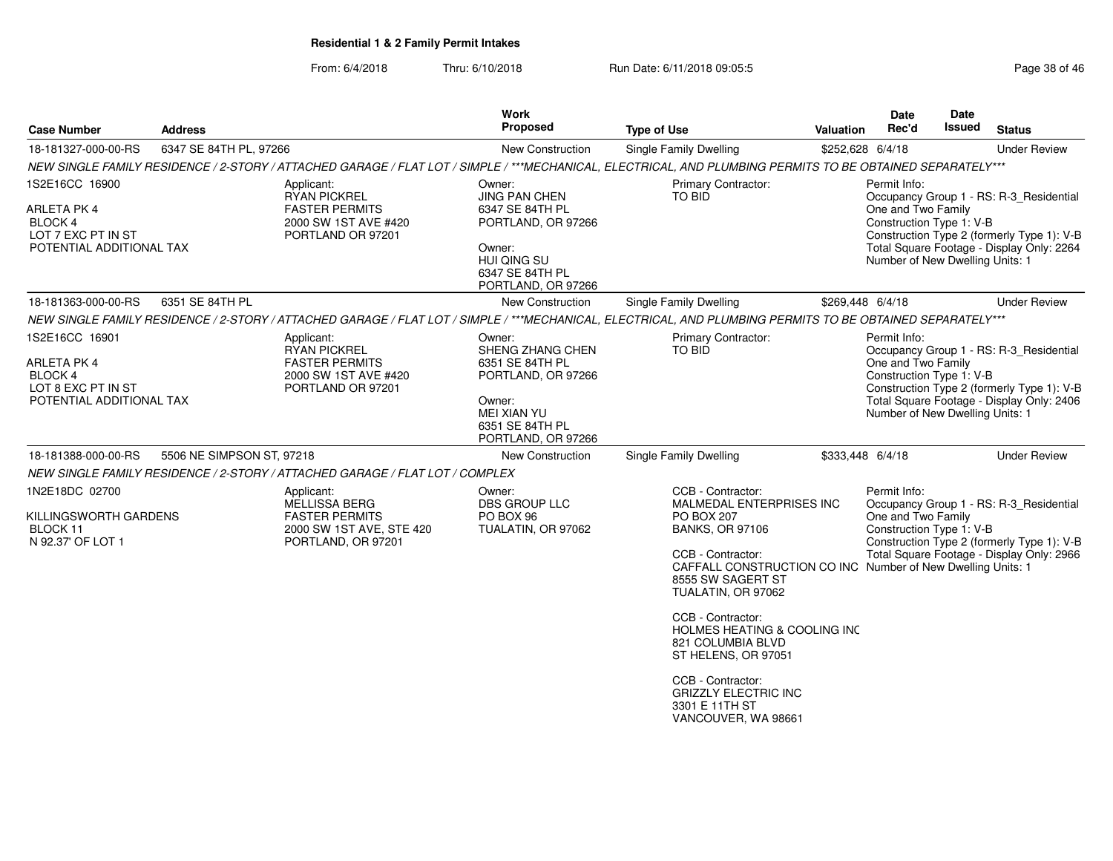From: 6/4/2018Thru: 6/10/2018 **Run Date: 6/11/2018 09:05:5** Page 38 of 46

| <b>Case Number</b>                                                                                | <b>Address</b>            |                                                                                                               | Work<br><b>Proposed</b>                                                                                                                      | <b>Type of Use</b>                                                                                                                                                                                                                                                                                                                                                     | Valuation        | <b>Date</b><br>Rec'd                                                                              | Date<br>Issued | <b>Status</b>                                                                                                                      |
|---------------------------------------------------------------------------------------------------|---------------------------|---------------------------------------------------------------------------------------------------------------|----------------------------------------------------------------------------------------------------------------------------------------------|------------------------------------------------------------------------------------------------------------------------------------------------------------------------------------------------------------------------------------------------------------------------------------------------------------------------------------------------------------------------|------------------|---------------------------------------------------------------------------------------------------|----------------|------------------------------------------------------------------------------------------------------------------------------------|
| 18-181327-000-00-RS                                                                               | 6347 SE 84TH PL, 97266    |                                                                                                               | New Construction                                                                                                                             | <b>Single Family Dwelling</b>                                                                                                                                                                                                                                                                                                                                          | \$252,628 6/4/18 |                                                                                                   |                | <b>Under Review</b>                                                                                                                |
|                                                                                                   |                           |                                                                                                               |                                                                                                                                              | NEW SINGLE FAMILY RESIDENCE / 2-STORY / ATTACHED GARAGE / FLAT LOT / SIMPLE / ***MECHANICAL, ELECTRICAL, AND PLUMBING PERMITS TO BE OBTAINED SEPARATELY***                                                                                                                                                                                                             |                  |                                                                                                   |                |                                                                                                                                    |
| 1S2E16CC 16900<br>ARLETA PK 4<br><b>BLOCK4</b><br>LOT 7 EXC PT IN ST<br>POTENTIAL ADDITIONAL TAX  |                           | Applicant:<br><b>RYAN PICKREL</b><br><b>FASTER PERMITS</b><br>2000 SW 1ST AVE #420<br>PORTLAND OR 97201       | Owner:<br><b>JING PAN CHEN</b><br>6347 SE 84TH PL<br>PORTLAND, OR 97266<br>Owner:<br>HUI QING SU<br>6347 SE 84TH PL<br>PORTLAND, OR 97266    | Primary Contractor:<br>TO BID                                                                                                                                                                                                                                                                                                                                          |                  | Permit Info:<br>One and Two Family<br>Construction Type 1: V-B<br>Number of New Dwelling Units: 1 |                | Occupancy Group 1 - RS: R-3_Residential<br>Construction Type 2 (formerly Type 1): V-B<br>Total Square Footage - Display Only: 2264 |
| 18-181363-000-00-RS                                                                               | 6351 SE 84TH PL           |                                                                                                               | New Construction                                                                                                                             | Single Family Dwelling                                                                                                                                                                                                                                                                                                                                                 |                  | \$269,448 6/4/18                                                                                  |                | <b>Under Review</b>                                                                                                                |
|                                                                                                   |                           |                                                                                                               |                                                                                                                                              | NEW SINGLE FAMILY RESIDENCE / 2-STORY / ATTACHED GARAGE / FLAT LOT / SIMPLE / ***MECHANICAL, ELECTRICAL, AND PLUMBING PERMITS TO BE OBTAINED SEPARATELY***                                                                                                                                                                                                             |                  |                                                                                                   |                |                                                                                                                                    |
| 1S2E16CC 16901<br>ARLETA PK 4<br><b>BLOCK 4</b><br>LOT 8 EXC PT IN ST<br>POTENTIAL ADDITIONAL TAX |                           | Applicant:<br>RYAN PICKREL<br><b>FASTER PERMITS</b><br>2000 SW 1ST AVE #420<br>PORTLAND OR 97201              | Owner:<br>SHENG ZHANG CHEN<br>6351 SE 84TH PL<br>PORTLAND, OR 97266<br>Owner:<br><b>MEI XIAN YU</b><br>6351 SE 84TH PL<br>PORTLAND, OR 97266 | Primary Contractor:<br>TO BID                                                                                                                                                                                                                                                                                                                                          |                  | Permit Info:<br>One and Two Family<br>Construction Type 1: V-B<br>Number of New Dwelling Units: 1 |                | Occupancy Group 1 - RS: R-3 Residential<br>Construction Type 2 (formerly Type 1): V-B<br>Total Square Footage - Display Only: 2406 |
| 18-181388-000-00-RS                                                                               | 5506 NE SIMPSON ST, 97218 |                                                                                                               | New Construction                                                                                                                             | Single Family Dwelling                                                                                                                                                                                                                                                                                                                                                 | \$333,448 6/4/18 |                                                                                                   |                | <b>Under Review</b>                                                                                                                |
|                                                                                                   |                           | NEW SINGLE FAMILY RESIDENCE / 2-STORY / ATTACHED GARAGE / FLAT LOT / COMPLEX                                  |                                                                                                                                              |                                                                                                                                                                                                                                                                                                                                                                        |                  |                                                                                                   |                |                                                                                                                                    |
| 1N2E18DC 02700<br>KILLINGSWORTH GARDENS<br>BLOCK 11<br>N 92.37' OF LOT 1                          |                           | Applicant:<br><b>MELLISSA BERG</b><br><b>FASTER PERMITS</b><br>2000 SW 1ST AVE, STE 420<br>PORTLAND, OR 97201 | Owner:<br>DBS GROUP LLC<br>PO BOX 96<br>TUALATIN, OR 97062                                                                                   | CCB - Contractor:<br>MALMEDAL ENTERPRISES INC<br><b>PO BOX 207</b><br><b>BANKS, OR 97106</b><br>CCB - Contractor:<br>CAFFALL CONSTRUCTION CO INC Number of New Dwelling Units: 1<br>8555 SW SAGERT ST<br>TUALATIN, OR 97062<br>CCB - Contractor:<br><b>HOLMES HEATING &amp; COOLING INC</b><br>821 COLUMBIA BLVD<br>ST HELENS, OR 97051<br>$\sim$ $\sim$ $\sim$ $\sim$ |                  | Permit Info:<br>One and Two Family<br>Construction Type 1: V-B                                    |                | Occupancy Group 1 - RS: R-3 Residential<br>Construction Type 2 (formerly Type 1): V-B<br>Total Square Footage - Display Only: 2966 |

CCB - Contractor: GRIZZLY ELECTRIC INC 3301 E 11TH ST VANCOUVER, WA 98661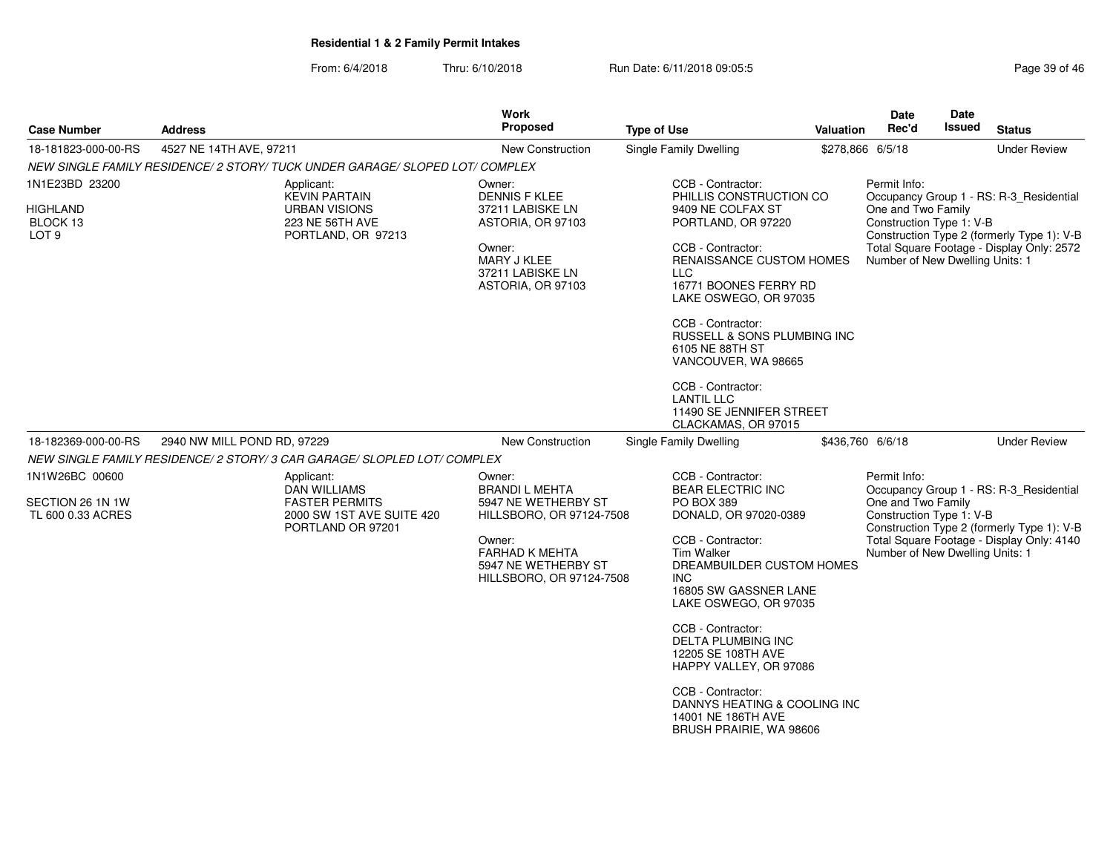| <b>Case Number</b>                              | <b>Address</b>                                                               | Work<br>Proposed                                       | <b>Type of Use</b>                                                                                 | <b>Valuation</b> | <b>Date</b><br>Rec'd                                                                      | Date<br>Issued                             | <b>Status</b>                                                                           |
|-------------------------------------------------|------------------------------------------------------------------------------|--------------------------------------------------------|----------------------------------------------------------------------------------------------------|------------------|-------------------------------------------------------------------------------------------|--------------------------------------------|-----------------------------------------------------------------------------------------|
| 18-181823-000-00-RS                             | 4527 NE 14TH AVE, 97211                                                      | <b>New Construction</b>                                | <b>Single Family Dwelling</b>                                                                      | \$278,866 6/5/18 |                                                                                           |                                            | <b>Under Review</b>                                                                     |
|                                                 | NEW SINGLE FAMILY RESIDENCE/ 2 STORY/ TUCK UNDER GARAGE/ SLOPED LOT/ COMPLEX |                                                        |                                                                                                    |                  |                                                                                           |                                            |                                                                                         |
| 1N1E23BD 23200                                  | Applicant:<br><b>KEVIN PARTAIN</b>                                           | Owner:<br><b>DENNIS F KLEE</b>                         | CCB - Contractor:<br>PHILLIS CONSTRUCTION CO                                                       |                  | Permit Info:                                                                              |                                            | Occupancy Group 1 - RS: R-3_Residential                                                 |
| <b>HIGHLAND</b><br>BLOCK 13<br>LOT <sub>9</sub> | <b>URBAN VISIONS</b><br><b>223 NE 56TH AVE</b><br>PORTLAND, OR 97213         | 37211 LABISKE LN<br>ASTORIA, OR 97103                  | 9409 NE COLFAX ST<br>PORTLAND, OR 97220                                                            |                  | One and Two Family<br>Construction Type 1: V-B                                            | Construction Type 2 (formerly Type 1): V-B |                                                                                         |
|                                                 |                                                                              | Owner:<br>MARY J KLEE<br>37211 LABISKE LN              | CCB - Contractor:<br>RENAISSANCE CUSTOM HOMES<br><b>LLC</b>                                        |                  | Number of New Dwelling Units: 1                                                           |                                            | Total Square Footage - Display Only: 2572                                               |
|                                                 |                                                                              | ASTORIA, OR 97103                                      | 16771 BOONES FERRY RD<br>LAKE OSWEGO, OR 97035                                                     |                  |                                                                                           |                                            |                                                                                         |
|                                                 |                                                                              |                                                        | CCB - Contractor:<br>RUSSELL & SONS PLUMBING INC<br>6105 NE 88TH ST<br>VANCOUVER, WA 98665         |                  |                                                                                           |                                            |                                                                                         |
|                                                 |                                                                              |                                                        | CCB - Contractor:<br><b>LANTIL LLC</b><br>11490 SE JENNIFER STREET<br>CLACKAMAS, OR 97015          |                  |                                                                                           |                                            |                                                                                         |
| 18-182369-000-00-RS                             | 2940 NW MILL POND RD, 97229                                                  | New Construction                                       | <b>Single Family Dwelling</b>                                                                      | \$436,760 6/6/18 |                                                                                           |                                            | <b>Under Review</b>                                                                     |
|                                                 | NEW SINGLE FAMILY RESIDENCE/ 2 STORY/ 3 CAR GARAGE/ SLOPLED LOT/ COMPLEX     |                                                        |                                                                                                    |                  |                                                                                           |                                            |                                                                                         |
| 1N1W26BC 00600                                  | Applicant:<br><b>DAN WILLIAMS</b>                                            | Owner:<br><b>BRANDI L MEHTA</b>                        | CCB - Contractor:<br><b>BEAR ELECTRIC INC</b>                                                      |                  | Permit Info:                                                                              |                                            |                                                                                         |
| SECTION 26 1N 1W<br>TL 600 0.33 ACRES           | <b>FASTER PERMITS</b><br>2000 SW 1ST AVE SUITE 420                           | 5947 NE WETHERBY ST<br>HILLSBORO, OR 97124-7508        | PO BOX 389<br>DONALD, OR 97020-0389                                                                |                  | Occupancy Group 1 - RS: R-3_Residential<br>One and Two Family<br>Construction Type 1: V-B |                                            |                                                                                         |
|                                                 | PORTLAND OR 97201                                                            | Owner:<br><b>FARHAD K MEHTA</b><br>5947 NE WETHERBY ST | CCB - Contractor:<br><b>Tim Walker</b><br>DREAMBUILDER CUSTOM HOMES                                |                  | Number of New Dwelling Units: 1                                                           |                                            | Construction Type 2 (formerly Type 1): V-B<br>Total Square Footage - Display Only: 4140 |
|                                                 |                                                                              | HILLSBORO, OR 97124-7508                               | INC<br>16805 SW GASSNER LANE<br>LAKE OSWEGO, OR 97035                                              |                  |                                                                                           |                                            |                                                                                         |
|                                                 |                                                                              |                                                        | CCB - Contractor:<br><b>DELTA PLUMBING INC</b><br>12205 SE 108TH AVE<br>HAPPY VALLEY, OR 97086     |                  |                                                                                           |                                            |                                                                                         |
|                                                 |                                                                              |                                                        | CCB - Contractor:<br>DANNYS HEATING & COOLING INC<br>14001 NE 186TH AVE<br>BRUSH PRAIRIE, WA 98606 |                  |                                                                                           |                                            |                                                                                         |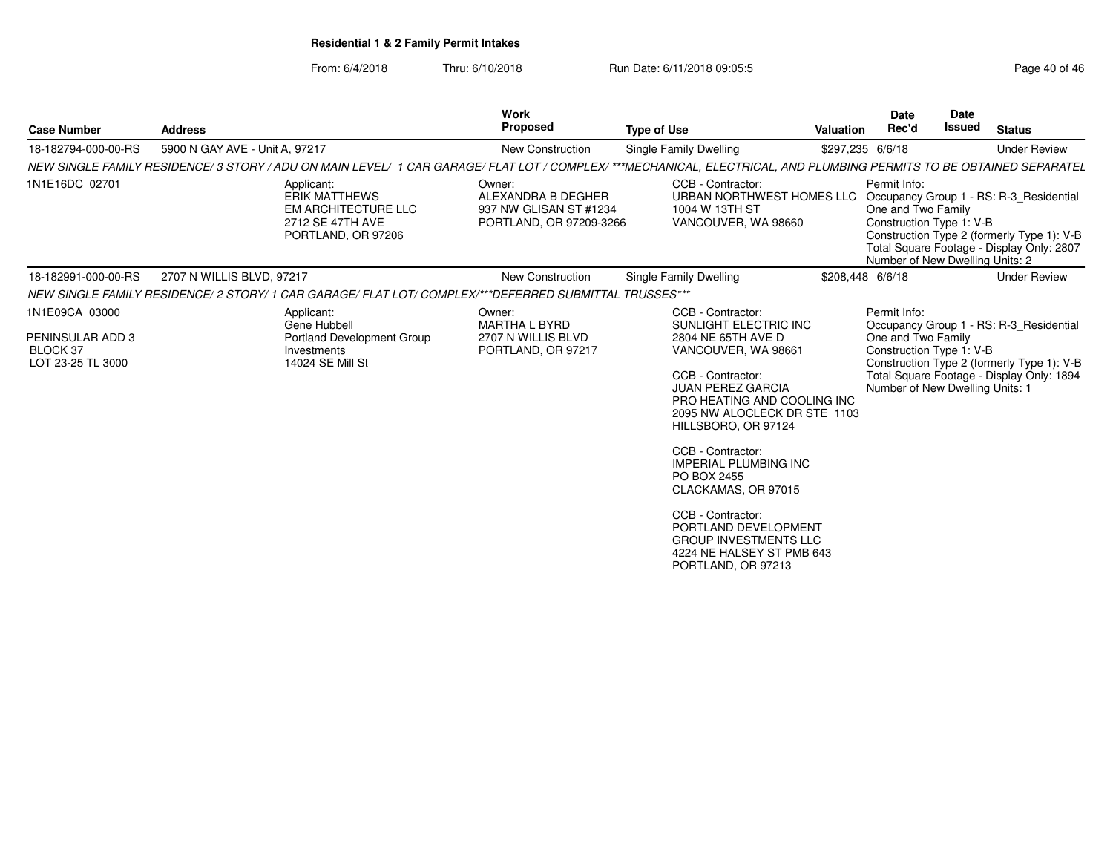| <b>Case Number</b>                                                  | <b>Address</b>                                                                                                                                                      | Work<br><b>Proposed</b>                                                           | <b>Type of Use</b>                                                                                                                                                                                                                                                                                                                                                                                                                                        | Valuation        | <b>Date</b><br>Rec'd                                                                              | <b>Date</b><br><b>Issued</b> | <b>Status</b>                                                                                                                      |
|---------------------------------------------------------------------|---------------------------------------------------------------------------------------------------------------------------------------------------------------------|-----------------------------------------------------------------------------------|-----------------------------------------------------------------------------------------------------------------------------------------------------------------------------------------------------------------------------------------------------------------------------------------------------------------------------------------------------------------------------------------------------------------------------------------------------------|------------------|---------------------------------------------------------------------------------------------------|------------------------------|------------------------------------------------------------------------------------------------------------------------------------|
| 18-182794-000-00-RS                                                 | 5900 N GAY AVE - Unit A, 97217                                                                                                                                      | <b>New Construction</b>                                                           | Single Family Dwelling                                                                                                                                                                                                                                                                                                                                                                                                                                    | \$297,235 6/6/18 |                                                                                                   |                              | <b>Under Review</b>                                                                                                                |
|                                                                     | NEW SINGLE FAMILY RESIDENCE/3 STORY / ADU ON MAIN LEVEL/ 1 CAR GARAGE/ FLAT LOT / COMPLEX/ ***MECHANICAL, ELECTRICAL, AND PLUMBING PERMITS TO BE OBTAINED SEPARATEL |                                                                                   |                                                                                                                                                                                                                                                                                                                                                                                                                                                           |                  |                                                                                                   |                              |                                                                                                                                    |
| 1N1E16DC 02701                                                      | Applicant:<br><b>ERIK MATTHEWS</b><br><b>EM ARCHITECTURE LLC</b><br>2712 SE 47TH AVE<br>PORTLAND, OR 97206                                                          | Owner:<br>ALEXANDRA B DEGHER<br>937 NW GLISAN ST #1234<br>PORTLAND, OR 97209-3266 | CCB - Contractor:<br>URBAN NORTHWEST HOMES LLC<br>1004 W 13TH ST<br>VANCOUVER, WA 98660                                                                                                                                                                                                                                                                                                                                                                   |                  | Permit Info:<br>One and Two Family<br>Construction Type 1: V-B<br>Number of New Dwelling Units: 2 |                              | Occupancy Group 1 - RS: R-3 Residential<br>Construction Type 2 (formerly Type 1): V-B<br>Total Square Footage - Display Only: 2807 |
| 18-182991-000-00-RS                                                 | 2707 N WILLIS BLVD, 97217                                                                                                                                           | <b>New Construction</b>                                                           | Single Family Dwelling                                                                                                                                                                                                                                                                                                                                                                                                                                    | \$208.448 6/6/18 |                                                                                                   |                              | <b>Under Review</b>                                                                                                                |
|                                                                     | NEW SINGLE FAMILY RESIDENCE/ 2 STORY/ 1 CAR GARAGE/ FLAT LOT/ COMPLEX/***DEFERRED SUBMITTAL TRUSSES***                                                              |                                                                                   |                                                                                                                                                                                                                                                                                                                                                                                                                                                           |                  |                                                                                                   |                              |                                                                                                                                    |
| 1N1E09CA 03000<br>PENINSULAR ADD 3<br>BLOCK 37<br>LOT 23-25 TL 3000 | Applicant:<br>Gene Hubbell<br>Portland Development Group<br>Investments<br>14024 SE Mill St                                                                         | Owner:<br><b>MARTHA L BYRD</b><br>2707 N WILLIS BLVD<br>PORTLAND, OR 97217        | CCB - Contractor:<br>SUNLIGHT ELECTRIC INC<br>2804 NE 65TH AVE D<br>VANCOUVER, WA 98661<br>CCB - Contractor:<br><b>JUAN PEREZ GARCIA</b><br>PRO HEATING AND COOLING INC<br>2095 NW ALOCLECK DR STE 1103<br>HILLSBORO, OR 97124<br>CCB - Contractor:<br><b>IMPERIAL PLUMBING INC</b><br>PO BOX 2455<br>CLACKAMAS, OR 97015<br>CCB - Contractor:<br>PORTLAND DEVELOPMENT<br><b>GROUP INVESTMENTS LLC</b><br>4224 NE HALSEY ST PMB 643<br>PORTLAND, OR 97213 |                  | Permit Info:<br>One and Two Family<br>Construction Type 1: V-B<br>Number of New Dwelling Units: 1 |                              | Occupancy Group 1 - RS: R-3 Residential<br>Construction Type 2 (formerly Type 1): V-B<br>Total Square Footage - Display Only: 1894 |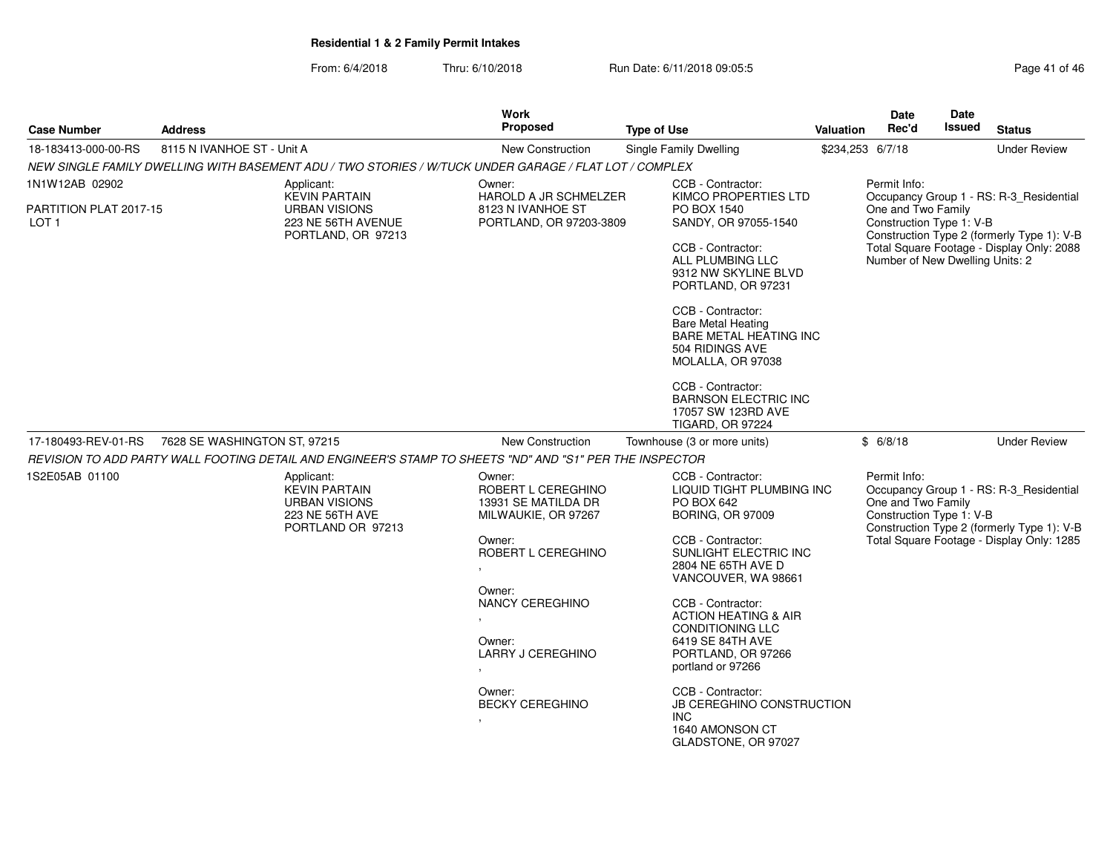From: 6/4/2018Thru: 6/10/2018 **Run Date: 6/11/2018 09:05:5** Page 41 of 461 of 461 of 461 of 461 of 461 of 461 of 461 of 461 of 46

| Page 41 of 46 |  |
|---------------|--|
|---------------|--|

| <b>Case Number</b>                         | <b>Address</b>                                                                                     |            | Work<br><b>Proposed</b>                                                                                  | <b>Type of Use</b>                                                                                                      | <b>Valuation</b>                                                                                                                                        | <b>Date</b><br>Rec'd                           | Date<br>Issued                                                                        | <b>Status</b>                             |  |
|--------------------------------------------|----------------------------------------------------------------------------------------------------|------------|----------------------------------------------------------------------------------------------------------|-------------------------------------------------------------------------------------------------------------------------|---------------------------------------------------------------------------------------------------------------------------------------------------------|------------------------------------------------|---------------------------------------------------------------------------------------|-------------------------------------------|--|
| 18-183413-000-00-RS                        | 8115 N IVANHOE ST - Unit A                                                                         |            | New Construction                                                                                         | Single Family Dwelling                                                                                                  |                                                                                                                                                         | \$234,253 6/7/18                               |                                                                                       | <b>Under Review</b>                       |  |
|                                            |                                                                                                    |            | NEW SINGLE FAMILY DWELLING WITH BASEMENT ADU / TWO STORIES / W/TUCK UNDER GARAGE / FLAT LOT / COMPLEX    |                                                                                                                         |                                                                                                                                                         |                                                |                                                                                       |                                           |  |
| 1N1W12AB 02902                             |                                                                                                    | Applicant: | Owner:                                                                                                   | CCB - Contractor:                                                                                                       |                                                                                                                                                         | Permit Info:                                   |                                                                                       |                                           |  |
| PARTITION PLAT 2017-15<br>LOT <sub>1</sub> | <b>KEVIN PARTAIN</b><br><b>URBAN VISIONS</b><br>223 NE 56TH AVENUE<br>PORTLAND, OR 97213           |            | HAROLD A JR SCHMELZER<br>8123 N IVANHOE ST<br>PORTLAND, OR 97203-3809                                    | KIMCO PROPERTIES LTD<br>PO BOX 1540<br>SANDY, OR 97055-1540                                                             |                                                                                                                                                         | One and Two Family<br>Construction Type 1: V-B | Occupancy Group 1 - RS: R-3_Residential<br>Construction Type 2 (formerly Type 1): V-B |                                           |  |
|                                            |                                                                                                    |            |                                                                                                          | CCB - Contractor:<br>ALL PLUMBING LLC<br>9312 NW SKYLINE BLVD<br>PORTLAND, OR 97231                                     |                                                                                                                                                         | Number of New Dwelling Units: 2                |                                                                                       | Total Square Footage - Display Only: 2088 |  |
|                                            |                                                                                                    |            |                                                                                                          | CCB - Contractor:<br><b>Bare Metal Heating</b><br><b>BARE METAL HEATING INC</b><br>504 RIDINGS AVE<br>MOLALLA, OR 97038 |                                                                                                                                                         |                                                |                                                                                       |                                           |  |
|                                            |                                                                                                    |            |                                                                                                          | CCB - Contractor:<br><b>BARNSON ELECTRIC INC</b><br>17057 SW 123RD AVE<br><b>TIGARD, OR 97224</b>                       |                                                                                                                                                         |                                                |                                                                                       |                                           |  |
| 17-180493-REV-01-RS                        | 7628 SE WASHINGTON ST, 97215                                                                       |            | <b>New Construction</b>                                                                                  | Townhouse (3 or more units)                                                                                             |                                                                                                                                                         | \$6/8/18                                       |                                                                                       | <b>Under Review</b>                       |  |
|                                            |                                                                                                    |            | REVISION TO ADD PARTY WALL FOOTING DETAIL AND ENGINEER'S STAMP TO SHEETS "ND" AND "S1" PER THE INSPECTOR |                                                                                                                         |                                                                                                                                                         |                                                |                                                                                       |                                           |  |
| 1S2E05AB 01100                             | Applicant:<br><b>KEVIN PARTAIN</b><br><b>URBAN VISIONS</b><br>223 NE 56TH AVE<br>PORTLAND OR 97213 |            | Owner:<br>ROBERT L CEREGHINO<br>13931 SE MATILDA DR<br>MILWAUKIE, OR 97267                               | CCB - Contractor:<br>LIQUID TIGHT PLUMBING INC<br>PO BOX 642<br><b>BORING, OR 97009</b>                                 | Permit Info:<br>Occupancy Group 1 - RS: R-3_Residential<br>One and Two Family<br>Construction Type 1: V-B<br>Construction Type 2 (formerly Type 1): V-B |                                                |                                                                                       |                                           |  |
|                                            |                                                                                                    |            |                                                                                                          | CCB - Contractor:<br>SUNLIGHT ELECTRIC INC<br>2804 NE 65TH AVE D<br>VANCOUVER, WA 98661                                 |                                                                                                                                                         |                                                | Total Square Footage - Display Only: 1285                                             |                                           |  |
|                                            |                                                                                                    |            | Owner:<br>NANCY CEREGHINO                                                                                | CCB - Contractor:<br><b>ACTION HEATING &amp; AIR</b><br><b>CONDITIONING LLC</b>                                         |                                                                                                                                                         |                                                |                                                                                       |                                           |  |
|                                            |                                                                                                    |            | Owner:<br><b>LARRY J CEREGHINO</b>                                                                       | 6419 SE 84TH AVE<br>PORTLAND, OR 97266<br>portland or 97266                                                             |                                                                                                                                                         |                                                |                                                                                       |                                           |  |
|                                            |                                                                                                    |            | Owner:<br><b>BECKY CEREGHINO</b>                                                                         | CCB - Contractor:<br>JB CEREGHINO CONSTRUCTION<br>INC.<br>1640 AMONSON CT<br>GLADSTONE, OR 97027                        |                                                                                                                                                         |                                                |                                                                                       |                                           |  |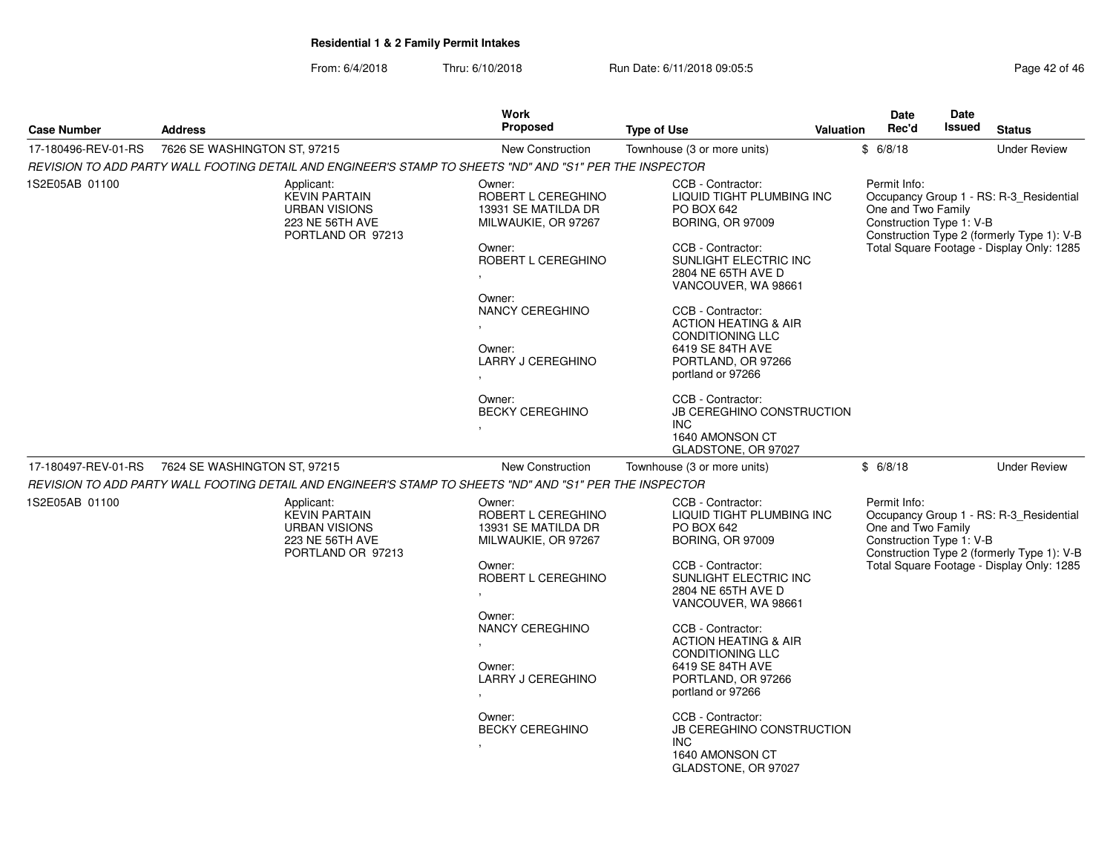| Page 42 of 46 |  |  |  |
|---------------|--|--|--|
|---------------|--|--|--|

| <b>Case Number</b>  |                                                                                                          | <b>Work</b><br><b>Proposed</b>                                                                             |                                                                                                                                                                                    |  | Date<br>Rec'd                                                  | Date<br><b>Issued</b> |                                                                                                                                    |  |  |
|---------------------|----------------------------------------------------------------------------------------------------------|------------------------------------------------------------------------------------------------------------|------------------------------------------------------------------------------------------------------------------------------------------------------------------------------------|--|----------------------------------------------------------------|-----------------------|------------------------------------------------------------------------------------------------------------------------------------|--|--|
|                     | <b>Address</b>                                                                                           |                                                                                                            | <b>Type of Use</b><br><b>Valuation</b>                                                                                                                                             |  |                                                                |                       | <b>Status</b>                                                                                                                      |  |  |
| 17-180496-REV-01-RS | 7626 SE WASHINGTON ST, 97215                                                                             | <b>New Construction</b>                                                                                    | Townhouse (3 or more units)                                                                                                                                                        |  | \$6/8/18                                                       |                       | <b>Under Review</b>                                                                                                                |  |  |
|                     | REVISION TO ADD PARTY WALL FOOTING DETAIL AND ENGINEER'S STAMP TO SHEETS "ND" AND "S1" PER THE INSPECTOR |                                                                                                            |                                                                                                                                                                                    |  |                                                                |                       |                                                                                                                                    |  |  |
| 1S2E05AB 01100      | Applicant:<br><b>KEVIN PARTAIN</b><br><b>URBAN VISIONS</b><br>223 NE 56TH AVE<br>PORTLAND OR 97213       | Owner:<br>ROBERT L CEREGHINO<br>13931 SE MATILDA DR<br>MILWAUKIE, OR 97267<br>Owner:<br>ROBERT L CEREGHINO | CCB - Contractor:<br>LIQUID TIGHT PLUMBING INC<br>PO BOX 642<br><b>BORING, OR 97009</b><br>CCB - Contractor:<br>SUNLIGHT ELECTRIC INC<br>2804 NE 65TH AVE D<br>VANCOUVER, WA 98661 |  | Permit Info:<br>One and Two Family<br>Construction Type 1: V-B |                       | Occupancy Group 1 - RS: R-3_Residential<br>Construction Type 2 (formerly Type 1): V-B<br>Total Square Footage - Display Only: 1285 |  |  |
|                     |                                                                                                          | Owner:<br>NANCY CEREGHINO<br>Owner:<br><b>LARRY J CEREGHINO</b>                                            | CCB - Contractor:<br><b>ACTION HEATING &amp; AIR</b><br><b>CONDITIONING LLC</b><br>6419 SE 84TH AVE<br>PORTLAND, OR 97266<br>portland or 97266                                     |  |                                                                |                       |                                                                                                                                    |  |  |
|                     |                                                                                                          | Owner:<br><b>BECKY CEREGHINO</b>                                                                           | CCB - Contractor:<br><b>JB CEREGHINO CONSTRUCTION</b><br>INC.<br>1640 AMONSON CT<br>GLADSTONE, OR 97027                                                                            |  |                                                                |                       |                                                                                                                                    |  |  |
| 17-180497-REV-01-RS | 7624 SE WASHINGTON ST, 97215                                                                             | <b>New Construction</b>                                                                                    | Townhouse (3 or more units)                                                                                                                                                        |  | \$6/8/18                                                       |                       | <b>Under Review</b>                                                                                                                |  |  |
|                     | REVISION TO ADD PARTY WALL FOOTING DETAIL AND ENGINEER'S STAMP TO SHEETS "ND" AND "S1" PER THE INSPECTOR |                                                                                                            |                                                                                                                                                                                    |  |                                                                |                       |                                                                                                                                    |  |  |
| 1S2E05AB 01100      | Applicant:<br><b>KEVIN PARTAIN</b><br><b>URBAN VISIONS</b><br>223 NE 56TH AVE<br>PORTLAND OR 97213       | Owner:<br>ROBERT L CEREGHINO<br>13931 SE MATILDA DR<br>MILWAUKIE, OR 97267                                 | CCB - Contractor:<br>LIQUID TIGHT PLUMBING INC<br>PO BOX 642<br><b>BORING, OR 97009</b>                                                                                            |  | Permit Info:<br>One and Two Family<br>Construction Type 1: V-B |                       | Occupancy Group 1 - RS: R-3_Residential<br>Construction Type 2 (formerly Type 1): V-B                                              |  |  |
|                     |                                                                                                          | Owner:<br>ROBERT L CEREGHINO                                                                               | CCB - Contractor:<br>SUNLIGHT ELECTRIC INC<br>2804 NE 65TH AVE D<br>VANCOUVER, WA 98661                                                                                            |  | Total Square Footage - Display Only: 1285                      |                       |                                                                                                                                    |  |  |
|                     |                                                                                                          | Owner:<br>NANCY CEREGHINO<br>Owner:<br>LARRY J CEREGHINO                                                   | CCB - Contractor:<br><b>ACTION HEATING &amp; AIR</b><br><b>CONDITIONING LLC</b><br>6419 SE 84TH AVE<br>PORTLAND, OR 97266<br>portland or 97266                                     |  |                                                                |                       |                                                                                                                                    |  |  |
|                     |                                                                                                          | Owner:<br><b>BECKY CEREGHINO</b>                                                                           | CCB - Contractor:<br><b>JB CEREGHINO CONSTRUCTION</b><br>INC.<br>1640 AMONSON CT<br>GLADSTONE, OR 97027                                                                            |  |                                                                |                       |                                                                                                                                    |  |  |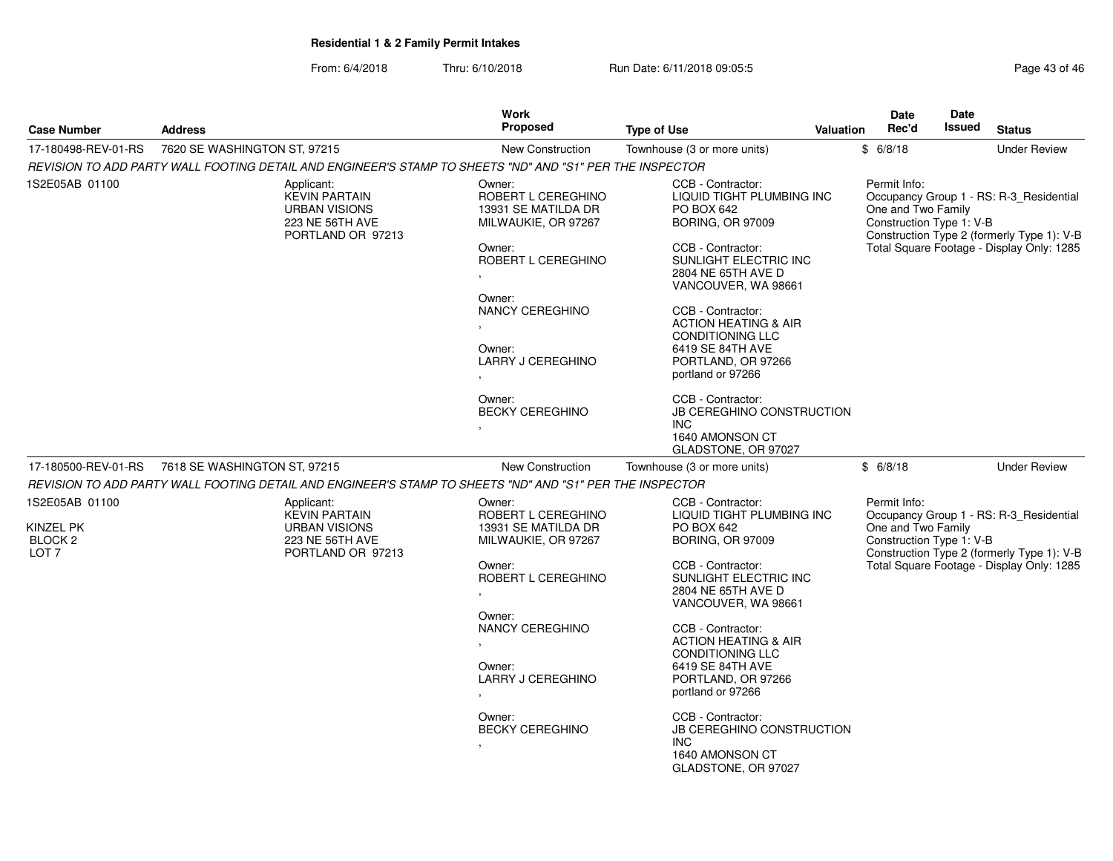| From: 6/4/2018 | Thru: 6/10/2018 | Run Date: 6/11/2018 09:05:5 | Page 43 of 46 |
|----------------|-----------------|-----------------------------|---------------|
|----------------|-----------------|-----------------------------|---------------|

| Page 43 of 46 |  |  |
|---------------|--|--|
|---------------|--|--|

|                                                                       |                                                                                                          | Work                                                                                                                                                                                          |                                                                                                                                                                                                                                                                                                                                      |                  | Date                                                           | Date          |                                                                                                                                    |
|-----------------------------------------------------------------------|----------------------------------------------------------------------------------------------------------|-----------------------------------------------------------------------------------------------------------------------------------------------------------------------------------------------|--------------------------------------------------------------------------------------------------------------------------------------------------------------------------------------------------------------------------------------------------------------------------------------------------------------------------------------|------------------|----------------------------------------------------------------|---------------|------------------------------------------------------------------------------------------------------------------------------------|
| <b>Case Number</b>                                                    | <b>Address</b>                                                                                           | <b>Proposed</b>                                                                                                                                                                               | <b>Type of Use</b>                                                                                                                                                                                                                                                                                                                   | <b>Valuation</b> | Rec'd                                                          | <b>Issued</b> | <b>Status</b>                                                                                                                      |
| 17-180498-REV-01-RS                                                   | 7620 SE WASHINGTON ST, 97215                                                                             | <b>New Construction</b>                                                                                                                                                                       | Townhouse (3 or more units)                                                                                                                                                                                                                                                                                                          |                  | \$6/8/18                                                       |               | <b>Under Review</b>                                                                                                                |
|                                                                       | REVISION TO ADD PARTY WALL FOOTING DETAIL AND ENGINEER'S STAMP TO SHEETS "ND" AND "S1" PER THE INSPECTOR |                                                                                                                                                                                               |                                                                                                                                                                                                                                                                                                                                      |                  |                                                                |               |                                                                                                                                    |
| 1S2E05AB 01100                                                        | Applicant:<br><b>KEVIN PARTAIN</b><br><b>URBAN VISIONS</b><br>223 NE 56TH AVE<br>PORTLAND OR 97213       | Owner:<br>ROBERT L CEREGHINO<br>13931 SE MATILDA DR<br>MILWAUKIE, OR 97267<br>Owner:<br>ROBERT L CEREGHINO<br>Owner:<br>NANCY CEREGHINO<br>Owner:<br>LARRY J CEREGHINO                        | CCB - Contractor:<br>LIQUID TIGHT PLUMBING INC<br>PO BOX 642<br><b>BORING, OR 97009</b><br>CCB - Contractor:<br>SUNLIGHT ELECTRIC INC<br>2804 NE 65TH AVE D<br>VANCOUVER, WA 98661<br>CCB - Contractor:<br><b>ACTION HEATING &amp; AIR</b><br><b>CONDITIONING LLC</b><br>6419 SE 84TH AVE<br>PORTLAND, OR 97266<br>portland or 97266 |                  | Permit Info:<br>One and Two Family<br>Construction Type 1: V-B |               | Occupancy Group 1 - RS: R-3_Residential<br>Construction Type 2 (formerly Type 1): V-B<br>Total Square Footage - Display Only: 1285 |
|                                                                       |                                                                                                          | Owner:<br><b>BECKY CEREGHINO</b>                                                                                                                                                              | CCB - Contractor:<br><b>JB CEREGHINO CONSTRUCTION</b><br><b>INC</b><br>1640 AMONSON CT<br>GLADSTONE, OR 97027                                                                                                                                                                                                                        |                  |                                                                |               |                                                                                                                                    |
| 17-180500-REV-01-RS                                                   | 7618 SE WASHINGTON ST, 97215                                                                             | <b>New Construction</b>                                                                                                                                                                       | Townhouse (3 or more units)                                                                                                                                                                                                                                                                                                          |                  | \$6/8/18                                                       |               | <b>Under Review</b>                                                                                                                |
|                                                                       | REVISION TO ADD PARTY WALL FOOTING DETAIL AND ENGINEER'S STAMP TO SHEETS "ND" AND "S1" PER THE INSPECTOR |                                                                                                                                                                                               |                                                                                                                                                                                                                                                                                                                                      |                  |                                                                |               |                                                                                                                                    |
| 1S2E05AB 01100<br>KINZEL PK<br>BLOCK <sub>2</sub><br>LOT <sub>7</sub> | Applicant:<br><b>KEVIN PARTAIN</b><br><b>URBAN VISIONS</b><br>223 NE 56TH AVE<br>PORTLAND OR 97213       | Owner:<br>ROBERT L CEREGHINO<br>13931 SE MATILDA DR<br>MILWAUKIE, OR 97267<br>Owner:<br>ROBERT L CEREGHINO<br>Owner:<br>NANCY CEREGHINO<br>$\mathbf{r}$<br>Owner:<br><b>LARRY J CEREGHINO</b> | CCB - Contractor:<br>LIQUID TIGHT PLUMBING INC<br>PO BOX 642<br><b>BORING, OR 97009</b><br>CCB - Contractor:<br>SUNLIGHT ELECTRIC INC<br>2804 NE 65TH AVE D<br>VANCOUVER, WA 98661<br>CCB - Contractor:<br><b>ACTION HEATING &amp; AIR</b><br><b>CONDITIONING LLC</b><br>6419 SE 84TH AVE                                            |                  | Permit Info:<br>One and Two Family<br>Construction Type 1: V-B |               | Occupancy Group 1 - RS: R-3_Residential<br>Construction Type 2 (formerly Type 1): V-B<br>Total Square Footage - Display Only: 1285 |
|                                                                       |                                                                                                          | $\bullet$<br>Owner:<br><b>BECKY CEREGHINO</b>                                                                                                                                                 | PORTLAND, OR 97266<br>portland or 97266<br>CCB - Contractor:<br><b>JB CEREGHINO CONSTRUCTION</b><br><b>INC</b><br>1640 AMONSON CT<br>GLADSTONE, OR 97027                                                                                                                                                                             |                  |                                                                |               |                                                                                                                                    |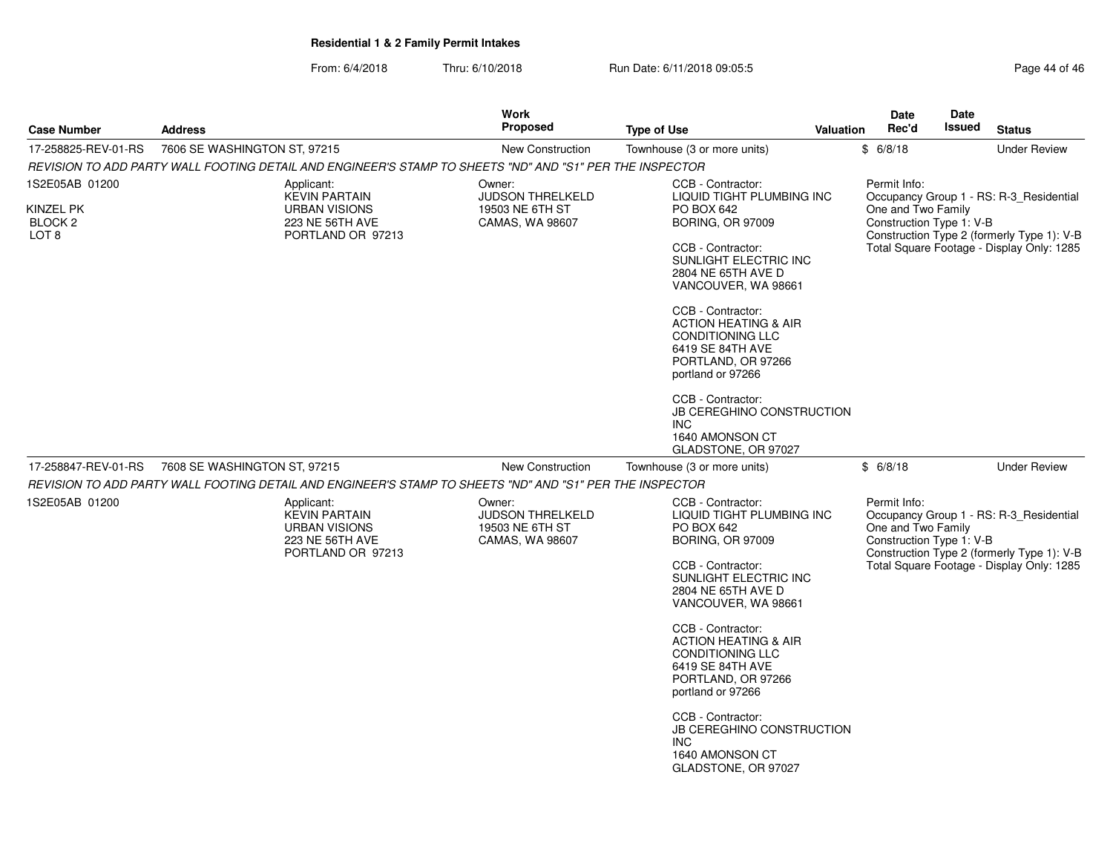|                                                                       |                                                                                                          | <b>Work</b>                                                             |                                                                                                                                                                                                                                                                                                                                                                                                                                                 | <b>Date</b>                                                    | Date                                                                                                                               |
|-----------------------------------------------------------------------|----------------------------------------------------------------------------------------------------------|-------------------------------------------------------------------------|-------------------------------------------------------------------------------------------------------------------------------------------------------------------------------------------------------------------------------------------------------------------------------------------------------------------------------------------------------------------------------------------------------------------------------------------------|----------------------------------------------------------------|------------------------------------------------------------------------------------------------------------------------------------|
| <b>Case Number</b>                                                    | <b>Address</b>                                                                                           | <b>Proposed</b>                                                         | <b>Type of Use</b>                                                                                                                                                                                                                                                                                                                                                                                                                              | Rec'd<br><b>Valuation</b>                                      | Issued<br><b>Status</b>                                                                                                            |
| 17-258825-REV-01-RS                                                   | 7606 SE WASHINGTON ST, 97215                                                                             | New Construction                                                        | Townhouse (3 or more units)                                                                                                                                                                                                                                                                                                                                                                                                                     | \$6/8/18                                                       | <b>Under Review</b>                                                                                                                |
|                                                                       | REVISION TO ADD PARTY WALL FOOTING DETAIL AND ENGINEER'S STAMP TO SHEETS "ND" AND "S1" PER THE INSPECTOR |                                                                         |                                                                                                                                                                                                                                                                                                                                                                                                                                                 |                                                                |                                                                                                                                    |
| 1S2E05AB 01200<br>Kinzel PK<br>BLOCK <sub>2</sub><br>LOT <sub>8</sub> | Applicant:<br><b>KEVIN PARTAIN</b><br><b>URBAN VISIONS</b><br>223 NE 56TH AVE<br>PORTLAND OR 97213       | Owner:<br><b>JUDSON THRELKELD</b><br>19503 NE 6TH ST<br>CAMAS, WA 98607 | CCB - Contractor:<br>LIQUID TIGHT PLUMBING INC<br>PO BOX 642<br><b>BORING, OR 97009</b><br>CCB - Contractor:<br>SUNLIGHT ELECTRIC INC<br>2804 NE 65TH AVE D<br>VANCOUVER, WA 98661<br>CCB - Contractor:<br><b>ACTION HEATING &amp; AIR</b><br><b>CONDITIONING LLC</b><br>6419 SE 84TH AVE<br>PORTLAND, OR 97266<br>portland or 97266<br>CCB - Contractor:<br><b>JB CEREGHINO CONSTRUCTION</b><br><b>INC</b><br>1640 AMONSON CT                  | Permit Info:<br>One and Two Family<br>Construction Type 1: V-B | Occupancy Group 1 - RS: R-3_Residential<br>Construction Type 2 (formerly Type 1): V-B<br>Total Square Footage - Display Only: 1285 |
| 17-258847-REV-01-RS                                                   | 7608 SE WASHINGTON ST, 97215                                                                             | <b>New Construction</b>                                                 | GLADSTONE, OR 97027<br>Townhouse (3 or more units)                                                                                                                                                                                                                                                                                                                                                                                              | \$6/8/18                                                       | <b>Under Review</b>                                                                                                                |
|                                                                       | REVISION TO ADD PARTY WALL FOOTING DETAIL AND ENGINEER'S STAMP TO SHEETS "ND" AND "S1" PER THE INSPECTOR |                                                                         |                                                                                                                                                                                                                                                                                                                                                                                                                                                 |                                                                |                                                                                                                                    |
| 1S2E05AB 01200                                                        | Applicant:<br><b>KEVIN PARTAIN</b><br><b>URBAN VISIONS</b><br>223 NE 56TH AVE<br>PORTLAND OR 97213       | Owner:<br><b>JUDSON THRELKELD</b><br>19503 NE 6TH ST<br>CAMAS, WA 98607 | CCB - Contractor:<br>LIQUID TIGHT PLUMBING INC<br>PO BOX 642<br><b>BORING, OR 97009</b><br>CCB - Contractor:<br>SUNLIGHT ELECTRIC INC<br>2804 NE 65TH AVE D<br>VANCOUVER, WA 98661<br>CCB - Contractor:<br><b>ACTION HEATING &amp; AIR</b><br><b>CONDITIONING LLC</b><br>6419 SE 84TH AVE<br>PORTLAND, OR 97266<br>portland or 97266<br>CCB - Contractor:<br><b>JB CEREGHINO CONSTRUCTION</b><br>INC.<br>1640 AMONSON CT<br>GLADSTONE, OR 97027 | Permit Info:<br>One and Two Family<br>Construction Type 1: V-B | Occupancy Group 1 - RS: R-3_Residential<br>Construction Type 2 (formerly Type 1): V-B<br>Total Square Footage - Display Only: 1285 |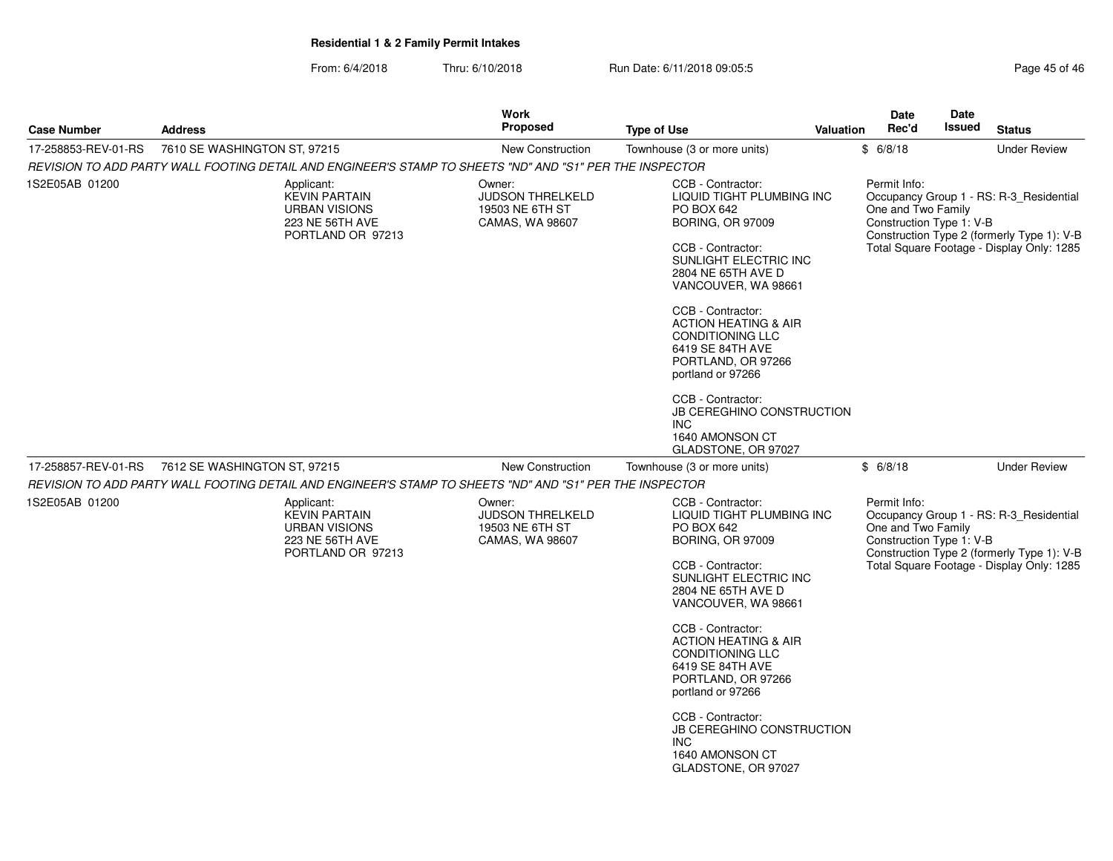| <b>Case Number</b>  | <b>Address</b>                                                                                           | Work<br><b>Proposed</b>                                                 | <b>Type of Use</b><br>Valuation                                                                                                                                                                                                                                                                                                                                                                                                                        |                                                                                                                                                                                                  | <b>Date</b><br>Rec'd                                                                                                                                                                                 | <b>Date</b><br><b>Issued</b> | <b>Status</b>                                                                                                                      |
|---------------------|----------------------------------------------------------------------------------------------------------|-------------------------------------------------------------------------|--------------------------------------------------------------------------------------------------------------------------------------------------------------------------------------------------------------------------------------------------------------------------------------------------------------------------------------------------------------------------------------------------------------------------------------------------------|--------------------------------------------------------------------------------------------------------------------------------------------------------------------------------------------------|------------------------------------------------------------------------------------------------------------------------------------------------------------------------------------------------------|------------------------------|------------------------------------------------------------------------------------------------------------------------------------|
| 17-258853-REV-01-RS | 7610 SE WASHINGTON ST, 97215                                                                             | <b>New Construction</b>                                                 | Townhouse (3 or more units)                                                                                                                                                                                                                                                                                                                                                                                                                            |                                                                                                                                                                                                  | \$6/8/18                                                                                                                                                                                             |                              | <b>Under Review</b>                                                                                                                |
|                     | REVISION TO ADD PARTY WALL FOOTING DETAIL AND ENGINEER'S STAMP TO SHEETS "ND" AND "S1" PER THE INSPECTOR |                                                                         |                                                                                                                                                                                                                                                                                                                                                                                                                                                        |                                                                                                                                                                                                  |                                                                                                                                                                                                      |                              |                                                                                                                                    |
| 1S2E05AB 01200      | Applicant:<br><b>KEVIN PARTAIN</b><br><b>URBAN VISIONS</b><br>223 NE 56TH AVE<br>PORTLAND OR 97213       | Owner:<br><b>JUDSON THRELKELD</b><br>19503 NE 6TH ST<br>CAMAS, WA 98607 | CCB - Contractor:<br>LIQUID TIGHT PLUMBING INC<br><b>PO BOX 642</b><br><b>BORING, OR 97009</b><br>CCB - Contractor:<br>SUNLIGHT ELECTRIC INC<br>2804 NE 65TH AVE D<br>VANCOUVER, WA 98661<br>CCB - Contractor:<br><b>ACTION HEATING &amp; AIR</b><br><b>CONDITIONING LLC</b><br>6419 SE 84TH AVE<br>PORTLAND, OR 97266<br>portland or 97266<br>CCB - Contractor:<br><b>JB CEREGHINO CONSTRUCTION</b><br>INC.<br>1640 AMONSON CT<br>GLADSTONE, OR 97027 |                                                                                                                                                                                                  | Permit Info:<br>One and Two Family<br>Construction Type 1: V-B                                                                                                                                       |                              | Occupancy Group 1 - RS: R-3_Residential<br>Construction Type 2 (formerly Type 1): V-B<br>Total Square Footage - Display Only: 1285 |
| 17-258857-REV-01-RS | 7612 SE WASHINGTON ST, 97215                                                                             | <b>New Construction</b>                                                 | Townhouse (3 or more units)                                                                                                                                                                                                                                                                                                                                                                                                                            |                                                                                                                                                                                                  | \$6/8/18                                                                                                                                                                                             |                              | <b>Under Review</b>                                                                                                                |
|                     | REVISION TO ADD PARTY WALL FOOTING DETAIL AND ENGINEER'S STAMP TO SHEETS "ND" AND "S1" PER THE INSPECTOR |                                                                         |                                                                                                                                                                                                                                                                                                                                                                                                                                                        |                                                                                                                                                                                                  |                                                                                                                                                                                                      |                              |                                                                                                                                    |
| 1S2E05AB 01200      | Applicant:<br><b>KEVIN PARTAIN</b><br><b>URBAN VISIONS</b><br>223 NE 56TH AVE<br>PORTLAND OR 97213       | Owner:<br><b>JUDSON THRELKELD</b><br>19503 NE 6TH ST<br>CAMAS, WA 98607 |                                                                                                                                                                                                                                                                                                                                                                                                                                                        | CCB - Contractor:<br><b>LIQUID TIGHT PLUMBING INC</b><br><b>PO BOX 642</b><br><b>BORING, OR 97009</b><br>CCB - Contractor:<br>SUNLIGHT ELECTRIC INC<br>2804 NE 65TH AVE D<br>VANCOUVER, WA 98661 | Permit Info:<br>Occupancy Group 1 - RS: R-3_Residential<br>One and Two Family<br>Construction Type 1: V-B<br>Construction Type 2 (formerly Type 1): V-B<br>Total Square Footage - Display Only: 1285 |                              |                                                                                                                                    |
|                     |                                                                                                          |                                                                         | CCB - Contractor:<br><b>ACTION HEATING &amp; AIR</b><br><b>CONDITIONING LLC</b><br>6419 SE 84TH AVE<br>PORTLAND, OR 97266<br>portland or 97266<br>CCB - Contractor:<br><b>JB CEREGHINO CONSTRUCTION</b><br>INC.<br>1640 AMONSON CT<br>GLADSTONE, OR 97027                                                                                                                                                                                              |                                                                                                                                                                                                  |                                                                                                                                                                                                      |                              |                                                                                                                                    |